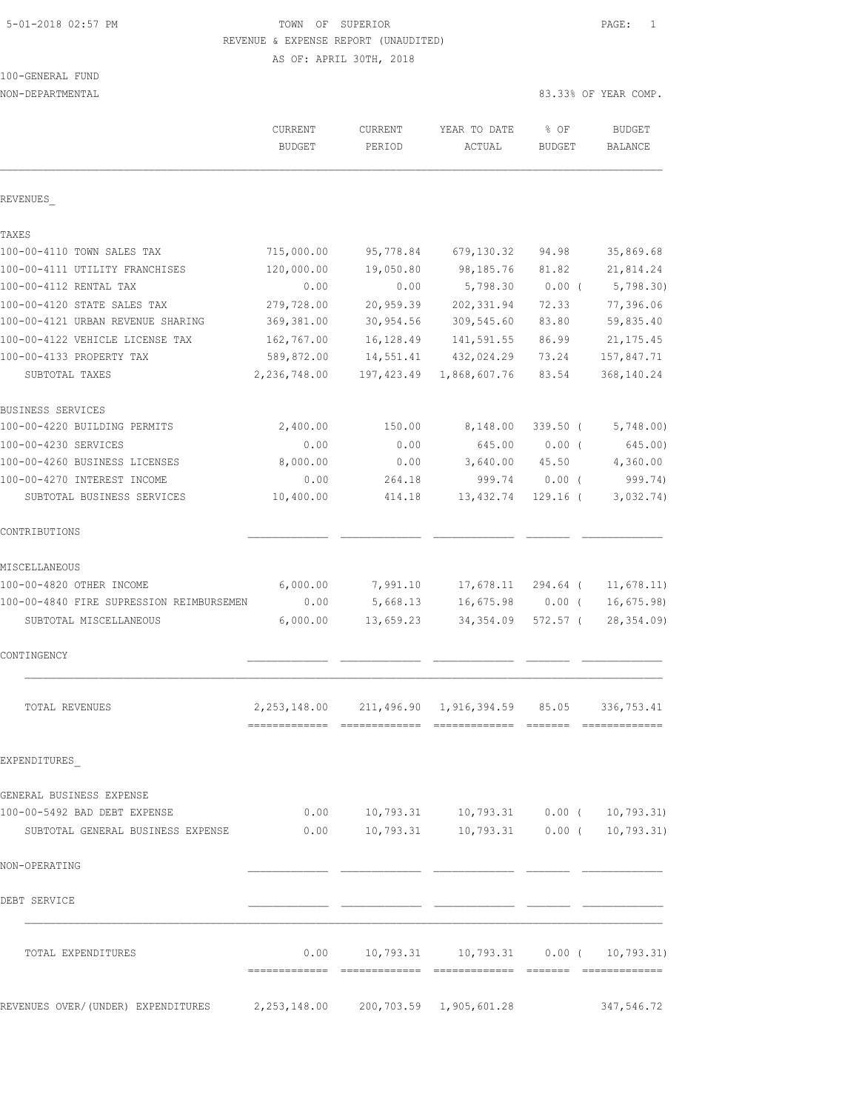# 5-01-2018 02:57 PM TOWN OF SUPERIOR PAGE: 1 REVENUE & EXPENSE REPORT (UNAUDITED)

AS OF: APRIL 30TH, 2018

|  | 100-GENERAL FUND |  |
|--|------------------|--|
|  |                  |  |

NON-DEPARTMENTAL 83.33% OF YEAR COMP.

|                                          | <b>CURRENT</b><br><b>BUDGET</b> | CURRENT<br>PERIOD | YEAR TO DATE<br>ACTUAL                       | $8$ OF<br><b>BUDGET</b> | <b>BUDGET</b><br>BALANCE |
|------------------------------------------|---------------------------------|-------------------|----------------------------------------------|-------------------------|--------------------------|
| REVENUES                                 |                                 |                   |                                              |                         |                          |
| TAXES                                    |                                 |                   |                                              |                         |                          |
| 100-00-4110 TOWN SALES TAX               | 715,000.00                      | 95,778.84         | 679,130.32                                   | 94.98                   | 35,869.68                |
| 100-00-4111 UTILITY FRANCHISES           | 120,000.00                      | 19,050.80         | 98,185.76                                    | 81.82                   | 21,814.24                |
| 100-00-4112 RENTAL TAX                   | 0.00                            | 0.00              | 5,798.30                                     | $0.00$ (                | 5,798.30                 |
| 100-00-4120 STATE SALES TAX              | 279,728.00                      | 20,959.39         | 202, 331.94                                  | 72.33                   | 77,396.06                |
| 100-00-4121 URBAN REVENUE SHARING        | 369,381.00                      | 30,954.56         | 309,545.60                                   | 83.80                   | 59,835.40                |
| 100-00-4122 VEHICLE LICENSE TAX          | 162,767.00                      | 16,128.49         | 141,591.55                                   | 86.99                   | 21, 175.45               |
| 100-00-4133 PROPERTY TAX                 | 589,872.00                      | 14,551.41         | 432,024.29                                   | 73.24                   | 157,847.71               |
| SUBTOTAL TAXES                           | 2,236,748.00                    | 197,423.49        | 1,868,607.76                                 | 83.54                   | 368, 140.24              |
| BUSINESS SERVICES                        |                                 |                   |                                              |                         |                          |
| 100-00-4220 BUILDING PERMITS             | 2,400.00                        | 150.00            | 8,148.00                                     | $339.50$ (              | 5,748.00                 |
| 100-00-4230 SERVICES                     | 0.00                            | 0.00              | 645.00                                       | $0.00$ (                | 645.00)                  |
| 100-00-4260 BUSINESS LICENSES            | 8,000.00                        | 0.00              | 3,640.00                                     | 45.50                   | 4,360.00                 |
| 100-00-4270 INTEREST INCOME              | 0.00                            | 264.18            | 999.74                                       | $0.00$ (                | 999.74)                  |
| SUBTOTAL BUSINESS SERVICES               | 10,400.00                       | 414.18            | 13,432.74                                    | $129.16$ (              | 3,032.74)                |
| CONTRIBUTIONS                            |                                 |                   |                                              |                         |                          |
| MISCELLANEOUS                            |                                 |                   |                                              |                         |                          |
| 100-00-4820 OTHER INCOME                 | 6,000.00                        | 7,991.10          | 17,678.11                                    | 294.64 (                | 11,678.11)               |
| 100-00-4840 FIRE SUPRESSION REIMBURSEMEN | 0.00                            | 5,668.13          | 16,675.98                                    | $0.00$ (                | 16,675.98                |
| SUBTOTAL MISCELLANEOUS                   | 6,000.00                        | 13,659.23         | 34,354.09                                    | $572.57$ (              | 28, 354.09)              |
| CONTINGENCY                              |                                 |                   |                                              |                         |                          |
| TOTAL REVENUES                           | 2, 253, 148.00                  |                   | 211,496.90 1,916,394.59                      | 85.05                   | 336,753.41               |
|                                          |                                 |                   |                                              | =======                 | -------------            |
| EXPENDITURES                             |                                 |                   |                                              |                         |                          |
| GENERAL BUSINESS EXPENSE                 |                                 |                   |                                              |                         |                          |
| 100-00-5492 BAD DEBT EXPENSE             |                                 |                   | $0.00$ 10,793.31 10,793.31 0.00 ( 10,793.31) |                         |                          |
| SUBTOTAL GENERAL BUSINESS EXPENSE        | 0.00                            |                   | $10,793.31$ $10,793.31$ $0.00$ (             |                         | 10,793.31)               |
| NON-OPERATING                            |                                 |                   |                                              |                         |                          |
| DEBT SERVICE                             |                                 |                   |                                              |                         |                          |
| TOTAL EXPENDITURES                       |                                 |                   | $0.00$ 10,793.31 10,793.31 0.00 ( 10,793.31) |                         |                          |

REVENUES OVER/(UNDER) EXPENDITURES 2,253,148.00 200,703.59 1,905,601.28 347,546.72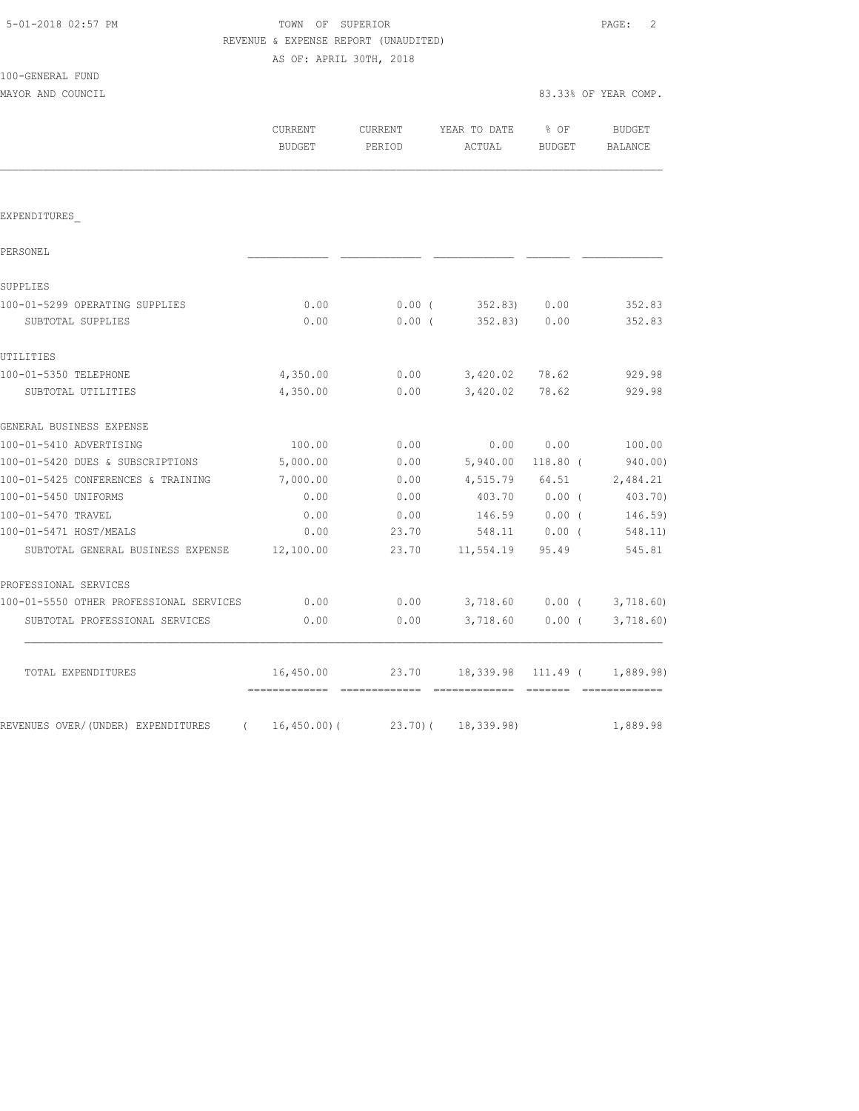# TOWN OF SUPERIOR **Example 2** PAGE: 2 REVENUE & EXPENSE REPORT (UNAUDITED)

AS OF: APRIL 30TH, 2018

| 100-GENERAL FUND |  |
|------------------|--|
|                  |  |

| 100-GENERAL FUND                               |                   |          |                                    |                  |                                                                                                                                                                                                                                                                                                                                                                                                                                                                                                    |
|------------------------------------------------|-------------------|----------|------------------------------------|------------------|----------------------------------------------------------------------------------------------------------------------------------------------------------------------------------------------------------------------------------------------------------------------------------------------------------------------------------------------------------------------------------------------------------------------------------------------------------------------------------------------------|
| MAYOR AND COUNCIL                              |                   |          |                                    |                  | 83.33% OF YEAR COMP.                                                                                                                                                                                                                                                                                                                                                                                                                                                                               |
|                                                | CURRENT<br>BUDGET | PERIOD   | CURRENT YEAR TO DATE<br>ACTUAL     | $8$ OF<br>BUDGET | BUDGET<br>BALANCE                                                                                                                                                                                                                                                                                                                                                                                                                                                                                  |
|                                                |                   |          |                                    |                  |                                                                                                                                                                                                                                                                                                                                                                                                                                                                                                    |
| EXPENDITURES                                   |                   |          |                                    |                  |                                                                                                                                                                                                                                                                                                                                                                                                                                                                                                    |
| PERSONEL                                       |                   |          |                                    |                  |                                                                                                                                                                                                                                                                                                                                                                                                                                                                                                    |
| SUPPLIES                                       |                   |          |                                    |                  |                                                                                                                                                                                                                                                                                                                                                                                                                                                                                                    |
| 100-01-5299 OPERATING SUPPLIES                 | 0.00              | $0.00$ ( | 352.83) 0.00                       |                  | 352.83                                                                                                                                                                                                                                                                                                                                                                                                                                                                                             |
| SUBTOTAL SUPPLIES                              | 0.00              | $0.00$ ( | 352.83)                            | 0.00             | 352.83                                                                                                                                                                                                                                                                                                                                                                                                                                                                                             |
| UTILITIES                                      |                   |          |                                    |                  |                                                                                                                                                                                                                                                                                                                                                                                                                                                                                                    |
| 100-01-5350 TELEPHONE                          | 4,350.00          | 0.00     | 3,420.02                           | 78.62            | 929.98                                                                                                                                                                                                                                                                                                                                                                                                                                                                                             |
| SUBTOTAL UTILITIES                             | 4,350.00          | 0.00     | 3,420.02                           | 78.62            | 929.98                                                                                                                                                                                                                                                                                                                                                                                                                                                                                             |
| GENERAL BUSINESS EXPENSE                       |                   |          |                                    |                  |                                                                                                                                                                                                                                                                                                                                                                                                                                                                                                    |
| 100-01-5410 ADVERTISING                        | 100.00            | 0.00     | 0.00                               | 0.00             | 100.00                                                                                                                                                                                                                                                                                                                                                                                                                                                                                             |
| 100-01-5420 DUES & SUBSCRIPTIONS               | 5,000.00          | 0.00     | 5,940.00                           | 118.80 (         | 940.00)                                                                                                                                                                                                                                                                                                                                                                                                                                                                                            |
| 100-01-5425 CONFERENCES & TRAINING             | 7,000.00          | 0.00     |                                    |                  | 4,515.79 64.51 2,484.21                                                                                                                                                                                                                                                                                                                                                                                                                                                                            |
| 100-01-5450 UNIFORMS                           | 0.00              | 0.00     |                                    |                  | 403.70 0.00 (403.70)                                                                                                                                                                                                                                                                                                                                                                                                                                                                               |
| 100-01-5470 TRAVEL                             | 0.00              | 0.00     | 146.59 0.00 (                      |                  | $146.59$ )                                                                                                                                                                                                                                                                                                                                                                                                                                                                                         |
| 100-01-5471 HOST/MEALS                         | 0.00              | 23.70    | 548.11 0.00 (                      |                  | 548.11)                                                                                                                                                                                                                                                                                                                                                                                                                                                                                            |
| SUBTOTAL GENERAL BUSINESS EXPENSE              | 12,100.00         | 23.70    | 11,554.19 95.49                    |                  | 545.81                                                                                                                                                                                                                                                                                                                                                                                                                                                                                             |
| PROFESSIONAL SERVICES                          |                   |          |                                    |                  |                                                                                                                                                                                                                                                                                                                                                                                                                                                                                                    |
| 100-01-5550 OTHER PROFESSIONAL SERVICES        | 0.00              | 0.00     |                                    |                  | 3,718.60 0.00 (3,718.60)                                                                                                                                                                                                                                                                                                                                                                                                                                                                           |
| SUBTOTAL PROFESSIONAL SERVICES                 | 0.00              | 0.00     |                                    |                  | 3,718.60 0.00 (3,718.60)                                                                                                                                                                                                                                                                                                                                                                                                                                                                           |
| TOTAL EXPENDITURES                             | 16,450.00         |          | 23.70 18,339.98 111.49 ( 1,889.98) |                  |                                                                                                                                                                                                                                                                                                                                                                                                                                                                                                    |
| REVENUES OVER/(UNDER) EXPENDITURES<br>$\left($ | $16, 450.00$ (    | 23.70)(  | 18,339.98)                         |                  | $\begin{array}{cccccccccc} \multicolumn{2}{c}{} & \multicolumn{2}{c}{} & \multicolumn{2}{c}{} & \multicolumn{2}{c}{} & \multicolumn{2}{c}{} & \multicolumn{2}{c}{} & \multicolumn{2}{c}{} & \multicolumn{2}{c}{} & \multicolumn{2}{c}{} & \multicolumn{2}{c}{} & \multicolumn{2}{c}{} & \multicolumn{2}{c}{} & \multicolumn{2}{c}{} & \multicolumn{2}{c}{} & \multicolumn{2}{c}{} & \multicolumn{2}{c}{} & \multicolumn{2}{c}{} & \multicolumn{2}{c}{} & \multicolumn{2}{c}{} & \mult$<br>1,889.98 |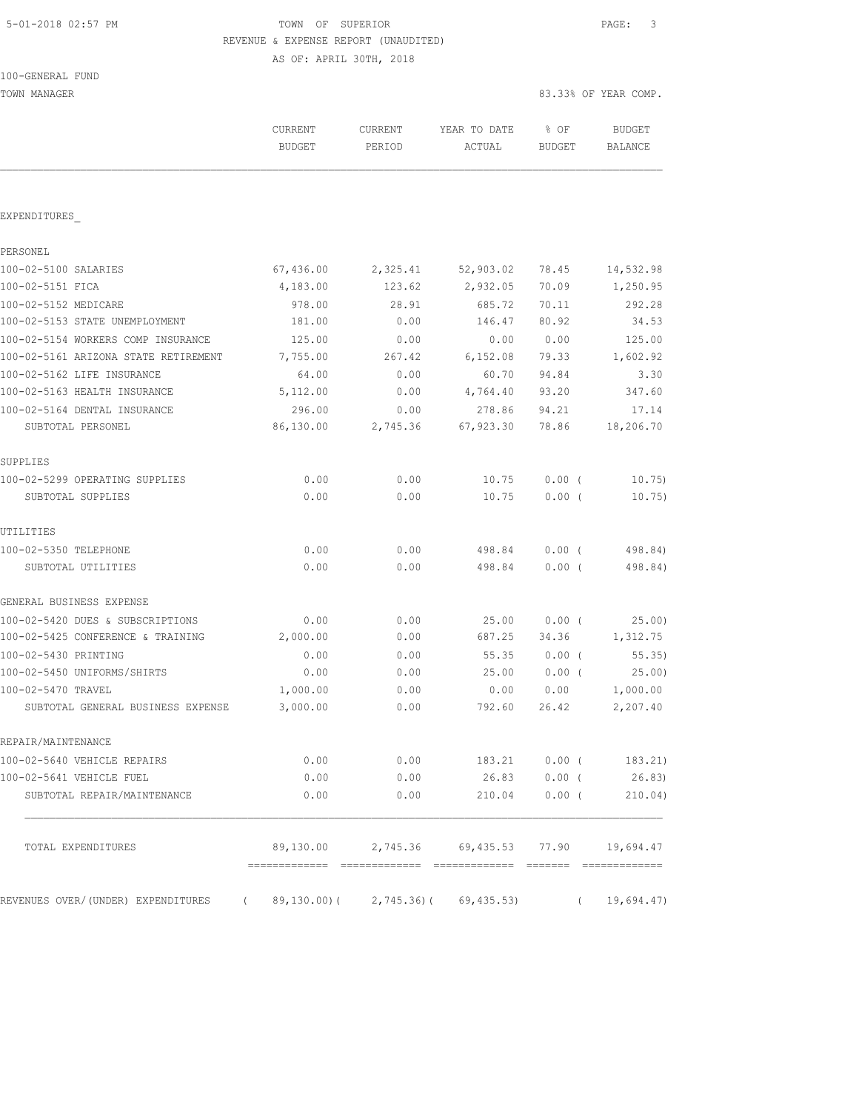# 5-01-2018 02:57 PM TOWN OF SUPERIOR PAGE: 3 REVENUE & EXPENSE REPORT (UNAUDITED)

AS OF: APRIL 30TH, 2018

| 100-GENERAL FUND |  |
|------------------|--|
|------------------|--|

| TOWN MANAGER                                                                    |                          |                          |                                                  |                       | 83.33% OF YEAR COMP.     |  |
|---------------------------------------------------------------------------------|--------------------------|--------------------------|--------------------------------------------------|-----------------------|--------------------------|--|
|                                                                                 | CURRENT<br><b>BUDGET</b> | <b>CURRENT</b><br>PERIOD | YEAR TO DATE<br>ACTUAL                           | % OF<br><b>BUDGET</b> | <b>BUDGET</b><br>BALANCE |  |
|                                                                                 |                          |                          |                                                  |                       |                          |  |
| EXPENDITURES                                                                    |                          |                          |                                                  |                       |                          |  |
| PERSONEL                                                                        |                          |                          |                                                  |                       |                          |  |
| 100-02-5100 SALARIES                                                            | 67,436.00                | 2,325.41                 | 52,903.02                                        | 78.45                 | 14,532.98                |  |
| 100-02-5151 FICA                                                                | 4,183.00                 | 123.62                   | 2,932.05                                         | 70.09                 | 1,250.95                 |  |
| 100-02-5152 MEDICARE                                                            | 978.00                   | 28.91                    | 685.72                                           | 70.11                 | 292.28                   |  |
| 100-02-5153 STATE UNEMPLOYMENT                                                  | 181.00                   | 0.00                     | 146.47                                           | 80.92                 | 34.53                    |  |
| 100-02-5154 WORKERS COMP INSURANCE                                              | 125.00                   | 0.00                     | 0.00                                             | 0.00                  | 125.00                   |  |
| 100-02-5161 ARIZONA STATE RETIREMENT                                            | 7,755.00                 | 267.42                   | 6,152.08                                         | 79.33                 | 1,602.92                 |  |
| 100-02-5162 LIFE INSURANCE                                                      | 64.00                    | 0.00                     | 60.70                                            | 94.84                 | 3.30                     |  |
| 100-02-5163 HEALTH INSURANCE                                                    | 5,112.00                 | 0.00                     | 4,764.40                                         | 93.20                 | 347.60                   |  |
| 100-02-5164 DENTAL INSURANCE                                                    | 296.00                   | 0.00                     | 278.86                                           | 94.21                 | 17.14                    |  |
| SUBTOTAL PERSONEL                                                               | 86,130.00                | 2,745.36                 | 67,923.30                                        | 78.86                 | 18,206.70                |  |
| SUPPLIES                                                                        |                          |                          |                                                  |                       |                          |  |
| 100-02-5299 OPERATING SUPPLIES                                                  | 0.00                     | 0.00                     | 10.75                                            | $0.00$ (              | 10.75                    |  |
| SUBTOTAL SUPPLIES                                                               | 0.00                     | 0.00                     | 10.75                                            | $0.00$ (              | 10.75)                   |  |
| UTILITIES                                                                       |                          |                          |                                                  |                       |                          |  |
| 100-02-5350 TELEPHONE                                                           | 0.00                     | 0.00                     | 498.84                                           | $0.00$ (              | 498.84)                  |  |
| SUBTOTAL UTILITIES                                                              | 0.00                     | 0.00                     | 498.84                                           | $0.00$ (              | 498.84)                  |  |
| GENERAL BUSINESS EXPENSE                                                        |                          |                          |                                                  |                       |                          |  |
| 100-02-5420 DUES & SUBSCRIPTIONS                                                | 0.00                     | 0.00                     | 25.00                                            | $0.00$ (              | 25.00)                   |  |
| 100-02-5425 CONFERENCE & TRAINING                                               | 2,000.00                 | 0.00                     | 687.25                                           | 34.36                 | 1,312.75                 |  |
| 100-02-5430 PRINTING                                                            | 0.00                     | 0.00                     | 55.35                                            | $0.00$ (              | 55.35)                   |  |
| 100-02-5450 UNIFORMS/SHIRTS                                                     | 0.00                     | 0.00                     | 25.00                                            | 0.00(                 | 25.00)                   |  |
| 100-02-5470 TRAVEL                                                              | 1,000.00                 | 0.00                     | 0.00                                             | 0.00                  | 1,000.00                 |  |
| SUBTOTAL GENERAL BUSINESS EXPENSE                                               | 3,000.00                 | 0.00                     | 792.60                                           | 26.42                 | 2,207.40                 |  |
| REPAIR/MAINTENANCE                                                              |                          |                          |                                                  |                       |                          |  |
| 100-02-5640 VEHICLE REPAIRS                                                     | 0.00                     |                          | $0.00$ 183.21 $0.00$ ( 183.21)                   |                       |                          |  |
| 100-02-5641 VEHICLE FUEL                                                        |                          |                          | $0.00$ 0.00 26.83                                |                       | $0.00$ ( 26.83)          |  |
| SUBTOTAL REPAIR/MAINTENANCE                                                     | 0.00                     | 0.00                     | 210.04                                           | 0.00(                 | 210.04)                  |  |
| TOTAL EXPENDITURES                                                              |                          |                          | 89,130.00  2,745.36  69,435.53  77.90  19,694.47 |                       |                          |  |
| REVENUES OVER/(UNDER) EXPENDITURES (89,130.00)(2,745.36)(69,435.53) (19,694.47) |                          |                          |                                                  |                       |                          |  |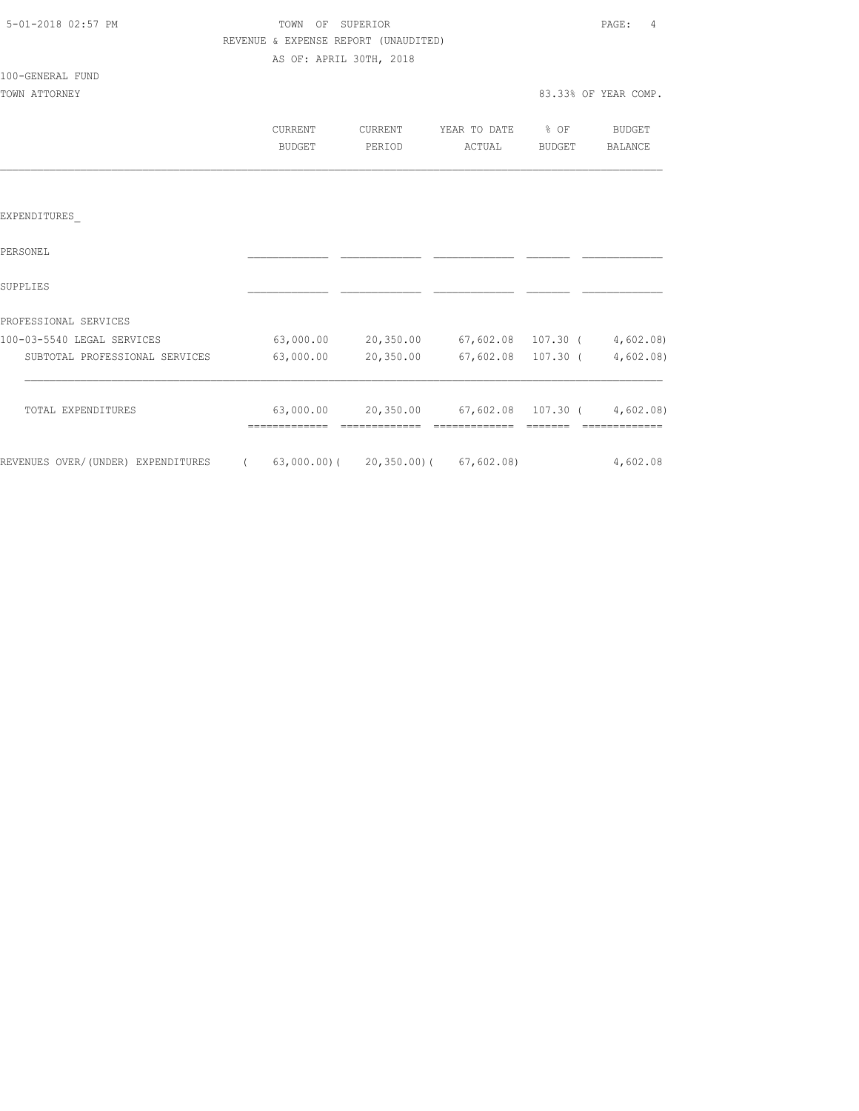|         |                                                                    |                                      | PAGE: 4                                                                                                                                                                                                                  |
|---------|--------------------------------------------------------------------|--------------------------------------|--------------------------------------------------------------------------------------------------------------------------------------------------------------------------------------------------------------------------|
|         |                                                                    |                                      |                                                                                                                                                                                                                          |
|         |                                                                    |                                      |                                                                                                                                                                                                                          |
|         |                                                                    |                                      |                                                                                                                                                                                                                          |
|         |                                                                    |                                      | 83.33% OF YEAR COMP.                                                                                                                                                                                                     |
| CURRENT |                                                                    |                                      |                                                                                                                                                                                                                          |
| BUDGET  |                                                                    |                                      | BALANCE                                                                                                                                                                                                                  |
|         |                                                                    |                                      |                                                                                                                                                                                                                          |
|         |                                                                    |                                      |                                                                                                                                                                                                                          |
|         |                                                                    |                                      |                                                                                                                                                                                                                          |
|         |                                                                    |                                      |                                                                                                                                                                                                                          |
|         |                                                                    |                                      |                                                                                                                                                                                                                          |
|         |                                                                    |                                      |                                                                                                                                                                                                                          |
|         |                                                                    |                                      |                                                                                                                                                                                                                          |
|         |                                                                    |                                      |                                                                                                                                                                                                                          |
|         | TOWN OF SUPERIOR<br>AS OF: APRIL 30TH, 2018<br>PERIOD<br>63,000.00 | REVENUE & EXPENSE REPORT (UNAUDITED) | CURRENT YEAR TO DATE % OF BUDGET<br>ACTUAL<br>BUDGET<br>$63,000.00$ 20,350.00 $67,602.08$ 107.30 ( $4,602.08$ )<br>20,350.00 67,602.08 107.30 ( 4,602.08)<br>$63,000.00$ $20,350.00$ $67,602.08$ $107.30$ ( $4,602.08$ ) |

REVENUES OVER/(UNDER) EXPENDITURES (63,000.00)(20,350.00)(67,602.08) 4,602.08

 $=$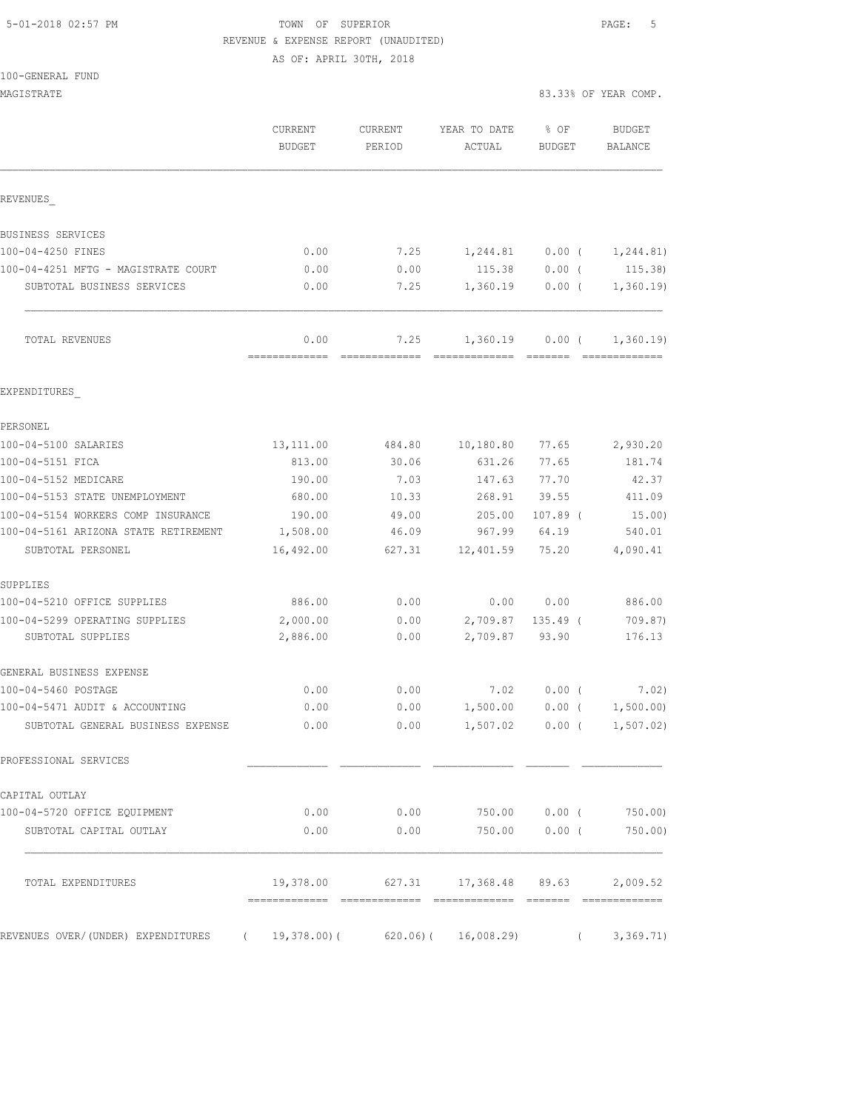## 5-01-2018 02:57 PM TOWN OF SUPERIOR PAGE: 5 REVENUE & EXPENSE REPORT (UNAUDITED)

AS OF: APRIL 30TH, 2018

| 100-GENERAL FUND |  |
|------------------|--|
|                  |  |

| MAGISTRATE                                                          |                                            |                   |                                                |                       | 83.33% OF YEAR COMP.            |
|---------------------------------------------------------------------|--------------------------------------------|-------------------|------------------------------------------------|-----------------------|---------------------------------|
|                                                                     | CURRENT<br><b>BUDGET</b>                   | CURRENT<br>PERIOD | YEAR TO DATE<br>ACTUAL                         | % OF<br><b>BUDGET</b> | <b>BUDGET</b><br><b>BALANCE</b> |
| REVENUES                                                            |                                            |                   |                                                |                       |                                 |
| BUSINESS SERVICES                                                   |                                            |                   |                                                |                       |                                 |
| 100-04-4250 FINES                                                   | 0.00                                       | 7.25              | 1,244.81                                       | $0.00$ (              | 1,244.81)                       |
| 100-04-4251 MFTG - MAGISTRATE COURT                                 | 0.00                                       | 0.00              | 115.38                                         | $0.00$ (              | 115.38)                         |
| SUBTOTAL BUSINESS SERVICES                                          | 0.00                                       | 7.25              | 1,360.19                                       | $0.00$ (              | 1,360.19                        |
| TOTAL REVENUES                                                      | 0.00                                       | 7.25              | 1,360.19                                       | $0.00$ (              | 1,360.19<br>=============       |
| EXPENDITURES                                                        |                                            |                   |                                                |                       |                                 |
| PERSONEL                                                            |                                            |                   |                                                |                       |                                 |
| 100-04-5100 SALARIES                                                | 13, 111.00                                 | 484.80            | 10, 180.80                                     | 77.65                 | 2,930.20                        |
| 100-04-5151 FICA                                                    | 813.00                                     | 30.06             | 631.26                                         | 77.65                 | 181.74                          |
| 100-04-5152 MEDICARE                                                | 190.00                                     | 7.03              | 147.63                                         | 77.70                 | 42.37                           |
| 100-04-5153 STATE UNEMPLOYMENT                                      | 680.00                                     | 10.33             | 268.91                                         | 39.55                 | 411.09                          |
| 100-04-5154 WORKERS COMP INSURANCE                                  | 190.00                                     | 49.00             | 205.00                                         | $107.89$ (            | 15.00)                          |
| 100-04-5161 ARIZONA STATE RETIREMENT<br>SUBTOTAL PERSONEL           | 1,508.00<br>16,492.00                      | 46.09<br>627.31   | 967.99<br>12,401.59                            | 64.19<br>75.20        | 540.01<br>4,090.41              |
| SUPPLIES                                                            |                                            |                   |                                                |                       |                                 |
| 100-04-5210 OFFICE SUPPLIES                                         | 886.00                                     | 0.00              | 0.00                                           | 0.00                  | 886.00                          |
| 100-04-5299 OPERATING SUPPLIES                                      | 2,000.00                                   | 0.00              | 2,709.87                                       | $135.49$ (            | 709.87)                         |
| SUBTOTAL SUPPLIES                                                   | 2,886.00                                   | 0.00              | 2,709.87                                       | 93.90                 | 176.13                          |
| GENERAL BUSINESS EXPENSE                                            |                                            |                   |                                                |                       |                                 |
| 100-04-5460 POSTAGE                                                 | 0.00                                       | 0.00              | 7.02                                           | $0.00$ (              | 7.02)                           |
| 100-04-5471 AUDIT & ACCOUNTING<br>SUBTOTAL GENERAL BUSINESS EXPENSE | 0.00<br>0.00                               | 0.00              | 1,500.00<br>$0.00$ 1,507.02 0.00 ( 1,507.02)   | $0.00$ (              | 1,500.00)                       |
| PROFESSIONAL SERVICES                                               |                                            |                   |                                                |                       |                                 |
| CAPITAL OUTLAY                                                      |                                            |                   |                                                |                       |                                 |
| 100-04-5720 OFFICE EQUIPMENT                                        | 0.00                                       | 0.00              |                                                | 750.00 0.00 (         | 750.00)                         |
| SUBTOTAL CAPITAL OUTLAY                                             | 0.00                                       | 0.00              | 750.00                                         | $0.00$ (              | 750.00)                         |
| TOTAL EXPENDITURES                                                  | 19,378.00<br>-------------- -------------- |                   | 627.31 17,368.48 89.63<br>-------------- ----- |                       | 2,009.52<br>-------------       |
| REVENUES OVER/(UNDER) EXPENDITURES (                                | 19,378.00)(                                | 620.06)(          | 16,008.29                                      | $\left($              | 3,369.71)                       |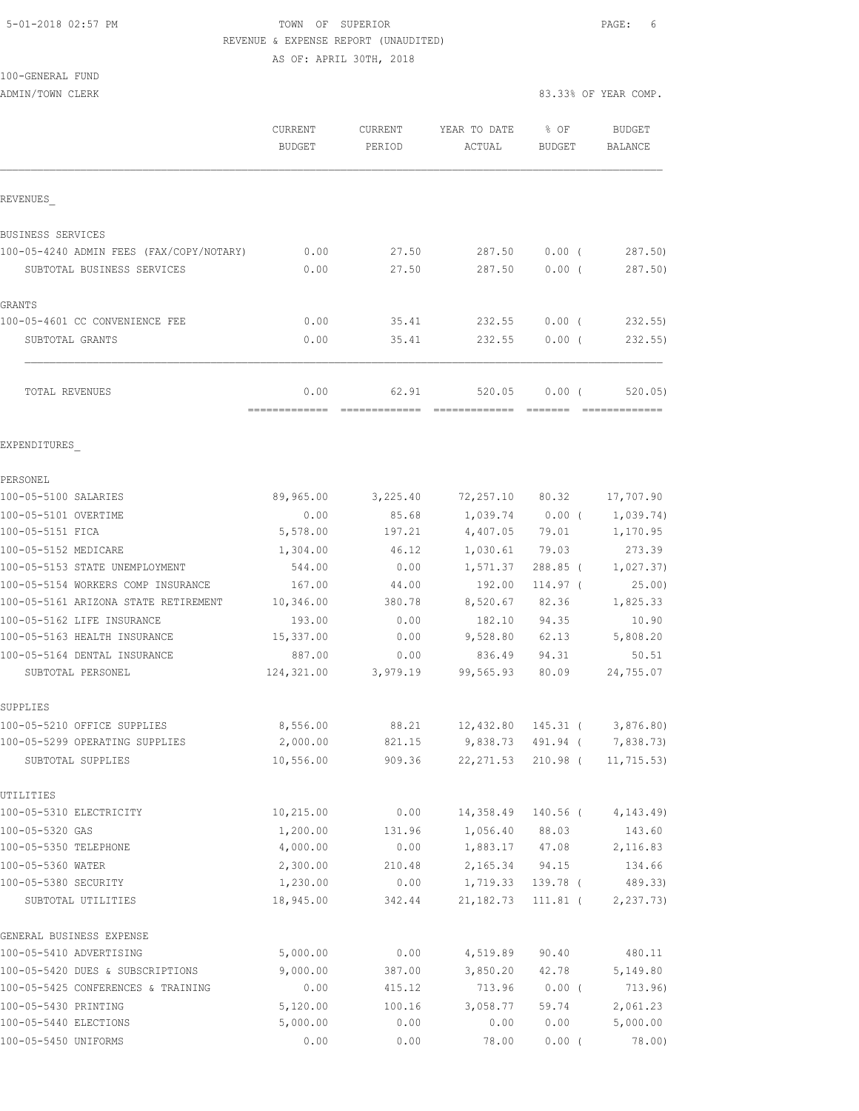### 5-01-2018 02:57 PM TOWN OF SUPERIOR PAGE: 6 REVENUE & EXPENSE REPORT (UNAUDITED)

AS OF: APRIL 30TH, 2018

# 100-GENERAL FUND

|                                           | CURRENT<br><b>BUDGET</b> | CURRENT<br>PERIOD | YEAR TO DATE<br>ACTUAL | % OF<br><b>BUDGET</b> | <b>BUDGET</b><br><b>BALANCE</b> |
|-------------------------------------------|--------------------------|-------------------|------------------------|-----------------------|---------------------------------|
| REVENUES                                  |                          |                   |                        |                       |                                 |
| BUSINESS SERVICES                         |                          |                   |                        |                       |                                 |
| 100-05-4240 ADMIN FEES (FAX/COPY/NOTARY)  | 0.00                     | 27.50             | 287.50                 | $0.00$ (              | 287.50)                         |
| SUBTOTAL BUSINESS SERVICES                | 0.00                     | 27.50             | 287.50                 | 0.00(                 | 287.50)                         |
| <b>GRANTS</b>                             |                          |                   |                        |                       |                                 |
| 100-05-4601 CC CONVENIENCE FEE            | 0.00                     | 35.41             | 232.55                 | $0.00$ (              | 232.55                          |
| SUBTOTAL GRANTS                           | 0.00                     | 35.41             | 232.55                 | 0.00(                 | 232.55                          |
| TOTAL REVENUES                            | 0.00                     | 62.91             | 520.05                 | 0.00(                 | 520.05)                         |
| EXPENDITURES                              |                          |                   |                        |                       |                                 |
| PERSONEL                                  |                          |                   |                        |                       |                                 |
| 100-05-5100 SALARIES                      | 89,965.00                | 3,225.40          | 72,257.10 80.32        |                       | 17,707.90                       |
| 100-05-5101 OVERTIME                      | 0.00                     | 85.68             | $1,039.74$ 0.00 (      |                       | 1,039.74)                       |
| 100-05-5151 FICA                          | 5,578.00                 | 197.21            | 4,407.05               | 79.01                 | 1,170.95                        |
| 100-05-5152 MEDICARE                      | 1,304.00                 | 46.12             | 1,030.61               | 79.03                 | 273.39                          |
| 100-05-5153 STATE UNEMPLOYMENT            | 544.00                   | 0.00              | 1,571.37               | 288.85 (              | 1,027.37)                       |
| 100-05-5154 WORKERS COMP INSURANCE        | 167.00                   | 44.00             | 192.00                 | 114.97 (              | 25.00)                          |
| 100-05-5161 ARIZONA STATE RETIREMENT      | 10,346.00                | 380.78            | 8,520.67               | 82.36                 | 1,825.33                        |
| 100-05-5162 LIFE INSURANCE                | 193.00                   | 0.00              | 182.10                 | 94.35                 | 10.90                           |
| 100-05-5163 HEALTH INSURANCE              | 15,337.00                | 0.00              | 9,528.80               | 62.13                 | 5,808.20                        |
| 100-05-5164 DENTAL INSURANCE              | 887.00                   | 0.00              | 836.49                 | 94.31                 | 50.51                           |
| SUBTOTAL PERSONEL                         | 124,321.00               | 3,979.19          | 99,565.93              | 80.09                 | 24,755.07                       |
| SUPPLIES                                  |                          |                   |                        |                       |                                 |
| 100-05-5210 OFFICE SUPPLIES               | 8,556.00                 | 88.21             | 12,432.80              | 145.31 (              | 3,876.80                        |
| 100-05-5299 OPERATING SUPPLIES            | 2,000.00                 | 821.15            | 9,838.73 491.94 (      |                       | 7,838.73)                       |
| SUBTOTAL SUPPLIES                         | 10,556.00                | 909.36            | 22, 271.53             | 210.98 (              | 11, 715.53)                     |
| UTILITIES                                 |                          |                   |                        |                       |                                 |
| 100-05-5310 ELECTRICITY                   | 10, 215.00               | 0.00              | 14,358.49              | 140.56 (              | 4, 143.49                       |
| 100-05-5320 GAS                           | 1,200.00                 | 131.96            | 1,056.40               | 88.03                 | 143.60                          |
| 100-05-5350 TELEPHONE                     | 4,000.00                 | 0.00              | 1,883.17               | 47.08                 | 2,116.83                        |
| 100-05-5360 WATER<br>100-05-5380 SECURITY | 2,300.00<br>1,230.00     | 210.48            | 2,165.34               | 94.15<br>139.78 (     | 134.66                          |
| SUBTOTAL UTILITIES                        | 18,945.00                | 0.00<br>342.44    | 1,719.33<br>21, 182.73 | $111.81$ (            | 489.33)<br>2, 237.73            |
| GENERAL BUSINESS EXPENSE                  |                          |                   |                        |                       |                                 |
| 100-05-5410 ADVERTISING                   | 5,000.00                 | 0.00              | 4,519.89               | 90.40                 | 480.11                          |
| 100-05-5420 DUES & SUBSCRIPTIONS          | 9,000.00                 | 387.00            | 3,850.20               | 42.78                 | 5,149.80                        |
| 100-05-5425 CONFERENCES & TRAINING        | 0.00                     | 415.12            | 713.96                 | $0.00$ (              | 713.96)                         |
| 100-05-5430 PRINTING                      | 5,120.00                 | 100.16            | 3,058.77               | 59.74                 | 2,061.23                        |
| 100-05-5440 ELECTIONS                     | 5,000.00                 | 0.00              | 0.00                   | 0.00                  | 5,000.00                        |
| 100-05-5450 UNIFORMS                      | 0.00                     | 0.00              | 78.00                  | $0.00$ (              | 78.00)                          |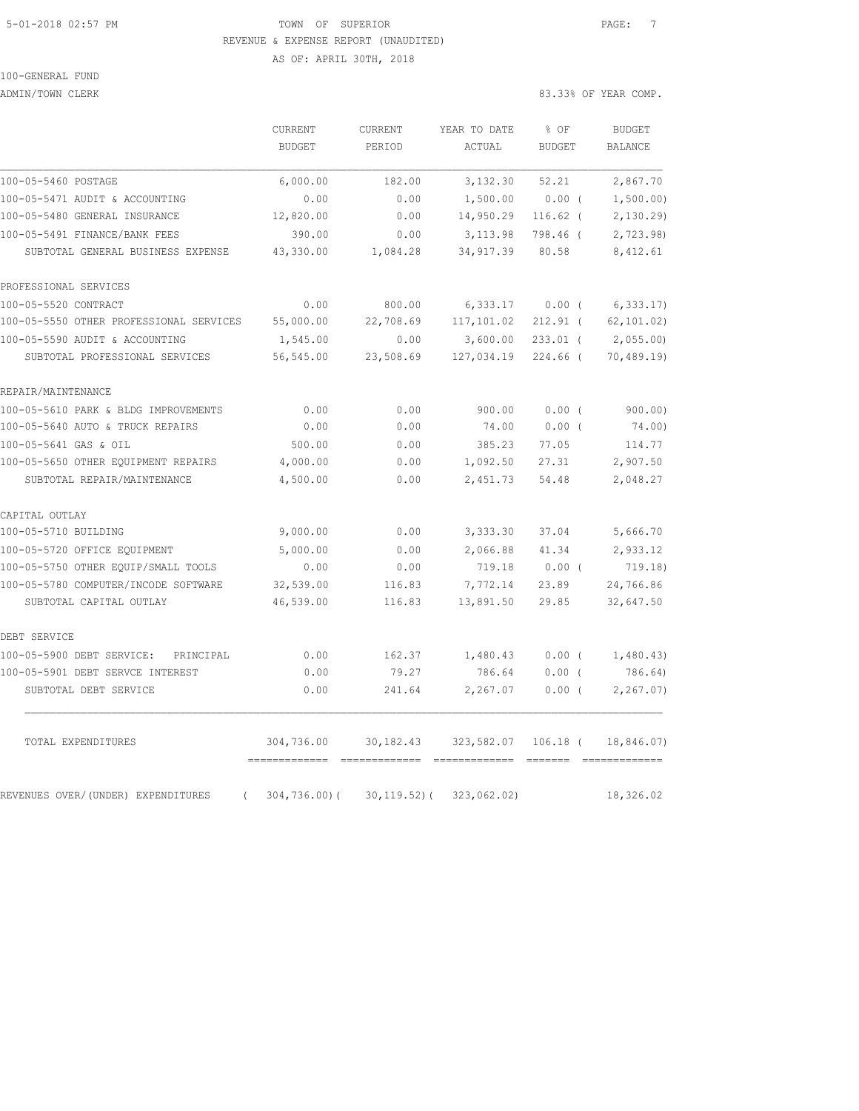### 5-01-2018 02:57 PM TOWN OF SUPERIOR PAGE: 7 REVENUE & EXPENSE REPORT (UNAUDITED) AS OF: APRIL 30TH, 2018

100-GENERAL FUND

ADMIN/TOWN CLERK 83.33% OF YEAR COMP.

|                                                | CURRENT                                            | CURRENT          | YEAR TO DATE                                                                                                                                                                                                                                                                                                                                                                                                                                                                                          | % OF          | <b>BUDGET</b>  |
|------------------------------------------------|----------------------------------------------------|------------------|-------------------------------------------------------------------------------------------------------------------------------------------------------------------------------------------------------------------------------------------------------------------------------------------------------------------------------------------------------------------------------------------------------------------------------------------------------------------------------------------------------|---------------|----------------|
|                                                | BUDGET                                             | PERIOD           | ACTUAL                                                                                                                                                                                                                                                                                                                                                                                                                                                                                                | <b>BUDGET</b> | <b>BALANCE</b> |
| 100-05-5460 POSTAGE                            | 6,000.00                                           | 182.00           | 3,132.30                                                                                                                                                                                                                                                                                                                                                                                                                                                                                              | 52.21         | 2,867.70       |
| 100-05-5471 AUDIT & ACCOUNTING                 | 0.00                                               | 0.00             | 1,500.00                                                                                                                                                                                                                                                                                                                                                                                                                                                                                              | 0.00(         | 1,500.00)      |
| 100-05-5480 GENERAL INSURANCE                  | 12,820.00                                          | 0.00             | 14,950.29                                                                                                                                                                                                                                                                                                                                                                                                                                                                                             | $116.62$ (    | 2,130.29       |
| 100-05-5491 FINANCE/BANK FEES                  | 390.00                                             | 0.00             | 3, 113.98                                                                                                                                                                                                                                                                                                                                                                                                                                                                                             | 798.46 (      | 2,723.98)      |
| SUBTOTAL GENERAL BUSINESS EXPENSE              | 43,330.00                                          | 1,084.28         | 34, 917.39                                                                                                                                                                                                                                                                                                                                                                                                                                                                                            | 80.58         | 8,412.61       |
| PROFESSIONAL SERVICES                          |                                                    |                  |                                                                                                                                                                                                                                                                                                                                                                                                                                                                                                       |               |                |
| 100-05-5520 CONTRACT                           | 0.00                                               | 800.00           | 6,333.17                                                                                                                                                                                                                                                                                                                                                                                                                                                                                              | $0.00$ (      | 6,333.17       |
| 100-05-5550 OTHER PROFESSIONAL SERVICES        | 55,000.00                                          | 22,708.69        | 117,101.02                                                                                                                                                                                                                                                                                                                                                                                                                                                                                            | $212.91$ (    | 62, 101.02)    |
| 100-05-5590 AUDIT & ACCOUNTING                 | 1,545.00                                           | 0.00             | 3,600.00                                                                                                                                                                                                                                                                                                                                                                                                                                                                                              | $233.01$ (    | 2,055.00       |
| SUBTOTAL PROFESSIONAL SERVICES                 | 56,545.00                                          | 23,508.69        | 127,034.19                                                                                                                                                                                                                                                                                                                                                                                                                                                                                            | $224.66$ (    | 70, 489.19     |
| REPAIR/MAINTENANCE                             |                                                    |                  |                                                                                                                                                                                                                                                                                                                                                                                                                                                                                                       |               |                |
| 100-05-5610 PARK & BLDG IMPROVEMENTS           | 0.00                                               | 0.00             | 900.00                                                                                                                                                                                                                                                                                                                                                                                                                                                                                                | 0.00(         | 900.00)        |
| 100-05-5640 AUTO & TRUCK REPAIRS               | 0.00                                               | 0.00             | 74.00                                                                                                                                                                                                                                                                                                                                                                                                                                                                                                 | $0.00$ (      | 74.00)         |
| 100-05-5641 GAS & OIL                          | 500.00                                             | 0.00             | 385.23                                                                                                                                                                                                                                                                                                                                                                                                                                                                                                | 77.05         | 114.77         |
| 100-05-5650 OTHER EQUIPMENT REPAIRS            | 4,000.00                                           | 0.00             | 1,092.50                                                                                                                                                                                                                                                                                                                                                                                                                                                                                              | 27.31         | 2,907.50       |
| SUBTOTAL REPAIR/MAINTENANCE                    | 4,500.00                                           | 0.00             | 2,451.73                                                                                                                                                                                                                                                                                                                                                                                                                                                                                              | 54.48         | 2,048.27       |
| CAPITAL OUTLAY                                 |                                                    |                  |                                                                                                                                                                                                                                                                                                                                                                                                                                                                                                       |               |                |
| 100-05-5710 BUILDING                           | 9,000.00                                           | 0.00             | 3,333.30                                                                                                                                                                                                                                                                                                                                                                                                                                                                                              | 37.04         | 5,666.70       |
| 100-05-5720 OFFICE EQUIPMENT                   | 5,000.00                                           | 0.00             | 2,066.88                                                                                                                                                                                                                                                                                                                                                                                                                                                                                              | 41.34         | 2,933.12       |
| 100-05-5750 OTHER EQUIP/SMALL TOOLS            | 0.00                                               | 0.00             | 719.18                                                                                                                                                                                                                                                                                                                                                                                                                                                                                                | $0.00$ (      | 719.18)        |
| 100-05-5780 COMPUTER/INCODE SOFTWARE           | 32,539.00                                          | 116.83           | 7,772.14                                                                                                                                                                                                                                                                                                                                                                                                                                                                                              | 23.89         | 24,766.86      |
| SUBTOTAL CAPITAL OUTLAY                        | 46,539.00                                          | 116.83           | 13,891.50                                                                                                                                                                                                                                                                                                                                                                                                                                                                                             | 29.85         | 32,647.50      |
| DEBT SERVICE                                   |                                                    |                  |                                                                                                                                                                                                                                                                                                                                                                                                                                                                                                       |               |                |
| 100-05-5900 DEBT SERVICE:<br>PRINCIPAL         | 0.00                                               | 162.37           | 1,480.43                                                                                                                                                                                                                                                                                                                                                                                                                                                                                              | $0.00$ (      | 1,480.43)      |
| 100-05-5901 DEBT SERVCE INTEREST               | 0.00                                               | 79.27            | 786.64                                                                                                                                                                                                                                                                                                                                                                                                                                                                                                | $0.00$ (      | 786.64)        |
| SUBTOTAL DEBT SERVICE                          | 0.00                                               | 241.64           | 2,267.07                                                                                                                                                                                                                                                                                                                                                                                                                                                                                              | 0.00(         | 2, 267.07)     |
| TOTAL EXPENDITURES                             | 304,736.00                                         | 30, 182.43       | 323,582.07                                                                                                                                                                                                                                                                                                                                                                                                                                                                                            | $106.18$ (    | 18,846.07)     |
| REVENUES OVER/(UNDER) EXPENDITURES<br>$\left($ | ===============================<br>$304, 736.00$ ( | $30, 119.52$ ) ( | $\begin{array}{cccccccccc} \multicolumn{2}{c}{} & \multicolumn{2}{c}{} & \multicolumn{2}{c}{} & \multicolumn{2}{c}{} & \multicolumn{2}{c}{} & \multicolumn{2}{c}{} & \multicolumn{2}{c}{} & \multicolumn{2}{c}{} & \multicolumn{2}{c}{} & \multicolumn{2}{c}{} & \multicolumn{2}{c}{} & \multicolumn{2}{c}{} & \multicolumn{2}{c}{} & \multicolumn{2}{c}{} & \multicolumn{2}{c}{} & \multicolumn{2}{c}{} & \multicolumn{2}{c}{} & \multicolumn{2}{c}{} & \multicolumn{2}{c}{} & \mult$<br>323,062.02) |               | 18,326.02      |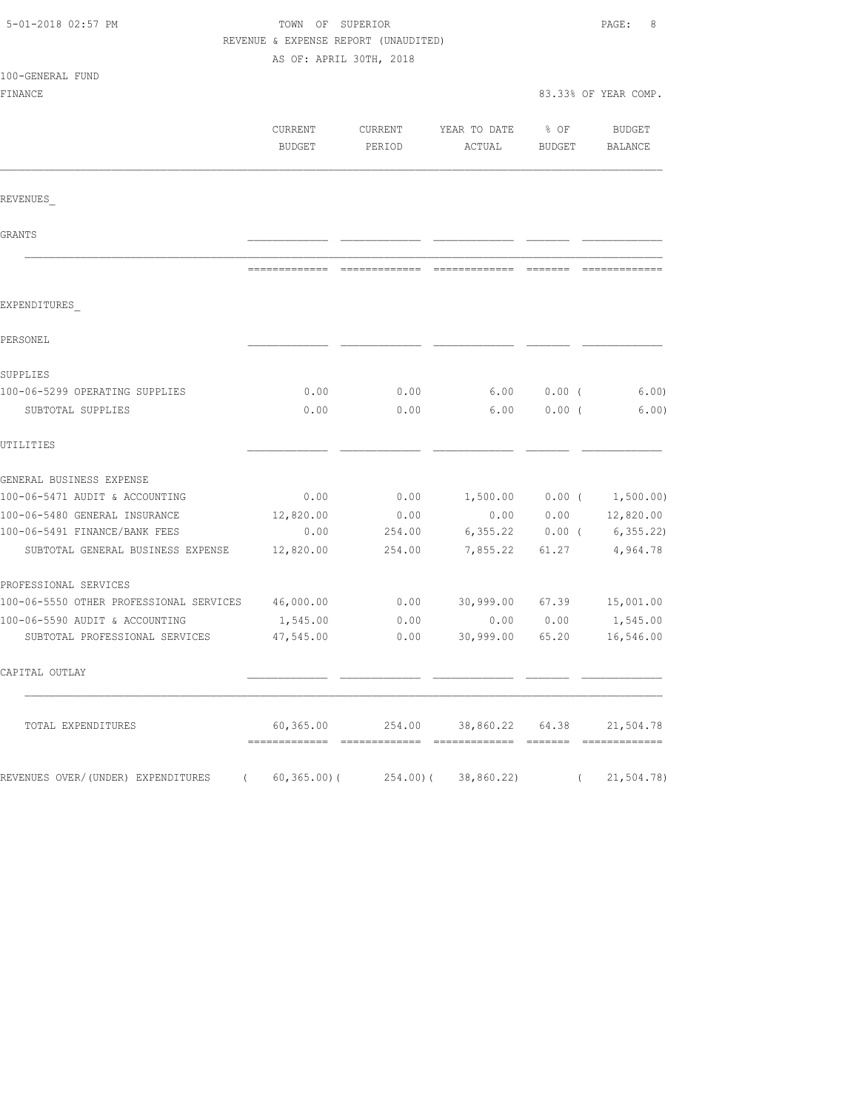| 5-01-2018 02:57 PM                                | TOWN OF SUPERIOR<br>REVENUE & EXPENSE REPORT (UNAUDITED)<br>AS OF: APRIL 30TH, 2018 | 8<br>PAGE:        |                                                |                       |                             |
|---------------------------------------------------|-------------------------------------------------------------------------------------|-------------------|------------------------------------------------|-----------------------|-----------------------------|
| 100-GENERAL FUND                                  |                                                                                     |                   |                                                |                       |                             |
| FINANCE                                           |                                                                                     |                   |                                                |                       | 83.33% OF YEAR COMP.        |
|                                                   | CURRENT<br>BUDGET                                                                   | CURRENT<br>PERIOD | YEAR TO DATE<br>ACTUAL                         | % OF<br><b>BUDGET</b> | BUDGET<br>BALANCE           |
| REVENUES                                          |                                                                                     |                   |                                                |                       |                             |
| GRANTS                                            |                                                                                     |                   |                                                |                       |                             |
|                                                   |                                                                                     |                   |                                                |                       |                             |
| EXPENDITURES                                      |                                                                                     |                   |                                                |                       |                             |
| PERSONEL                                          |                                                                                     |                   |                                                |                       |                             |
| SUPPLIES                                          |                                                                                     |                   |                                                |                       |                             |
| 100-06-5299 OPERATING SUPPLIES                    | 0.00                                                                                | 0.00              | 6.00                                           | $0.00$ (              | 6.00)                       |
| SUBTOTAL SUPPLIES                                 | 0.00                                                                                | 0.00              | 6.00                                           | $0.00$ (              | 6.00)                       |
| UTILITIES                                         |                                                                                     |                   |                                                |                       |                             |
| GENERAL BUSINESS EXPENSE                          |                                                                                     |                   |                                                |                       |                             |
| 100-06-5471 AUDIT & ACCOUNTING                    | 0.00                                                                                | 0.00              |                                                |                       | $1,500.00$ 0.00 ( 1,500.00) |
| 100-06-5480 GENERAL INSURANCE                     | 12,820.00                                                                           | 0.00              | 0.00                                           | 0.00                  | 12,820.00                   |
| 100-06-5491 FINANCE/BANK FEES                     | 0.00                                                                                | 254.00            | 6,355.22                                       | $0.00$ (              | 6, 355.22                   |
| SUBTOTAL GENERAL BUSINESS EXPENSE                 | 12,820.00                                                                           | 254.00            | 7,855.22                                       | 61.27                 | 4,964.78                    |
| PROFESSIONAL SERVICES                             |                                                                                     |                   |                                                |                       |                             |
| 100-06-5550 OTHER PROFESSIONAL SERVICES 46,000.00 |                                                                                     | 0.00              | 30,999.00                                      |                       | 67.39 15,001.00             |
| 100-06-5590 AUDIT & ACCOUNTING                    | 1,545.00                                                                            | 0.00              | 0.00                                           | 0.00                  | 1,545.00                    |
| SUBTOTAL PROFESSIONAL SERVICES                    | 47,545.00                                                                           | 0.00              | 30,999.00                                      | 65.20                 | 16,546.00                   |
| CAPITAL OUTLAY                                    |                                                                                     |                   |                                                |                       |                             |
| TOTAL EXPENDITURES                                |                                                                                     |                   | 60,365.00  254.00  38,860.22  64.38  21,504.78 |                       |                             |
| REVENUES OVER/(UNDER) EXPENDITURES (              |                                                                                     |                   | $60,365.00$ ( $254.00$ ( $38,860.22$ )         |                       | (21, 504.78)                |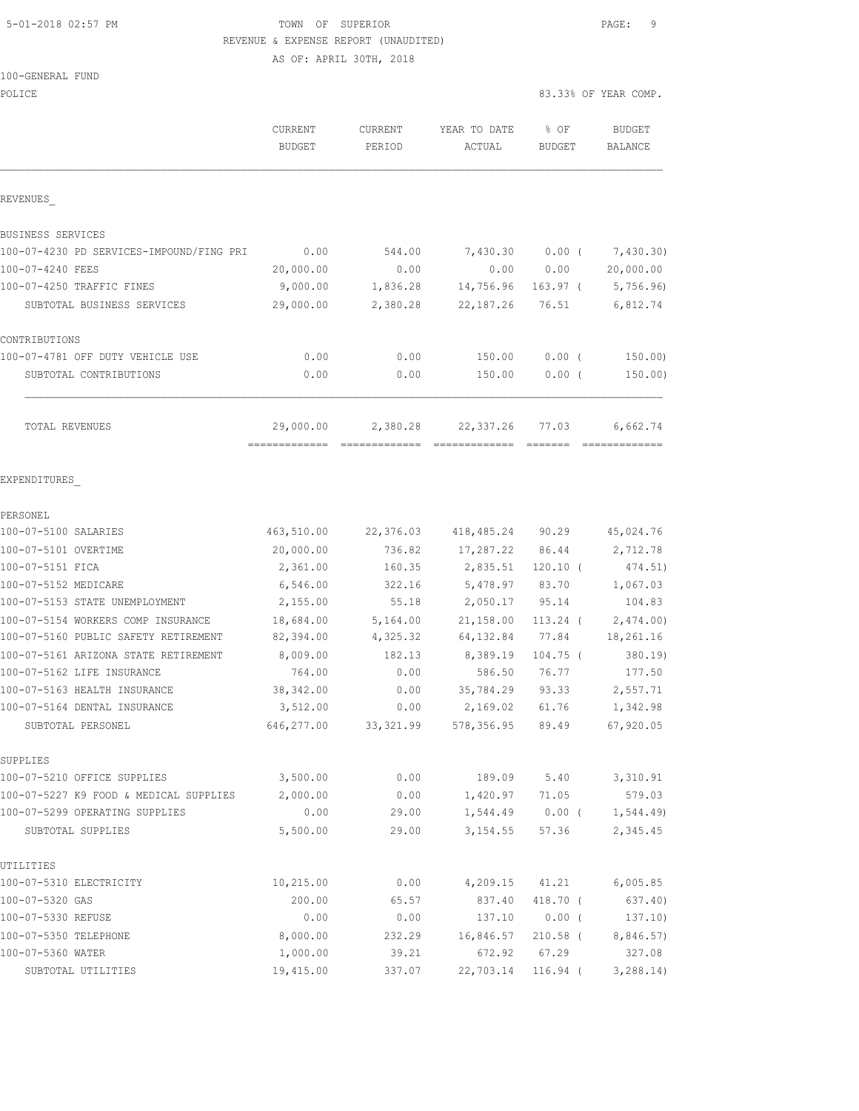## 5-01-2018 02:57 PM **TOWN** OF SUPERIOR **PAGE:** 9 REVENUE & EXPENSE REPORT (UNAUDITED)

AS OF: APRIL 30TH, 2018

| POLICE                                                                     |                          |                      |                                        |                       | 83.33% OF YEAR COMP.            |
|----------------------------------------------------------------------------|--------------------------|----------------------|----------------------------------------|-----------------------|---------------------------------|
|                                                                            | CURRENT<br><b>BUDGET</b> | CURRENT<br>PERIOD    | YEAR TO DATE<br>ACTUAL                 | % OF<br><b>BUDGET</b> | <b>BUDGET</b><br><b>BALANCE</b> |
| REVENUES                                                                   |                          |                      |                                        |                       |                                 |
| BUSINESS SERVICES                                                          |                          |                      |                                        |                       |                                 |
| 100-07-4230 PD SERVICES-IMPOUND/FING PRI                                   | 0.00                     | 544.00               | 7,430.30                               | $0.00$ (              | 7,430.30)                       |
| 100-07-4240 FEES                                                           | 20,000.00                | 0.00                 | 0.00                                   | 0.00                  | 20,000.00                       |
| 100-07-4250 TRAFFIC FINES                                                  | 9,000.00                 | 1,836.28             | 14,756.96                              | $163.97$ (            | 5,756.96                        |
| SUBTOTAL BUSINESS SERVICES                                                 | 29,000.00                | 2,380.28             | 22, 187.26                             | 76.51                 | 6,812.74                        |
| CONTRIBUTIONS                                                              |                          |                      |                                        |                       |                                 |
| 100-07-4781 OFF DUTY VEHICLE USE                                           | 0.00                     | 0.00                 | 150.00                                 | $0.00$ (              | 150.00)                         |
| SUBTOTAL CONTRIBUTIONS                                                     | 0.00                     | 0.00                 | 150.00                                 | $0.00$ (              | 150.00)                         |
| TOTAL REVENUES                                                             | 29,000.00                | 2,380.28             | 22,337.26                              | 77.03                 | 6,662.74                        |
| EXPENDITURES                                                               | =============            |                      |                                        |                       |                                 |
| PERSONEL                                                                   |                          |                      |                                        |                       |                                 |
| 100-07-5100 SALARIES                                                       | 463,510.00               | 22,376.03            | 418,485.24                             | 90.29                 | 45,024.76                       |
| 100-07-5101 OVERTIME                                                       | 20,000.00                | 736.82               | 17,287.22                              | 86.44                 | 2,712.78                        |
| 100-07-5151 FICA                                                           | 2,361.00                 | 160.35               | 2,835.51                               | $120.10$ (            | 474.51)                         |
| 100-07-5152 MEDICARE                                                       | 6,546.00                 | 322.16               | 5,478.97                               | 83.70                 | 1,067.03                        |
| 100-07-5153 STATE UNEMPLOYMENT                                             | 2,155.00                 | 55.18                | 2,050.17                               | 95.14                 | 104.83                          |
|                                                                            |                          |                      |                                        |                       |                                 |
| 100-07-5154 WORKERS COMP INSURANCE<br>100-07-5160 PUBLIC SAFETY RETIREMENT | 18,684.00<br>82,394.00   | 5,164.00<br>4,325.32 | 21,158.00<br>64,132.84                 | $113.24$ (<br>77.84   | 2,474.00<br>18,261.16           |
| 100-07-5161 ARIZONA STATE RETIREMENT                                       | 8,009.00                 | 182.13               | 8,389.19                               | $104.75$ (            | 380.19                          |
| 100-07-5162 LIFE INSURANCE                                                 | 764.00                   | 0.00                 | 586.50                                 | 76.77                 | 177.50                          |
| 100-07-5163 HEALTH INSURANCE                                               | 38, 342.00               |                      |                                        |                       |                                 |
| 100-07-5164 DENTAL INSURANCE                                               |                          | 0.00<br>0.00         | 35,784.29                              | 93.33<br>61.76        | 2,557.71                        |
| SUBTOTAL PERSONEL                                                          | 3,512.00<br>646,277.00   |                      | 2,169.02<br>33,321.99 578,356.95 89.49 |                       | 1,342.98<br>67,920.05           |
| SUPPLIES                                                                   |                          |                      |                                        |                       |                                 |
| 100-07-5210 OFFICE SUPPLIES                                                | 3,500.00                 | 0.00                 | 189.09                                 | 5.40                  | 3,310.91                        |
| 100-07-5227 K9 FOOD & MEDICAL SUPPLIES                                     | 2,000.00                 | 0.00                 | 1,420.97 71.05                         |                       | 579.03                          |
| 100-07-5299 OPERATING SUPPLIES                                             | 0.00                     | 29.00                | 1,544.49                               | $0.00$ (              | 1, 544.49                       |
| SUBTOTAL SUPPLIES                                                          | 5,500.00                 | 29.00                | 3, 154.55                              | 57.36                 | 2,345.45                        |
| UTILITIES                                                                  |                          |                      |                                        |                       |                                 |
| 100-07-5310 ELECTRICITY                                                    | 10,215.00                | 0.00                 | 4,209.15                               | 41.21                 | 6,005.85                        |
| 100-07-5320 GAS                                                            | 200.00                   | 65.57                | 837.40                                 | 418.70 (              | 637.40)                         |
| 100-07-5330 REFUSE                                                         | 0.00                     | 0.00                 | 137.10                                 | $0.00$ (              | 137.10)                         |
| 100-07-5350 TELEPHONE                                                      | 8,000.00                 | 232.29               | 16,846.57                              | $210.58$ (            | 8,846.57)                       |
| 100-07-5360 WATER                                                          | 1,000.00                 | 39.21                | 672.92                                 | 67.29                 | 327.08                          |
| SUBTOTAL UTILITIES                                                         | 19,415.00                | 337.07               | 22,703.14                              | $116.94$ (            | 3, 288.14)                      |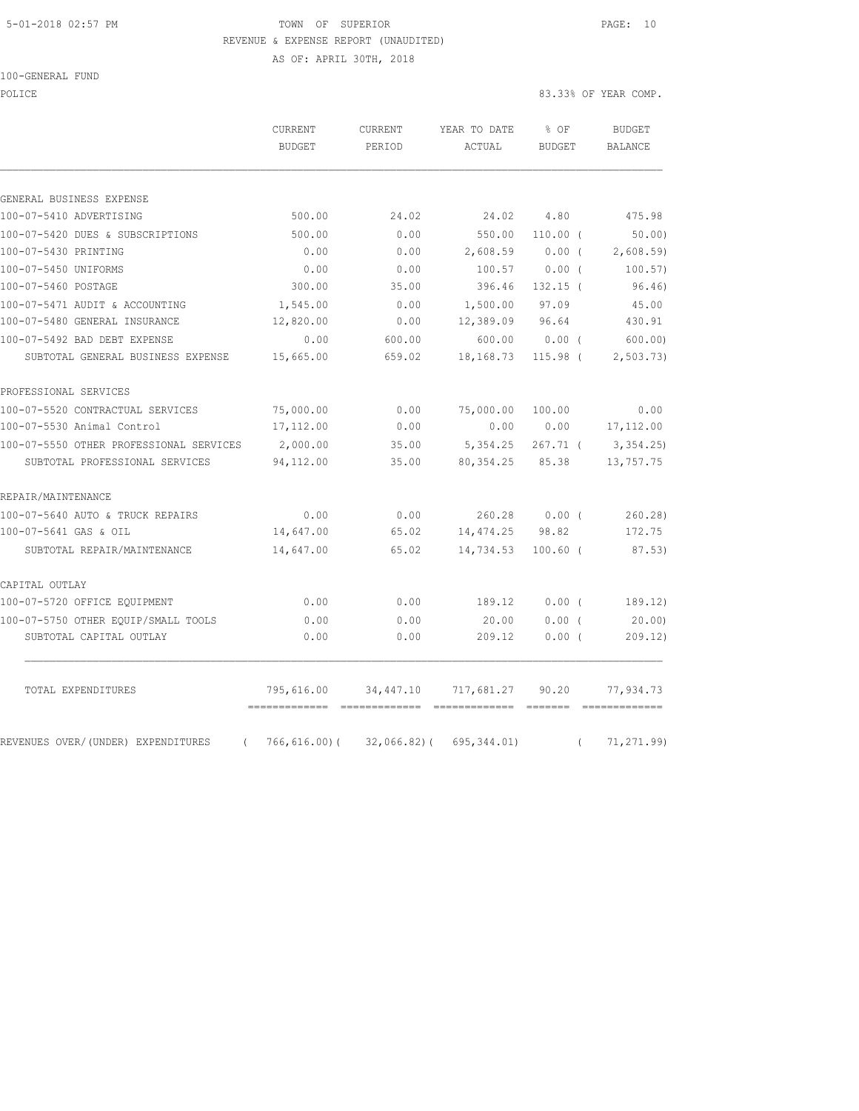#### 5-01-2018 02:57 PM TOWN OF SUPERIOR PAGE: 10 REVENUE & EXPENSE REPORT (UNAUDITED)

100-GENERAL FUND

AS OF: APRIL 30TH, 2018

POLICE 83.33% OF YEAR COMP.

|                                                | CURRENT<br><b>BUDGET</b> | <b>CURRENT</b><br>PERIOD | YEAR TO DATE<br>ACTUAL | % OF<br><b>BUDGET</b> |          | <b>BUDGET</b><br>BALANCE |
|------------------------------------------------|--------------------------|--------------------------|------------------------|-----------------------|----------|--------------------------|
|                                                |                          |                          |                        |                       |          |                          |
| GENERAL BUSINESS EXPENSE                       |                          |                          |                        |                       |          |                          |
| 100-07-5410 ADVERTISING                        | 500.00                   | 24.02                    | 24.02                  | 4.80                  |          | 475.98                   |
| 100-07-5420 DUES & SUBSCRIPTIONS               | 500.00                   | 0.00                     | 550.00                 | $110.00$ (            |          | 50.00                    |
| 100-07-5430 PRINTING                           | 0.00                     | 0.00                     | 2,608.59               | 0.00(                 |          | 2,608.59                 |
| 100-07-5450 UNIFORMS                           | 0.00                     | 0.00                     | 100.57                 | 0.00(                 |          | 100.57)                  |
| 100-07-5460 POSTAGE                            | 300.00                   | 35.00                    | 396.46                 | $132.15$ (            |          | 96.46)                   |
| 100-07-5471 AUDIT & ACCOUNTING                 | 1,545.00                 | 0.00                     | 1,500.00               | 97.09                 |          | 45.00                    |
| 100-07-5480 GENERAL INSURANCE                  | 12,820.00                | 0.00                     | 12,389.09              | 96.64                 |          | 430.91                   |
| 100-07-5492 BAD DEBT EXPENSE                   | 0.00                     | 600.00                   | 600.00                 | 0.00(                 |          | 600.00                   |
| SUBTOTAL GENERAL BUSINESS EXPENSE              | 15,665.00                | 659.02                   | 18,168.73              | $115.98$ (            |          | 2, 503, 73)              |
| PROFESSIONAL SERVICES                          |                          |                          |                        |                       |          |                          |
| 100-07-5520 CONTRACTUAL SERVICES               | 75,000.00                | 0.00                     | 75,000.00              | 100.00                |          | 0.00                     |
| 100-07-5530 Animal Control                     | 17,112.00                | 0.00                     | 0.00                   | 0.00                  |          | 17, 112.00               |
| 100-07-5550 OTHER PROFESSIONAL SERVICES        | 2,000.00                 | 35.00                    | 5,354.25               | $267.71$ (            |          | 3,354.25                 |
| SUBTOTAL PROFESSIONAL SERVICES                 | 94,112.00                | 35.00                    | 80, 354.25             | 85.38                 |          | 13,757.75                |
| REPAIR/MAINTENANCE                             |                          |                          |                        |                       |          |                          |
| 100-07-5640 AUTO & TRUCK REPAIRS               | 0.00                     | 0.00                     | 260.28                 | $0.00$ (              |          | 260.28)                  |
| 100-07-5641 GAS & OIL                          | 14,647.00                | 65.02                    | 14,474.25              | 98.82                 |          | 172.75                   |
| SUBTOTAL REPAIR/MAINTENANCE                    | 14,647.00                | 65.02                    | 14,734.53              | $100.60$ (            |          | 87.53)                   |
| CAPITAL OUTLAY                                 |                          |                          |                        |                       |          |                          |
| 100-07-5720 OFFICE EQUIPMENT                   | 0.00                     | 0.00                     | 189.12                 | 0.00(                 |          | 189.12)                  |
| 100-07-5750 OTHER EQUIP/SMALL TOOLS            | 0.00                     | 0.00                     | 20.00                  | $0.00$ (              |          | 20.00                    |
| SUBTOTAL CAPITAL OUTLAY                        | 0.00                     | 0.00                     | 209.12                 | 0.00(                 |          | 209.12)                  |
| TOTAL EXPENDITURES                             | 795,616.00               | 34,447.10                | 717,681.27             | 90.20                 |          | 77,934.73                |
| REVENUES OVER/(UNDER) EXPENDITURES<br>$\left($ | $766, 616.00$ (          | $32,066.82$ ) (          | 695, 344.01)           |                       | $\left($ | 71, 271.99               |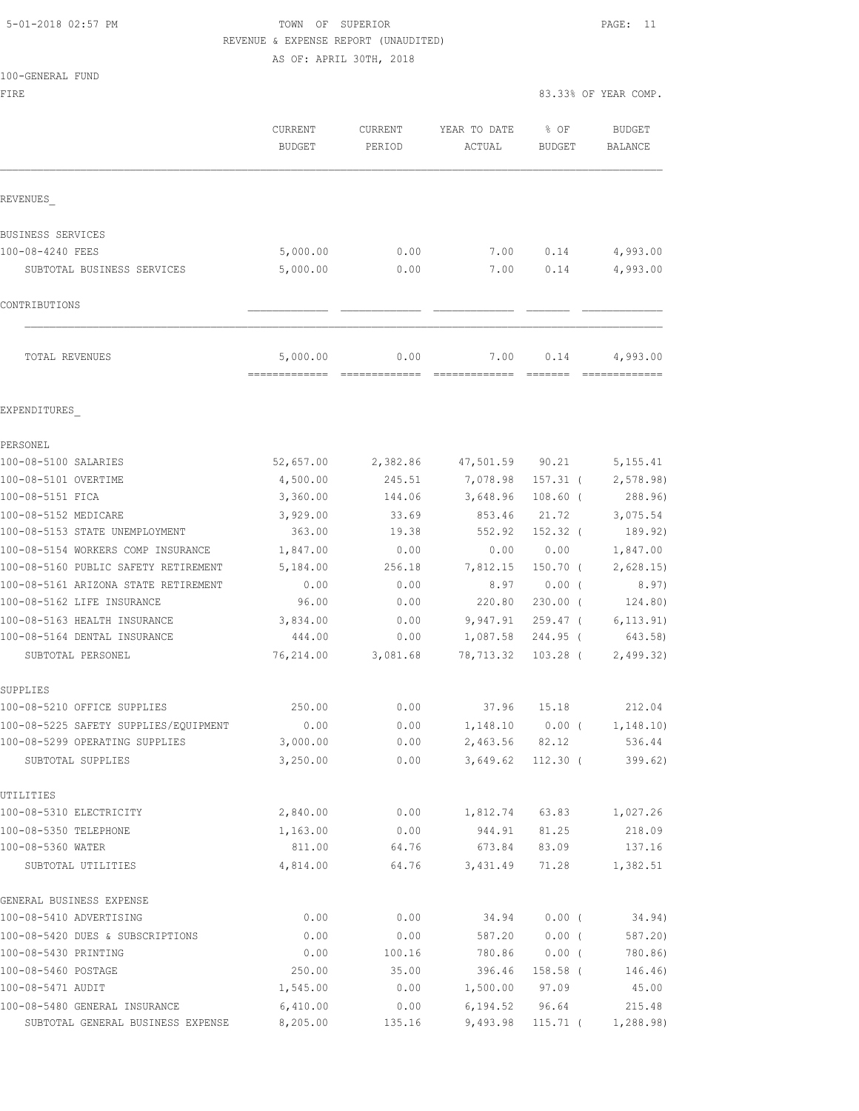# 5-01-2018 02:57 PM TOWN OF SUPERIOR PAGE: 11 REVENUE & EXPENSE REPORT (UNAUDITED)

AS OF: APRIL 30TH, 2018

| 100-GENERAL FUND |  |
|------------------|--|

| FIRE                                                |                                           |                          |                        | 83.33% OF YEAR COMP.                                                                                                                                                                                                                                                                                                                                                                                                                                                                         |                          |  |
|-----------------------------------------------------|-------------------------------------------|--------------------------|------------------------|----------------------------------------------------------------------------------------------------------------------------------------------------------------------------------------------------------------------------------------------------------------------------------------------------------------------------------------------------------------------------------------------------------------------------------------------------------------------------------------------|--------------------------|--|
|                                                     | CURRENT<br><b>BUDGET</b>                  | <b>CURRENT</b><br>PERIOD | YEAR TO DATE<br>ACTUAL | % OF<br><b>BUDGET</b>                                                                                                                                                                                                                                                                                                                                                                                                                                                                        | <b>BUDGET</b><br>BALANCE |  |
| REVENUES                                            |                                           |                          |                        |                                                                                                                                                                                                                                                                                                                                                                                                                                                                                              |                          |  |
| BUSINESS SERVICES                                   |                                           |                          |                        |                                                                                                                                                                                                                                                                                                                                                                                                                                                                                              |                          |  |
| 100-08-4240 FEES                                    | 5,000.00                                  | 0.00                     | 7.00                   | 0.14                                                                                                                                                                                                                                                                                                                                                                                                                                                                                         | 4,993.00                 |  |
| SUBTOTAL BUSINESS SERVICES                          | 5,000.00                                  | 0.00                     | 7.00                   | 0.14                                                                                                                                                                                                                                                                                                                                                                                                                                                                                         | 4,993.00                 |  |
| CONTRIBUTIONS                                       |                                           |                          |                        |                                                                                                                                                                                                                                                                                                                                                                                                                                                                                              |                          |  |
| TOTAL REVENUES                                      | 5,000.00<br>-------------- -------------- | 0.00                     | 7.00<br>=============  | 0.14<br>$\begin{array}{cccccc} \multicolumn{2}{c}{} & \multicolumn{2}{c}{} & \multicolumn{2}{c}{} & \multicolumn{2}{c}{} & \multicolumn{2}{c}{} & \multicolumn{2}{c}{} & \multicolumn{2}{c}{} & \multicolumn{2}{c}{} & \multicolumn{2}{c}{} & \multicolumn{2}{c}{} & \multicolumn{2}{c}{} & \multicolumn{2}{c}{} & \multicolumn{2}{c}{} & \multicolumn{2}{c}{} & \multicolumn{2}{c}{} & \multicolumn{2}{c}{} & \multicolumn{2}{c}{} & \multicolumn{2}{c}{} & \multicolumn{2}{c}{} & \multic$ | 4,993.00                 |  |
| EXPENDITURES                                        |                                           |                          |                        |                                                                                                                                                                                                                                                                                                                                                                                                                                                                                              |                          |  |
| PERSONEL                                            |                                           |                          |                        |                                                                                                                                                                                                                                                                                                                                                                                                                                                                                              |                          |  |
| 100-08-5100 SALARIES                                | 52,657.00                                 | 2,382.86                 | 47,501.59              | 90.21                                                                                                                                                                                                                                                                                                                                                                                                                                                                                        | 5,155.41                 |  |
| 100-08-5101 OVERTIME                                | 4,500.00                                  | 245.51                   | 7,078.98               | $157.31$ (                                                                                                                                                                                                                                                                                                                                                                                                                                                                                   | 2,578.98)                |  |
| 100-08-5151 FICA                                    | 3,360.00                                  | 144.06                   | 3,648.96               | $108.60$ (                                                                                                                                                                                                                                                                                                                                                                                                                                                                                   | 288.96                   |  |
| 100-08-5152 MEDICARE                                | 3,929.00                                  | 33.69                    | 853.46                 | 21.72                                                                                                                                                                                                                                                                                                                                                                                                                                                                                        | 3,075.54                 |  |
| 100-08-5153 STATE UNEMPLOYMENT                      | 363.00                                    | 19.38                    | 552.92                 | $152.32$ (                                                                                                                                                                                                                                                                                                                                                                                                                                                                                   | 189.92)                  |  |
| 100-08-5154 WORKERS COMP INSURANCE                  | 1,847.00                                  | 0.00                     | 0.00                   | 0.00                                                                                                                                                                                                                                                                                                                                                                                                                                                                                         | 1,847.00                 |  |
| 100-08-5160 PUBLIC SAFETY RETIREMENT                | 5,184.00                                  | 256.18                   | 7,812.15               | 150.70 (                                                                                                                                                                                                                                                                                                                                                                                                                                                                                     | 2,628.15                 |  |
| 100-08-5161 ARIZONA STATE RETIREMENT                | 0.00                                      | 0.00                     | 8.97                   | $0.00$ (                                                                                                                                                                                                                                                                                                                                                                                                                                                                                     | 8.97)                    |  |
| 100-08-5162 LIFE INSURANCE                          | 96.00                                     | 0.00                     | 220.80                 | $230.00$ (                                                                                                                                                                                                                                                                                                                                                                                                                                                                                   | 124.80)                  |  |
| 100-08-5163 HEALTH INSURANCE                        | 3,834.00                                  | 0.00                     | 9,947.91               | $259.47$ (                                                                                                                                                                                                                                                                                                                                                                                                                                                                                   | 6, 113.91)               |  |
| 100-08-5164 DENTAL INSURANCE                        | 444.00                                    | 0.00                     | 1,087.58               | 244.95 (                                                                                                                                                                                                                                                                                                                                                                                                                                                                                     | 643.58)                  |  |
| SUBTOTAL PERSONEL                                   | 76,214.00                                 | 3,081.68                 | 78,713.32              | $103.28$ (                                                                                                                                                                                                                                                                                                                                                                                                                                                                                   | 2,499.32)                |  |
| SUPPLIES                                            |                                           |                          |                        |                                                                                                                                                                                                                                                                                                                                                                                                                                                                                              |                          |  |
| 100-08-5210 OFFICE SUPPLIES                         | 250.00                                    | 0.00                     | 37.96                  | 15.18                                                                                                                                                                                                                                                                                                                                                                                                                                                                                        | 212.04                   |  |
| 100-08-5225 SAFETY SUPPLIES/EQUIPMENT               | 0.00                                      | 0.00                     | 1,148.10               | $0.00$ (                                                                                                                                                                                                                                                                                                                                                                                                                                                                                     | 1, 148.10)               |  |
| 100-08-5299 OPERATING SUPPLIES<br>SUBTOTAL SUPPLIES | 3,000.00<br>3,250.00                      | 0.00<br>0.00             | 2,463.56<br>3,649.62   | 82.12<br>$112.30$ (                                                                                                                                                                                                                                                                                                                                                                                                                                                                          | 536.44<br>399.62)        |  |
| UTILITIES                                           |                                           |                          |                        |                                                                                                                                                                                                                                                                                                                                                                                                                                                                                              |                          |  |
| 100-08-5310 ELECTRICITY                             | 2,840.00                                  | 0.00                     | 1,812.74               | 63.83                                                                                                                                                                                                                                                                                                                                                                                                                                                                                        | 1,027.26                 |  |
| 100-08-5350 TELEPHONE                               | 1,163.00                                  | 0.00                     | 944.91                 | 81.25                                                                                                                                                                                                                                                                                                                                                                                                                                                                                        | 218.09                   |  |
| 100-08-5360 WATER                                   | 811.00                                    | 64.76                    | 673.84                 | 83.09                                                                                                                                                                                                                                                                                                                                                                                                                                                                                        | 137.16                   |  |
| SUBTOTAL UTILITIES                                  | 4,814.00                                  | 64.76                    | 3,431.49               | 71.28                                                                                                                                                                                                                                                                                                                                                                                                                                                                                        | 1,382.51                 |  |
| GENERAL BUSINESS EXPENSE                            |                                           |                          |                        |                                                                                                                                                                                                                                                                                                                                                                                                                                                                                              |                          |  |
| 100-08-5410 ADVERTISING                             | 0.00                                      | 0.00                     | 34.94                  | $0.00$ (                                                                                                                                                                                                                                                                                                                                                                                                                                                                                     | 34.94)                   |  |
| 100-08-5420 DUES & SUBSCRIPTIONS                    | 0.00                                      | 0.00                     | 587.20                 | 0.00(                                                                                                                                                                                                                                                                                                                                                                                                                                                                                        | 587.20)                  |  |
| 100-08-5430 PRINTING                                | 0.00                                      | 100.16                   | 780.86                 | $0.00$ (                                                                                                                                                                                                                                                                                                                                                                                                                                                                                     | 780.86)                  |  |
| 100-08-5460 POSTAGE                                 | 250.00                                    | 35.00                    | 396.46                 | 158.58 (                                                                                                                                                                                                                                                                                                                                                                                                                                                                                     | 146.46)                  |  |
| 100-08-5471 AUDIT                                   | 1,545.00                                  | 0.00                     | 1,500.00               | 97.09                                                                                                                                                                                                                                                                                                                                                                                                                                                                                        | 45.00                    |  |

100-08-5480 GENERAL INSURANCE 6,410.00 0.00 6,194.52 96.64 215.48 SUBTOTAL GENERAL BUSINESS EXPENSE 8,205.00 135.16 9,493.98 115.71 ( 1,288.98)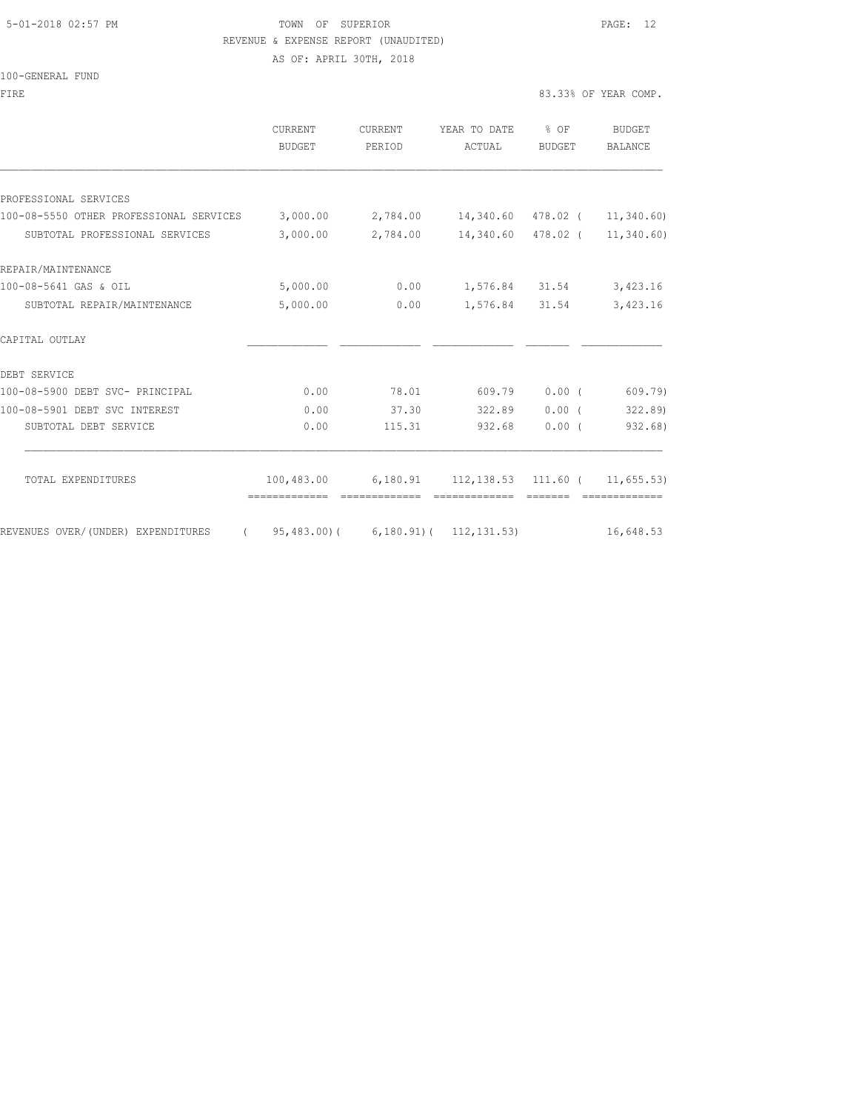#### 5-01-2018 02:57 PM TOWN OF SUPERIOR PAGE: 12 REVENUE & EXPENSE REPORT (UNAUDITED)

AS OF: APRIL 30TH, 2018

100-GENERAL FUND

| FIRE                                            |                   |                          |                                                  |                         | 83.33% OF YEAR COMP.     |
|-------------------------------------------------|-------------------|--------------------------|--------------------------------------------------|-------------------------|--------------------------|
|                                                 | CURRENT<br>BUDGET | <b>CURRENT</b><br>PERIOD | YEAR TO DATE<br>ACTUAL                           | $8$ OF<br><b>BUDGET</b> | BUDGET<br><b>BALANCE</b> |
|                                                 |                   |                          |                                                  |                         |                          |
| PROFESSIONAL SERVICES                           |                   |                          |                                                  |                         |                          |
| 100-08-5550 OTHER PROFESSIONAL SERVICES         | 3,000.00          |                          | 2,784.00  14,340.60  478.02  ( 11,340.60)        |                         |                          |
| SUBTOTAL PROFESSIONAL SERVICES                  | 3,000.00          | 2,784.00                 | 14,340.60                                        | 478.02 (                | 11,340.60)               |
| REPAIR/MAINTENANCE                              |                   |                          |                                                  |                         |                          |
| 100-08-5641 GAS & OIL                           | 5,000.00          | 0.00                     |                                                  | 1,576.84 31.54          | 3,423.16                 |
| SUBTOTAL REPAIR/MAINTENANCE                     | 5,000.00          | 0.00                     | 1,576.84 31.54                                   |                         | 3,423.16                 |
| CAPITAL OUTLAY                                  |                   |                          |                                                  |                         |                          |
| DEBT SERVICE                                    |                   |                          |                                                  |                         |                          |
| 100-08-5900 DEBT SVC- PRINCIPAL                 | 0.00              | 78.01                    | 609.79                                           | 0.00(                   | 609.79)                  |
| 100-08-5901 DEBT SVC INTEREST                   | 0.00              | 37.30                    | 322.89                                           | 0.00(                   | 322.89                   |
| SUBTOTAL DEBT SERVICE                           | 0.00              | 115.31                   | 932.68                                           | $0.00$ (                | 932.68)                  |
| TOTAL EXPENDITURES                              | 100,483.00        |                          | $6,180.91$ $112,138.53$ $111.60$ ( $11,655.53$ ) |                         |                          |
| REVENUES OVER/ (UNDER) EXPENDITURES<br>$\left($ | 95,483.00)(       |                          | $6, 180.91$ ( $112, 131.53$ )                    |                         | 16,648.53                |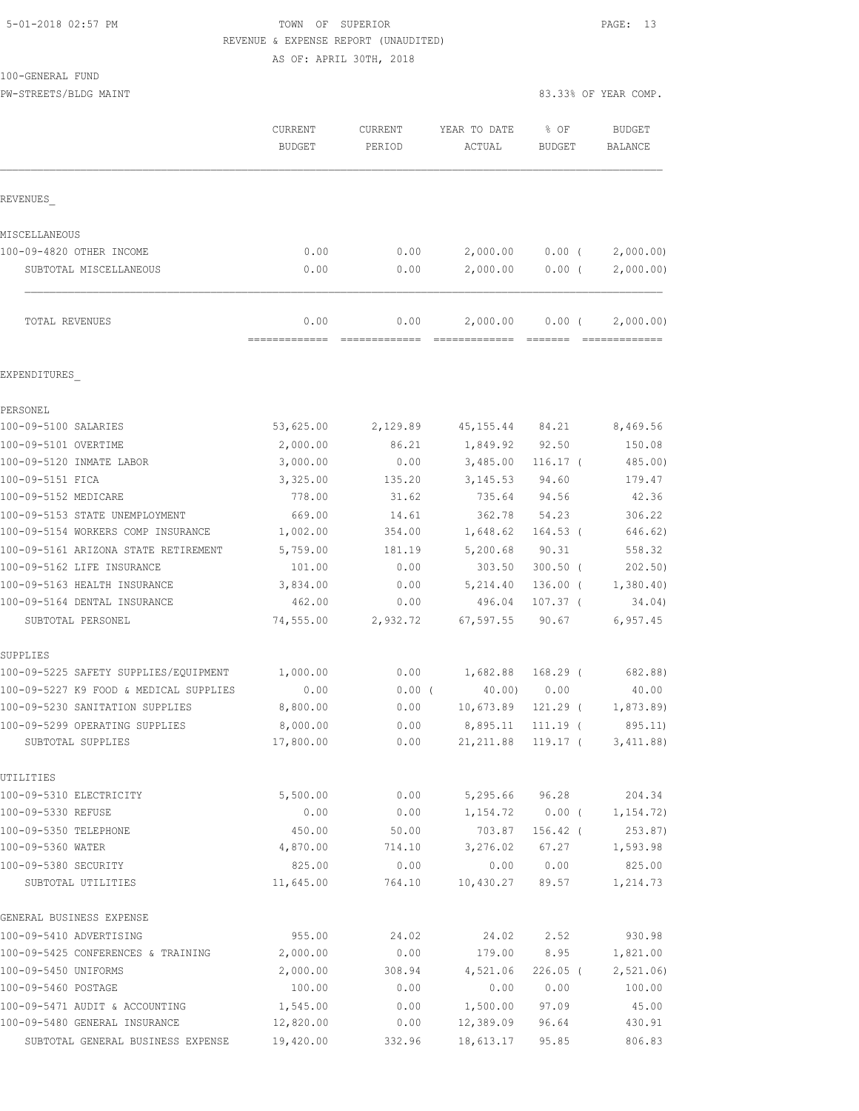#### 5-01-2018 02:57 PM TOWN OF SUPERIOR PAGE: 13 REVENUE & EXPENSE REPORT (UNAUDITED) AS OF: APRIL 30TH, 2018

100-GENERAL FUND

PW-STREETS/BLDG MAINT 83.33% OF YEAR COMP.

|                                                     | <b>CURRENT</b><br><b>BUDGET</b> | <b>CURRENT</b><br>PERIOD | YEAR TO DATE<br>ACTUAL | % OF<br><b>BUDGET</b>  | <b>BUDGET</b><br>BALANCE |
|-----------------------------------------------------|---------------------------------|--------------------------|------------------------|------------------------|--------------------------|
| REVENUES                                            |                                 |                          |                        |                        |                          |
| MISCELLANEOUS                                       |                                 |                          |                        |                        |                          |
| 100-09-4820 OTHER INCOME                            | 0.00                            | 0.00                     | 2,000.00               | $0.00$ (               | 2,000.00                 |
| SUBTOTAL MISCELLANEOUS                              | 0.00                            | 0.00                     | 2,000.00               | 0.00(                  | 2,000.00)                |
| TOTAL REVENUES                                      | 0.00<br>=========               | 0.00                     | 2,000.00               | $0.00$ (               | 2,000.00)                |
| EXPENDITURES                                        |                                 |                          |                        |                        |                          |
| PERSONEL                                            |                                 |                          |                        |                        |                          |
| 100-09-5100 SALARIES                                | 53,625.00                       | 2,129.89                 | 45, 155. 44 84. 21     |                        | 8,469.56                 |
| 100-09-5101 OVERTIME                                | 2,000.00                        | 86.21                    | 1,849.92 92.50         |                        | 150.08                   |
| 100-09-5120 INMATE LABOR                            | 3,000.00                        | 0.00                     | 3,485.00               | $116.17-$              | 485.00)                  |
| 100-09-5151 FICA                                    | 3,325.00                        | 135.20                   | 3, 145.53              | 94.60                  | 179.47                   |
| 100-09-5152 MEDICARE                                | 778.00                          | 31.62                    | 735.64                 | 94.56                  | 42.36                    |
| 100-09-5153 STATE UNEMPLOYMENT                      | 669.00                          | 14.61                    | 362.78                 | 54.23                  | 306.22                   |
| 100-09-5154 WORKERS COMP INSURANCE                  | 1,002.00                        | 354.00                   | 1,648.62               | $164.53$ (             | 646.62)                  |
| 100-09-5161 ARIZONA STATE RETIREMENT                | 5,759.00                        | 181.19                   | 5,200.68               | 90.31                  | 558.32                   |
| 100-09-5162 LIFE INSURANCE                          | 101.00                          | 0.00                     | 303.50                 | $300.50$ (             | 202.50)                  |
| 100-09-5163 HEALTH INSURANCE                        | 3,834.00                        | 0.00                     | 5,214.40               | $136.00$ (             | 1,380.40                 |
| 100-09-5164 DENTAL INSURANCE                        | 462.00                          | 0.00                     | 496.04                 | $107.37$ (             | 34.04)                   |
| SUBTOTAL PERSONEL                                   | 74,555.00                       | 2,932.72                 | 67, 597.55             | 90.67                  | 6,957.45                 |
| SUPPLIES                                            |                                 |                          |                        |                        |                          |
| 100-09-5225 SAFETY SUPPLIES/EQUIPMENT               | 1,000.00                        | 0.00                     | 1,682.88               | $168.29$ (             | 682.88)                  |
| 100-09-5227 K9 FOOD & MEDICAL SUPPLIES              | 0.00                            | $0.00$ (                 | 40.00)                 | 0.00                   | 40.00                    |
| 100-09-5230 SANITATION SUPPLIES                     | 8,800.00                        | 0.00                     | 10,673.89              | 121.29 (               | 1,873.89)                |
| 100-09-5299 OPERATING SUPPLIES<br>SUBTOTAL SUPPLIES | 8,000.00<br>17,800.00           | 0.00<br>0.00             | 8,895.11<br>21, 211.88 | $111.19$ (<br>119.17 ( | 895.11)<br>3,411.88)     |
| UTILITIES                                           |                                 |                          |                        |                        |                          |
| 100-09-5310 ELECTRICITY                             | 5,500.00                        | 0.00                     | 5,295.66               | 96.28                  | 204.34                   |
| 100-09-5330 REFUSE                                  | 0.00                            | 0.00                     | 1,154.72               | $0.00$ (               | 1, 154.72)               |
| 100-09-5350 TELEPHONE                               | 450.00                          | 50.00                    | 703.87                 | 156.42 (               | 253.87)                  |
| 100-09-5360 WATER                                   | 4,870.00                        | 714.10                   | 3,276.02               | 67.27                  | 1,593.98                 |
| 100-09-5380 SECURITY                                | 825.00                          | 0.00                     | 0.00                   | 0.00                   | 825.00                   |
| SUBTOTAL UTILITIES                                  | 11,645.00                       | 764.10                   | 10,430.27              | 89.57                  | 1,214.73                 |
| GENERAL BUSINESS EXPENSE                            |                                 |                          |                        |                        |                          |
| 100-09-5410 ADVERTISING                             | 955.00                          | 24.02                    | 24.02                  | 2.52                   | 930.98                   |
| 100-09-5425 CONFERENCES & TRAINING                  | 2,000.00                        | 0.00                     | 179.00                 | 8.95                   | 1,821.00                 |
| 100-09-5450 UNIFORMS                                | 2,000.00                        | 308.94                   | 4,521.06               | $226.05$ (             | 2, 521.06                |
| 100-09-5460 POSTAGE                                 | 100.00                          | 0.00                     | 0.00                   | 0.00                   | 100.00                   |
| 100-09-5471 AUDIT & ACCOUNTING                      | 1,545.00                        | 0.00                     | 1,500.00               | 97.09                  | 45.00                    |
| 100-09-5480 GENERAL INSURANCE                       | 12,820.00                       | 0.00                     | 12,389.09              | 96.64                  | 430.91                   |
| SUBTOTAL GENERAL BUSINESS EXPENSE                   | 19,420.00                       | 332.96                   | 18,613.17              | 95.85                  | 806.83                   |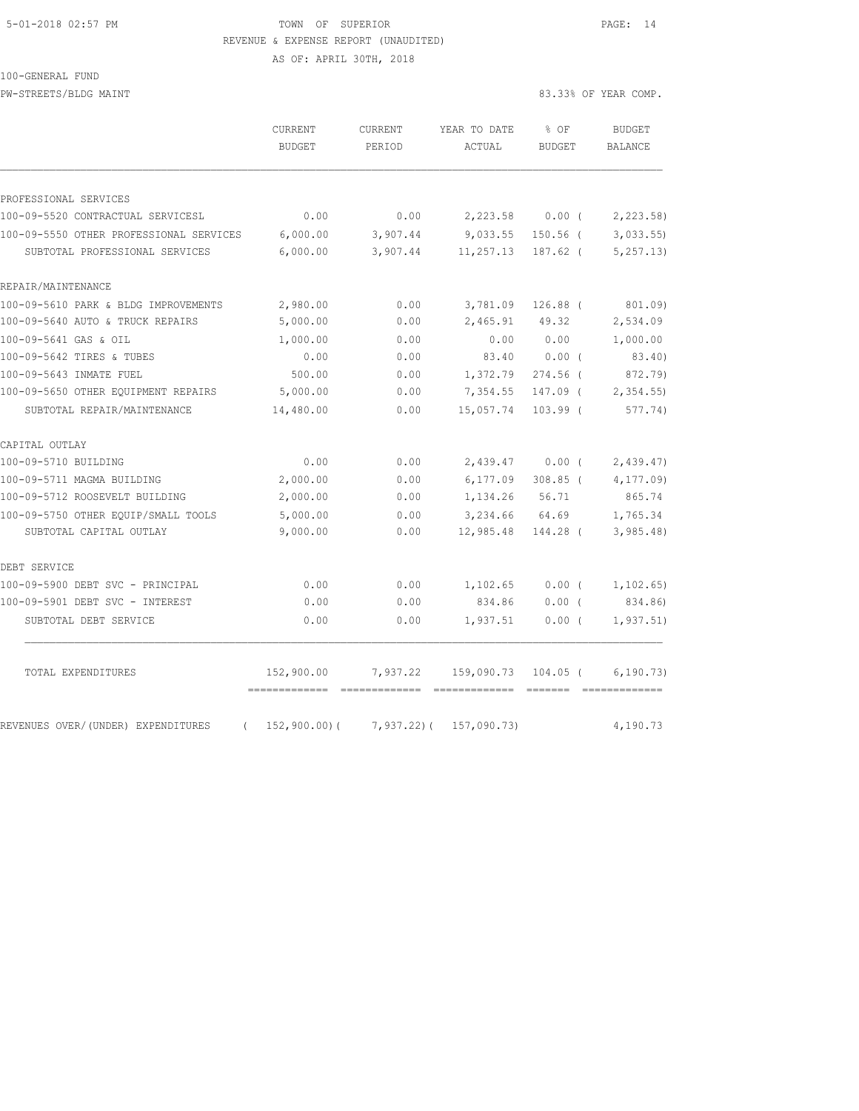### 5-01-2018 02:57 PM TOWN OF SUPERIOR PAGE: 14 REVENUE & EXPENSE REPORT (UNAUDITED)

AS OF: APRIL 30TH, 2018

100-GENERAL FUND

PW-STREETS/BLDG MAINT 83.33% OF YEAR COMP.

|                                                | CURRENT<br><b>BUDGET</b>                        | CURRENT<br>PERIOD | YEAR TO DATE<br>ACTUAL | % OF<br><b>BUDGET</b>                                                                                                                                                                                                                                                                                                                                                                                                                                                                | <b>BUDGET</b><br><b>BALANCE</b> |
|------------------------------------------------|-------------------------------------------------|-------------------|------------------------|--------------------------------------------------------------------------------------------------------------------------------------------------------------------------------------------------------------------------------------------------------------------------------------------------------------------------------------------------------------------------------------------------------------------------------------------------------------------------------------|---------------------------------|
| PROFESSIONAL SERVICES                          |                                                 |                   |                        |                                                                                                                                                                                                                                                                                                                                                                                                                                                                                      |                                 |
| 100-09-5520 CONTRACTUAL SERVICESL              | 0.00                                            | 0.00              | 2,223.58               | $0.00$ (                                                                                                                                                                                                                                                                                                                                                                                                                                                                             | 2,223.58)                       |
| 100-09-5550 OTHER PROFESSIONAL SERVICES        | 6,000.00                                        | 3,907.44          | 9,033.55               | $150.56$ (                                                                                                                                                                                                                                                                                                                                                                                                                                                                           | 3,033.55                        |
| SUBTOTAL PROFESSIONAL SERVICES                 | 6,000.00                                        | 3,907.44          | 11,257.13              | $187.62$ (                                                                                                                                                                                                                                                                                                                                                                                                                                                                           | 5, 257.13)                      |
| REPAIR/MAINTENANCE                             |                                                 |                   |                        |                                                                                                                                                                                                                                                                                                                                                                                                                                                                                      |                                 |
| 100-09-5610 PARK & BLDG IMPROVEMENTS           | 2,980.00                                        | 0.00              | 3,781.09               | $126.88$ (                                                                                                                                                                                                                                                                                                                                                                                                                                                                           | 801.09)                         |
| 100-09-5640 AUTO & TRUCK REPAIRS               | 5,000.00                                        | 0.00              | 2,465.91               | 49.32                                                                                                                                                                                                                                                                                                                                                                                                                                                                                | 2,534.09                        |
| 100-09-5641 GAS & OIL                          | 1,000.00                                        | 0.00              | 0.00                   | 0.00                                                                                                                                                                                                                                                                                                                                                                                                                                                                                 | 1,000.00                        |
| 100-09-5642 TIRES & TUBES                      | 0.00                                            | 0.00              | 83.40                  | $0.00$ (                                                                                                                                                                                                                                                                                                                                                                                                                                                                             | 83.40)                          |
| 100-09-5643 INMATE FUEL                        | 500.00                                          | 0.00              | 1,372.79               | $274.56$ (                                                                                                                                                                                                                                                                                                                                                                                                                                                                           | 872.79)                         |
| 100-09-5650 OTHER EOUIPMENT REPAIRS            | 5,000.00                                        | 0.00              | 7,354.55               | 147.09 (                                                                                                                                                                                                                                                                                                                                                                                                                                                                             | 2,354.55                        |
| SUBTOTAL REPAIR/MAINTENANCE                    | 14,480.00                                       | 0.00              | 15,057.74              | $103.99$ (                                                                                                                                                                                                                                                                                                                                                                                                                                                                           | 577.74)                         |
| CAPITAL OUTLAY                                 |                                                 |                   |                        |                                                                                                                                                                                                                                                                                                                                                                                                                                                                                      |                                 |
| 100-09-5710 BUILDING                           | 0.00                                            | 0.00              | 2,439.47               | 0.00(                                                                                                                                                                                                                                                                                                                                                                                                                                                                                | 2,439.47                        |
| 100-09-5711 MAGMA BUILDING                     | 2,000.00                                        | 0.00              | 6, 177.09              | $308.85$ (                                                                                                                                                                                                                                                                                                                                                                                                                                                                           | 4, 177.09                       |
| 100-09-5712 ROOSEVELT BUILDING                 | 2,000.00                                        | 0.00              | 1,134.26               | 56.71                                                                                                                                                                                                                                                                                                                                                                                                                                                                                | 865.74                          |
| 100-09-5750 OTHER EOUIP/SMALL TOOLS            | 5,000.00                                        | 0.00              | 3,234.66               | 64.69                                                                                                                                                                                                                                                                                                                                                                                                                                                                                | 1,765.34                        |
| SUBTOTAL CAPITAL OUTLAY                        | 9,000.00                                        | 0.00              | 12,985.48              | 144.28 (                                                                                                                                                                                                                                                                                                                                                                                                                                                                             | 3,985.48                        |
| DEBT SERVICE                                   |                                                 |                   |                        |                                                                                                                                                                                                                                                                                                                                                                                                                                                                                      |                                 |
| 100-09-5900 DEBT SVC - PRINCIPAL               | 0.00                                            | 0.00              | 1,102.65               | $0.00$ (                                                                                                                                                                                                                                                                                                                                                                                                                                                                             | 1, 102.65)                      |
| 100-09-5901 DEBT SVC - INTEREST                | 0.00                                            | 0.00              | 834.86                 | $0.00$ (                                                                                                                                                                                                                                                                                                                                                                                                                                                                             | 834.86)                         |
| SUBTOTAL DEBT SERVICE                          | 0.00                                            | 0.00              | 1,937.51               | 0.00(                                                                                                                                                                                                                                                                                                                                                                                                                                                                                | 1, 937.51)                      |
| TOTAL EXPENDITURES                             | 152,900.00                                      | 7,937.22          | 159,090.73             | $104.05$ (                                                                                                                                                                                                                                                                                                                                                                                                                                                                           | 6, 190.73)                      |
| REVENUES OVER/(UNDER) EXPENDITURES<br>$\left($ | ------------- --------------<br>$152,900.00)$ ( | $7,937.22$ )(     | 157,090.73)            | $\begin{array}{cccccc} \multicolumn{2}{c}{} & \multicolumn{2}{c}{} & \multicolumn{2}{c}{} & \multicolumn{2}{c}{} & \multicolumn{2}{c}{} & \multicolumn{2}{c}{} & \multicolumn{2}{c}{} & \multicolumn{2}{c}{} & \multicolumn{2}{c}{} & \multicolumn{2}{c}{} & \multicolumn{2}{c}{} & \multicolumn{2}{c}{} & \multicolumn{2}{c}{} & \multicolumn{2}{c}{} & \multicolumn{2}{c}{} & \multicolumn{2}{c}{} & \multicolumn{2}{c}{} & \multicolumn{2}{c}{} & \multicolumn{2}{c}{} & \multic$ | =============<br>4,190.73       |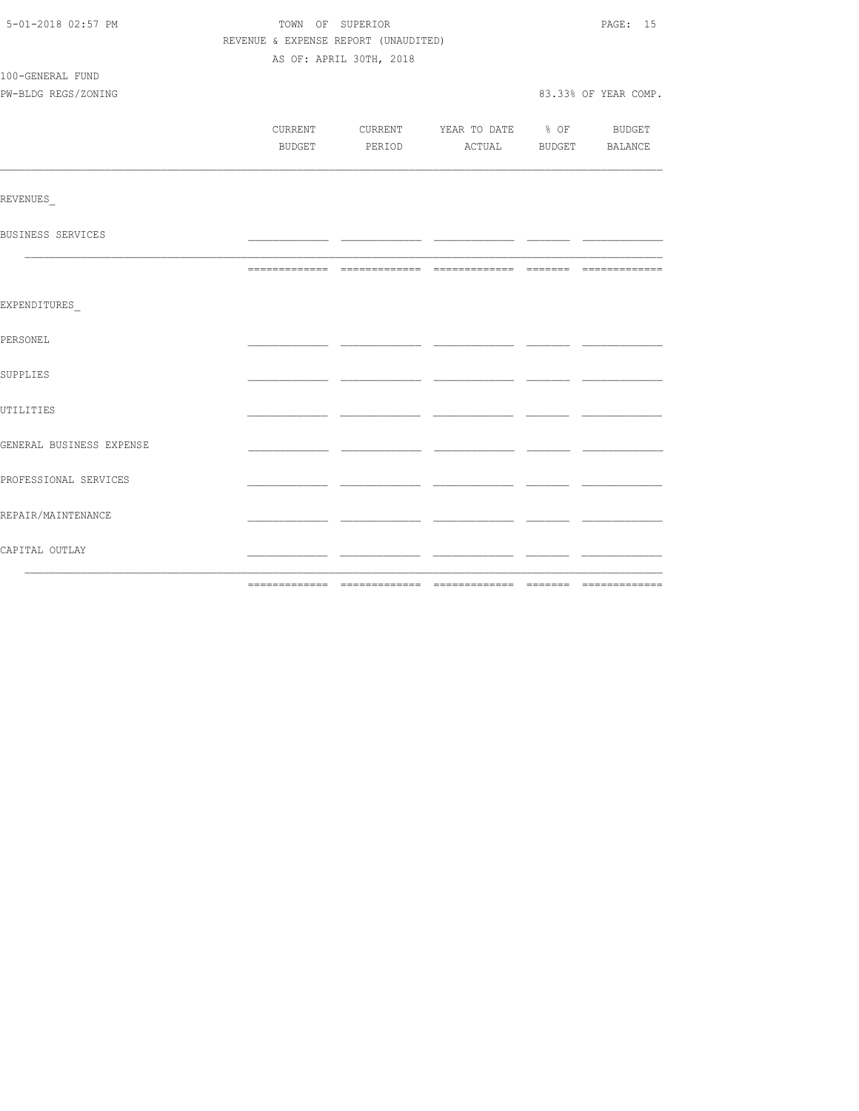| 5-01-2018 02:57 PM       | TOWN OF SUPERIOR |                                          |  |  |                      |  |  |  |
|--------------------------|------------------|------------------------------------------|--|--|----------------------|--|--|--|
|                          |                  | REVENUE & EXPENSE REPORT (UNAUDITED)     |  |  |                      |  |  |  |
|                          |                  | AS OF: APRIL 30TH, 2018                  |  |  |                      |  |  |  |
| 100-GENERAL FUND         |                  |                                          |  |  |                      |  |  |  |
| PW-BLDG REGS/ZONING      |                  |                                          |  |  | 83.33% OF YEAR COMP. |  |  |  |
|                          |                  |                                          |  |  |                      |  |  |  |
|                          |                  | CURRENT CURRENT YEAR TO DATE % OF BUDGET |  |  |                      |  |  |  |
|                          |                  | BUDGET PERIOD ACTUAL BUDGET BALANCE      |  |  |                      |  |  |  |
|                          |                  |                                          |  |  |                      |  |  |  |
|                          |                  |                                          |  |  |                      |  |  |  |
| REVENUES                 |                  |                                          |  |  |                      |  |  |  |
| BUSINESS SERVICES        |                  |                                          |  |  |                      |  |  |  |
|                          |                  |                                          |  |  |                      |  |  |  |
|                          |                  |                                          |  |  |                      |  |  |  |
|                          |                  |                                          |  |  |                      |  |  |  |
| EXPENDITURES             |                  |                                          |  |  |                      |  |  |  |
|                          |                  |                                          |  |  |                      |  |  |  |
| PERSONEL                 |                  |                                          |  |  |                      |  |  |  |
|                          |                  |                                          |  |  |                      |  |  |  |
| SUPPLIES                 |                  |                                          |  |  |                      |  |  |  |
|                          |                  |                                          |  |  |                      |  |  |  |
| UTILITIES                |                  |                                          |  |  |                      |  |  |  |
| GENERAL BUSINESS EXPENSE |                  |                                          |  |  |                      |  |  |  |
|                          |                  |                                          |  |  |                      |  |  |  |
| PROFESSIONAL SERVICES    |                  |                                          |  |  |                      |  |  |  |
|                          |                  |                                          |  |  |                      |  |  |  |
| REPAIR/MAINTENANCE       |                  |                                          |  |  |                      |  |  |  |
|                          |                  |                                          |  |  |                      |  |  |  |
| CAPITAL OUTLAY           |                  |                                          |  |  |                      |  |  |  |
|                          |                  |                                          |  |  |                      |  |  |  |
|                          |                  |                                          |  |  |                      |  |  |  |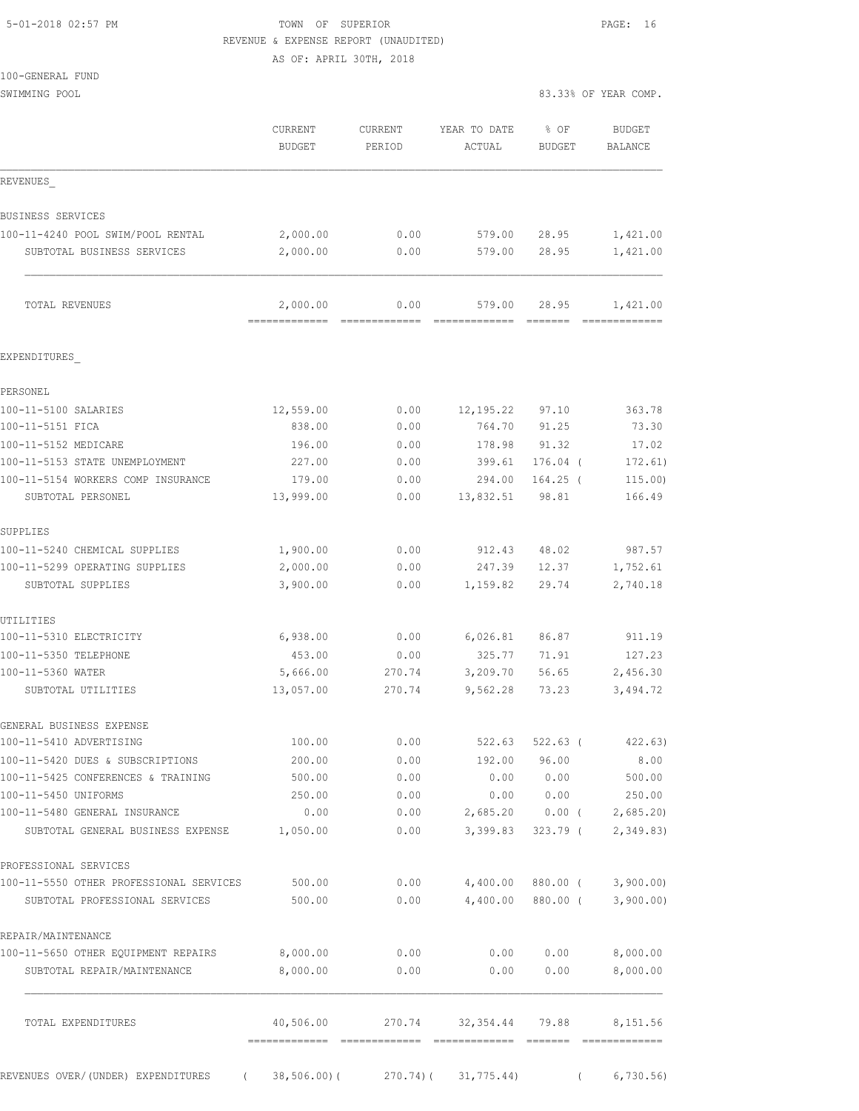### 5-01-2018 02:57 PM TOWN OF SUPERIOR PAGE: 16 REVENUE & EXPENSE REPORT (UNAUDITED)

AS OF: APRIL 30TH, 2018

| 100-GENERAL FUND                                                       |                                          |              |                         |                                                                                                                                                                                                                                                                                                                                                                                                                                                                                                                                                                                                        |                           |
|------------------------------------------------------------------------|------------------------------------------|--------------|-------------------------|--------------------------------------------------------------------------------------------------------------------------------------------------------------------------------------------------------------------------------------------------------------------------------------------------------------------------------------------------------------------------------------------------------------------------------------------------------------------------------------------------------------------------------------------------------------------------------------------------------|---------------------------|
| SWIMMING POOL                                                          |                                          |              |                         |                                                                                                                                                                                                                                                                                                                                                                                                                                                                                                                                                                                                        | 83.33% OF YEAR COMP.      |
|                                                                        | CURRENT                                  | CURRENT      | YEAR TO DATE            | % OF                                                                                                                                                                                                                                                                                                                                                                                                                                                                                                                                                                                                   | <b>BUDGET</b>             |
|                                                                        | <b>BUDGET</b>                            | PERIOD       | ACTUAL                  | <b>BUDGET</b>                                                                                                                                                                                                                                                                                                                                                                                                                                                                                                                                                                                          | <b>BALANCE</b>            |
| REVENUES                                                               |                                          |              |                         |                                                                                                                                                                                                                                                                                                                                                                                                                                                                                                                                                                                                        |                           |
| BUSINESS SERVICES                                                      |                                          |              |                         |                                                                                                                                                                                                                                                                                                                                                                                                                                                                                                                                                                                                        |                           |
| 100-11-4240 POOL SWIM/POOL RENTAL                                      | 2,000.00                                 | 0.00         | 579.00                  | 28.95                                                                                                                                                                                                                                                                                                                                                                                                                                                                                                                                                                                                  | 1,421.00                  |
| SUBTOTAL BUSINESS SERVICES                                             | 2,000.00                                 | 0.00         | 579.00                  | 28.95                                                                                                                                                                                                                                                                                                                                                                                                                                                                                                                                                                                                  | 1,421.00                  |
| TOTAL REVENUES                                                         | 2,000.00<br>------------- -------------- | 0.00         | 579.00<br>------------- | 28.95<br>$\qquad \qquad \overline{\qquad \qquad }=\overline{\qquad \qquad }=\overline{\qquad \qquad }=\overline{\qquad \qquad }=\overline{\qquad \qquad }=\overline{\qquad \qquad }=\overline{\qquad \qquad }=\overline{\qquad \qquad }=\overline{\qquad \qquad }=\overline{\qquad \qquad }=\overline{\qquad \qquad }=\overline{\qquad \qquad }=\overline{\qquad \qquad }=\overline{\qquad \qquad }=\overline{\qquad \qquad }=\overline{\qquad \qquad }=\overline{\qquad \qquad }=\overline{\qquad \qquad }=\overline{\qquad \qquad }=\overline{\qquad \qquad }=\overline{\qquad \qquad }=\overline{\$ | 1,421.00<br>============= |
| EXPENDITURES                                                           |                                          |              |                         |                                                                                                                                                                                                                                                                                                                                                                                                                                                                                                                                                                                                        |                           |
|                                                                        |                                          |              |                         |                                                                                                                                                                                                                                                                                                                                                                                                                                                                                                                                                                                                        |                           |
| PERSONEL<br>100-11-5100 SALARIES                                       | 12,559.00                                | 0.00         | 12,195.22               | 97.10                                                                                                                                                                                                                                                                                                                                                                                                                                                                                                                                                                                                  | 363.78                    |
| 100-11-5151 FICA                                                       | 838.00                                   | 0.00         | 764.70                  | 91.25                                                                                                                                                                                                                                                                                                                                                                                                                                                                                                                                                                                                  | 73.30                     |
| 100-11-5152 MEDICARE                                                   | 196.00                                   | 0.00         | 178.98                  | 91.32                                                                                                                                                                                                                                                                                                                                                                                                                                                                                                                                                                                                  | 17.02                     |
| 100-11-5153 STATE UNEMPLOYMENT                                         | 227.00                                   | 0.00         | 399.61                  | $176.04$ (                                                                                                                                                                                                                                                                                                                                                                                                                                                                                                                                                                                             | 172.61)                   |
| 100-11-5154 WORKERS COMP INSURANCE                                     | 179.00                                   | 0.00         | 294.00                  | $164.25$ (                                                                                                                                                                                                                                                                                                                                                                                                                                                                                                                                                                                             | 115.00                    |
| SUBTOTAL PERSONEL                                                      | 13,999.00                                | 0.00         | 13,832.51               | 98.81                                                                                                                                                                                                                                                                                                                                                                                                                                                                                                                                                                                                  | 166.49                    |
| SUPPLIES                                                               |                                          |              |                         |                                                                                                                                                                                                                                                                                                                                                                                                                                                                                                                                                                                                        |                           |
| 100-11-5240 CHEMICAL SUPPLIES                                          | 1,900.00                                 | 0.00         | 912.43                  | 48.02                                                                                                                                                                                                                                                                                                                                                                                                                                                                                                                                                                                                  | 987.57                    |
| 100-11-5299 OPERATING SUPPLIES                                         | 2,000.00                                 | 0.00         | 247.39                  | 12.37                                                                                                                                                                                                                                                                                                                                                                                                                                                                                                                                                                                                  | 1,752.61                  |
| SUBTOTAL SUPPLIES                                                      | 3,900.00                                 | 0.00         | 1,159.82                | 29.74                                                                                                                                                                                                                                                                                                                                                                                                                                                                                                                                                                                                  | 2,740.18                  |
| UTILITIES                                                              |                                          |              |                         |                                                                                                                                                                                                                                                                                                                                                                                                                                                                                                                                                                                                        |                           |
| 100-11-5310 ELECTRICITY                                                | 6,938.00                                 | 0.00         | 6,026.81                | 86.87                                                                                                                                                                                                                                                                                                                                                                                                                                                                                                                                                                                                  | 911.19                    |
| 100-11-5350 TELEPHONE                                                  | 453.00                                   | 0.00         | 325.77                  | 71.91                                                                                                                                                                                                                                                                                                                                                                                                                                                                                                                                                                                                  | 127.23                    |
| 100-11-5360 WATER                                                      | 5,666.00                                 | 270.74       | 3,209.70                | 56.65                                                                                                                                                                                                                                                                                                                                                                                                                                                                                                                                                                                                  | 2,456.30                  |
| SUBTOTAL UTILITIES                                                     | 13,057.00                                | 270.74       | 9,562.28                | 73.23                                                                                                                                                                                                                                                                                                                                                                                                                                                                                                                                                                                                  | 3,494.72                  |
| GENERAL BUSINESS EXPENSE                                               |                                          |              |                         |                                                                                                                                                                                                                                                                                                                                                                                                                                                                                                                                                                                                        |                           |
| 100-11-5410 ADVERTISING                                                | 100.00                                   | 0.00         | 522.63                  | $522.63$ (                                                                                                                                                                                                                                                                                                                                                                                                                                                                                                                                                                                             | 422.63)                   |
| 100-11-5420 DUES & SUBSCRIPTIONS<br>100-11-5425 CONFERENCES & TRAINING | 200.00<br>500.00                         | 0.00<br>0.00 | 192.00<br>0.00          | 96.00<br>0.00                                                                                                                                                                                                                                                                                                                                                                                                                                                                                                                                                                                          | 8.00<br>500.00            |
| 100-11-5450 UNIFORMS                                                   | 250.00                                   | 0.00         |                         | 0.00 0.00                                                                                                                                                                                                                                                                                                                                                                                                                                                                                                                                                                                              | 250.00                    |
| 100-11-5480 GENERAL INSURANCE                                          | 0.00                                     | 0.00         |                         | 2,685.20 0.00 (                                                                                                                                                                                                                                                                                                                                                                                                                                                                                                                                                                                        | 2,685.20                  |
| SUBTOTAL GENERAL BUSINESS EXPENSE                                      | 1,050.00                                 | 0.00         | 3,399.83                | 323.79 (                                                                                                                                                                                                                                                                                                                                                                                                                                                                                                                                                                                               | 2,349.83                  |
| PROFESSIONAL SERVICES                                                  |                                          |              |                         |                                                                                                                                                                                                                                                                                                                                                                                                                                                                                                                                                                                                        |                           |
| 100-11-5550 OTHER PROFESSIONAL SERVICES                                | 500.00                                   | 0.00         | 4,400.00                | 880.00 (                                                                                                                                                                                                                                                                                                                                                                                                                                                                                                                                                                                               | 3,900.00)                 |
| SUBTOTAL PROFESSIONAL SERVICES                                         | 500.00                                   | 0.00         | 4,400.00                | 880.00 (                                                                                                                                                                                                                                                                                                                                                                                                                                                                                                                                                                                               | 3,900.00)                 |
| REPAIR/MAINTENANCE                                                     |                                          |              |                         |                                                                                                                                                                                                                                                                                                                                                                                                                                                                                                                                                                                                        |                           |
| 100-11-5650 OTHER EQUIPMENT REPAIRS                                    | 8,000.00                                 | 0.00         | 0.00                    | 0.00                                                                                                                                                                                                                                                                                                                                                                                                                                                                                                                                                                                                   | 8,000.00                  |
| SUBTOTAL REPAIR/MAINTENANCE                                            | 8,000.00                                 | 0.00         | 0.00                    | 0.00                                                                                                                                                                                                                                                                                                                                                                                                                                                                                                                                                                                                   | 8,000.00                  |
| TOTAL EXPENDITURES                                                     | 40,506.00                                |              | 270.74 32,354.44 79.88  |                                                                                                                                                                                                                                                                                                                                                                                                                                                                                                                                                                                                        | 8,151.56                  |
|                                                                        |                                          |              |                         |                                                                                                                                                                                                                                                                                                                                                                                                                                                                                                                                                                                                        |                           |

REVENUES OVER/(UNDER) EXPENDITURES ( 38,506.00)( 270.74)( 31,775.44) ( 6,730.56)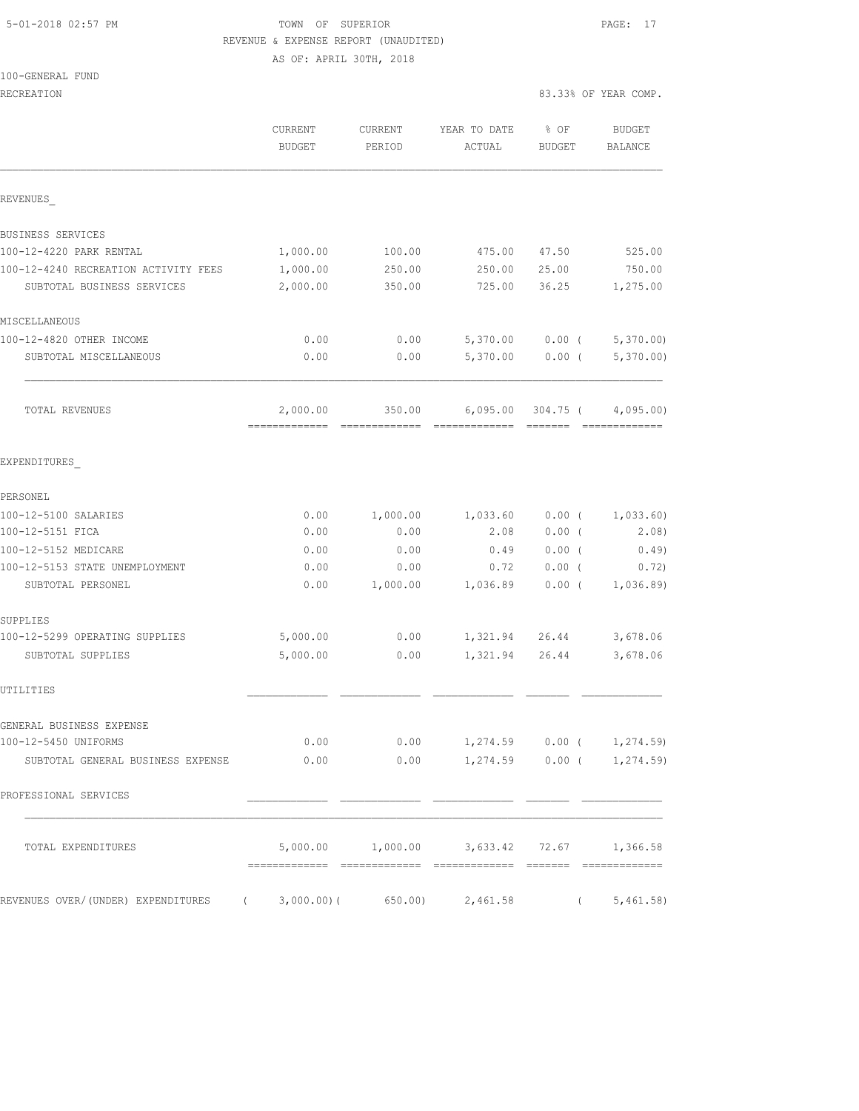### 5-01-2018 02:57 PM **TOWN** OF SUPERIOR **PAGE:** 17 REVENUE & EXPENSE REPORT (UNAUDITED) AS OF: APRIL 30TH, 2018

100-GENERAL FUND

| RECREATION                                                                |                   |                   |                                                     |                       | 83.33% OF YEAR COMP.       |
|---------------------------------------------------------------------------|-------------------|-------------------|-----------------------------------------------------|-----------------------|----------------------------|
|                                                                           | CURRENT<br>BUDGET | CURRENT<br>PERIOD | YEAR TO DATE<br>ACTUAL                              | % OF<br><b>BUDGET</b> | BUDGET<br>BALANCE          |
| REVENUES                                                                  |                   |                   |                                                     |                       |                            |
| BUSINESS SERVICES                                                         |                   |                   |                                                     |                       |                            |
| 100-12-4220 PARK RENTAL                                                   | 1,000.00          | 100.00            | 475.00                                              | 47.50                 | 525.00                     |
| 100-12-4240 RECREATION ACTIVITY FEES                                      | 1,000.00          | 250.00            | 250.00                                              | 25.00                 | 750.00                     |
| SUBTOTAL BUSINESS SERVICES                                                | 2,000.00          | 350.00            | 725.00                                              | 36.25                 | 1,275.00                   |
| MISCELLANEOUS                                                             |                   |                   |                                                     |                       |                            |
| 100-12-4820 OTHER INCOME                                                  | 0.00              | 0.00              | 5,370.00                                            | $0.00$ (              | 5,370.00)                  |
| SUBTOTAL MISCELLANEOUS                                                    | 0.00              | 0.00              | 5,370.00                                            | $0.00$ (              | 5,370.00                   |
| TOTAL REVENUES                                                            | 2,000.00          |                   | $350.00$ 6,095.00 304.75 ( 4,095.00)                |                       | ----- ------ ------------- |
| EXPENDITURES                                                              |                   |                   |                                                     |                       |                            |
| PERSONEL                                                                  |                   |                   |                                                     |                       |                            |
| 100-12-5100 SALARIES                                                      | 0.00              | 1,000.00          | 1,033.60                                            | $0.00$ (              | 1,033.60)                  |
| 100-12-5151 FICA                                                          | 0.00              | 0.00              | 2.08                                                | $0.00$ (              | 2.08)                      |
| 100-12-5152 MEDICARE                                                      | 0.00              | 0.00              | 0.49                                                | $0.00$ (              | 0.49)                      |
| 100-12-5153 STATE UNEMPLOYMENT                                            | 0.00              | 0.00              | 0.72                                                | $0.00$ (              | 0.72)                      |
| SUBTOTAL PERSONEL                                                         | 0.00              | 1,000.00          | 1,036.89                                            | $0.00$ (              | 1,036.89                   |
| SUPPLIES                                                                  |                   |                   |                                                     |                       |                            |
| 100-12-5299 OPERATING SUPPLIES                                            | 5,000.00          | 0.00              | 1,321.94 26.44                                      |                       | 3,678.06                   |
| SUBTOTAL SUPPLIES                                                         | 5,000.00          | 0.00              | 1,321.94                                            | 26.44                 | 3,678.06                   |
| UTILITIES                                                                 |                   |                   |                                                     |                       |                            |
| GENERAL BUSINESS EXPENSE                                                  |                   |                   |                                                     |                       |                            |
| 100-12-5450 UNIFORMS                                                      | 0.00              |                   | $0.00$ 1,274.59 0.00 ( 1,274.59)                    |                       |                            |
| SUBTOTAL GENERAL BUSINESS EXPENSE                                         | 0.00              |                   | $0.00$ 1,274.59 0.00 ( 1,274.59)                    |                       |                            |
| PROFESSIONAL SERVICES                                                     |                   |                   |                                                     |                       |                            |
| TOTAL EXPENDITURES                                                        |                   |                   | $5,000.00$ $1,000.00$ $3,633.42$ $72.67$ $1,366.58$ |                       |                            |
| REVENUES OVER/(UNDER) EXPENDITURES (3,000.00)(650.00) 2,461.58 (5,461.58) |                   |                   |                                                     |                       |                            |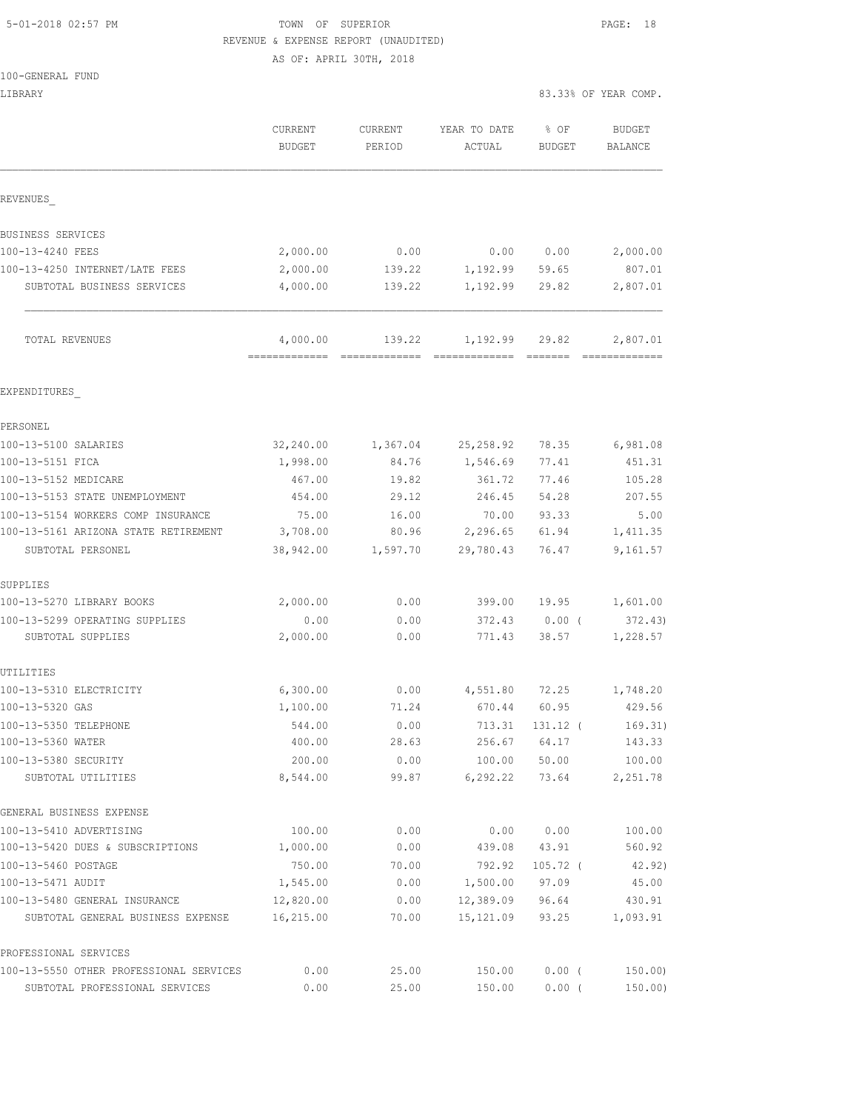## 5-01-2018 02:57 PM TOWN OF SUPERIOR PAGE: 18 REVENUE & EXPENSE REPORT (UNAUDITED)

AS OF: APRIL 30TH, 2018

|  | 100-GENERAL FUND |  |
|--|------------------|--|
|  |                  |  |

| LIBRARY                                                                    |                                          |                   |                        |                | 83.33% OF YEAR COMP.     |
|----------------------------------------------------------------------------|------------------------------------------|-------------------|------------------------|----------------|--------------------------|
|                                                                            | CURRENT<br><b>BUDGET</b>                 | CURRENT<br>PERIOD | YEAR TO DATE<br>ACTUAL | % OF<br>BUDGET | <b>BUDGET</b><br>BALANCE |
| REVENUES                                                                   |                                          |                   |                        |                |                          |
| BUSINESS SERVICES                                                          |                                          |                   |                        |                |                          |
| 100-13-4240 FEES                                                           | 2,000.00                                 | 0.00              | 0.00 0.00              |                | 2,000.00                 |
| 100-13-4250 INTERNET/LATE FEES                                             | 2,000.00                                 | 139.22            | 1, 192.99 59.65        |                | 807.01                   |
| SUBTOTAL BUSINESS SERVICES                                                 | 4,000.00                                 | 139.22            | 1,192.99               | 29.82          | 2,807.01                 |
| TOTAL REVENUES                                                             | 4,000.00<br>-------------- ------------- | 139.22            | 1,192.99               | 29.82          | 2,807.01                 |
| EXPENDITURES                                                               |                                          |                   |                        |                |                          |
| PERSONEL                                                                   |                                          |                   |                        |                |                          |
| 100-13-5100 SALARIES                                                       | 32,240.00                                | 1,367.04          | 25,258.92              | 78.35          | 6,981.08                 |
| 100-13-5151 FICA                                                           | 1,998.00                                 | 84.76             | 1,546.69               | 77.41          | 451.31                   |
| 100-13-5152 MEDICARE                                                       | 467.00                                   | 19.82             | 361.72                 | 77.46          | 105.28                   |
| 100-13-5153 STATE UNEMPLOYMENT                                             | 454.00                                   | 29.12             | 246.45                 | 54.28          | 207.55                   |
| 100-13-5154 WORKERS COMP INSURANCE<br>100-13-5161 ARIZONA STATE RETIREMENT | 75.00                                    | 16.00<br>80.96    | 70.00<br>2,296.65      | 93.33          | 5.00                     |
| SUBTOTAL PERSONEL                                                          | 3,708.00<br>38,942.00                    | 1,597.70          | 29,780.43              | 61.94<br>76.47 | 1,411.35<br>9,161.57     |
| SUPPLIES                                                                   |                                          |                   |                        |                |                          |
| 100-13-5270 LIBRARY BOOKS                                                  | 2,000.00                                 | 0.00              | 399.00                 | 19.95          | 1,601.00                 |
| 100-13-5299 OPERATING SUPPLIES                                             | 0.00                                     | 0.00              | 372.43                 | $0.00$ (       | 372.43)                  |
| SUBTOTAL SUPPLIES                                                          | 2,000.00                                 | 0.00              | 771.43                 | 38.57          | 1,228.57                 |
| UTILITIES                                                                  |                                          |                   |                        |                |                          |
| 100-13-5310 ELECTRICITY                                                    | 6,300.00                                 | 0.00              | 4,551.80               | 72.25          | 1,748.20                 |
| 100-13-5320 GAS                                                            | 1,100.00                                 | 71.24             | 670.44                 | 60.95          | 429.56                   |
| 100-13-5350 TELEPHONE                                                      | 544.00                                   | 0.00              | 713.31                 | 131.12 (       | 169.31)                  |
| 100-13-5360 WATER                                                          | 400.00                                   | 28.63             | 256.67                 | 64.17          | 143.33                   |
| 100-13-5380 SECURITY<br>SUBTOTAL UTILITIES                                 | 200.00<br>8,544.00                       | 0.00<br>99.87     | 100.00<br>6, 292.22    | 50.00<br>73.64 | 100.00<br>2,251.78       |
| GENERAL BUSINESS EXPENSE                                                   |                                          |                   |                        |                |                          |
| 100-13-5410 ADVERTISING                                                    | 100.00                                   | 0.00              | 0.00                   | 0.00           | 100.00                   |
| 100-13-5420 DUES & SUBSCRIPTIONS                                           | 1,000.00                                 | 0.00              | 439.08                 | 43.91          | 560.92                   |
| 100-13-5460 POSTAGE                                                        | 750.00                                   | 70.00             | 792.92                 | $105.72$ (     | 42.92)                   |
| 100-13-5471 AUDIT                                                          | 1,545.00                                 | 0.00              | 1,500.00               | 97.09          | 45.00                    |
| 100-13-5480 GENERAL INSURANCE                                              | 12,820.00                                | 0.00              | 12,389.09              | 96.64          | 430.91                   |
| SUBTOTAL GENERAL BUSINESS EXPENSE                                          | 16,215.00                                | 70.00             | 15,121.09              | 93.25          | 1,093.91                 |
| PROFESSIONAL SERVICES                                                      |                                          |                   |                        |                |                          |
| 100-13-5550 OTHER PROFESSIONAL SERVICES                                    | 0.00                                     | 25.00             | 150.00                 | $0.00$ (       | 150.00)                  |

SUBTOTAL PROFESSIONAL SERVICES 0.00 25.00 150.00 0.00 ( 150.00)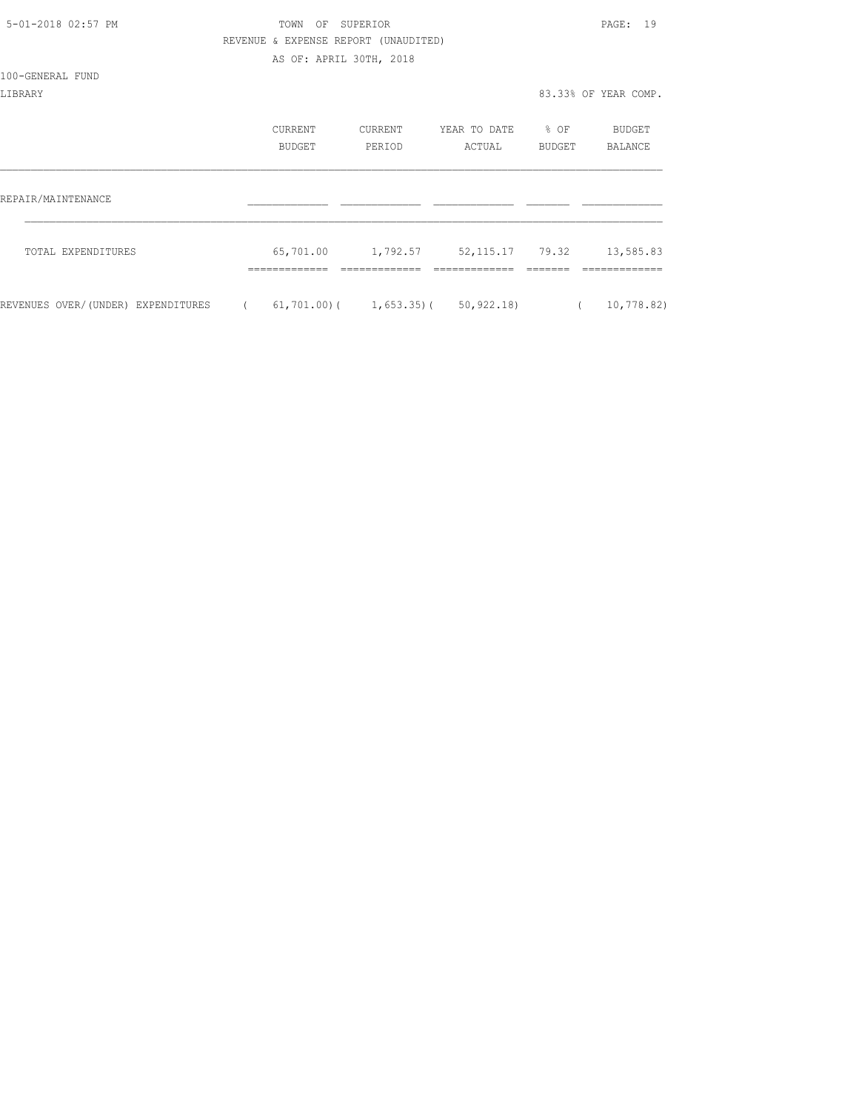| 5-01-2018 02:57 PM                 |            | TOWN                                 | OF SUPERIOR |                                                      |                  | PAGE: 19             |
|------------------------------------|------------|--------------------------------------|-------------|------------------------------------------------------|------------------|----------------------|
|                                    |            | REVENUE & EXPENSE REPORT (UNAUDITED) |             |                                                      |                  |                      |
|                                    |            | AS OF: APRIL 30TH, 2018              |             |                                                      |                  |                      |
| 100-GENERAL FUND                   |            |                                      |             |                                                      |                  |                      |
| LIBRARY                            |            |                                      |             |                                                      |                  | 83.33% OF YEAR COMP. |
|                                    |            |                                      |             |                                                      |                  |                      |
|                                    |            | CURRENT                              | CURRENT     | YEAR TO DATE                                         | $\textdegree$ OF | BUDGET               |
|                                    |            | <b>BUDGET</b>                        | PERIOD      | ACTUAL                                               | BUDGET           | BALANCE              |
|                                    |            |                                      |             |                                                      |                  |                      |
|                                    |            |                                      |             |                                                      |                  |                      |
| REPAIR/MAINTENANCE                 |            |                                      |             |                                                      |                  |                      |
|                                    |            |                                      |             |                                                      |                  |                      |
| TOTAL EXPENDITURES                 |            |                                      |             | 65,701.00   1,792.57   52,115.17   79.32   13,585.83 |                  |                      |
|                                    |            |                                      |             |                                                      |                  |                      |
|                                    |            |                                      |             |                                                      |                  |                      |
| REVENUES OVER/(UNDER) EXPENDITURES | $\sqrt{2}$ |                                      |             | $61, 701.00$ ( $1, 653.35$ ( $50, 922.18$ )          | $\sqrt{2}$       | 10,778.82)           |
|                                    |            |                                      |             |                                                      |                  |                      |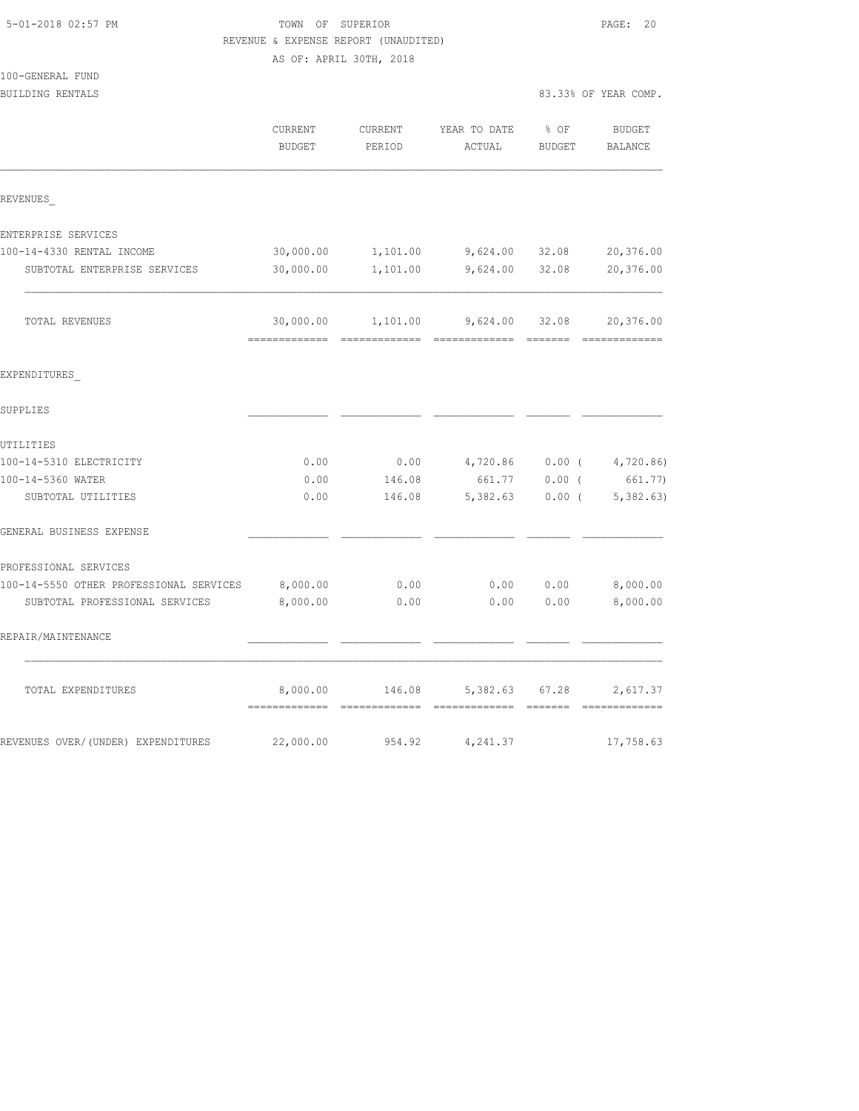|                                         |                         | REVENUE & EXPENSE REPORT (UNAUDITED) |                           |                                                                                                                                                                                                                                                                                                                                                                                                                                                                                                 |                                            |
|-----------------------------------------|-------------------------|--------------------------------------|---------------------------|-------------------------------------------------------------------------------------------------------------------------------------------------------------------------------------------------------------------------------------------------------------------------------------------------------------------------------------------------------------------------------------------------------------------------------------------------------------------------------------------------|--------------------------------------------|
|                                         | AS OF: APRIL 30TH, 2018 |                                      |                           |                                                                                                                                                                                                                                                                                                                                                                                                                                                                                                 |                                            |
| 100-GENERAL FUND                        |                         |                                      |                           |                                                                                                                                                                                                                                                                                                                                                                                                                                                                                                 |                                            |
| BUILDING RENTALS                        |                         |                                      |                           |                                                                                                                                                                                                                                                                                                                                                                                                                                                                                                 | 83.33% OF YEAR COMP.                       |
|                                         | CURRENT                 | CURRENT                              | YEAR TO DATE              | % OF                                                                                                                                                                                                                                                                                                                                                                                                                                                                                            | <b>BUDGET</b>                              |
|                                         | <b>BUDGET</b>           | PERIOD                               | ACTUAL                    | <b>BUDGET</b>                                                                                                                                                                                                                                                                                                                                                                                                                                                                                   | BALANCE                                    |
| REVENUES                                |                         |                                      |                           |                                                                                                                                                                                                                                                                                                                                                                                                                                                                                                 |                                            |
| ENTERPRISE SERVICES                     |                         |                                      |                           |                                                                                                                                                                                                                                                                                                                                                                                                                                                                                                 |                                            |
| 100-14-4330 RENTAL INCOME               | 30,000.00               | 1,101.00                             | 9,624.00                  | 32.08                                                                                                                                                                                                                                                                                                                                                                                                                                                                                           | 20,376.00                                  |
| SUBTOTAL ENTERPRISE SERVICES            | 30,000.00               | 1,101.00                             | 9,624.00                  | 32.08                                                                                                                                                                                                                                                                                                                                                                                                                                                                                           | 20,376.00                                  |
| TOTAL REVENUES                          | 30,000.00               | 1,101.00                             | 9,624.00<br>------------- | 32.08<br>$\begin{array}{cccccccccc} \multicolumn{2}{c}{} & \multicolumn{2}{c}{} & \multicolumn{2}{c}{} & \multicolumn{2}{c}{} & \multicolumn{2}{c}{} & \multicolumn{2}{c}{} & \multicolumn{2}{c}{} & \multicolumn{2}{c}{} & \multicolumn{2}{c}{} & \multicolumn{2}{c}{} & \multicolumn{2}{c}{} & \multicolumn{2}{c}{} & \multicolumn{2}{c}{} & \multicolumn{2}{c}{} & \multicolumn{2}{c}{} & \multicolumn{2}{c}{} & \multicolumn{2}{c}{} & \multicolumn{2}{c}{} & \multicolumn{2}{c}{} & \mult$ | 20,376.00<br>$=$ = = = = = = = = = = = = = |
| EXPENDITURES                            |                         |                                      |                           |                                                                                                                                                                                                                                                                                                                                                                                                                                                                                                 |                                            |
| SUPPLIES                                |                         |                                      |                           |                                                                                                                                                                                                                                                                                                                                                                                                                                                                                                 |                                            |
| UTILITIES                               |                         |                                      |                           |                                                                                                                                                                                                                                                                                                                                                                                                                                                                                                 |                                            |
| 100-14-5310 ELECTRICITY                 | 0.00                    | 0.00                                 | 4,720.86                  | $0.00$ (                                                                                                                                                                                                                                                                                                                                                                                                                                                                                        | 4,720.86)                                  |
| 100-14-5360 WATER                       | 0.00                    | 146.08                               | 661.77                    | $0.00$ (                                                                                                                                                                                                                                                                                                                                                                                                                                                                                        | 661.77)                                    |
| SUBTOTAL UTILITIES                      | 0.00                    | 146.08                               | 5,382.63                  | $0.00$ (                                                                                                                                                                                                                                                                                                                                                                                                                                                                                        | 5,382.63)                                  |
| GENERAL BUSINESS EXPENSE                |                         |                                      |                           |                                                                                                                                                                                                                                                                                                                                                                                                                                                                                                 |                                            |
| PROFESSIONAL SERVICES                   |                         |                                      |                           |                                                                                                                                                                                                                                                                                                                                                                                                                                                                                                 |                                            |
| 100-14-5550 OTHER PROFESSIONAL SERVICES | 8,000.00                | 0.00                                 | 0.00                      | 0.00                                                                                                                                                                                                                                                                                                                                                                                                                                                                                            | 8,000.00                                   |
| SUBTOTAL PROFESSIONAL SERVICES          | 8,000.00                | 0.00                                 | 0.00                      | 0.00                                                                                                                                                                                                                                                                                                                                                                                                                                                                                            | 8,000.00                                   |
| REPAIR/MAINTENANCE                      |                         |                                      |                           |                                                                                                                                                                                                                                                                                                                                                                                                                                                                                                 |                                            |
| TOTAL EXPENDITURES                      | 8,000.00                | 146.08                               | 5,382.63                  | 67.28                                                                                                                                                                                                                                                                                                                                                                                                                                                                                           | 2,617.37                                   |
| REVENUES OVER/(UNDER) EXPENDITURES      | 22,000.00               | 954.92                               | 4,241.37                  |                                                                                                                                                                                                                                                                                                                                                                                                                                                                                                 | 17,758.63                                  |

5-01-2018 02:57 PM TOWN OF SUPERIOR PAGE: 20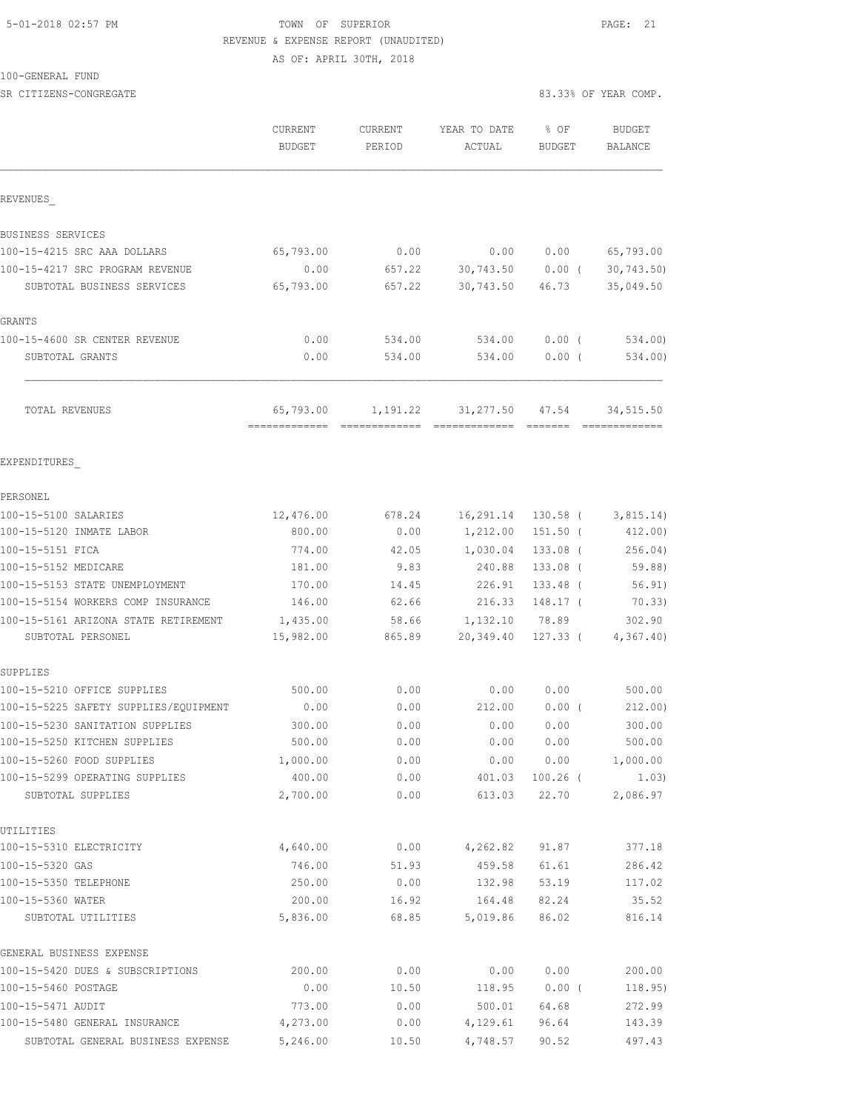### 5-01-2018 02:57 PM TOWN OF SUPERIOR PAGE: 21 REVENUE & EXPENSE REPORT (UNAUDITED) AS OF: APRIL 30TH, 2018

100-GENERAL FUND

| SR CITIZENS-CONGREGATE                              |                          |                   |                               |                         | 83.33% OF YEAR COMP. |
|-----------------------------------------------------|--------------------------|-------------------|-------------------------------|-------------------------|----------------------|
|                                                     | CURRENT<br><b>BUDGET</b> | CURRENT<br>PERIOD | YEAR TO DATE<br>ACTUAL        | $8$ OF<br><b>BUDGET</b> | BUDGET<br>BALANCE    |
|                                                     |                          |                   |                               |                         |                      |
| REVENUES                                            |                          |                   |                               |                         |                      |
| BUSINESS SERVICES                                   |                          |                   |                               |                         |                      |
| 100-15-4215 SRC AAA DOLLARS                         | 65,793.00                | 0.00              | 0.00                          | 0.00                    | 65,793.00            |
| 100-15-4217 SRC PROGRAM REVENUE                     | 0.00                     | 657.22            |                               | 30,743.50 0.00 (        | 30,743.50)           |
| SUBTOTAL BUSINESS SERVICES                          | 65,793.00                | 657.22            | 30,743.50                     | 46.73                   | 35,049.50            |
| GRANTS                                              |                          |                   |                               |                         |                      |
| 100-15-4600 SR CENTER REVENUE                       | 0.00                     | 534.00            | 534.00                        | $0.00$ (                | 534.00)              |
| SUBTOTAL GRANTS                                     | 0.00                     | 534.00            | 534.00                        | 0.00(                   | 534.00)              |
| TOTAL REVENUES                                      | 65,793.00                |                   | 1, 191. 22 31, 277. 50 47. 54 | --- ------- --------    | 34,515.50            |
| EXPENDITURES                                        |                          |                   |                               |                         |                      |
| PERSONEL                                            |                          |                   |                               |                         |                      |
| 100-15-5100 SALARIES                                | 12,476.00                | 678.24            | 16,291.14                     | 130.58 (                | 3,815.14             |
| 100-15-5120 INMATE LABOR                            | 800.00                   | 0.00              | 1,212.00                      | $151.50$ (              | 412.00)              |
| 100-15-5151 FICA                                    | 774.00                   | 42.05             | 1,030.04                      | $133.08$ (              | 256.04)              |
| 100-15-5152 MEDICARE                                | 181.00                   | 9.83              | 240.88                        | 133.08 (                | 59.88)               |
| 100-15-5153 STATE UNEMPLOYMENT                      | 170.00                   | 14.45             | 226.91                        | $133.48$ (              | 56.91)               |
| 100-15-5154 WORKERS COMP INSURANCE                  | 146.00                   | 62.66             | 216.33                        | 148.17 (                | 70.33)               |
| 100-15-5161 ARIZONA STATE RETIREMENT                | 1,435.00                 | 58.66             | 1,132.10                      | 78.89                   | 302.90               |
| SUBTOTAL PERSONEL                                   | 15,982.00                | 865.89            | 20,349.40                     | 127.33 (                | 4, 367.40            |
| SUPPLIES                                            |                          |                   |                               |                         |                      |
| 100-15-5210 OFFICE SUPPLIES                         | 500.00                   | 0.00              | 0.00                          | 0.00                    | 500.00               |
| 100-15-5225 SAFETY SUPPLIES/EQUIPMENT               | 0.00                     | 0.00              | 212.00                        | $0.00$ (                | 212.00)              |
| 100-15-5230 SANITATION SUPPLIES                     | 300.00                   | 0.00              | 0.00                          | 0.00                    | 300.00               |
| 100-15-5250 KITCHEN SUPPLIES                        | 500.00                   | 0.00              | 0.00                          | 0.00                    | 500.00               |
| 100-15-5260 FOOD SUPPLIES                           | 1,000.00                 | 0.00              | 0.00                          | 0.00                    | 1,000.00             |
| 100-15-5299 OPERATING SUPPLIES<br>SUBTOTAL SUPPLIES | 400.00<br>2,700.00       | 0.00<br>0.00      | 401.03<br>613.03              | $100.26$ (<br>22.70     | 1.03)<br>2,086.97    |
| UTILITIES                                           |                          |                   |                               |                         |                      |
| 100-15-5310 ELECTRICITY                             | 4,640.00                 | 0.00              | 4,262.82                      | 91.87                   | 377.18               |
| 100-15-5320 GAS                                     | 746.00                   | 51.93             | 459.58                        | 61.61                   | 286.42               |
| 100-15-5350 TELEPHONE                               | 250.00                   | 0.00              | 132.98                        | 53.19                   | 117.02               |
| 100-15-5360 WATER                                   | 200.00                   | 16.92             | 164.48                        | 82.24                   | 35.52                |
| SUBTOTAL UTILITIES                                  | 5,836.00                 | 68.85             | 5,019.86                      | 86.02                   | 816.14               |
| GENERAL BUSINESS EXPENSE                            |                          |                   |                               |                         |                      |
| 100-15-5420 DUES & SUBSCRIPTIONS                    | 200.00                   | 0.00              | 0.00                          | 0.00                    | 200.00               |
| 100-15-5460 POSTAGE                                 | 0.00                     | 10.50             | 118.95                        | $0.00$ (                | 118.95)              |
| 100-15-5471 AUDIT                                   | 773.00                   | 0.00              | 500.01                        | 64.68                   | 272.99               |
| 100-15-5480 GENERAL INSURANCE                       | 4,273.00                 | 0.00              | 4,129.61                      | 96.64                   | 143.39               |
| SUBTOTAL GENERAL BUSINESS EXPENSE                   | 5,246.00                 | 10.50             | 4,748.57                      | 90.52                   | 497.43               |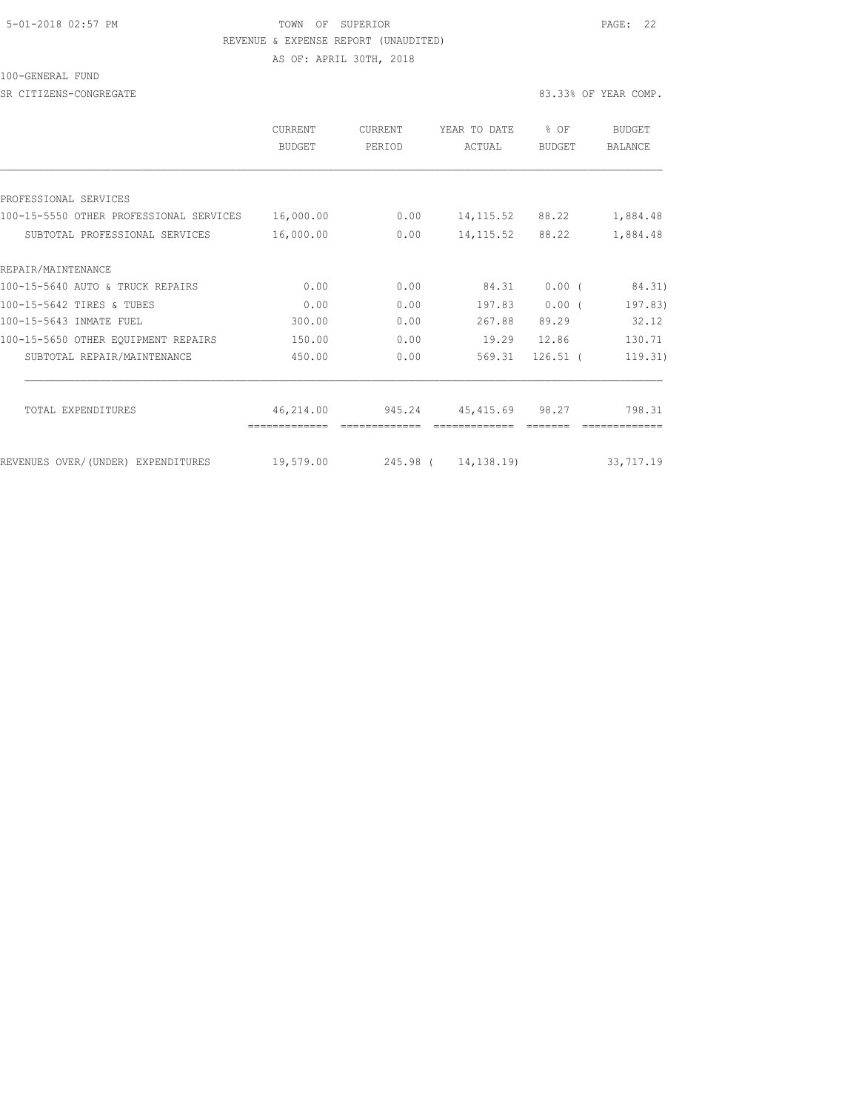#### 5-01-2018 02:57 PM TOWN OF SUPERIOR PAGE: 22 REVENUE & EXPENSE REPORT (UNAUDITED)

AS OF: APRIL 30TH, 2018

100-GENERAL FUND

SR CITIZENS-CONGREGATE 83.33% OF YEAR COMP.

|                                         | <b>CURRENT</b><br>BUDGET | <b>CURRENT</b><br>PERIOD | YEAR TO DATE<br>ACTUAL | $\frac{6}{10}$<br>OF<br><b>BUDGET</b> | <b>BUDGET</b><br><b>BALANCE</b> |
|-----------------------------------------|--------------------------|--------------------------|------------------------|---------------------------------------|---------------------------------|
|                                         |                          |                          |                        |                                       |                                 |
| PROFESSIONAL SERVICES                   |                          |                          |                        |                                       |                                 |
| 100-15-5550 OTHER PROFESSIONAL SERVICES | 16,000.00                | 0.00                     | 14, 115.52             | 88.22                                 | 1,884.48                        |
| SUBTOTAL PROFESSIONAL SERVICES          | 16,000.00                | 0.00                     | 14, 115.52             | 88.22                                 | 1,884.48                        |
| REPAIR/MAINTENANCE                      |                          |                          |                        |                                       |                                 |
| 100-15-5640 AUTO & TRUCK REPAIRS        | 0.00                     | 0.00                     | 84.31                  | $0.00$ (                              | 84.31)                          |
| 100-15-5642 TIRES & TUBES               | 0.00                     | 0.00                     | 197.83                 | $0.00$ (                              | 197.83)                         |
| 100-15-5643 INMATE FUEL                 | 300.00                   | 0.00                     | 267.88                 | 89.29                                 | 32.12                           |
| 100-15-5650 OTHER EQUIPMENT REPAIRS     | 150.00                   | 0.00                     | 19.29                  | 12.86                                 | 130.71                          |
| SUBTOTAL REPAIR/MAINTENANCE             | 450.00                   | 0.00                     | 569.31                 | $126.51$ (                            | 119.31)                         |
|                                         |                          |                          |                        |                                       |                                 |
| <b>TOTAL EXPENDITURES</b>               | 46,214.00                | 945.24                   | 45, 415.69             | 98.27                                 | 798.31                          |
| REVENUES OVER/ (UNDER) EXPENDITURES     | 19,579.00                |                          | 245.98 ( 14,138.19)    |                                       | 33,717.19                       |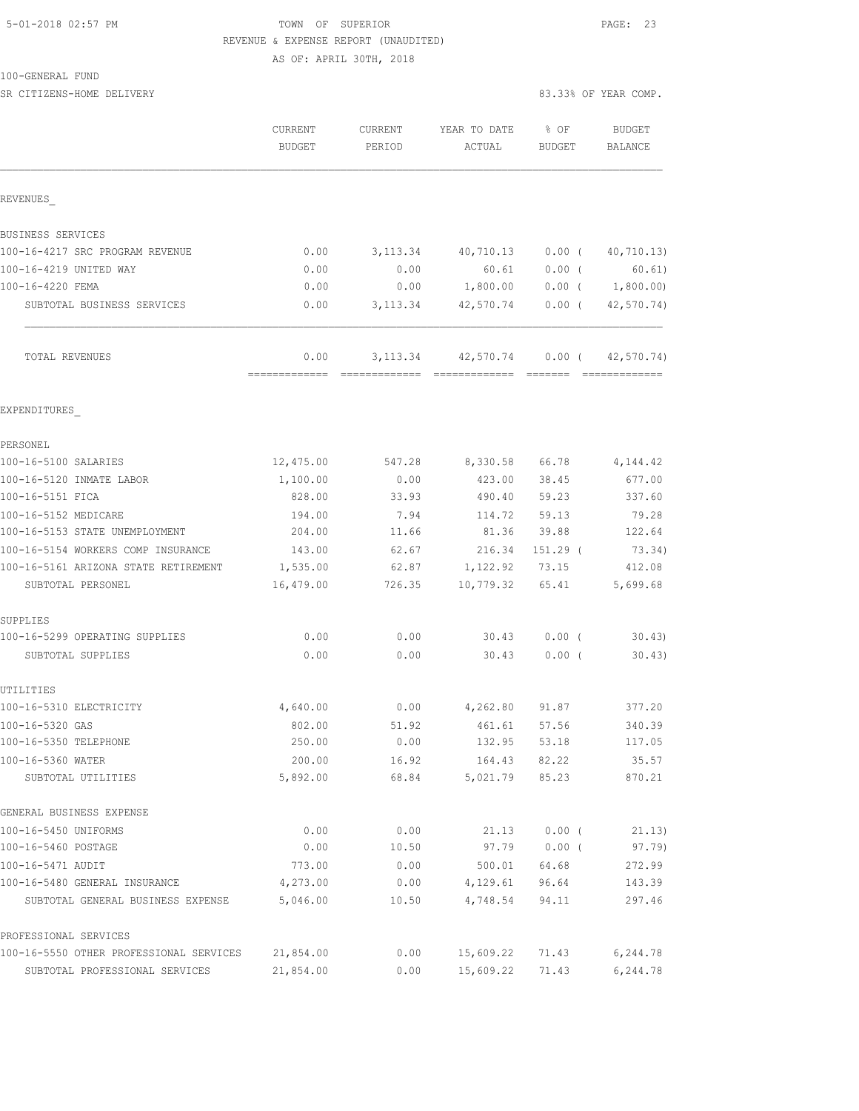## 5-01-2018 02:57 PM TOWN OF SUPERIOR PAGE: 23 REVENUE & EXPENSE REPORT (UNAUDITED)

AS OF: APRIL 30TH, 2018

|--|

| SR CITIZENS-HOME DELIVERY               |                          |                   |                             |                         | 83.33% OF YEAR COMP. |
|-----------------------------------------|--------------------------|-------------------|-----------------------------|-------------------------|----------------------|
|                                         | <b>CURRENT</b><br>BUDGET | CURRENT<br>PERIOD | YEAR TO DATE<br>ACTUAL      | $8$ OF<br><b>BUDGET</b> | BUDGET<br>BALANCE    |
| REVENUES                                |                          |                   |                             |                         |                      |
| BUSINESS SERVICES                       |                          |                   |                             |                         |                      |
| 100-16-4217 SRC PROGRAM REVENUE         | 0.00                     |                   | 3, 113.34 40, 710.13        | $0.00$ (                | 40,710.13)           |
| 100-16-4219 UNITED WAY                  | 0.00                     | 0.00              | 60.61                       | $0.00$ (                | 60.61)               |
| 100-16-4220 FEMA                        | 0.00                     | 0.00              | 1,800.00                    | $0.00$ (                | 1,800.00)            |
| SUBTOTAL BUSINESS SERVICES              | 0.00                     | 3, 113.34         |                             | 42,570.74 0.00 (        | 42, 570.74)          |
| TOTAL REVENUES                          | 0.00<br>=============    |                   | 3, 113.34 42, 570.74 0.00 ( |                         | 42,570.74)           |
| EXPENDITURES                            |                          |                   |                             |                         |                      |
| PERSONEL                                |                          |                   |                             |                         |                      |
| 100-16-5100 SALARIES                    | 12,475.00                | 547.28            | 8,330.58                    | 66.78                   | 4,144.42             |
| 100-16-5120 INMATE LABOR                | 1,100.00                 | 0.00              | 423.00                      | 38.45                   | 677.00               |
| 100-16-5151 FICA                        | 828.00                   | 33.93             | 490.40                      | 59.23                   | 337.60               |
| 100-16-5152 MEDICARE                    | 194.00                   | 7.94              | 114.72                      | 59.13                   | 79.28                |
| 100-16-5153 STATE UNEMPLOYMENT          | 204.00                   | 11.66             | 81.36                       | 39.88                   | 122.64               |
| 100-16-5154 WORKERS COMP INSURANCE      | 143.00                   | 62.67             | 216.34                      | 151.29 (                | 73.34)               |
| 100-16-5161 ARIZONA STATE RETIREMENT    | 1,535.00                 | 62.87             | 1,122.92                    | 73.15                   | 412.08               |
| SUBTOTAL PERSONEL                       | 16,479.00                | 726.35            | 10,779.32                   | 65.41                   | 5,699.68             |
| SUPPLIES                                |                          |                   |                             |                         |                      |
| 100-16-5299 OPERATING SUPPLIES          | 0.00                     | 0.00              | 30.43                       | $0.00$ (                | 30.43                |
| SUBTOTAL SUPPLIES                       | 0.00                     | 0.00              | 30.43                       | $0.00$ (                | 30.43)               |
| UTILITIES                               |                          |                   |                             |                         |                      |
| 100-16-5310 ELECTRICITY                 | 4,640.00                 | 0.00              | 4,262.80                    | 91.87                   | 377.20               |
| 100-16-5320 GAS                         | 802.00                   | 51.92             | 461.61                      | 57.56                   | 340.39               |
| 100-16-5350 TELEPHONE                   | 250.00                   | 0.00              | 132.95                      | 53.18                   | 117.05               |
| 100-16-5360 WATER                       | 200.00                   | 16.92             | 164.43                      | 82.22                   | 35.57                |
| SUBTOTAL UTILITIES                      | 5,892.00                 | 68.84             | 5,021.79                    | 85.23                   | 870.21               |
| GENERAL BUSINESS EXPENSE                |                          |                   |                             |                         |                      |
| 100-16-5450 UNIFORMS                    | 0.00                     | 0.00              | 21.13                       | $0.00$ (                | 21.13)               |
| 100-16-5460 POSTAGE                     | 0.00                     | 10.50             | 97.79                       | $0.00$ (                | 97.79)               |
| 100-16-5471 AUDIT                       | 773.00                   | 0.00              | 500.01                      | 64.68                   | 272.99               |
| 100-16-5480 GENERAL INSURANCE           | 4,273.00                 | 0.00              | 4,129.61                    | 96.64                   | 143.39               |
| SUBTOTAL GENERAL BUSINESS EXPENSE       | 5,046.00                 | 10.50             | 4,748.54                    | 94.11                   | 297.46               |
| PROFESSIONAL SERVICES                   |                          |                   |                             |                         |                      |
| 100-16-5550 OTHER PROFESSIONAL SERVICES | 21,854.00                | 0.00              | 15,609.22                   | 71.43                   | 6,244.78             |
| SUBTOTAL PROFESSIONAL SERVICES          | 21,854.00                | 0.00              | 15,609.22                   | 71.43                   | 6,244.78             |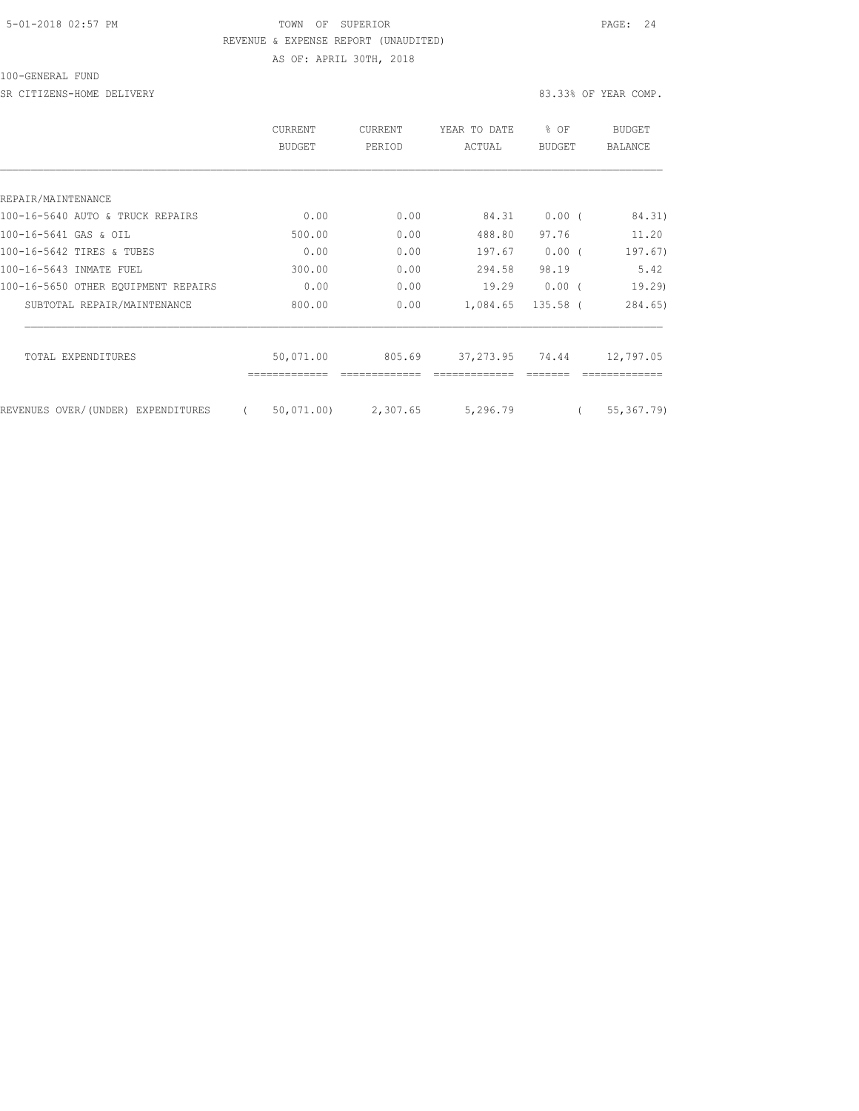### 5-01-2018 02:57 PM TOWN OF SUPERIOR PAGE: 24 REVENUE & EXPENSE REPORT (UNAUDITED) AS OF: APRIL 30TH, 2018

100-GENERAL FUND

SR CITIZENS-HOME DELIVERY 83.33% OF YEAR COMP.

|                                     | <b>CURRENT</b><br>BUDGET | <b>CURRENT</b><br>PERIOD | YEAR TO DATE<br>ACTUAL | % OF<br><b>BUDGET</b> | <b>BUDGET</b><br><b>BALANCE</b> |
|-------------------------------------|--------------------------|--------------------------|------------------------|-----------------------|---------------------------------|
|                                     |                          |                          |                        |                       |                                 |
| REPAIR/MAINTENANCE                  |                          |                          |                        |                       |                                 |
| 100-16-5640 AUTO & TRUCK REPAIRS    | 0.00                     | 0.00                     | 84.31                  | $0.00$ (              | 84.31)                          |
| 100-16-5641 GAS & OIL               | 500.00                   | 0.00                     | 488.80                 | 97.76                 | 11.20                           |
| 100-16-5642 TIRES & TUBES           | 0.00                     | 0.00                     | 197.67                 | 0.00(                 | 197.67)                         |
| 100-16-5643 INMATE FUEL             | 300.00                   | 0.00                     | 294.58                 | 98.19                 | 5.42                            |
| 100-16-5650 OTHER EOUIPMENT REPAIRS | 0.00                     | 0.00                     | 19.29                  | $0.00$ (              | 19,29                           |
| SUBTOTAL REPAIR/MAINTENANCE         | 800.00                   | 0.00                     | 1,084.65               | 135.58 (              | 284.65)                         |
| TOTAL EXPENDITURES                  | 50,071.00                | 805.69                   | 37, 273.95             | 74.44                 | 12,797.05                       |
|                                     |                          |                          |                        |                       |                                 |
| REVENUES OVER/(UNDER) EXPENDITURES  | 50,071.00)<br>$\left($   | 2,307.65                 | 5,296.79               |                       | 55, 367. 79)                    |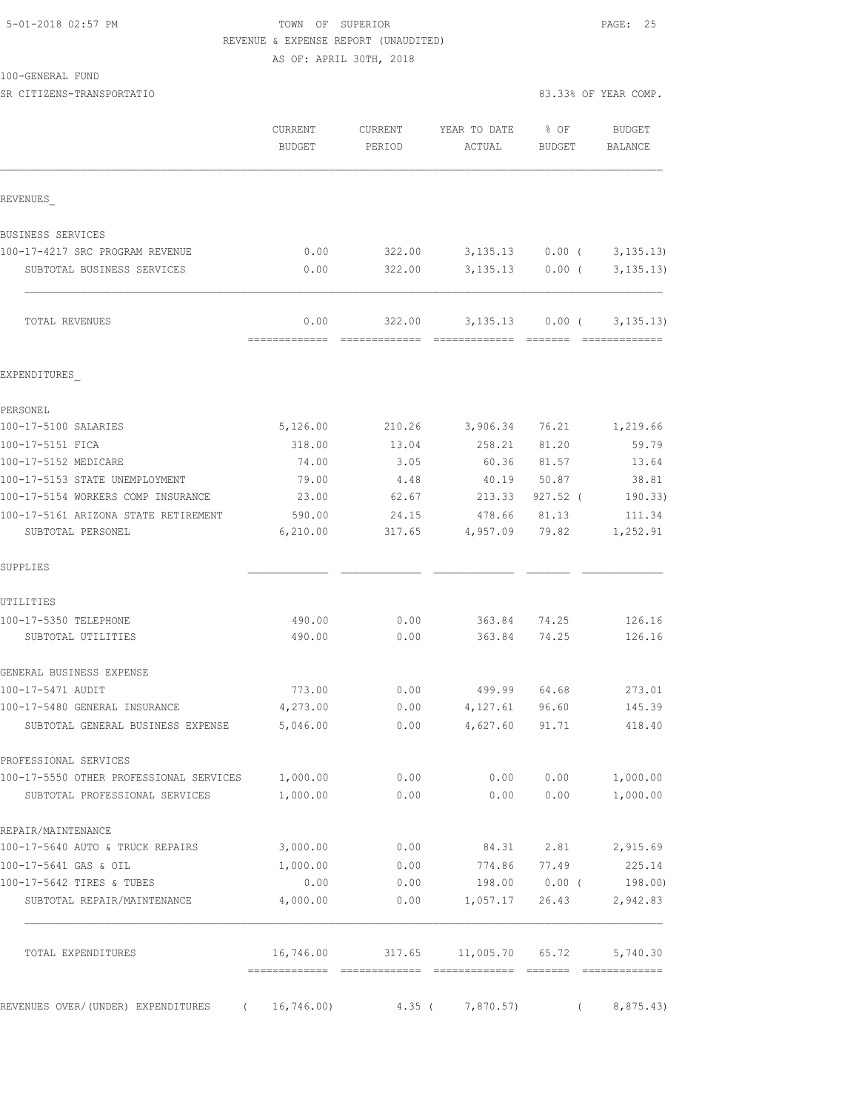#### 5-01-2018 02:57 PM TOWN OF SUPERIOR PAGE: 25 REVENUE & EXPENSE REPORT (UNAUDITED) AS OF: APRIL 30TH, 2018

100-GENERAL FUND

|                                                  | CURRENT<br><b>BUDGET</b>                   | <b>CURRENT</b><br>PERIOD | YEAR TO DATE<br>ACTUAL                                                                                                                                                                                                                                                                                                                                                                                                                                                                  | % OF<br>BUDGET    | <b>BUDGET</b><br>BALANCE    |
|--------------------------------------------------|--------------------------------------------|--------------------------|-----------------------------------------------------------------------------------------------------------------------------------------------------------------------------------------------------------------------------------------------------------------------------------------------------------------------------------------------------------------------------------------------------------------------------------------------------------------------------------------|-------------------|-----------------------------|
| REVENUES                                         |                                            |                          |                                                                                                                                                                                                                                                                                                                                                                                                                                                                                         |                   |                             |
| BUSINESS SERVICES                                |                                            |                          |                                                                                                                                                                                                                                                                                                                                                                                                                                                                                         |                   |                             |
| 100-17-4217 SRC PROGRAM REVENUE                  | 0.00                                       | 322.00                   | 3,135.13                                                                                                                                                                                                                                                                                                                                                                                                                                                                                | $0.00$ (          | 3, 135.13                   |
| SUBTOTAL BUSINESS SERVICES                       | 0.00                                       | 322.00                   | 3,135.13                                                                                                                                                                                                                                                                                                                                                                                                                                                                                | $0.00$ (          | 3, 135.13)                  |
| TOTAL REVENUES                                   | 0.00<br>-------------                      | 322.00                   | 3,135.13<br>=============                                                                                                                                                                                                                                                                                                                                                                                                                                                               | 0.00(<br>-------- | 3, 135.13)<br>============= |
| EXPENDITURES                                     |                                            |                          |                                                                                                                                                                                                                                                                                                                                                                                                                                                                                         |                   |                             |
| PERSONEL                                         |                                            |                          |                                                                                                                                                                                                                                                                                                                                                                                                                                                                                         |                   |                             |
| 100-17-5100 SALARIES                             | 5,126.00                                   | 210.26                   | 3,906.34                                                                                                                                                                                                                                                                                                                                                                                                                                                                                | 76.21             | 1,219.66                    |
| 100-17-5151 FICA                                 | 318.00                                     | 13.04                    | 258.21                                                                                                                                                                                                                                                                                                                                                                                                                                                                                  | 81.20             | 59.79                       |
| 100-17-5152 MEDICARE                             | 74.00                                      | 3.05                     | 60.36                                                                                                                                                                                                                                                                                                                                                                                                                                                                                   | 81.57             | 13.64                       |
| 100-17-5153 STATE UNEMPLOYMENT                   | 79.00                                      | 4.48                     | 40.19                                                                                                                                                                                                                                                                                                                                                                                                                                                                                   | 50.87             | 38.81                       |
| 100-17-5154 WORKERS COMP INSURANCE               | 23.00                                      | 62.67                    | 213.33                                                                                                                                                                                                                                                                                                                                                                                                                                                                                  | $927.52$ (        | 190.33)                     |
| 100-17-5161 ARIZONA STATE RETIREMENT             | 590.00                                     | 24.15                    | 478.66                                                                                                                                                                                                                                                                                                                                                                                                                                                                                  | 81.13             | 111.34                      |
| SUBTOTAL PERSONEL                                | 6,210.00                                   | 317.65                   | 4,957.09                                                                                                                                                                                                                                                                                                                                                                                                                                                                                | 79.82             | 1,252.91                    |
| SUPPLIES                                         |                                            |                          |                                                                                                                                                                                                                                                                                                                                                                                                                                                                                         |                   |                             |
| UTILITIES                                        |                                            |                          |                                                                                                                                                                                                                                                                                                                                                                                                                                                                                         |                   |                             |
| 100-17-5350 TELEPHONE                            | 490.00                                     | 0.00                     | 363.84                                                                                                                                                                                                                                                                                                                                                                                                                                                                                  | 74.25             | 126.16                      |
| SUBTOTAL UTILITIES                               | 490.00                                     | 0.00                     | 363.84                                                                                                                                                                                                                                                                                                                                                                                                                                                                                  | 74.25             | 126.16                      |
| GENERAL BUSINESS EXPENSE                         |                                            |                          |                                                                                                                                                                                                                                                                                                                                                                                                                                                                                         |                   |                             |
| 100-17-5471 AUDIT                                | 773.00                                     | 0.00                     | 499.99                                                                                                                                                                                                                                                                                                                                                                                                                                                                                  | 64.68             | 273.01                      |
| 100-17-5480 GENERAL INSURANCE                    | 4,273.00                                   | 0.00                     | 4,127.61                                                                                                                                                                                                                                                                                                                                                                                                                                                                                | 96.60             | 145.39                      |
| SUBTOTAL GENERAL BUSINESS EXPENSE                | 5,046.00                                   | 0.00                     | 4,627.60                                                                                                                                                                                                                                                                                                                                                                                                                                                                                | 91.71             | 418.40                      |
| PROFESSIONAL SERVICES                            |                                            |                          |                                                                                                                                                                                                                                                                                                                                                                                                                                                                                         |                   |                             |
| 100-17-5550 OTHER PROFESSIONAL SERVICES          | 1,000.00                                   | 0.00                     | 0.00                                                                                                                                                                                                                                                                                                                                                                                                                                                                                    | 0.00              | 1,000.00                    |
| SUBTOTAL PROFESSIONAL SERVICES                   | 1,000.00                                   | 0.00                     | 0.00                                                                                                                                                                                                                                                                                                                                                                                                                                                                                    | 0.00              | 1,000.00                    |
| REPAIR/MAINTENANCE                               |                                            |                          |                                                                                                                                                                                                                                                                                                                                                                                                                                                                                         |                   |                             |
| 100-17-5640 AUTO & TRUCK REPAIRS                 | 3,000.00                                   | 0.00                     | 84.31                                                                                                                                                                                                                                                                                                                                                                                                                                                                                   | 2.81              | 2,915.69                    |
| 100-17-5641 GAS & OIL                            | 1,000.00                                   | 0.00                     | 774.86                                                                                                                                                                                                                                                                                                                                                                                                                                                                                  | 77.49             | 225.14                      |
| 100-17-5642 TIRES & TUBES                        | 0.00                                       | 0.00                     | 198.00                                                                                                                                                                                                                                                                                                                                                                                                                                                                                  | $0.00$ (          | 198.00)                     |
| SUBTOTAL REPAIR/MAINTENANCE                      | 4,000.00                                   | 0.00                     | 1,057.17                                                                                                                                                                                                                                                                                                                                                                                                                                                                                | 26.43             | 2,942.83                    |
| TOTAL EXPENDITURES                               | 16,746.00<br>-------------- -------------- | 317.65                   | 11,005.70<br>$\begin{minipage}{0.03\textwidth} \begin{tabular}{@{}l@{}} \hline \multicolumn{3}{c}{\textbf{r}} & \multicolumn{3}{c}{\textbf{r}} & \multicolumn{3}{c}{\textbf{r}} & \multicolumn{3}{c}{\textbf{r}} & \multicolumn{3}{c}{\textbf{r}} & \multicolumn{3}{c}{\textbf{r}} & \multicolumn{3}{c}{\textbf{r}} & \multicolumn{3}{c}{\textbf{r}} & \multicolumn{3}{c}{\textbf{r}} & \multicolumn{3}{c}{\textbf{r}} & \multicolumn{3}{c}{\textbf{r}} & \multicolumn{3}{c}{\textbf{r$ | 65.72             | 5,740.30                    |
|                                                  |                                            |                          |                                                                                                                                                                                                                                                                                                                                                                                                                                                                                         |                   |                             |
| REVENUES OVER/(UNDER) EXPENDITURES<br>$\sqrt{2}$ | 16,746.00                                  | $4.35$ (                 | 7,870.57)                                                                                                                                                                                                                                                                                                                                                                                                                                                                               | $\sqrt{2}$        | 8,875.43                    |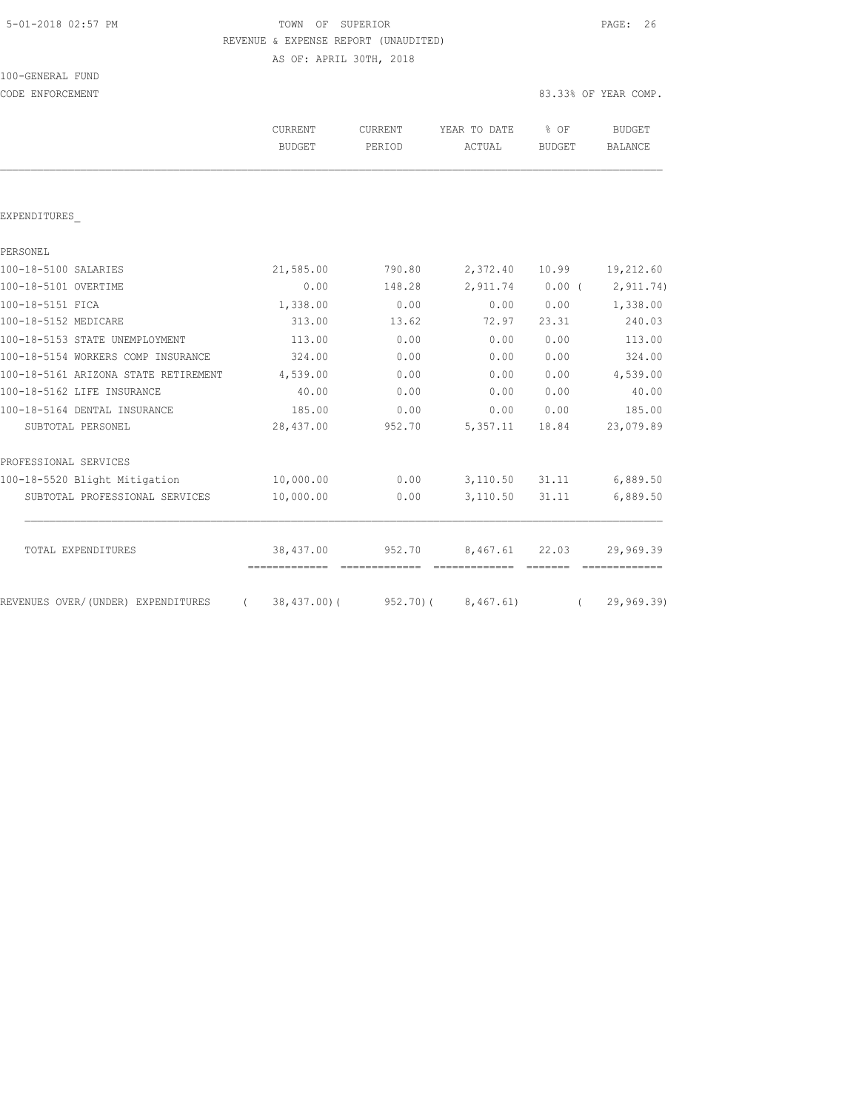# TOWN OF SUPERIOR **Example 2018** PAGE: 26 REVENUE & EXPENSE REPORT (UNAUDITED)

AS OF: APRIL 30TH, 2018

| 100-GENERAL FUND |  |  |
|------------------|--|--|
|                  |  |  |

| CODE ENFORCEMENT                                |                                 |                   |                           |                       | 83.33% OF YEAR COMP.     |
|-------------------------------------------------|---------------------------------|-------------------|---------------------------|-----------------------|--------------------------|
|                                                 | <b>CURRENT</b><br><b>BUDGET</b> | CURRENT<br>PERIOD | YEAR TO DATE<br>ACTUAL    | % OF<br><b>BUDGET</b> | <b>BUDGET</b><br>BALANCE |
|                                                 |                                 |                   |                           |                       |                          |
| EXPENDITURES                                    |                                 |                   |                           |                       |                          |
| PERSONEL                                        |                                 |                   |                           |                       |                          |
| 100-18-5100 SALARIES                            | 21,585.00                       | 790.80            | 2,372.40                  | 10.99                 | 19,212.60                |
| 100-18-5101 OVERTIME                            | 0.00                            | 148.28            | 2,911.74                  | $0.00$ (              | 2, 911.74)               |
| 100-18-5151 FICA                                | 1,338.00                        | 0.00              | 0.00                      | 0.00                  | 1,338.00                 |
| 100-18-5152 MEDICARE                            | 313.00                          | 13.62             | 72.97                     | 23.31                 | 240.03                   |
| 100-18-5153 STATE UNEMPLOYMENT                  | 113.00                          | 0.00              | 0.00                      | 0.00                  | 113.00                   |
| 100-18-5154 WORKERS COMP INSURANCE              | 324.00                          | 0.00              | 0.00                      | 0.00                  | 324.00                   |
| 100-18-5161 ARIZONA STATE RETIREMENT            | 4,539.00                        | 0.00              | 0.00                      | 0.00                  | 4,539.00                 |
| 100-18-5162 LIFE INSURANCE                      | 40.00                           | 0.00              | 0.00                      | 0.00                  | 40.00                    |
| 100-18-5164 DENTAL INSURANCE                    | 185.00                          | 0.00              | 0.00                      | 0.00                  | 185.00                   |
| SUBTOTAL PERSONEL                               | 28,437.00                       | 952.70            | 5,357.11                  | 18.84                 | 23,079.89                |
| PROFESSIONAL SERVICES                           |                                 |                   |                           |                       |                          |
| 100-18-5520 Blight Mitigation                   | 10,000.00                       | 0.00              | 3,110.50                  | 31.11                 | 6,889.50                 |
| SUBTOTAL PROFESSIONAL SERVICES                  | 10,000.00                       | 0.00              | 3,110.50                  | 31.11                 | 6,889.50                 |
| TOTAL EXPENDITURES                              | 38,437.00                       | 952.70            | 8,467.61<br>============= | 22.03                 | 29,969.39                |
| REVENUES OVER/ (UNDER) EXPENDITURES<br>$\left($ | $38,437.00$ (                   | 952.70(           | 8,467.61)                 | $\left($              | 29,969.39)               |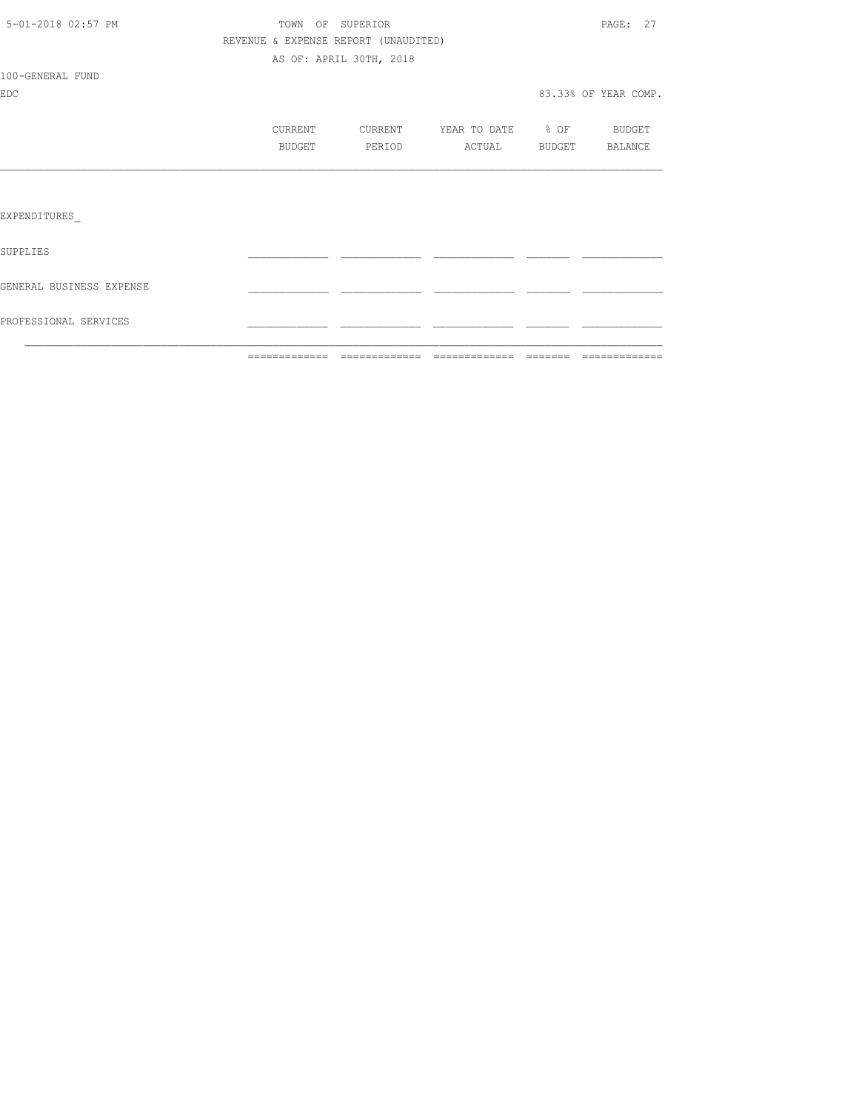|                          |                                      |                         |                   | $\begin{array}{cccccccccccccc} \multicolumn{2}{c}{} & \multicolumn{2}{c}{} & \multicolumn{2}{c}{} & \multicolumn{2}{c}{} & \multicolumn{2}{c}{} & \multicolumn{2}{c}{} & \multicolumn{2}{c}{} & \multicolumn{2}{c}{} & \multicolumn{2}{c}{} & \multicolumn{2}{c}{} & \multicolumn{2}{c}{} & \multicolumn{2}{c}{} & \multicolumn{2}{c}{} & \multicolumn{2}{c}{} & \multicolumn{2}{c}{} & \multicolumn{2}{c}{} & \multicolumn{2}{c}{} & \multicolumn{2}{c}{} & \multicolumn{2}{c}{} & \$ |
|--------------------------|--------------------------------------|-------------------------|-------------------|----------------------------------------------------------------------------------------------------------------------------------------------------------------------------------------------------------------------------------------------------------------------------------------------------------------------------------------------------------------------------------------------------------------------------------------------------------------------------------------|
| PROFESSIONAL SERVICES    |                                      |                         |                   |                                                                                                                                                                                                                                                                                                                                                                                                                                                                                        |
| GENERAL BUSINESS EXPENSE |                                      |                         |                   |                                                                                                                                                                                                                                                                                                                                                                                                                                                                                        |
| SUPPLIES                 |                                      |                         |                   |                                                                                                                                                                                                                                                                                                                                                                                                                                                                                        |
| EXPENDITURES             |                                      |                         |                   |                                                                                                                                                                                                                                                                                                                                                                                                                                                                                        |
|                          |                                      |                         |                   |                                                                                                                                                                                                                                                                                                                                                                                                                                                                                        |
|                          | BUDGET                               | PERIOD                  | ACTUAL            | BUDGET BALANCE                                                                                                                                                                                                                                                                                                                                                                                                                                                                         |
|                          | CURRENT                              | CURRENT                 | YEAR TO DATE % OF | BUDGET                                                                                                                                                                                                                                                                                                                                                                                                                                                                                 |
| <b>EDC</b>               |                                      |                         |                   | 83.33% OF YEAR COMP.                                                                                                                                                                                                                                                                                                                                                                                                                                                                   |
| 100-GENERAL FUND         |                                      |                         |                   |                                                                                                                                                                                                                                                                                                                                                                                                                                                                                        |
|                          |                                      | AS OF: APRIL 30TH, 2018 |                   |                                                                                                                                                                                                                                                                                                                                                                                                                                                                                        |
|                          | REVENUE & EXPENSE REPORT (UNAUDITED) |                         |                   |                                                                                                                                                                                                                                                                                                                                                                                                                                                                                        |
| 5-01-2018 02:57 PM       |                                      | TOWN OF SUPERIOR        |                   | PAGE: 27                                                                                                                                                                                                                                                                                                                                                                                                                                                                               |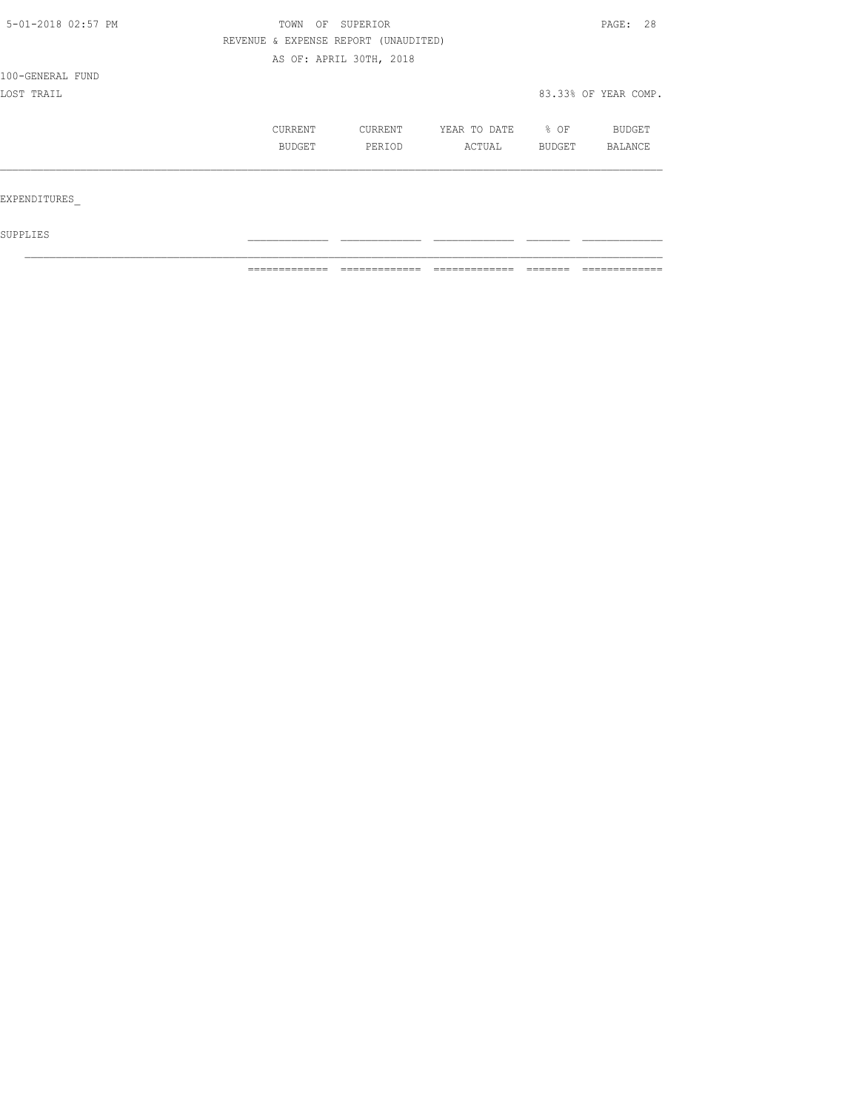| TOWN                     |                   |                                        |                                      | PAGE: 28                 |                      |
|--------------------------|-------------------|----------------------------------------|--------------------------------------|--------------------------|----------------------|
|                          |                   |                                        |                                      |                          |                      |
|                          |                   |                                        |                                      |                          |                      |
|                          |                   |                                        |                                      |                          |                      |
|                          |                   |                                        |                                      |                          |                      |
| <b>CURRENT</b><br>BUDGET | CURRENT<br>PERIOD | YEAR TO DATE<br>ACTUAL                 | % OF<br>BUDGET                       | <b>BUDGET</b><br>BALANCE |                      |
|                          |                   |                                        |                                      |                          |                      |
|                          |                   | OF SUPERIOR<br>AS OF: APRIL 30TH, 2018 | REVENUE & EXPENSE REPORT (UNAUDITED) |                          | 83.33% OF YEAR COMP. |

 ${\tt SUPPLIES}$  $\mathcal{L}_\text{max}$ 

============= ============= ============= ======= =============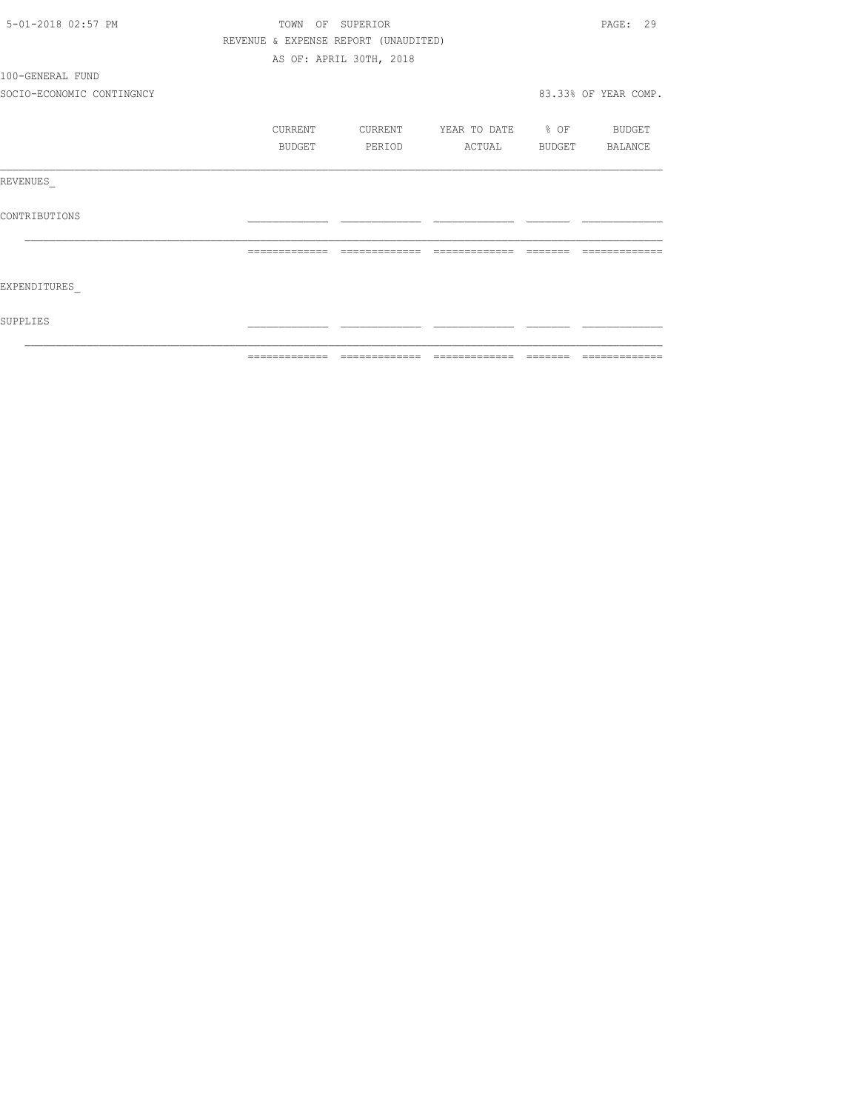| 5-01-2018 02:57 PM        |               | TOWN OF SUPERIOR                     |                          | PAGE: 29             |
|---------------------------|---------------|--------------------------------------|--------------------------|----------------------|
|                           |               | REVENUE & EXPENSE REPORT (UNAUDITED) |                          |                      |
|                           |               | AS OF: APRIL 30TH, 2018              |                          |                      |
| 100-GENERAL FUND          |               |                                      |                          |                      |
| SOCIO-ECONOMIC CONTINGNCY |               |                                      |                          | 83.33% OF YEAR COMP. |
|                           | CURRENT       | CURRENT                              | YEAR TO DATE % OF BUDGET |                      |
|                           | <b>BUDGET</b> | PERIOD                               | ACTUAL BUDGET BALANCE    |                      |
| REVENUES                  |               |                                      |                          |                      |
| CONTRIBUTIONS             |               |                                      |                          |                      |
|                           | ============= | =============                        |                          |                      |
| EXPENDITURES              |               |                                      |                          |                      |
| SUPPLIES                  |               |                                      |                          |                      |
|                           |               |                                      |                          |                      |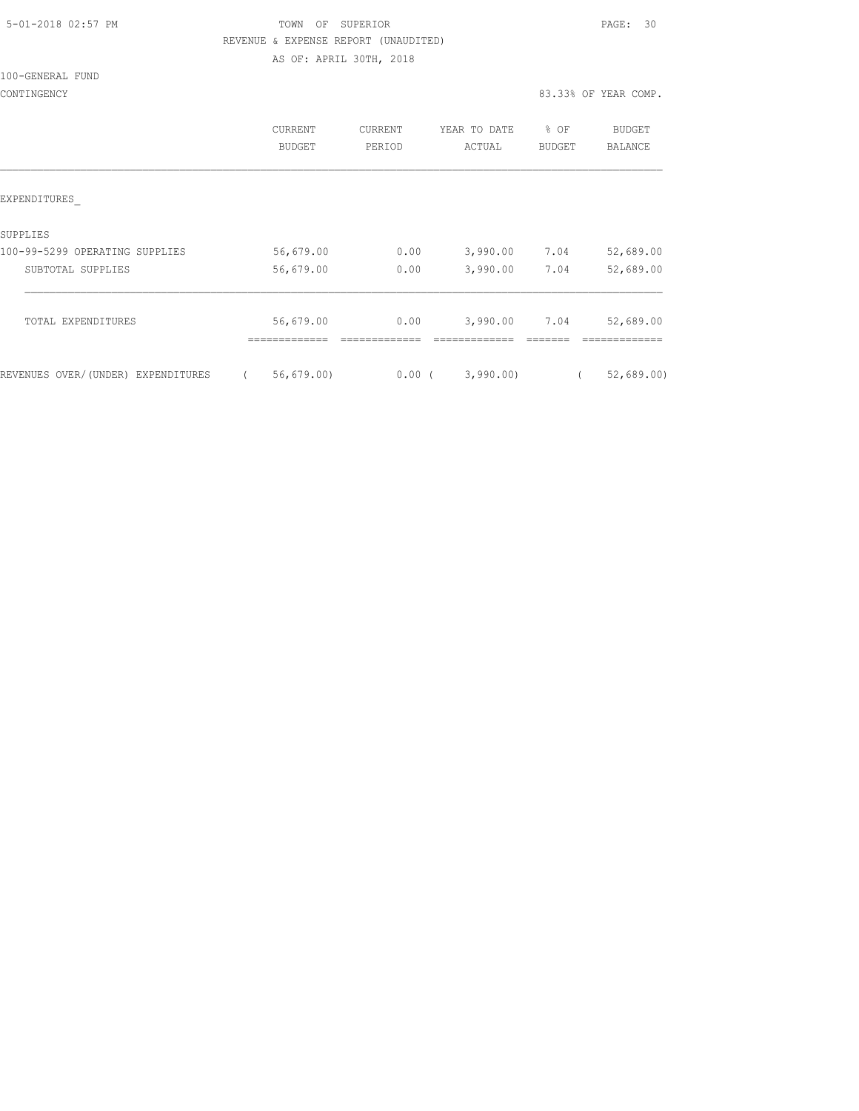|  | 5-01-2018 02:57 PM |  |
|--|--------------------|--|
|  |                    |  |

### TOWN OF SUPERIOR **Example 2018** PAGE: 30 REVENUE & EXPENSE REPORT (UNAUDITED) AS OF: APRIL 30TH, 2018

100-GENERAL FUND

|                                    | <b>CURRENT</b><br><b>BUDGET</b> | CURRENT<br>PERIOD | YEAR TO DATE<br>ACTUAL | % OF<br><b>BUDGET</b> | <b>BUDGET</b><br><b>BALANCE</b> |
|------------------------------------|---------------------------------|-------------------|------------------------|-----------------------|---------------------------------|
| EXPENDITURES                       |                                 |                   |                        |                       |                                 |
| SUPPLIES                           |                                 |                   |                        |                       |                                 |
| 100-99-5299 OPERATING SUPPLIES     | 56,679.00                       | 0.00              | 3,990.00               | 7.04                  | 52,689.00                       |
| SUBTOTAL SUPPLIES                  | 56,679.00                       | 0.00              | 3,990.00               | 7.04                  | 52,689.00                       |
| TOTAL EXPENDITURES                 | 56,679.00                       | 0.00              | 3,990.00               | 7.04                  | 52,689.00                       |
|                                    |                                 |                   |                        |                       |                                 |
| REVENUES OVER/(UNDER) EXPENDITURES | 56, 679.00                      | $0.00$ (          | 3,990.00               |                       | 52,689.00                       |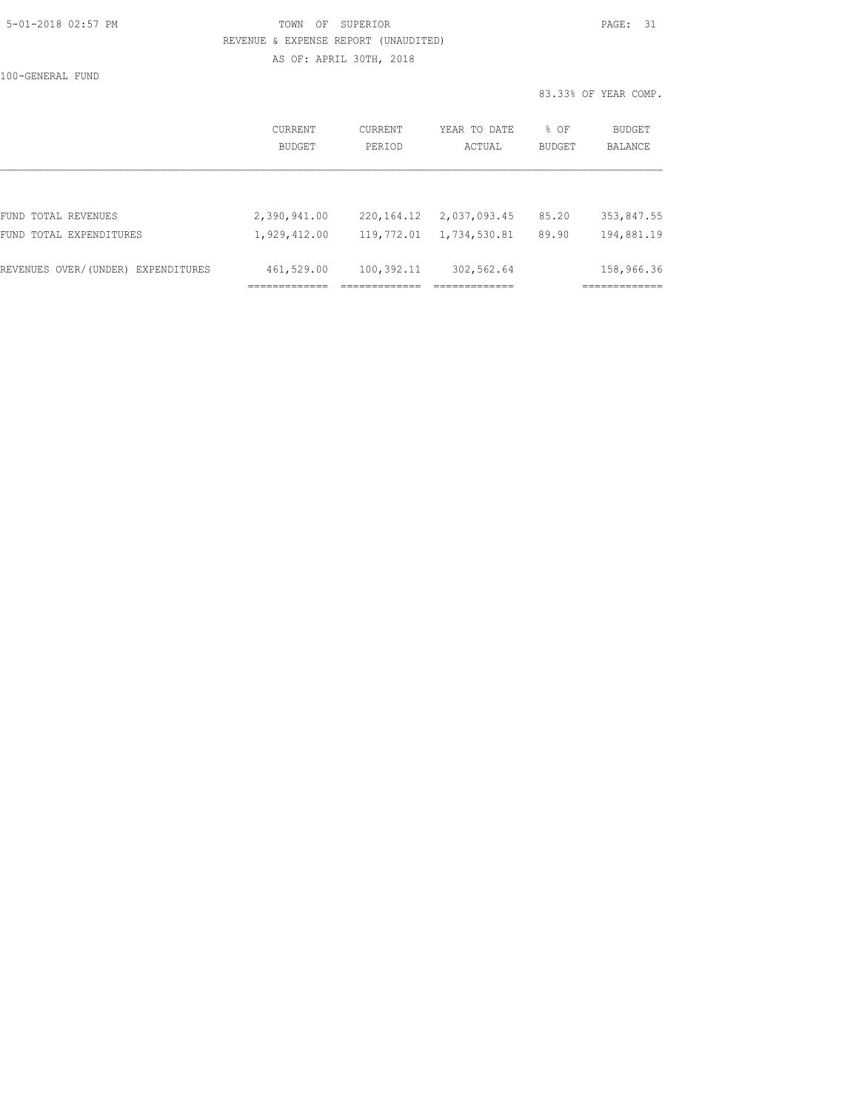# 5-01-2018 02:57 PM TOWN OF SUPERIOR PAGE: 31 REVENUE & EXPENSE REPORT (UNAUDITED)

AS OF: APRIL 30TH, 2018

100-GENERAL FUND

83.33% OF YEAR COMP.

|                                    | CURRENT<br><b>BUDGET</b> | CURRENT<br>PERIOD | YEAR TO DATE<br>ACTUAL | % OF<br>BUDGET | BUDGET<br>BALANCE |
|------------------------------------|--------------------------|-------------------|------------------------|----------------|-------------------|
|                                    |                          |                   |                        |                |                   |
| FUND TOTAL REVENUES                | 2,390,941.00             | 220, 164. 12      | 2,037,093.45           | 85.20          | 353,847.55        |
| FUND TOTAL EXPENDITURES            | 1,929,412.00             | 119,772.01        | 1,734,530.81           | 89.90          | 194,881.19        |
| REVENUES OVER/(UNDER) EXPENDITURES | 461,529.00               | 100,392.11        | 302,562.64             |                | 158,966.36        |
|                                    |                          |                   |                        |                |                   |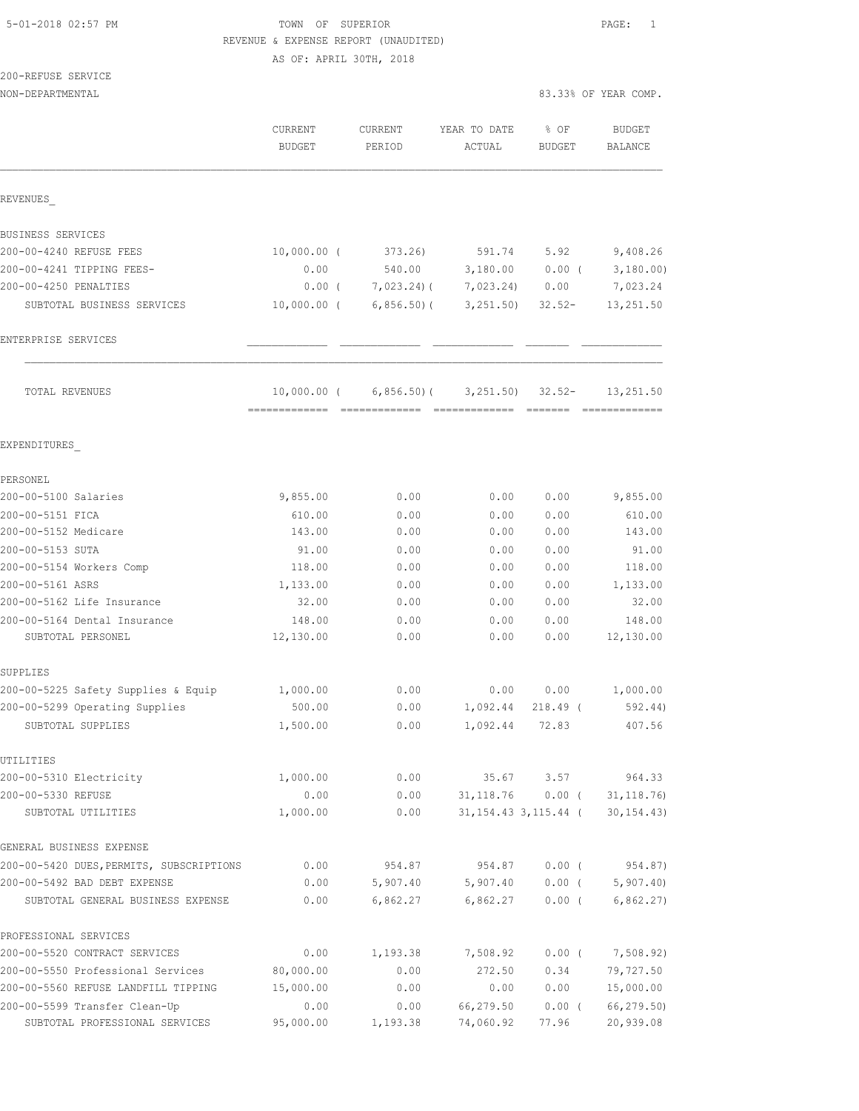### TOWN OF SUPERIOR **Example 2018** PAGE: 1 REVENUE & EXPENSE REPORT (UNAUDITED) AS OF: APRIL 30TH, 2018

| 200-REFUSE SERVICE |                      |
|--------------------|----------------------|
| NON-DEPARTMENTAL   | 83.33% OF YEAR COMP. |

|                                          | CURRENT<br><b>BUDGET</b> | <b>CURRENT</b><br>PERIOD | YEAR TO DATE<br>ACTUAL | % OF<br><b>BUDGET</b>    | <b>BUDGET</b><br><b>BALANCE</b> |
|------------------------------------------|--------------------------|--------------------------|------------------------|--------------------------|---------------------------------|
| REVENUES                                 |                          |                          |                        |                          |                                 |
| BUSINESS SERVICES                        |                          |                          |                        |                          |                                 |
| 200-00-4240 REFUSE FEES                  | $10,000.00$ (            | 373.26                   | 591.74                 | 5.92                     | 9,408.26                        |
| 200-00-4241 TIPPING FEES-                | 0.00                     | 540.00                   | 3,180.00               | $0.00$ (                 | 3,180.00)                       |
| 200-00-4250 PENALTIES                    | $0.00$ (                 | $7,023.24$ ) (           | 7,023.24)              | 0.00                     | 7,023.24                        |
| SUBTOTAL BUSINESS SERVICES               | $10,000.00$ (            | $6,856.50$ (             | 3,251.50)              | $32.52 -$                | 13,251.50                       |
| ENTERPRISE SERVICES                      |                          |                          |                        |                          |                                 |
| TOTAL REVENUES                           | $10,000.00$ (            | $6,856.50$ (             | 3, 251, 50)            | $32.52 -$                | 13,251.50                       |
| EXPENDITURES                             |                          |                          |                        |                          |                                 |
| PERSONEL                                 |                          |                          |                        |                          |                                 |
| 200-00-5100 Salaries                     | 9,855.00                 | 0.00                     | 0.00                   | 0.00                     | 9,855.00                        |
| 200-00-5151 FICA                         | 610.00                   | 0.00                     | 0.00                   | 0.00                     | 610.00                          |
| 200-00-5152 Medicare                     | 143.00                   | 0.00                     | 0.00                   | 0.00                     | 143.00                          |
| 200-00-5153 SUTA                         | 91.00                    | 0.00                     | 0.00                   | 0.00                     | 91.00                           |
| 200-00-5154 Workers Comp                 | 118.00                   | 0.00                     | 0.00                   | 0.00                     | 118.00                          |
| 200-00-5161 ASRS                         | 1,133.00                 | 0.00                     | 0.00                   | 0.00                     | 1,133.00                        |
| 200-00-5162 Life Insurance               | 32.00                    | 0.00                     | 0.00                   | 0.00                     | 32.00                           |
| 200-00-5164 Dental Insurance             | 148.00                   | 0.00                     | 0.00                   | 0.00                     | 148.00                          |
| SUBTOTAL PERSONEL                        | 12,130.00                | 0.00                     | 0.00                   | 0.00                     | 12,130.00                       |
| SUPPLIES                                 |                          |                          |                        |                          |                                 |
| 200-00-5225 Safety Supplies & Equip      | 1,000.00                 | 0.00                     | 0.00                   | 0.00                     | 1,000.00                        |
| 200-00-5299 Operating Supplies           | 500.00                   | 0.00                     | 1,092.44               | 218.49 (                 | 592.44)                         |
| SUBTOTAL SUPPLIES                        | 1,500.00                 | 0.00                     | 1,092.44               | 72.83                    | 407.56                          |
| UTILITIES                                |                          |                          |                        |                          |                                 |
| 200-00-5310 Electricity                  | 1,000.00                 | 0.00                     | 35.67                  | 3.57                     | 964.33                          |
| 200-00-5330 REFUSE                       | 0.00                     | 0.00                     | 31, 118.76             | 0.00(                    | 31, 118.76                      |
| SUBTOTAL UTILITIES                       | 1,000.00                 | 0.00                     |                        | 31, 154. 43 3, 115. 44 ( | 30, 154.43)                     |
| GENERAL BUSINESS EXPENSE                 |                          |                          |                        |                          |                                 |
| 200-00-5420 DUES, PERMITS, SUBSCRIPTIONS | 0.00                     | 954.87                   | 954.87                 | $0.00$ (                 | 954.87)                         |
| 200-00-5492 BAD DEBT EXPENSE             | 0.00                     | 5,907.40                 | 5,907.40               | $0.00$ (                 | 5,907.40                        |
| SUBTOTAL GENERAL BUSINESS EXPENSE        | 0.00                     | 6,862.27                 | 6,862.27               | $0.00$ (                 | 6,862.27)                       |
| PROFESSIONAL SERVICES                    |                          |                          |                        |                          |                                 |
| 200-00-5520 CONTRACT SERVICES            | 0.00                     | 1,193.38                 | 7,508.92               | $0.00$ (                 | 7,508.92)                       |
| 200-00-5550 Professional Services        | 80,000.00                | 0.00                     | 272.50                 | 0.34                     | 79,727.50                       |
| 200-00-5560 REFUSE LANDFILL TIPPING      | 15,000.00                | 0.00                     | 0.00                   | 0.00                     | 15,000.00                       |
| 200-00-5599 Transfer Clean-Up            | 0.00                     | 0.00                     | 66,279.50              | $0.00$ (                 | 66,279.50)                      |
| SUBTOTAL PROFESSIONAL SERVICES           | 95,000.00                | 1,193.38                 | 74,060.92              | 77.96                    | 20,939.08                       |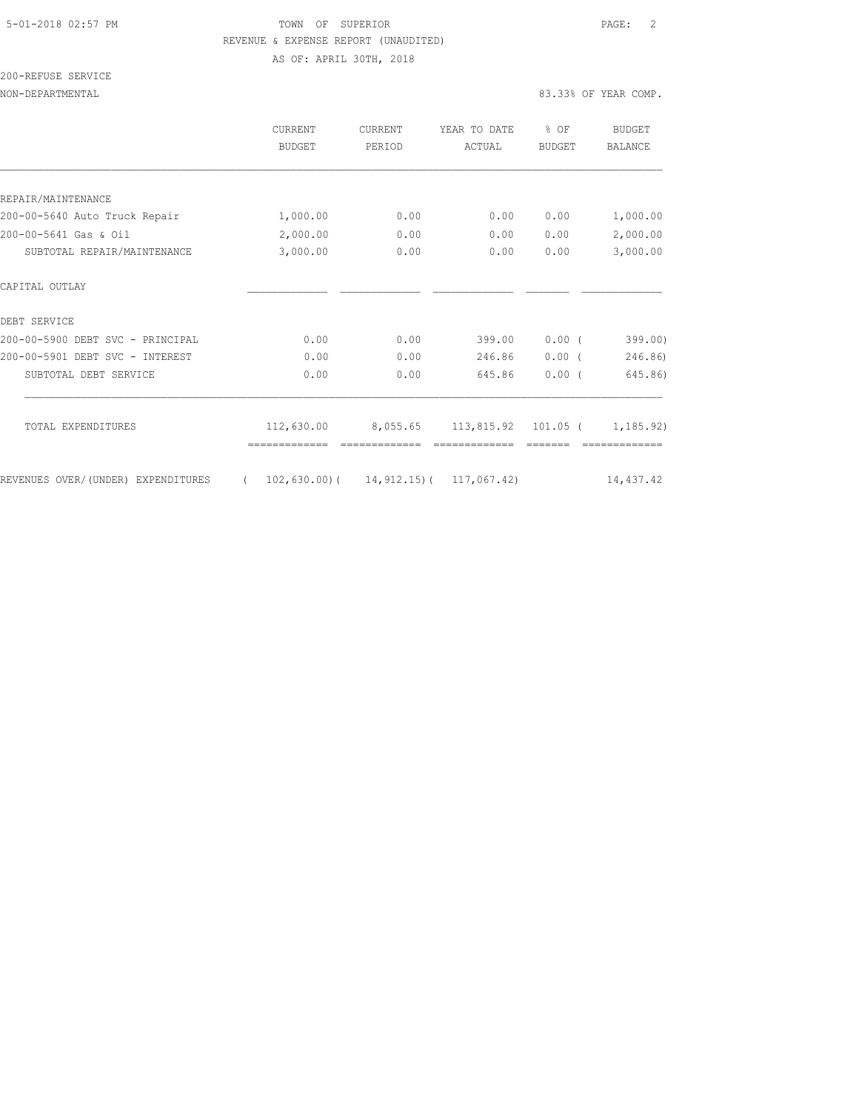#### 5-01-2018 02:57 PM TOWN OF SUPERIOR PAGE: 2 REVENUE & EXPENSE REPORT (UNAUDITED) AS OF: APRIL 30TH, 2018

### 200-REFUSE SERVICE

|                                    | <b>CURRENT</b><br><b>BUDGET</b> | <b>CURRENT</b><br>PERIOD                       | YEAR TO DATE<br>ACTUAL | % OF<br><b>BUDGET</b> | <b>BUDGET</b><br><b>BALANCE</b> |
|------------------------------------|---------------------------------|------------------------------------------------|------------------------|-----------------------|---------------------------------|
|                                    |                                 |                                                |                        |                       |                                 |
| REPAIR/MAINTENANCE                 |                                 |                                                |                        |                       |                                 |
| 200-00-5640 Auto Truck Repair      | 1,000.00                        | 0.00                                           | 0.00                   | 0.00                  | 1,000.00                        |
| 200-00-5641 Gas & Oil              | 2,000.00                        | 0.00                                           | 0.00                   | 0.00                  | 2,000.00                        |
| SUBTOTAL REPAIR/MAINTENANCE        | 3,000.00                        | 0.00                                           | 0.00                   | 0.00                  | 3,000.00                        |
| CAPITAL OUTLAY                     |                                 |                                                |                        |                       |                                 |
| DEBT SERVICE                       |                                 |                                                |                        |                       |                                 |
| 200-00-5900 DEBT SVC - PRINCIPAL   | 0.00                            | 0.00                                           | 399.00                 | 0.00(                 | 399.00)                         |
| 200-00-5901 DEBT SVC - INTEREST    | 0.00                            | 0.00                                           | 246.86                 | $0.00$ (              | 246.86)                         |
| SUBTOTAL DEBT SERVICE              | 0.00                            | 0.00                                           | 645.86                 | $0.00$ (              | 645.86)                         |
|                                    |                                 |                                                |                        |                       |                                 |
| TOTAL EXPENDITURES                 | 112,630.00                      | 8,055.65                                       | 113,815.92             | $101.05$ (            | 1, 185, 92)                     |
| REVENUES OVER/(UNDER) EXPENDITURES | $\sqrt{2}$                      | $102, 630.00$ ( $14, 912.15$ ( $117, 067.42$ ) |                        |                       | 14,437.42                       |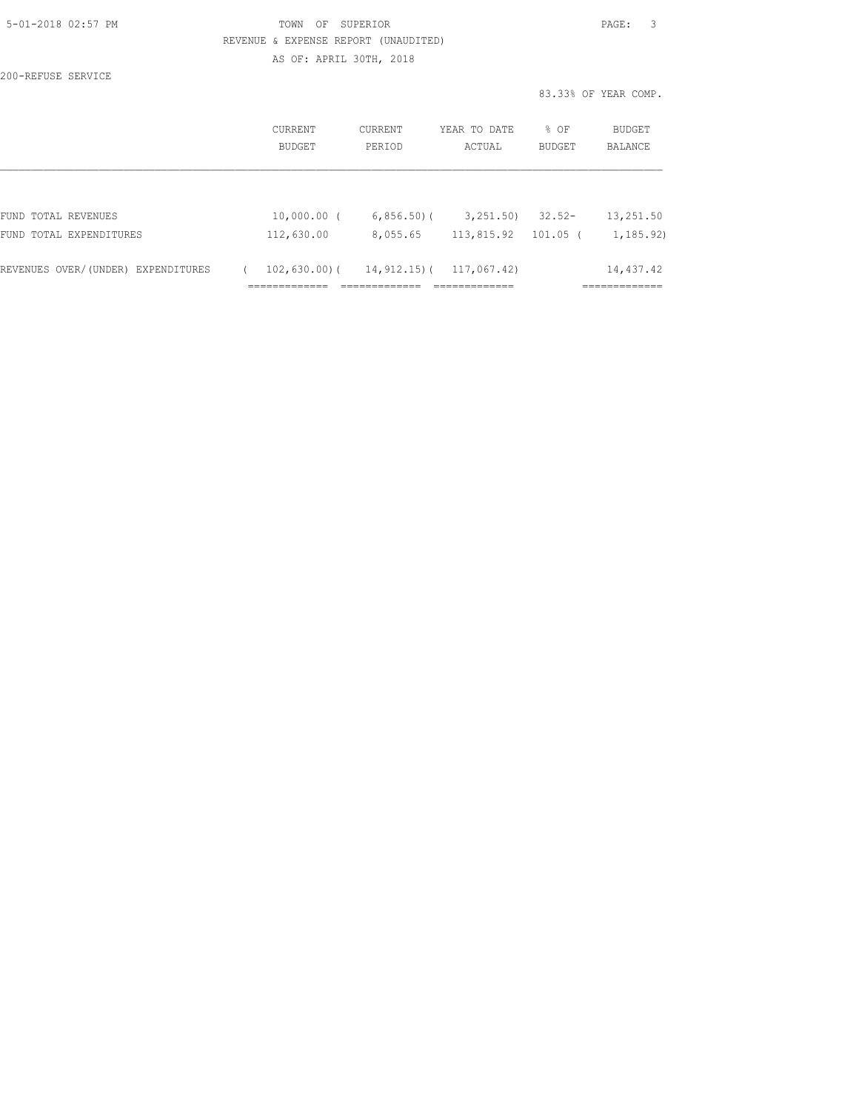| 5-01-2018 02:57 PM |  |
|--------------------|--|
|                    |  |

### TOWN OF SUPERIOR **Example 2018** PAGE: 3 REVENUE & EXPENSE REPORT (UNAUDITED) AS OF: APRIL 30TH, 2018

200-REFUSE SERVICE

|                                    |                   |                   |                        |                | 83.33% OF YEAR COMP.      |
|------------------------------------|-------------------|-------------------|------------------------|----------------|---------------------------|
|                                    | CURRENT<br>BUDGET | CURRENT<br>PERIOD | YEAR TO DATE<br>ACTUAL | % OF<br>BUDGET | BUDGET<br>BALANCE         |
|                                    |                   |                   |                        |                |                           |
| FUND TOTAL REVENUES                | $10,000.00$ (     | $6,856.50$ (      | 3,251.50               | $32.52 -$      | 13,251.50                 |
| FUND TOTAL EXPENDITURES            | 112,630.00        | 8,055.65          | 113,815.92             | $101.05$ (     | 1,185.92)                 |
| REVENUES OVER/(UNDER) EXPENDITURES | $102,630.00$ (    | 14,912.15)(       | 117,067.42)            |                | 14,437.42<br>------------ |
|                                    | __________        |                   | _____________          |                | --------                  |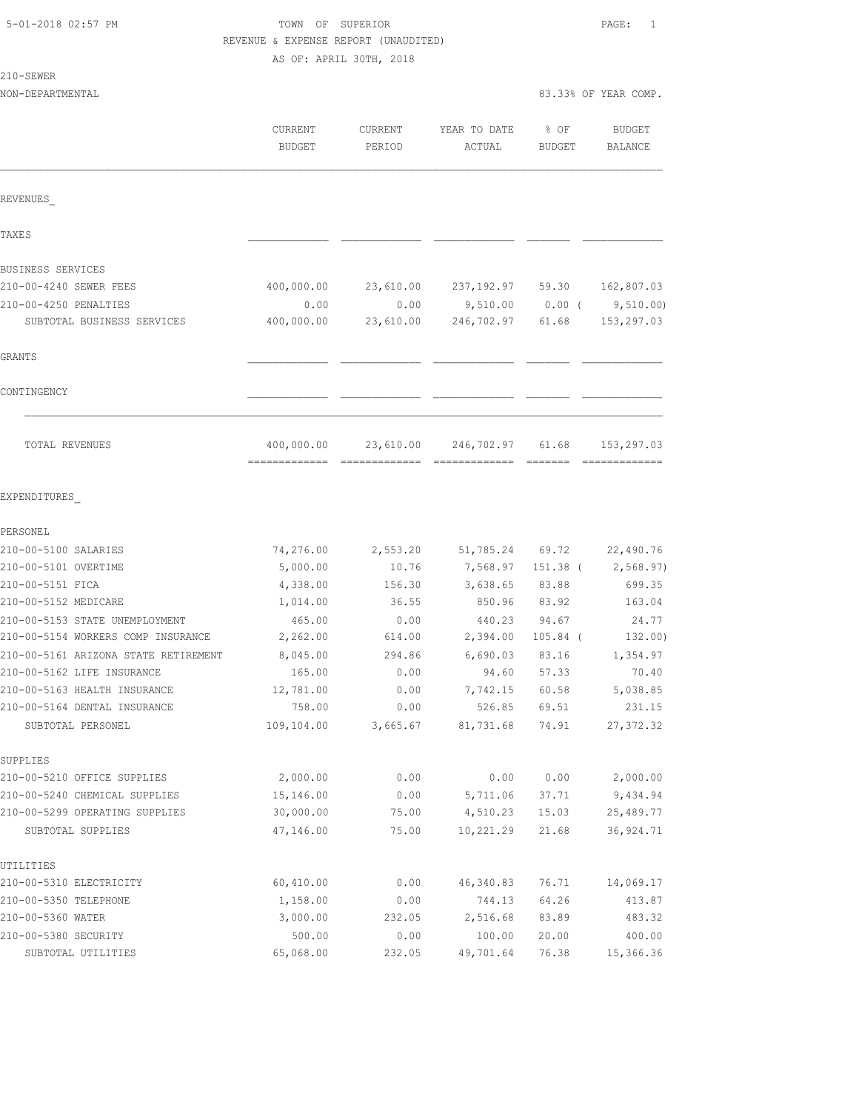| 5-01-2018 02:57 PM |
|--------------------|
|--------------------|

# TOWN OF SUPERIOR PAGE: 1 REVENUE & EXPENSE REPORT (UNAUDITED)

|  | . . | -SEWER |  |
|--|-----|--------|--|
|  |     |        |  |

|                                                   | AS OF: APRIL 30TH, 2018  |                   |                        |                |                                 |  |
|---------------------------------------------------|--------------------------|-------------------|------------------------|----------------|---------------------------------|--|
| 210-SEWER                                         |                          |                   |                        |                |                                 |  |
| NON-DEPARTMENTAL                                  |                          |                   |                        |                | 83.33% OF YEAR COMP.            |  |
|                                                   | CURRENT<br><b>BUDGET</b> | CURRENT<br>PERIOD | YEAR TO DATE<br>ACTUAL | % OF<br>BUDGET | <b>BUDGET</b><br><b>BALANCE</b> |  |
| REVENUES                                          |                          |                   |                        |                |                                 |  |
| TAXE S                                            |                          |                   |                        |                |                                 |  |
| BUSINESS SERVICES                                 |                          |                   |                        |                |                                 |  |
| 210-00-4240 SEWER FEES                            | 400,000.00               | 23,610.00         | 237,192.97 59.30       |                | 162,807.03                      |  |
| 210-00-4250 PENALTIES                             | 0.00                     | 0.00              | 9,510.00               | $0.00$ (       | 9,510.00                        |  |
| SUBTOTAL BUSINESS SERVICES                        | 400,000.00               | 23,610.00         | 246,702.97             | 61.68          | 153,297.03                      |  |
| GRANTS                                            |                          |                   |                        |                |                                 |  |
| CONTINGENCY                                       |                          |                   |                        |                |                                 |  |
| TOTAL REVENUES                                    | 400,000.00               | 23,610.00         | 246,702.97             | 61.68          | 153,297.03                      |  |
| EXPENDITURES                                      |                          |                   |                        |                |                                 |  |
| PERSONEL                                          |                          |                   |                        |                |                                 |  |
| 210-00-5100 SALARIES                              | 74,276.00                | 2,553.20          | 51,785.24              | 69.72          | 22,490.76                       |  |
| 210-00-5101 OVERTIME                              | 5,000.00                 | 10.76             | 7,568.97               | $151.38$ (     | 2,568.97)                       |  |
| 210-00-5151 FICA                                  | 4,338.00                 | 156.30            | 3,638.65               | 83.88          | 699.35                          |  |
| 210-00-5152 MEDICARE                              | 1,014.00                 | 36.55             | 850.96                 | 83.92          | 163.04                          |  |
| 210-00-5153 STATE UNEMPLOYMENT                    | 465.00                   | 0.00              | 440.23                 | 94.67          | 24.77                           |  |
| 210-00-5154 WORKERS COMP INSURANCE                | 2,262.00                 | 614.00            | 2,394.00               | $105.84$ (     | 132.00)                         |  |
| 210-00-5161 ARIZONA STATE RETIREMENT              | 8,045.00                 | 294.86            | 6,690.03               | 83.16          | 1,354.97                        |  |
| 210-00-5162 LIFE INSURANCE                        | 165.00                   | 0.00              | 94.60                  | 57.33          | 70.40                           |  |
| 210-00-5163 HEALTH INSURANCE                      | 12,781.00                | 0.00              | 7,742.15 60.58         |                | 5,038.85                        |  |
| 210-00-5164 DENTAL INSURANCE<br>SUBTOTAL PERSONEL | 758.00<br>109,104.00     | 0.00<br>3,665.67  | 526.85<br>81,731.68    | 69.51<br>74.91 | 231.15<br>27, 372.32            |  |
|                                                   |                          |                   |                        |                |                                 |  |
| SUPPLIES                                          |                          |                   |                        |                |                                 |  |
| 210-00-5210 OFFICE SUPPLIES                       | 2,000.00                 | 0.00              | 0.00                   | 0.00           | 2,000.00                        |  |
| 210-00-5240 CHEMICAL SUPPLIES                     | 15,146.00                | 0.00              | 5,711.06               | 37.71          | 9,434.94                        |  |
| 210-00-5299 OPERATING SUPPLIES                    | 30,000.00                | 75.00             | 4,510.23               | 15.03          | 25,489.77                       |  |
| SUBTOTAL SUPPLIES                                 | 47,146.00                | 75.00             | 10,221.29              | 21.68          | 36, 924.71                      |  |
| UTILITIES                                         |                          |                   |                        |                |                                 |  |
| 210-00-5310 ELECTRICITY                           | 60,410.00                | 0.00              | 46,340.83              | 76.71          | 14,069.17                       |  |
| 210-00-5350 TELEPHONE                             | 1,158.00                 | 0.00              | 744.13                 | 64.26          | 413.87                          |  |
| 210-00-5360 WATER                                 | 3,000.00                 | 232.05            | 2,516.68               | 83.89          | 483.32                          |  |
| 210-00-5380 SECURITY                              | 500.00                   | 0.00              | 100.00                 | 20.00          | 400.00                          |  |

210-00-5360 WATER 3,000.00 232.05 2,516.68 83.89 483.32 210-00-5380 SECURITY 500.00 0.00 100.00 20.00 400.00 SUBTOTAL UTILITIES 65,068.00 232.05 49,701.64 76.38 15,366.36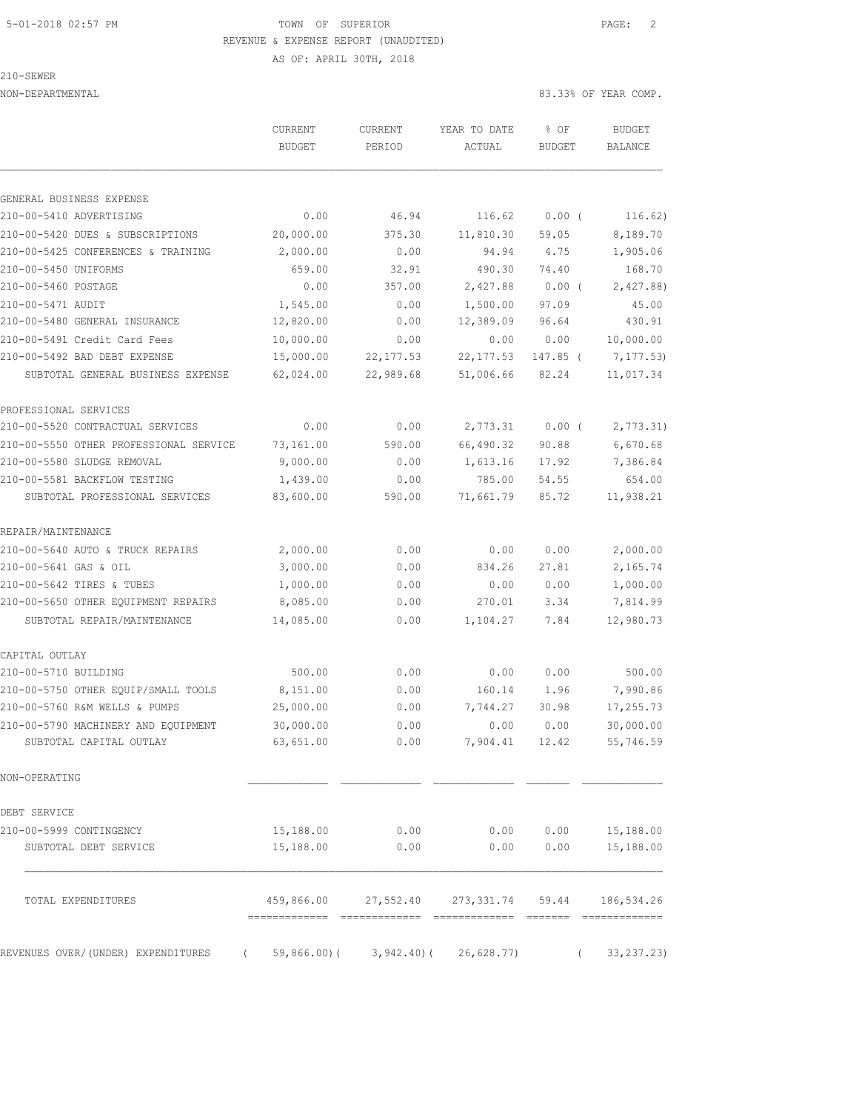### 5-01-2018 02:57 PM TOWN OF SUPERIOR PAGE: 2 REVENUE & EXPENSE REPORT (UNAUDITED)

AS OF: APRIL 30TH, 2018

210-SEWER

NON-DEPARTMENTAL 83.33% OF YEAR COMP.

|                                        | <b>CURRENT</b>            | CURRENT    | YEAR TO DATE                          | % OF          | <b>BUDGET</b> |
|----------------------------------------|---------------------------|------------|---------------------------------------|---------------|---------------|
|                                        | <b>BUDGET</b>             | PERIOD     | ACTUAL                                | <b>BUDGET</b> | BALANCE       |
|                                        |                           |            |                                       |               |               |
| GENERAL BUSINESS EXPENSE               |                           |            |                                       |               |               |
| 210-00-5410 ADVERTISING                | 0.00                      | 46.94      | 116.62                                | $0.00$ (      | 116.62)       |
| 210-00-5420 DUES & SUBSCRIPTIONS       | 20,000.00                 | 375.30     | 11,810.30                             | 59.05         | 8,189.70      |
| 210-00-5425 CONFERENCES & TRAINING     | 2,000.00                  | 0.00       | 94.94                                 | 4.75          | 1,905.06      |
| 210-00-5450 UNIFORMS                   | 659.00                    | 32.91      | 490.30                                | 74.40         | 168.70        |
| 210-00-5460 POSTAGE                    | 0.00                      | 357.00     | 2,427.88                              | 0.00(         | 2,427.88)     |
| 210-00-5471 AUDIT                      | 1,545.00                  | 0.00       | 1,500.00                              | 97.09         | 45.00         |
| 210-00-5480 GENERAL INSURANCE          | 12,820.00                 | 0.00       | 12,389.09                             | 96.64         | 430.91        |
| 210-00-5491 Credit Card Fees           | 10,000.00                 | 0.00       | 0.00                                  | 0.00          | 10,000.00     |
| 210-00-5492 BAD DEBT EXPENSE           | 15,000.00                 | 22, 177.53 | 22, 177.53                            | 147.85 (      | 7,177.53)     |
| SUBTOTAL GENERAL BUSINESS EXPENSE      | 62,024.00                 | 22,989.68  | 51,006.66                             | 82.24         | 11,017.34     |
| PROFESSIONAL SERVICES                  |                           |            |                                       |               |               |
| 210-00-5520 CONTRACTUAL SERVICES       | 0.00                      | 0.00       | 2,773.31                              | $0.00$ (      | 2,773.31)     |
| 210-00-5550 OTHER PROFESSIONAL SERVICE | 73,161.00                 | 590.00     | 66,490.32                             | 90.88         | 6,670.68      |
| 210-00-5580 SLUDGE REMOVAL             | 9,000.00                  | 0.00       | 1,613.16                              | 17.92         | 7,386.84      |
| 210-00-5581 BACKFLOW TESTING           | 1,439.00                  | 0.00       | 785.00                                | 54.55         | 654.00        |
| SUBTOTAL PROFESSIONAL SERVICES         | 83,600.00                 | 590.00     | 71,661.79                             | 85.72         | 11,938.21     |
| REPAIR/MAINTENANCE                     |                           |            |                                       |               |               |
| 210-00-5640 AUTO & TRUCK REPAIRS       | 2,000.00                  | 0.00       | 0.00                                  | 0.00          | 2,000.00      |
| 210-00-5641 GAS & OIL                  | 3,000.00                  | 0.00       | 834.26                                | 27.81         | 2,165.74      |
| 210-00-5642 TIRES & TUBES              | 1,000.00                  | 0.00       | 0.00                                  | 0.00          | 1,000.00      |
| 210-00-5650 OTHER EQUIPMENT REPAIRS    | 8,085.00                  | 0.00       | 270.01                                | 3.34          | 7,814.99      |
| SUBTOTAL REPAIR/MAINTENANCE            | 14,085.00                 | 0.00       | 1,104.27                              | 7.84          | 12,980.73     |
| CAPITAL OUTLAY                         |                           |            |                                       |               |               |
| 210-00-5710 BUILDING                   | 500.00                    | 0.00       | 0.00                                  | 0.00          | 500.00        |
| 210-00-5750 OTHER EQUIP/SMALL TOOLS    | 8,151.00                  | 0.00       | 160.14                                | 1.96          | 7,990.86      |
| 210-00-5760 R&M WELLS & PUMPS          | 25,000.00                 | 0.00       | 7,744.27                              | 30.98         | 17,255.73     |
| 210-00-5790 MACHINERY AND EQUIPMENT    | 30,000.00                 | 0.00       | 0.00                                  | 0.00          | 30,000.00     |
| SUBTOTAL CAPITAL OUTLAY                | 63,651.00                 | 0.00       | 7,904.41                              | 12.42         | 55,746.59     |
| NON-OPERATING                          |                           |            |                                       |               |               |
| DEBT SERVICE                           |                           |            |                                       |               |               |
| 210-00-5999 CONTINGENCY                | 15,188.00                 | 0.00       | 0.00                                  | 0.00          | 15,188.00     |
| SUBTOTAL DEBT SERVICE                  | 15,188.00                 | 0.00       | 0.00                                  | 0.00          | 15,188.00     |
| TOTAL EXPENDITURES                     |                           |            | 459,866.00 27,552.40 273,331.74 59.44 |               | 186,534.26    |
|                                        |                           |            |                                       |               |               |
| REVENUES OVER/(UNDER) EXPENDITURES     | 59,866.00)(<br>$\sqrt{2}$ | 3,942.40)( | 26,628.77)                            | $\left($      | 33, 237. 23)  |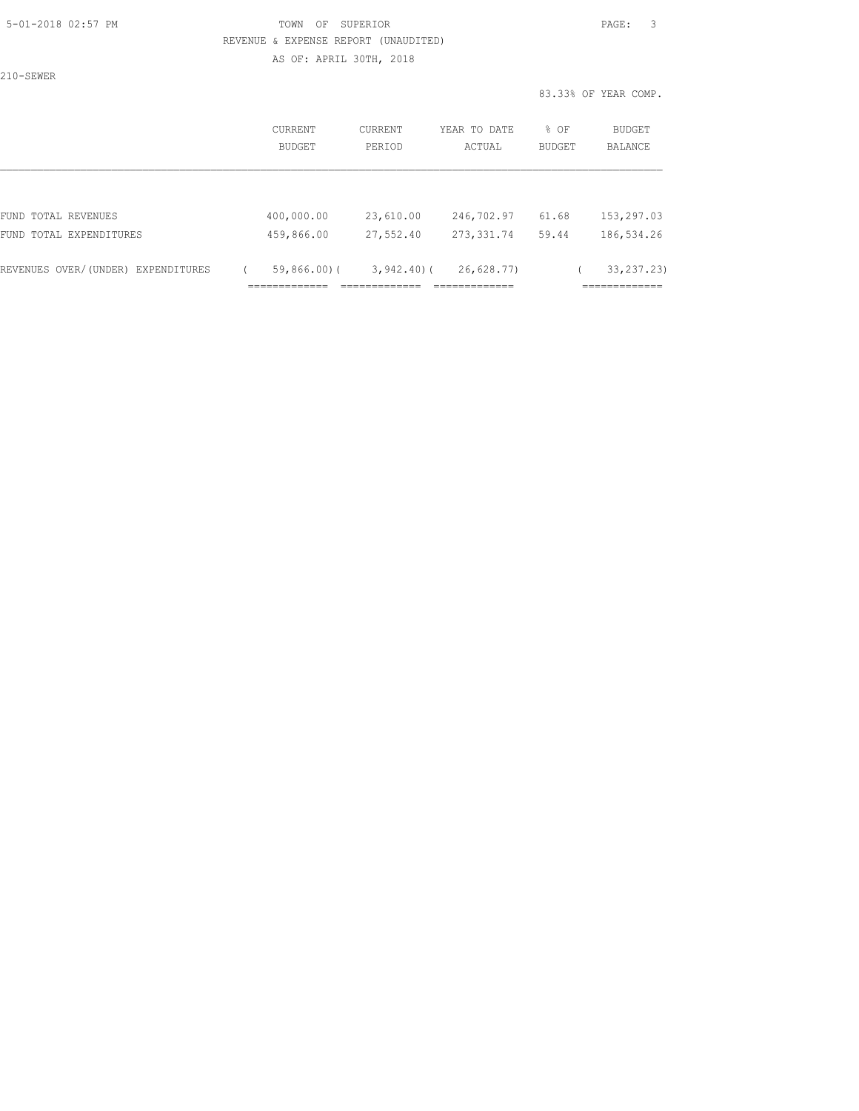# 5-01-2018 02:57 PM TOWN OF SUPERIOR PAGE: 3 REVENUE & EXPENSE REPORT (UNAUDITED)

AS OF: APRIL 30TH, 2018

210-SEWER

|                                           |                          |                            |                       | 83.33% OF YEAR COMP.           |
|-------------------------------------------|--------------------------|----------------------------|-----------------------|--------------------------------|
| CURRENT<br>BUDGET                         | <b>CURRENT</b><br>PERIOD | YEAR TO DATE<br>ACTUAL     | % OF<br><b>BUDGET</b> | BUDGET<br><b>BALANCE</b>       |
|                                           |                          |                            |                       |                                |
| 400,000.00                                | 23,610.00                | 246,702.97                 | 61.68                 | 153,297.03                     |
| 459,866.00                                | 27,552.40                | 273, 331.74                | 59.44                 | 186,534.26                     |
| $59,866.00$ (<br>-----------<br>_________ |                          | 26,628.77<br>.============ |                       | 33, 237. 23)<br>. ____________ |
|                                           |                          |                            | $3,942,40$ ) (        |                                |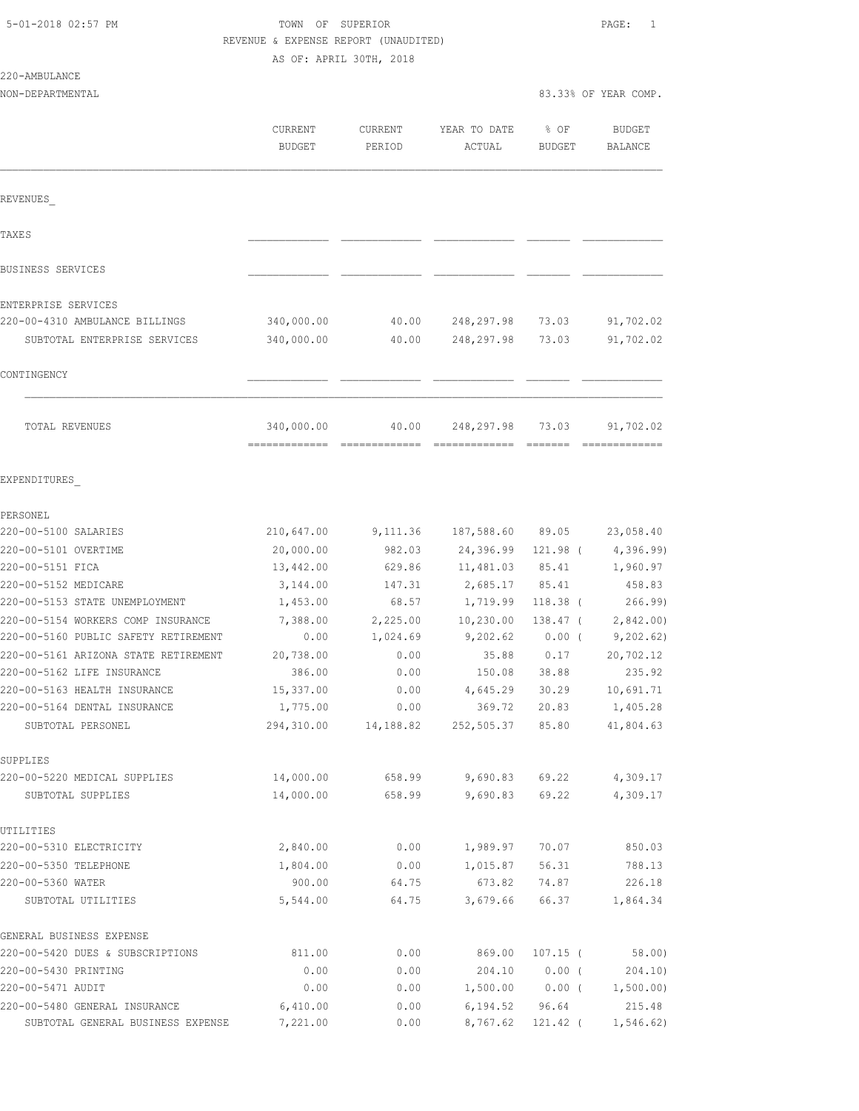# TOWN OF SUPERIOR **PAGE:** 1

|                                                   | REVENUE & EXPENSE REPORT (UNAUDITED)<br>AS OF: APRIL 30TH, 2018 |                   |                        |                       |                      |
|---------------------------------------------------|-----------------------------------------------------------------|-------------------|------------------------|-----------------------|----------------------|
| 220-AMBULANCE<br>NON-DEPARTMENTAL                 |                                                                 |                   |                        |                       | 83.33% OF YEAR COMP. |
|                                                   |                                                                 |                   |                        |                       |                      |
|                                                   | CURRENT<br>BUDGET                                               | CURRENT<br>PERIOD | YEAR TO DATE<br>ACTUAL | % OF<br><b>BUDGET</b> | BUDGET<br>BALANCE    |
| REVENUES                                          |                                                                 |                   |                        |                       |                      |
| <b>TAXES</b>                                      |                                                                 |                   |                        |                       |                      |
| BUSINESS SERVICES                                 |                                                                 |                   |                        |                       |                      |
| ENTERPRISE SERVICES                               |                                                                 |                   |                        |                       |                      |
| 220-00-4310 AMBULANCE BILLINGS                    | 340,000.00                                                      | 40.00             | 248,297.98             | 73.03                 | 91,702.02            |
| SUBTOTAL ENTERPRISE SERVICES                      | 340,000.00                                                      | 40.00             | 248,297.98             | 73.03                 | 91,702.02            |
| CONTINGENCY                                       |                                                                 |                   |                        |                       |                      |
| TOTAL REVENUES                                    | 340,000.00                                                      | 40.00             | 248,297.98             | 73.03                 | 91,702.02            |
| EXPENDITURES                                      |                                                                 |                   |                        |                       |                      |
| PERSONEL                                          |                                                                 |                   |                        |                       |                      |
| 220-00-5100 SALARIES                              | 210,647.00                                                      | 9,111.36          | 187,588.60             | 89.05                 | 23,058.40            |
| 220-00-5101 OVERTIME                              | 20,000.00                                                       | 982.03            | 24,396.99              | 121.98 (              | 4,396.99)            |
| 220-00-5151 FICA                                  | 13,442.00                                                       | 629.86            | 11,481.03              | 85.41                 | 1,960.97             |
| 220-00-5152 MEDICARE                              | 3,144.00                                                        | 147.31            | 2,685.17               | 85.41                 | 458.83               |
| 220-00-5153 STATE UNEMPLOYMENT                    | 1,453.00                                                        | 68.57             | 1,719.99               | 118.38 (              | 266.99               |
| 220-00-5154 WORKERS COMP INSURANCE                | 7,388.00                                                        | 2,225.00          | 10,230.00              | $138.47$ (            | 2,842.00             |
| 220-00-5160 PUBLIC SAFETY RETIREMENT              | 0.00                                                            | 1,024.69          | 9,202.62               | 0.00(                 | 9, 202.62)           |
| 220-00-5161 ARIZONA STATE RETIREMENT              | 20,738.00                                                       | 0.00              | 35.88                  | 0.17                  | 20,702.12            |
| 220-00-5162 LIFE INSURANCE                        | 386.00                                                          | 0.00              | 150.08                 | 38.88                 | 235.92               |
| 220-00-5163 HEALTH INSURANCE                      | 15,337.00                                                       | 0.00              | 4,645.29               | 30.29                 | 10,691.71            |
| 220-00-5164 DENTAL INSURANCE                      | 1,775.00                                                        | 0.00              | 369.72                 | 20.83                 | 1,405.28             |
| SUBTOTAL PERSONEL                                 | 294,310.00                                                      | 14,188.82         | 252,505.37             | 85.80                 | 41,804.63            |
| SUPPLIES                                          |                                                                 |                   |                        |                       |                      |
| 220-00-5220 MEDICAL SUPPLIES<br>SUBTOTAL SUPPLIES | 14,000.00<br>14,000.00                                          | 658.99<br>658.99  | 9,690.83<br>9,690.83   | 69.22<br>69.22        | 4,309.17<br>4,309.17 |
| UTILITIES                                         |                                                                 |                   |                        |                       |                      |
| 220-00-5310 ELECTRICITY                           | 2,840.00                                                        | 0.00              | 1,989.97               | 70.07                 | 850.03               |
| 220-00-5350 TELEPHONE                             | 1,804.00                                                        | 0.00              | 1,015.87               | 56.31                 | 788.13               |
| 220-00-5360 WATER                                 | 900.00                                                          | 64.75             | 673.82                 | 74.87                 | 226.18               |
| SUBTOTAL UTILITIES                                | 5,544.00                                                        | 64.75             | 3,679.66               | 66.37                 | 1,864.34             |
| GENERAL BUSINESS EXPENSE                          |                                                                 |                   |                        |                       |                      |
| 220-00-5420 DUES & SUBSCRIPTIONS                  | 811.00                                                          | 0.00              | 869.00                 | $107.15$ (            | 58.00)               |
| 220-00-5430 PRINTING                              | 0.00                                                            | 0.00              | 204.10                 | $0.00$ (              | 204.10)              |
| 220-00-5471 AUDIT                                 | 0.00                                                            | 0.00              | 1,500.00               | $0.00$ (              | 1,500.00)            |

220-00-5480 GENERAL INSURANCE 6,410.00 0.00 6,194.52 96.64 215.48<br>SUBTOTAL GENERAL BUSINESS EXPENSE 7,221.00 0.00 8,767.62 121.42 ( 1,546.62) SUBTOTAL GENERAL BUSINESS EXPENSE 7,221.00 0.00 8,767.62 121.42 ( 1,546.62)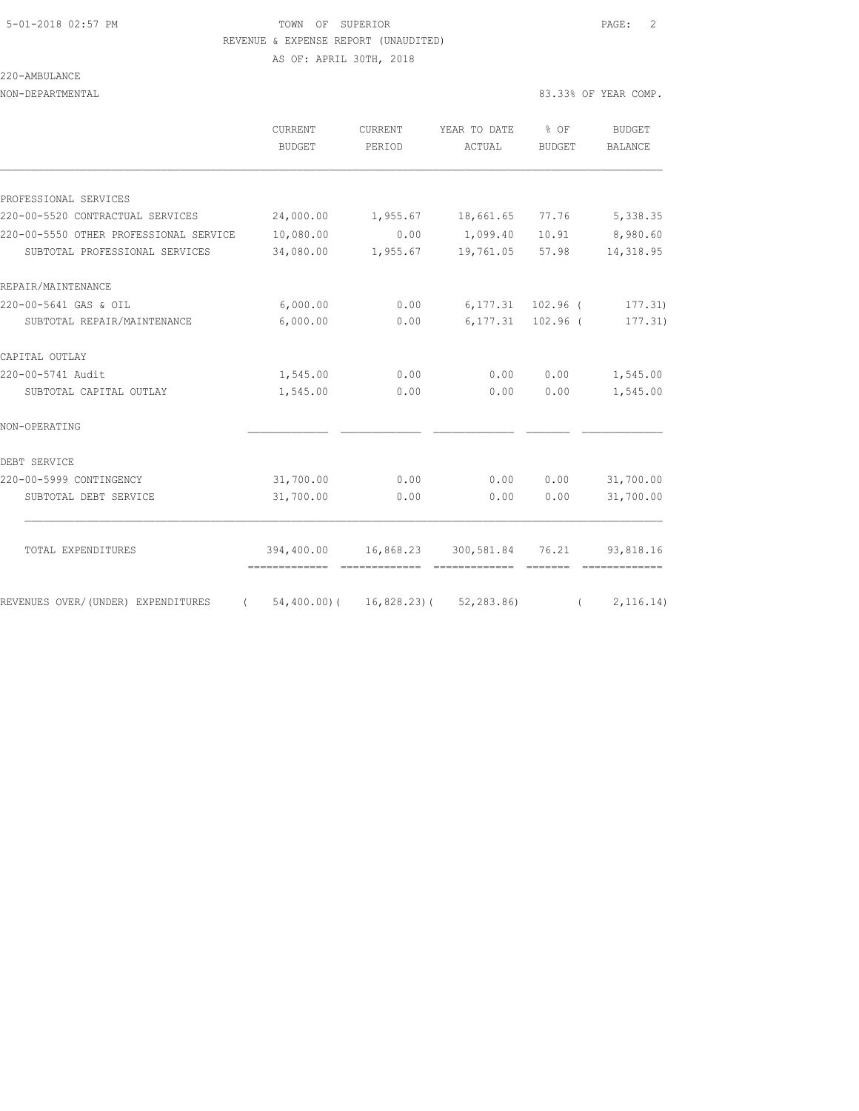#### 220-AMBULANCE

NON-DEPARTMENTAL 83.33% OF YEAR COMP.

|                                        | CURRENT<br><b>BUDGET</b> | CURRENT<br>PERIOD | YEAR TO DATE % OF<br>ACTUAL | BUDGET             | BUDGET<br><b>BALANCE</b> |
|----------------------------------------|--------------------------|-------------------|-----------------------------|--------------------|--------------------------|
| PROFESSIONAL SERVICES                  |                          |                   |                             |                    |                          |
| 220-00-5520 CONTRACTUAL SERVICES       | 24,000.00                | 1,955.67          | 18,661.65                   | 77.76              | 5,338.35                 |
| 220-00-5550 OTHER PROFESSIONAL SERVICE | 10,080.00                | 0.00              | 1,099.40                    | 10.91              | 8,980.60                 |
| SUBTOTAL PROFESSIONAL SERVICES         | 34,080.00                | 1,955.67          | 19,761.05 57.98             |                    | 14,318.95                |
| REPAIR/MAINTENANCE                     |                          |                   |                             |                    |                          |
| 220-00-5641 GAS & OIL                  | 6,000.00                 | 0.00              |                             | 6,177.31 102.96 (  | 177.31)                  |
| SUBTOTAL REPAIR/MAINTENANCE            | 6,000.00                 | 0.00              |                             | 6, 177.31 102.96 ( | 177.31)                  |
| CAPITAL OUTLAY                         |                          |                   |                             |                    |                          |
| 220-00-5741 Audit                      | 1,545.00                 | 0.00              | 0.00                        | 0.00               | 1,545.00                 |
| SUBTOTAL CAPITAL OUTLAY                | 1,545.00                 | 0.00              | 0.00                        | 0.00               | 1,545.00                 |
| NON-OPERATING                          |                          |                   |                             |                    |                          |
| DEBT SERVICE                           |                          |                   |                             |                    |                          |
| 220-00-5999 CONTINGENCY                | 31,700.00                | 0.00              | 0.00                        | 0.00               | 31,700.00                |
| SUBTOTAL DEBT SERVICE                  | 31,700.00                | 0.00              | 0.00                        | 0.00               | 31,700.00                |
| TOTAL EXPENDITURES                     | 394,400.00               |                   | 16,868.23 300,581.84 76.21  |                    | 93,818.16                |
|                                        | -------------            |                   |                             |                    |                          |

REVENUES OVER/(UNDER) EXPENDITURES ( 54,400.00)( 16,828.23)( 52,283.86) ( 2,116.14)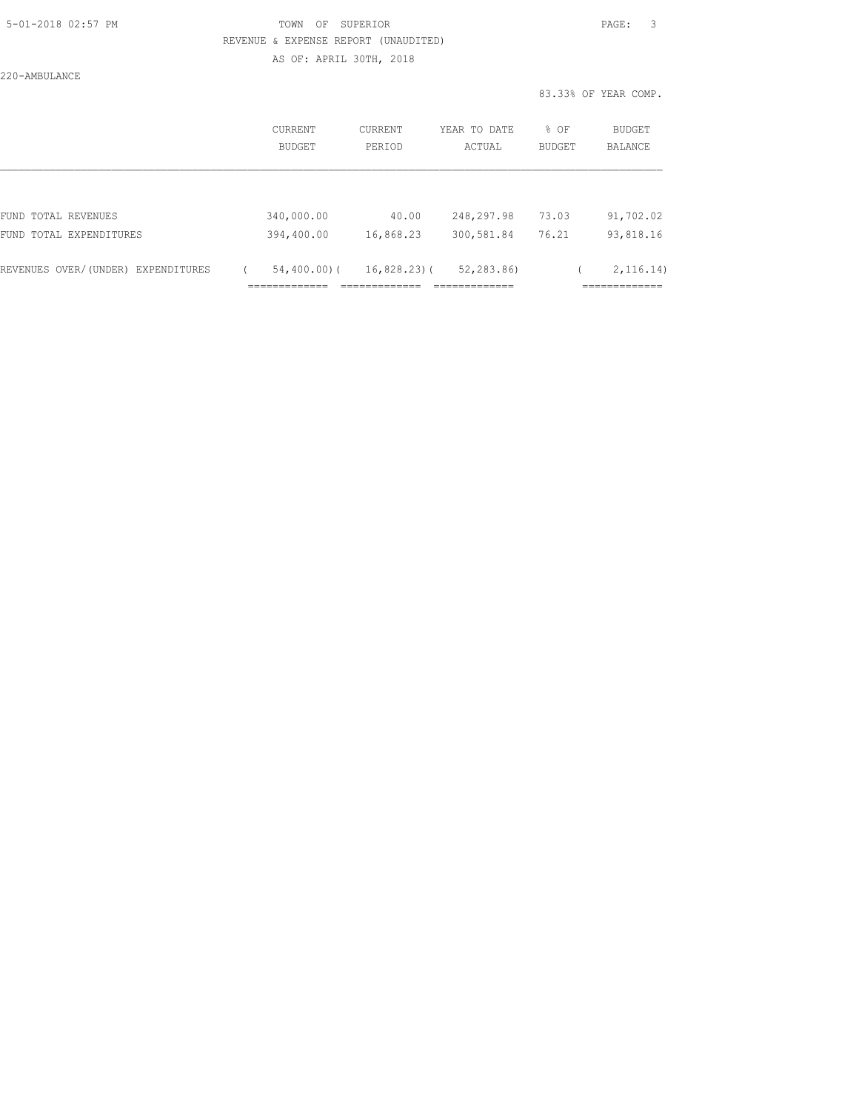220-AMBULANCE

| CURRENT<br>BUDGET | <b>CURRENT</b><br>PERIOD | YEAR TO DATE<br>ACTUAL | % OF<br><b>BUDGET</b> | BUDGET<br><b>BALANCE</b> |
|-------------------|--------------------------|------------------------|-----------------------|--------------------------|
|                   |                          |                        |                       |                          |
| 340,000.00        | 40.00                    | 248,297.98             | 73.03                 | 91,702.02                |
| 394,400.00        | 16,868.23                | 300,581.84             | 76.21                 | 93,818.16                |
| $54,400.00)$ (    |                          | 52,283.86)             |                       | 2, 116.14)               |
|                   |                          |                        | $16,828.23$ ) (       |                          |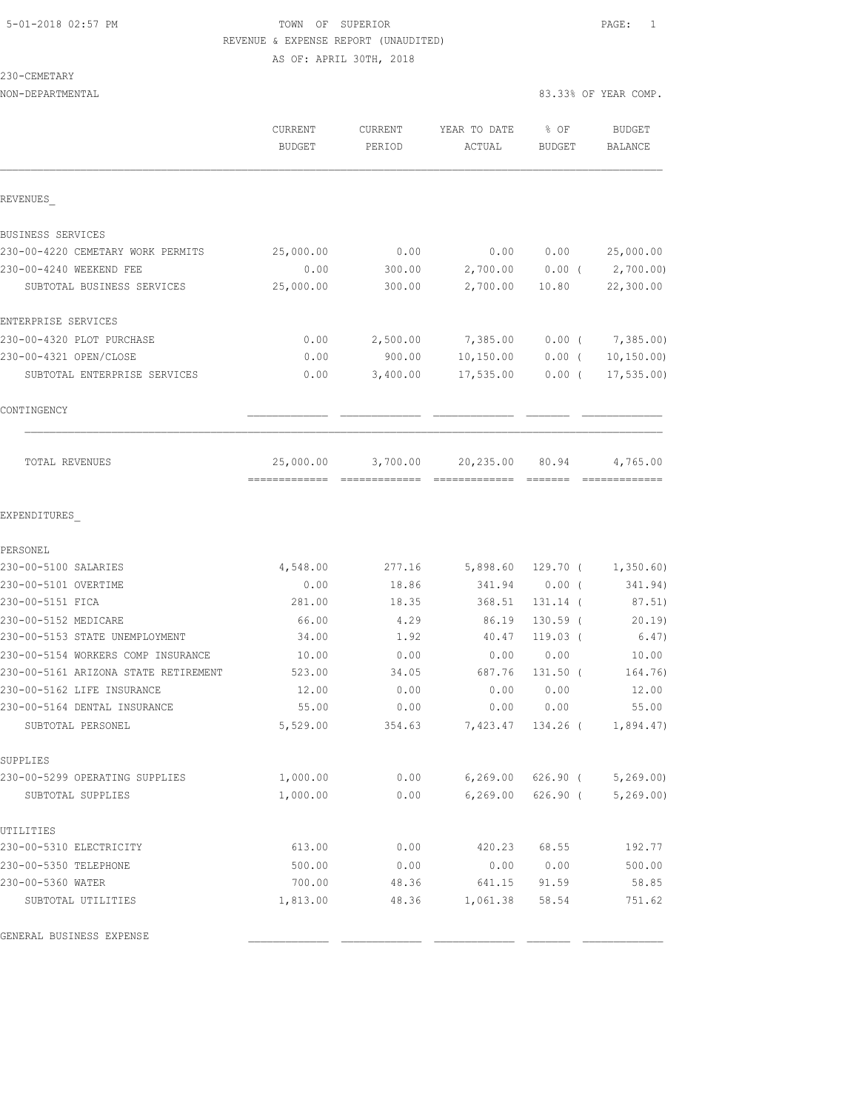230-CEMETARY

|                                      | CURRENT<br><b>BUDGET</b> | CURRENT<br>PERIOD | YEAR TO DATE<br>ACTUAL | $8$ OF<br><b>BUDGET</b> | <b>BUDGET</b><br><b>BALANCE</b> |
|--------------------------------------|--------------------------|-------------------|------------------------|-------------------------|---------------------------------|
| REVENUES                             |                          |                   |                        |                         |                                 |
| <b>BUSINESS SERVICES</b>             |                          |                   |                        |                         |                                 |
| 230-00-4220 CEMETARY WORK PERMITS    | 25,000.00                | 0.00              | 0.00                   | 0.00                    | 25,000.00                       |
| 230-00-4240 WEEKEND FEE              | 0.00                     | 300.00            |                        |                         | 2,700.00 0.00 (2,700.00)        |
| SUBTOTAL BUSINESS SERVICES           | 25,000.00                | 300.00            | 2,700.00               | 10.80                   | 22,300.00                       |
| ENTERPRISE SERVICES                  |                          |                   |                        |                         |                                 |
| 230-00-4320 PLOT PURCHASE            | 0.00                     | 2,500.00          | 7,385.00               | $0.00$ (                | 7,385.00)                       |
| 230-00-4321 OPEN/CLOSE               | 0.00                     | 900.00            | 10, 150.00             | $0.00$ (                | 10, 150.00                      |
| SUBTOTAL ENTERPRISE SERVICES         | 0.00                     | 3,400.00          | 17,535.00              | $0.00$ (                | 17, 535.00                      |
| CONTINGENCY                          |                          |                   |                        |                         |                                 |
| TOTAL REVENUES                       | 25,000.00                | 3,700.00          | 20,235.00              | 80.94                   | 4,765.00                        |
| EXPENDITURES                         |                          |                   |                        |                         |                                 |
| PERSONEL                             |                          |                   |                        |                         |                                 |
| 230-00-5100 SALARIES                 | 4,548.00                 | 277.16            | 5,898.60               |                         | $129.70$ ( $1,350.60$ )         |
| 230-00-5101 OVERTIME                 | 0.00                     | 18.86             | 341.94                 | $0.00$ (                | 341.94)                         |
| 230-00-5151 FICA                     | 281.00                   | 18.35             | 368.51                 | 131.14 (                | 87.51)                          |
| 230-00-5152 MEDICARE                 | 66.00                    | 4.29              | 86.19                  | $130.59$ (              | 20.19                           |
| 230-00-5153 STATE UNEMPLOYMENT       | 34.00                    | 1.92              | 40.47                  | $119.03$ (              | 6.47)                           |
| 230-00-5154 WORKERS COMP INSURANCE   | 10.00                    | 0.00              | 0.00                   | 0.00                    | 10.00                           |
| 230-00-5161 ARIZONA STATE RETIREMENT | 523.00                   | 34.05             | 687.76                 | $131.50$ (              | 164.76)                         |
| 230-00-5162 LIFE INSURANCE           | 12.00                    | 0.00              | 0.00                   | 0.00                    | 12.00                           |
| 230-00-5164 DENTAL INSURANCE         | 55.00                    | 0.00              | 0.00                   | 0.00                    | 55.00                           |
| SUBTOTAL PERSONEL                    | 5,529.00                 | 354.63            | 7,423.47               | 134.26 (                | 1,894.47)                       |
| SUPPLIES                             |                          |                   |                        |                         |                                 |
| 230-00-5299 OPERATING SUPPLIES       | 1,000.00                 | 0.00              | 6, 269.00              | $626.90$ (              | 5, 269.00                       |
| SUBTOTAL SUPPLIES                    | 1,000.00                 | 0.00              | 6, 269.00              | $626.90$ (              | 5, 269.00                       |
| UTILITIES                            |                          |                   |                        |                         |                                 |
| 230-00-5310 ELECTRICITY              | 613.00                   | 0.00              | 420.23                 | 68.55                   | 192.77                          |
| 230-00-5350 TELEPHONE                | 500.00                   | 0.00              | 0.00                   | 0.00                    | 500.00                          |
| 230-00-5360 WATER                    | 700.00                   | 48.36             | 641.15                 | 91.59                   | 58.85                           |
| SUBTOTAL UTILITIES                   | 1,813.00                 | 48.36             | 1,061.38               | 58.54                   | 751.62                          |

GENERAL BUSINESS EXPENSE \_\_\_\_\_\_\_\_\_\_\_\_\_ \_\_\_\_\_\_\_\_\_\_\_\_\_ \_\_\_\_\_\_\_\_\_\_\_\_\_ \_\_\_\_\_\_\_ \_\_\_\_\_\_\_\_\_\_\_\_\_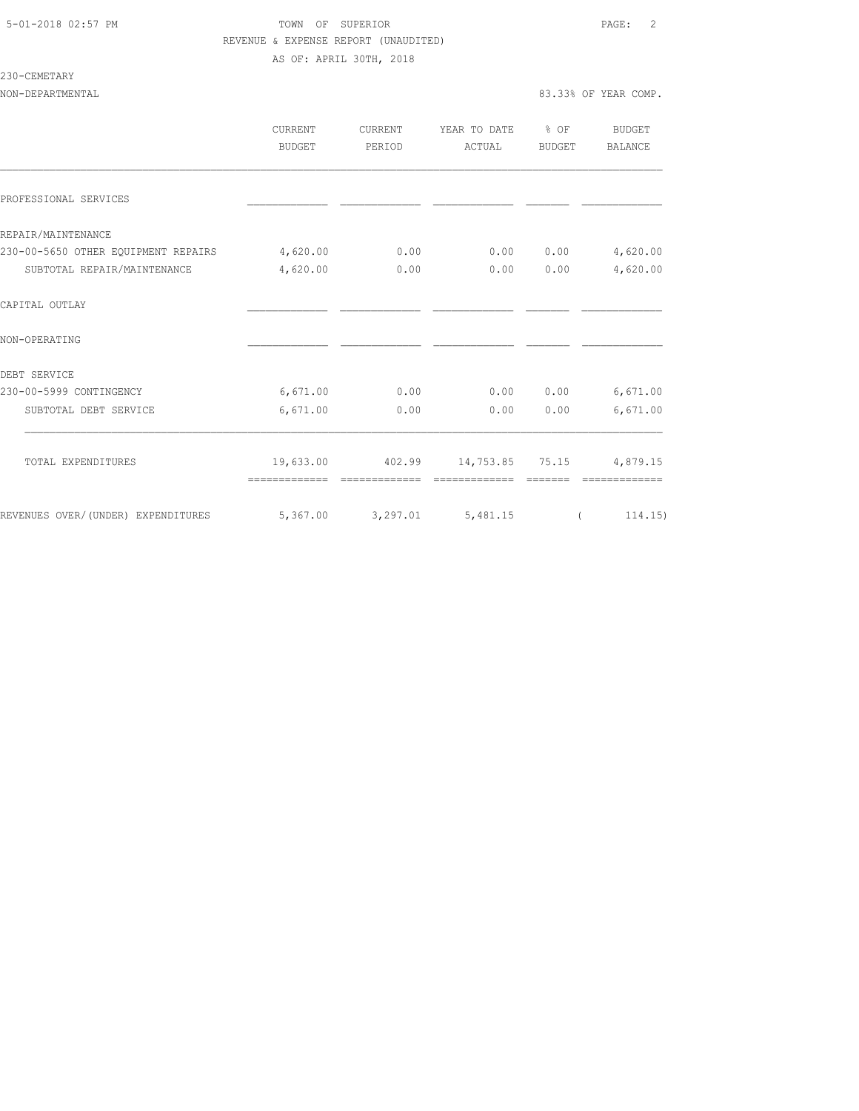230-CEMETARY

|                                             | <b>CURRENT</b> | CURRENT | YEAR TO DATE                              | $\frac{8}{6}$ OF | BUDGET   |
|---------------------------------------------|----------------|---------|-------------------------------------------|------------------|----------|
|                                             | BUDGET         | PERIOD  | ACTUAL                                    | BUDGET           | BALANCE  |
|                                             |                |         |                                           |                  |          |
| PROFESSIONAL SERVICES                       |                |         |                                           |                  |          |
| REPAIR/MAINTENANCE                          |                |         |                                           |                  |          |
| 230-00-5650 OTHER EQUIPMENT REPAIRS         | 4,620.00       | 0.00    | 0.00                                      | 0.00             | 4,620.00 |
| SUBTOTAL REPAIR/MAINTENANCE                 | 4,620.00       | 0.00    | 0.00                                      | 0.00             | 4,620.00 |
| CAPITAL OUTLAY                              |                |         |                                           |                  |          |
| NON-OPERATING                               |                |         |                                           |                  |          |
| DEBT SERVICE                                |                |         |                                           |                  |          |
| 230-00-5999 CONTINGENCY                     | 6,671.00       | 0.00    | 0.00                                      | 0.00             | 6,671.00 |
| SUBTOTAL DEBT SERVICE                       | 6,671.00       | 0.00    | 0.00                                      | 0.00             | 6,671.00 |
| TOTAL EXPENDITURES                          |                |         | 19,633.00 402.99 14,753.85 75.15 4,879.15 |                  |          |
|                                             |                |         |                                           |                  |          |
| REVENUES OVER/(UNDER) EXPENDITURES 5,367.00 |                |         | 3, 297.01 5, 481.15                       |                  | (114.15) |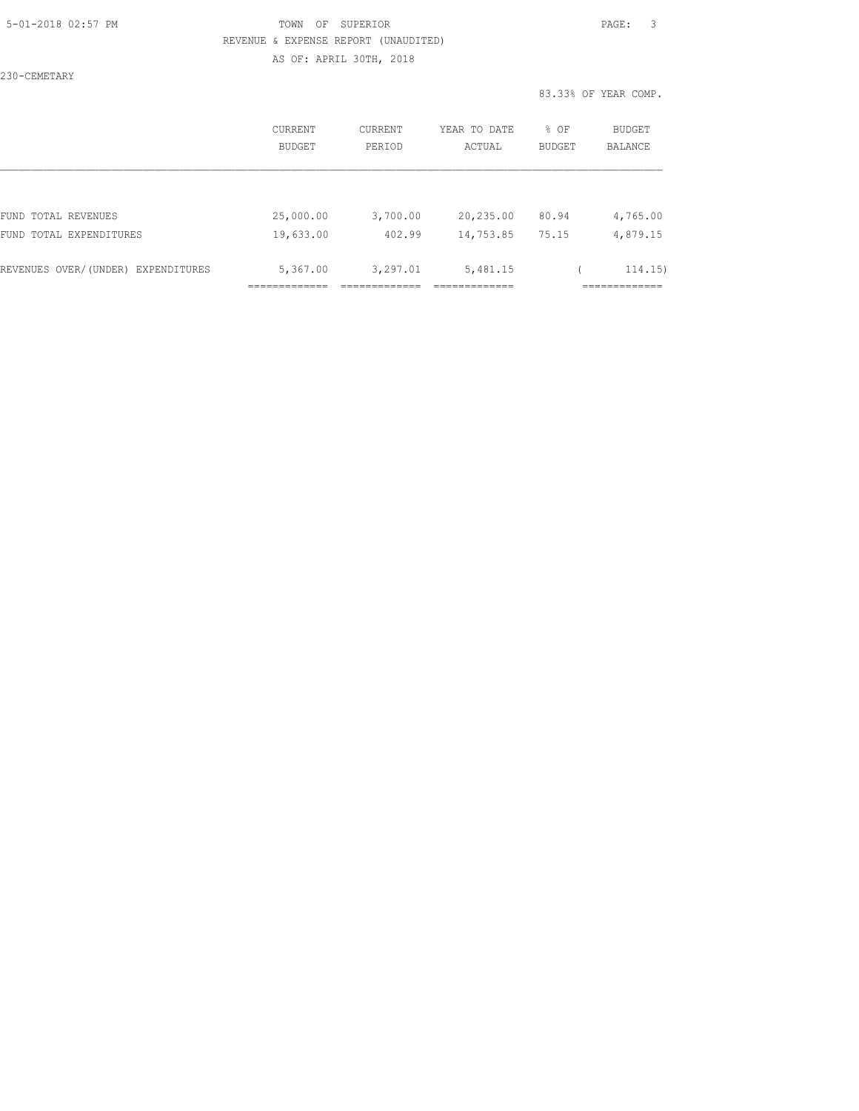230-CEMETARY

|                                    | CURRENT<br>BUDGET | <b>CURRENT</b><br>PERIOD | YEAR TO DATE<br>ACTUAL | % OF<br><b>BUDGET</b> | <b>BUDGET</b><br><b>BALANCE</b> |
|------------------------------------|-------------------|--------------------------|------------------------|-----------------------|---------------------------------|
|                                    |                   |                          |                        |                       |                                 |
| FUND TOTAL REVENUES                | 25,000.00         | 3,700.00                 | 20,235.00              | 80.94                 | 4,765.00                        |
| FUND TOTAL EXPENDITURES            | 19,633.00         | 402.99                   | 14,753.85              | 75.15                 | 4,879.15                        |
| REVENUES OVER/(UNDER) EXPENDITURES | 5,367.00          | 3,297.01                 | 5,481.15               |                       | 114.15)                         |
|                                    |                   |                          |                        |                       |                                 |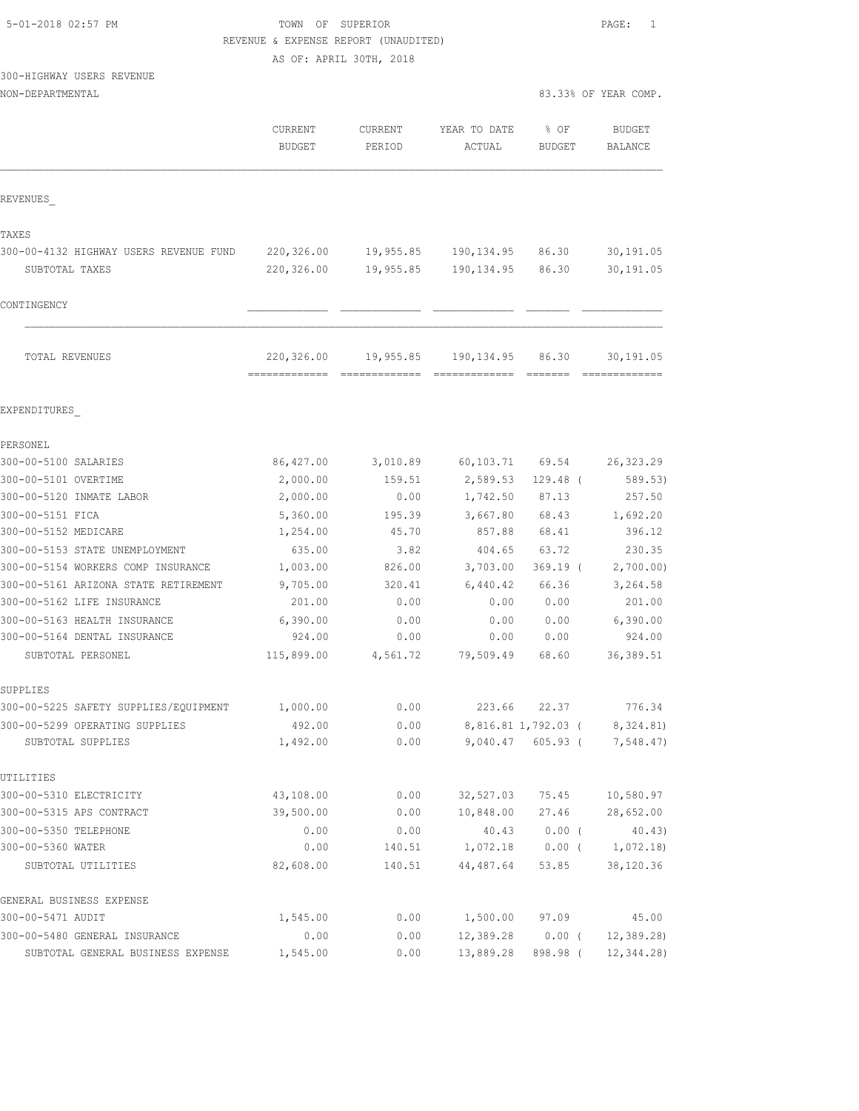| 5-01-2018 02:57 PM |  |
|--------------------|--|
|                    |  |

# TOWN OF SUPERIOR **Example 2018** PAGE: 1 REVENUE & EXPENSE REPORT (UNAUDITED)

AS OF: APRIL 30TH, 2018

# 300-HIGHWAY USERS REVENUE

|                                        | <b>CURRENT</b><br><b>BUDGET</b> | CURRENT<br>PERIOD | YEAR TO DATE<br>ACTUAL | % OF<br><b>BUDGET</b> | <b>BUDGET</b><br>BALANCE   |
|----------------------------------------|---------------------------------|-------------------|------------------------|-----------------------|----------------------------|
| REVENUES                               |                                 |                   |                        |                       |                            |
| TAXES                                  |                                 |                   |                        |                       |                            |
| 300-00-4132 HIGHWAY USERS REVENUE FUND | 220,326.00                      | 19,955.85         | 190, 134.95 86.30      |                       | 30,191.05                  |
| SUBTOTAL TAXES                         | 220,326.00                      | 19,955.85         | 190, 134.95            | 86.30                 | 30,191.05                  |
| CONTINGENCY                            |                                 |                   |                        |                       |                            |
| TOTAL REVENUES                         | 220,326.00                      | 19,955.85         | 190,134.95             | 86.30                 | 30,191.05<br>============= |
| EXPENDITURES                           |                                 |                   |                        |                       |                            |
| PERSONEL                               |                                 |                   |                        |                       |                            |
| 300-00-5100 SALARIES                   | 86,427.00                       | 3,010.89          | 60,103.71 69.54        |                       | 26, 323.29                 |
| 300-00-5101 OVERTIME                   | 2,000.00                        | 159.51            | 2,589.53               | $129.48$ (            | 589.53)                    |
| 300-00-5120 INMATE LABOR               | 2,000.00                        | 0.00              | 1,742.50               | 87.13                 | 257.50                     |
| 300-00-5151 FICA                       | 5,360.00                        | 195.39            | 3,667.80               | 68.43                 | 1,692.20                   |
| 300-00-5152 MEDICARE                   | 1,254.00                        | 45.70             | 857.88                 | 68.41                 | 396.12                     |
| 300-00-5153 STATE UNEMPLOYMENT         | 635.00                          | 3.82              | 404.65                 | 63.72                 | 230.35                     |
| 300-00-5154 WORKERS COMP INSURANCE     | 1,003.00                        | 826.00            | 3,703.00               | $369.19$ (            | 2,700.00)                  |
| 300-00-5161 ARIZONA STATE RETIREMENT   | 9,705.00                        | 320.41            | 6,440.42               | 66.36                 | 3,264.58                   |
| 300-00-5162 LIFE INSURANCE             | 201.00                          | 0.00              | 0.00                   | 0.00                  | 201.00                     |
| 300-00-5163 HEALTH INSURANCE           | 6,390.00                        | 0.00              | 0.00                   | 0.00                  | 6,390.00                   |
| 300-00-5164 DENTAL INSURANCE           | 924.00                          | 0.00              | 0.00                   | 0.00                  | 924.00                     |
| SUBTOTAL PERSONEL                      | 115,899.00                      | 4,561.72          | 79,509.49              | 68.60                 | 36, 389.51                 |
| SUPPLIES                               |                                 |                   |                        |                       |                            |
| 300-00-5225 SAFETY SUPPLIES/EQUIPMENT  | 1,000.00                        | 0.00              | 223.66                 | 22.37                 | 776.34                     |
| 300-00-5299 OPERATING SUPPLIES         | 492.00                          | 0.00              |                        | 8,816.81 1,792.03 (   | 8,324.81)                  |
| SUBTOTAL SUPPLIES                      | 1,492.00                        | 0.00              | 9,040.47               | $605.93$ (            | 7,548.47)                  |
| UTILITIES                              |                                 |                   |                        |                       |                            |
| 300-00-5310 ELECTRICITY                | 43,108.00                       | 0.00              | 32,527.03              | 75.45                 | 10,580.97                  |
| 300-00-5315 APS CONTRACT               | 39,500.00                       | 0.00              | 10,848.00              | 27.46                 | 28,652.00                  |
| 300-00-5350 TELEPHONE                  | 0.00                            | 0.00              | 40.43                  | $0.00$ (              | 40.43)                     |
| 300-00-5360 WATER                      | 0.00                            | 140.51            | 1,072.18               | $0.00$ (              | 1,072.18                   |
| SUBTOTAL UTILITIES                     | 82,608.00                       | 140.51            | 44,487.64              | 53.85                 | 38,120.36                  |
| GENERAL BUSINESS EXPENSE               |                                 |                   |                        |                       |                            |
| 300-00-5471 AUDIT                      | 1,545.00                        | 0.00              | 1,500.00               | 97.09                 | 45.00                      |
| 300-00-5480 GENERAL INSURANCE          | 0.00                            | 0.00              | 12,389.28              | $0.00$ (              | 12, 389.28                 |
| SUBTOTAL GENERAL BUSINESS EXPENSE      | 1,545.00                        | 0.00              | 13,889.28              | 898.98 (              | 12, 344.28)                |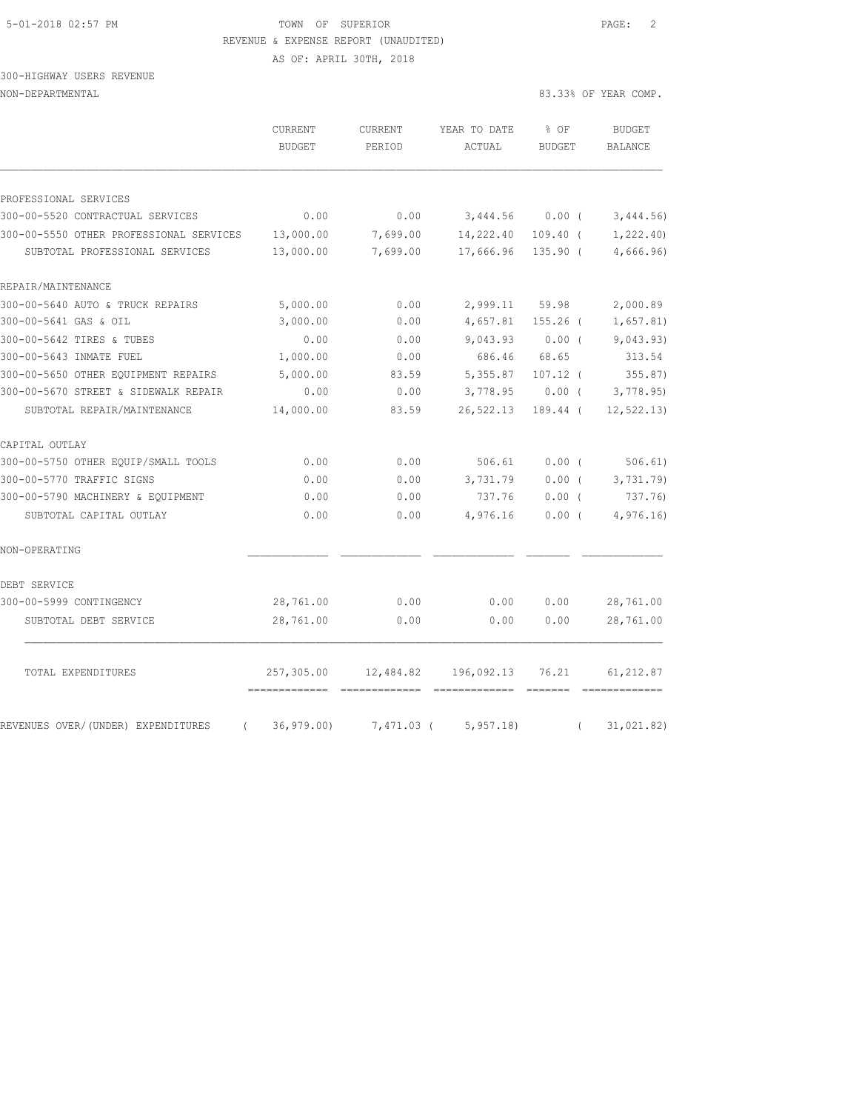# 5-01-2018 02:57 PM TOWN OF SUPERIOR PAGE: 2 REVENUE & EXPENSE REPORT (UNAUDITED)

AS OF: APRIL 30TH, 2018

# 300-HIGHWAY USERS REVENUE

|                                                                           | CURRENT<br><b>BUDGET</b>    | CURRENT<br>PERIOD    | YEAR TO DATE<br>ACTUAL | % OF<br><b>BUDGET</b>    | <b>BUDGET</b><br><b>BALANCE</b> |
|---------------------------------------------------------------------------|-----------------------------|----------------------|------------------------|--------------------------|---------------------------------|
|                                                                           |                             |                      |                        |                          |                                 |
| PROFESSIONAL SERVICES                                                     |                             |                      |                        |                          |                                 |
| 300-00-5520 CONTRACTUAL SERVICES                                          | 0.00                        | 0.00                 | 3,444.56               | $0.00$ (                 | 3,444.56)                       |
| 300-00-5550 OTHER PROFESSIONAL SERVICES<br>SUBTOTAL PROFESSIONAL SERVICES | 13,000.00<br>13,000.00      | 7,699.00<br>7,699.00 | 14,222.40<br>17,666.96 | $109.40$ (<br>$135.90$ ( | 1,222.40<br>4,666.96)           |
| REPAIR/MAINTENANCE                                                        |                             |                      |                        |                          |                                 |
| 300-00-5640 AUTO & TRUCK REPAIRS                                          | 5,000.00                    | 0.00                 | 2,999.11               | 59.98                    | 2,000.89                        |
| 300-00-5641 GAS & OIL                                                     | 3,000.00                    | 0.00                 | 4,657.81               | $155.26$ (               | 1,657.81)                       |
| 300-00-5642 TIRES & TUBES                                                 | 0.00                        | 0.00                 | 9,043.93               | $0.00$ (                 | 9,043.93)                       |
| 300-00-5643 INMATE FUEL                                                   | 1,000.00                    | 0.00                 | 686.46                 | 68.65                    | 313.54                          |
| 300-00-5650 OTHER EOUIPMENT REPAIRS                                       | 5,000.00                    | 83.59                | 5,355.87               | $107.12$ (               | 355.87)                         |
| 300-00-5670 STREET & SIDEWALK REPAIR                                      | 0.00                        | 0.00                 | 3,778.95               | $0.00$ (                 | 3,778.95                        |
| SUBTOTAL REPAIR/MAINTENANCE                                               | 14,000.00                   | 83.59                | 26,522.13              | 189.44 (                 | 12, 522.13)                     |
| CAPITAL OUTLAY                                                            |                             |                      |                        |                          |                                 |
| 300-00-5750 OTHER EQUIP/SMALL TOOLS                                       | 0.00                        | 0.00                 | 506.61                 | 0.00(                    | 506.61)                         |
| 300-00-5770 TRAFFIC SIGNS                                                 | 0.00                        | 0.00                 | 3,731.79               | $0.00$ (                 | 3,731.79                        |
| 300-00-5790 MACHINERY & EQUIPMENT                                         | 0.00                        | 0.00                 | 737.76                 | $0.00$ (                 | 737.76)                         |
| SUBTOTAL CAPITAL OUTLAY                                                   | 0.00                        | 0.00                 | 4,976.16               | 0.00(                    | 4,976.16                        |
| NON-OPERATING                                                             |                             |                      |                        |                          |                                 |
| DEBT SERVICE                                                              |                             |                      |                        |                          |                                 |
| 300-00-5999 CONTINGENCY                                                   | 28,761.00                   | 0.00                 | 0.00                   | 0.00                     | 28,761.00                       |
| SUBTOTAL DEBT SERVICE                                                     | 28,761.00                   | 0.00                 | 0.00                   | 0.00                     | 28,761.00                       |
| TOTAL EXPENDITURES                                                        | 257,305.00                  | 12,484.82            | 196,092.13             | 76.21                    | 61, 212.87                      |
| REVENUES OVER/(UNDER) EXPENDITURES                                        | -------------<br>36, 979.00 | 7,471.03 (           | 5, 957.18              |                          | 31,021.82)                      |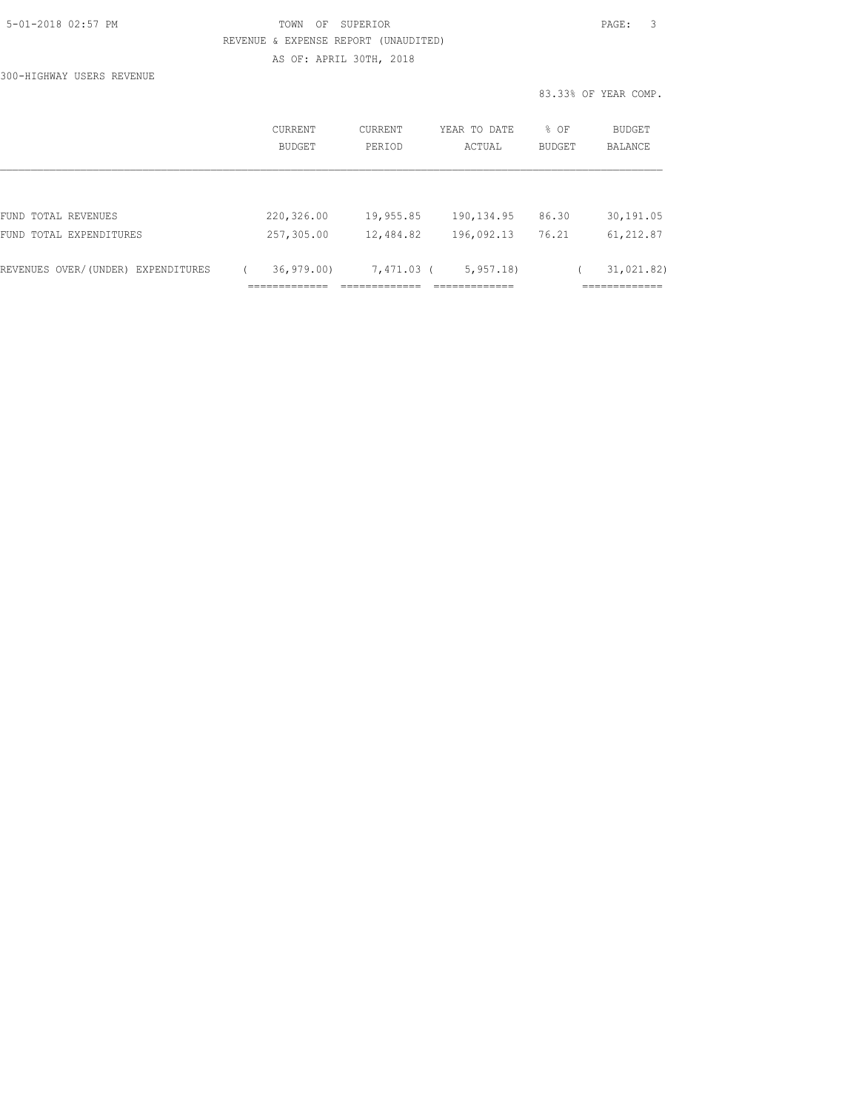300-HIGHWAY USERS REVENUE

|                                    | <b>CURRENT</b><br><b>BUDGET</b> | CURRENT<br>PERIOD | YEAR TO DATE<br>ACTUAL | % OF<br>BUDGET | BUDGET<br><b>BALANCE</b> |
|------------------------------------|---------------------------------|-------------------|------------------------|----------------|--------------------------|
|                                    |                                 |                   |                        |                |                          |
| FUND TOTAL REVENUES                | 220,326.00                      | 19,955.85         | 190, 134.95            | 86.30          | 30,191.05                |
| FUND TOTAL EXPENDITURES            | 257,305.00                      | 12,484.82         | 196,092.13             | 76.21          | 61,212.87                |
| REVENUES OVER/(UNDER) EXPENDITURES | 36, 979, 00                     | 7,471.03 (        | 5, 957, 18             |                | 31,021.82)               |
|                                    |                                 |                   |                        |                |                          |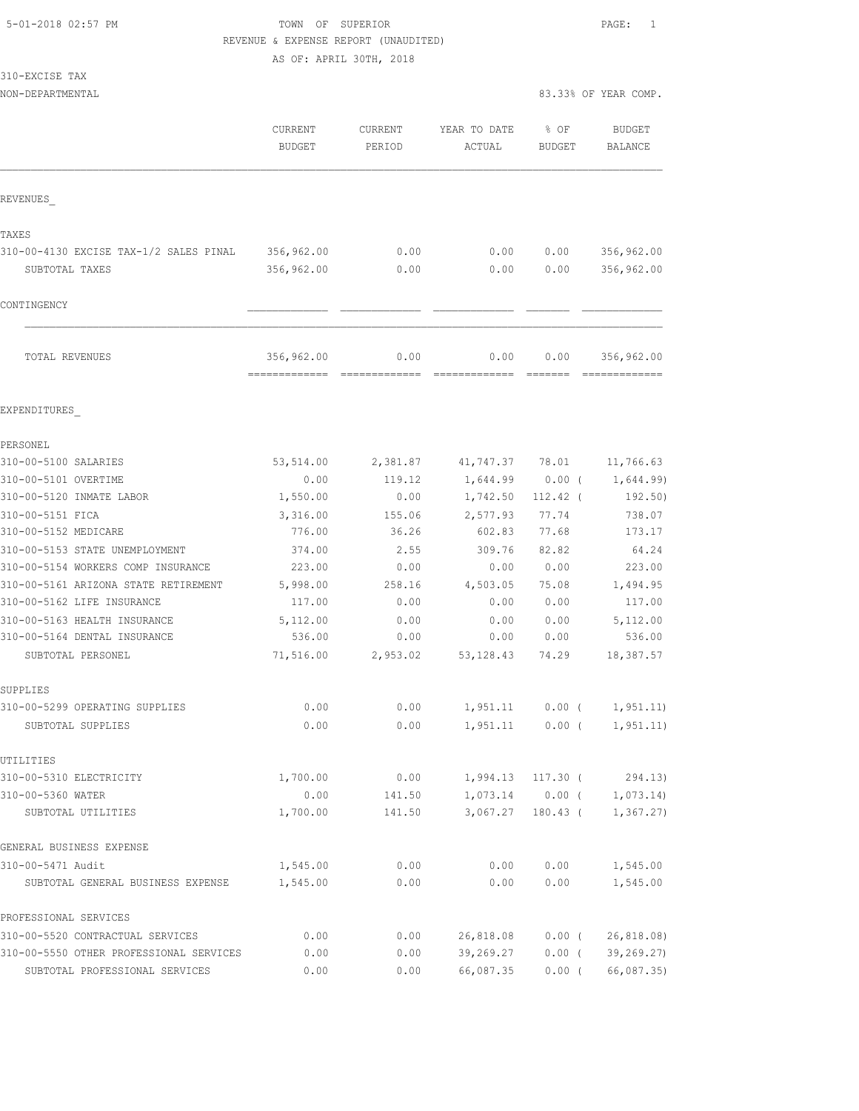# 5-01-2018 02:57 PM TOWN OF SUPERIOR PAGE: 1 REVENUE & EXPENSE REPORT (UNAUDITED)

AS OF: APRIL 30TH, 2018

| 310-EXCISE<br>TAX |  |
|-------------------|--|
|-------------------|--|

NON-DEPARTMENTAL 83.33% OF YEAR COMP.

|                                         | CURRENT<br><b>BUDGET</b>                   | <b>CURRENT</b><br>PERIOD | YEAR TO DATE<br>ACTUAL | % OF<br>BUDGET | <b>BUDGET</b><br><b>BALANCE</b> |
|-----------------------------------------|--------------------------------------------|--------------------------|------------------------|----------------|---------------------------------|
| REVENUES                                |                                            |                          |                        |                |                                 |
| TAXES                                   |                                            |                          |                        |                |                                 |
| 310-00-4130 EXCISE TAX-1/2 SALES PINAL  | 356,962.00                                 | 0.00                     | 0.00                   | 0.00           | 356,962.00                      |
| SUBTOTAL TAXES                          | 356,962.00                                 | 0.00                     | 0.00                   | 0.00           | 356,962.00                      |
|                                         |                                            |                          |                        |                |                                 |
| CONTINGENCY                             |                                            |                          |                        |                |                                 |
| TOTAL REVENUES                          | 356,962.00<br>------------- -------------- | 0.00                     | 0.00<br>=============  | 0.00           | 356,962.00<br>222222222222222   |
| EXPENDITURES                            |                                            |                          |                        |                |                                 |
| PERSONEL                                |                                            |                          |                        |                |                                 |
| 310-00-5100 SALARIES                    | 53,514.00                                  | 2,381.87                 | 41,747.37 78.01        |                | 11,766.63                       |
| 310-00-5101 OVERTIME                    | 0.00                                       | 119.12                   | 1,644.99               | $0.00$ (       | 1,644.99)                       |
| 310-00-5120 INMATE LABOR                | 1,550.00                                   | 0.00                     | 1,742.50               | $112.42$ (     | 192.50)                         |
| 310-00-5151 FICA                        | 3,316.00                                   | 155.06                   | 2,577.93               | 77.74          | 738.07                          |
| 310-00-5152 MEDICARE                    | 776.00                                     | 36.26                    | 602.83                 | 77.68          | 173.17                          |
| 310-00-5153 STATE UNEMPLOYMENT          | 374.00                                     | 2.55                     | 309.76                 | 82.82          | 64.24                           |
| 310-00-5154 WORKERS COMP INSURANCE      | 223.00                                     | 0.00                     | 0.00                   | 0.00           | 223.00                          |
| 310-00-5161 ARIZONA STATE RETIREMENT    | 5,998.00                                   | 258.16                   | 4,503.05               | 75.08          | 1,494.95                        |
| 310-00-5162 LIFE INSURANCE              | 117.00                                     | 0.00                     | 0.00                   | 0.00           | 117.00                          |
| 310-00-5163 HEALTH INSURANCE            | 5,112.00                                   | 0.00                     | 0.00                   | 0.00           | 5,112.00                        |
| 310-00-5164 DENTAL INSURANCE            | 536.00                                     | 0.00                     | 0.00                   | 0.00           | 536.00                          |
| SUBTOTAL PERSONEL                       | 71,516.00                                  | 2,953.02                 | 53, 128.43             | 74.29          | 18,387.57                       |
| SUPPLIES                                |                                            |                          |                        |                |                                 |
| 310-00-5299 OPERATING SUPPLIES          | 0.00                                       | 0.00                     | 1,951.11               | $0.00$ (       | 1,951.11)                       |
| SUBTOTAL SUPPLIES                       | 0.00                                       | 0.00                     | 1,951.11               | $0.00$ (       | 1, 951.11)                      |
| UTILITIES                               |                                            |                          |                        |                |                                 |
| 310-00-5310 ELECTRICITY                 | 1,700.00                                   | 0.00                     | 1,994.13               | $117.30$ (     | 294.13)                         |
| 310-00-5360 WATER                       | 0.00                                       | 141.50                   | 1,073.14               | $0.00$ (       | 1,073.14                        |
| SUBTOTAL UTILITIES                      | 1,700.00                                   | 141.50                   | 3,067.27               | $180.43$ (     | 1, 367, 27)                     |
| GENERAL BUSINESS EXPENSE                |                                            |                          |                        |                |                                 |
| 310-00-5471 Audit                       | 1,545.00                                   | 0.00                     | 0.00                   | 0.00           | 1,545.00                        |
| SUBTOTAL GENERAL BUSINESS EXPENSE       | 1,545.00                                   | 0.00                     | 0.00                   | 0.00           | 1,545.00                        |
| PROFESSIONAL SERVICES                   |                                            |                          |                        |                |                                 |
| 310-00-5520 CONTRACTUAL SERVICES        | 0.00                                       | 0.00                     | 26,818.08              | $0.00$ (       | 26, 818.08                      |
| 310-00-5550 OTHER PROFESSIONAL SERVICES | 0.00                                       | 0.00                     | 39,269.27              | $0.00$ (       | 39, 269.27)                     |
| SUBTOTAL PROFESSIONAL SERVICES          | 0.00                                       | 0.00                     | 66,087.35              | $0.00$ (       | 66,087.35)                      |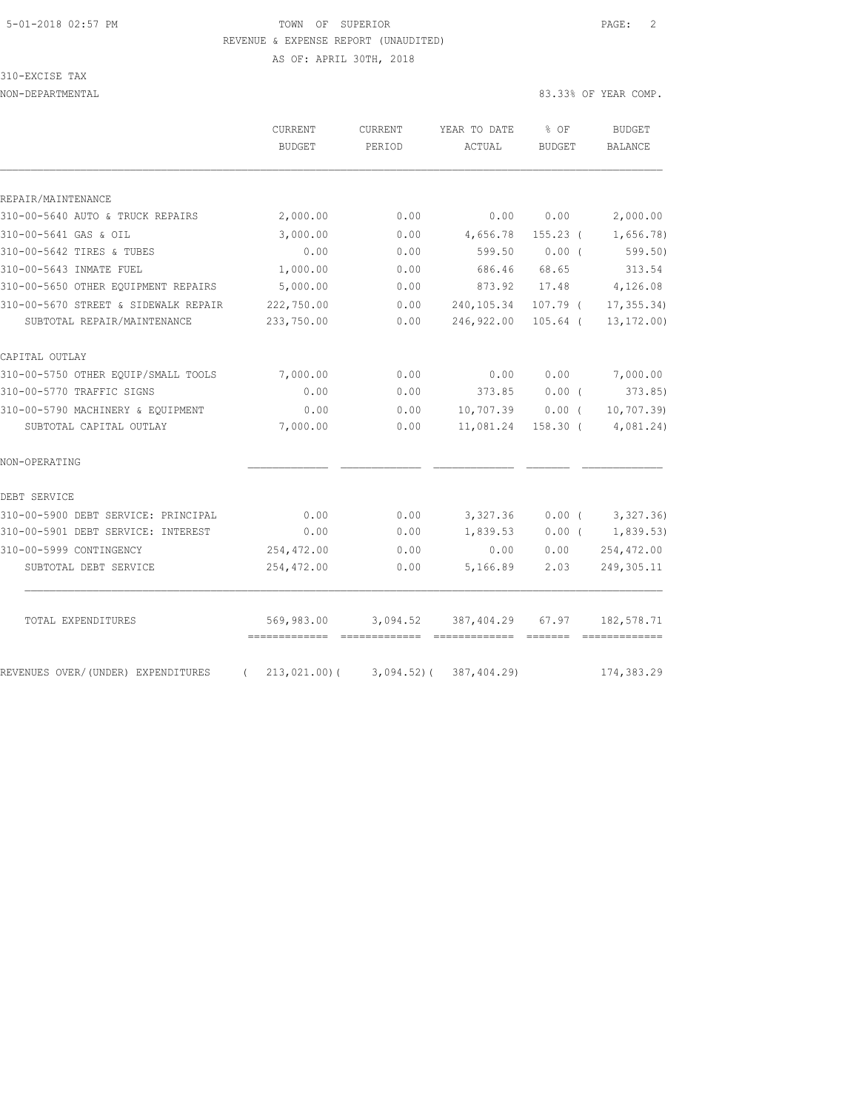# 5-01-2018 02:57 PM TOWN OF SUPERIOR PAGE: 2 REVENUE & EXPENSE REPORT (UNAUDITED)

310-EXCISE TAX

AS OF: APRIL 30TH, 2018

NON-DEPARTMENTAL 83.33% OF YEAR COMP.

| <b>BUDGET</b> | PERIOD                                                                           | ACTUAL                                               | <b>BUDGET</b>                                                              | BALANCE                                                                                                                       |
|---------------|----------------------------------------------------------------------------------|------------------------------------------------------|----------------------------------------------------------------------------|-------------------------------------------------------------------------------------------------------------------------------|
|               |                                                                                  |                                                      |                                                                            |                                                                                                                               |
|               |                                                                                  |                                                      |                                                                            |                                                                                                                               |
|               |                                                                                  |                                                      |                                                                            |                                                                                                                               |
|               |                                                                                  |                                                      |                                                                            | 2,000.00                                                                                                                      |
|               |                                                                                  |                                                      |                                                                            | 1,656.78)                                                                                                                     |
|               |                                                                                  |                                                      |                                                                            | 599.50)                                                                                                                       |
|               |                                                                                  |                                                      |                                                                            | 313.54                                                                                                                        |
|               |                                                                                  |                                                      |                                                                            | 4,126.08                                                                                                                      |
|               |                                                                                  |                                                      |                                                                            | 17, 355.34                                                                                                                    |
|               |                                                                                  |                                                      |                                                                            | 13, 172.00                                                                                                                    |
|               |                                                                                  |                                                      |                                                                            |                                                                                                                               |
| 7,000.00      | 0.00                                                                             | 0.00                                                 | 0.00                                                                       | 7,000.00                                                                                                                      |
| 0.00          | 0.00                                                                             | 373.85                                               | $0.00$ (                                                                   | 373.85                                                                                                                        |
| 0.00          | 0.00                                                                             |                                                      |                                                                            | 10, 707.39                                                                                                                    |
| 7,000.00      | 0.00                                                                             | 11,081.24                                            | $158.30$ (                                                                 | 4,081.24)                                                                                                                     |
|               |                                                                                  |                                                      |                                                                            |                                                                                                                               |
|               |                                                                                  |                                                      |                                                                            |                                                                                                                               |
| 0.00          | 0.00                                                                             |                                                      |                                                                            | 3,327.36)                                                                                                                     |
| 0.00          | 0.00                                                                             | 1,839.53                                             | $0.00$ (                                                                   | 1,839.53)                                                                                                                     |
| 254, 472.00   | 0.00                                                                             | 0.00                                                 |                                                                            | 254,472.00                                                                                                                    |
| 254,472.00    | 0.00                                                                             | 5,166.89                                             | 2.03                                                                       | 249, 305.11                                                                                                                   |
| 569,983.00    | 3,094.52                                                                         | 387,404.29                                           | 67.97                                                                      | 182,578.71                                                                                                                    |
|               | 2,000.00<br>3,000.00<br>0.00<br>1,000.00<br>5,000.00<br>222,750.00<br>233,750.00 | 0.00<br>0.00<br>0.00<br>0.00<br>0.00<br>0.00<br>0.00 | 0.00<br>4,656.78<br>599.50<br>686.46<br>873.92<br>240,105.34<br>246,922.00 | 0.00<br>$155.23$ (<br>0.00(<br>68.65<br>17.48<br>107.79 (<br>$105.64$ (<br>10,707.39<br>0.00(<br>3,327.36<br>$0.00$ (<br>0.00 |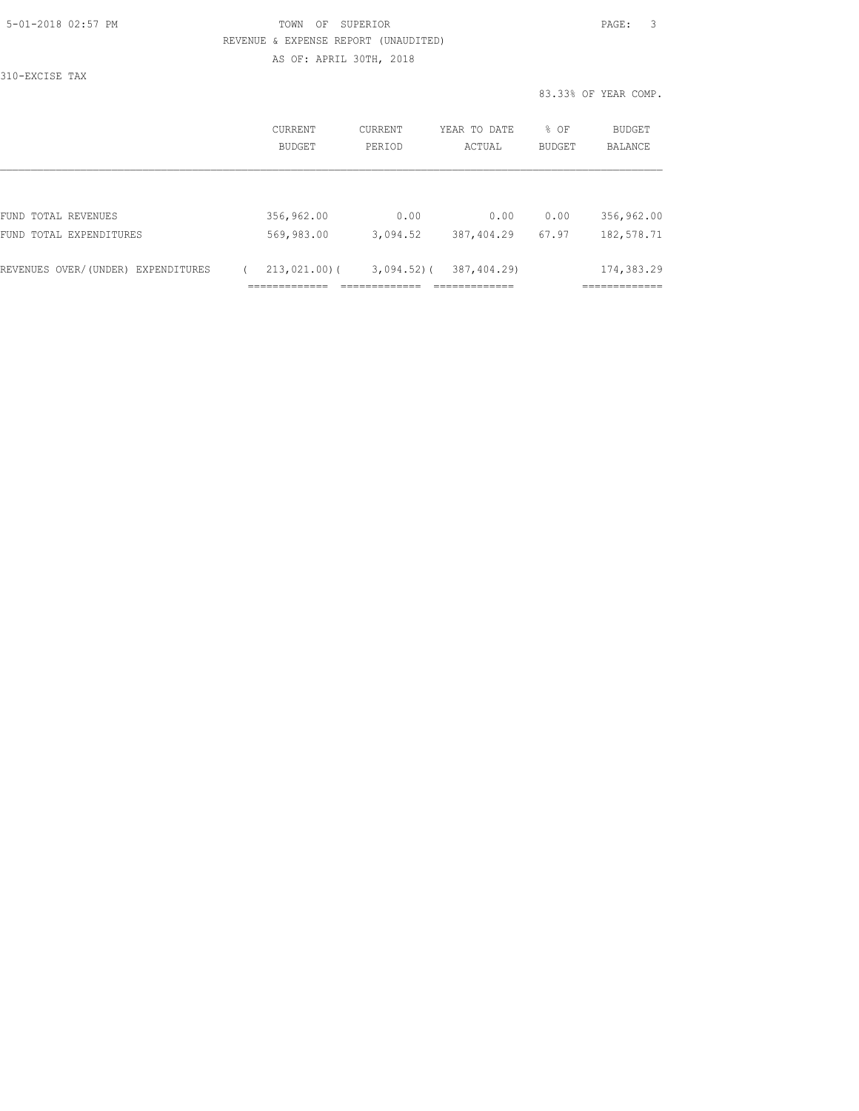310-EXCISE TAX

|                                                               | CURRENT<br>BUDGET             | CURRENT<br>PERIOD          | YEAR TO DATE<br>ACTUAL    | $8$ OF<br>BUDGET | BUDGET<br><b>BALANCE</b> |
|---------------------------------------------------------------|-------------------------------|----------------------------|---------------------------|------------------|--------------------------|
| FUND TOTAL REVENUES                                           | 356,962.00                    | 0.00                       | 0.00                      | 0.00             | 356,962.00               |
| FUND TOTAL EXPENDITURES<br>REVENUES OVER/(UNDER) EXPENDITURES | 569,983.00<br>$213,021,00)$ ( | 3,094.52<br>$3,094.52$ ) ( | 387,404.29<br>387,404.29) | 67.97            | 182,578.71<br>174,383.29 |
|                                                               |                               |                            |                           |                  |                          |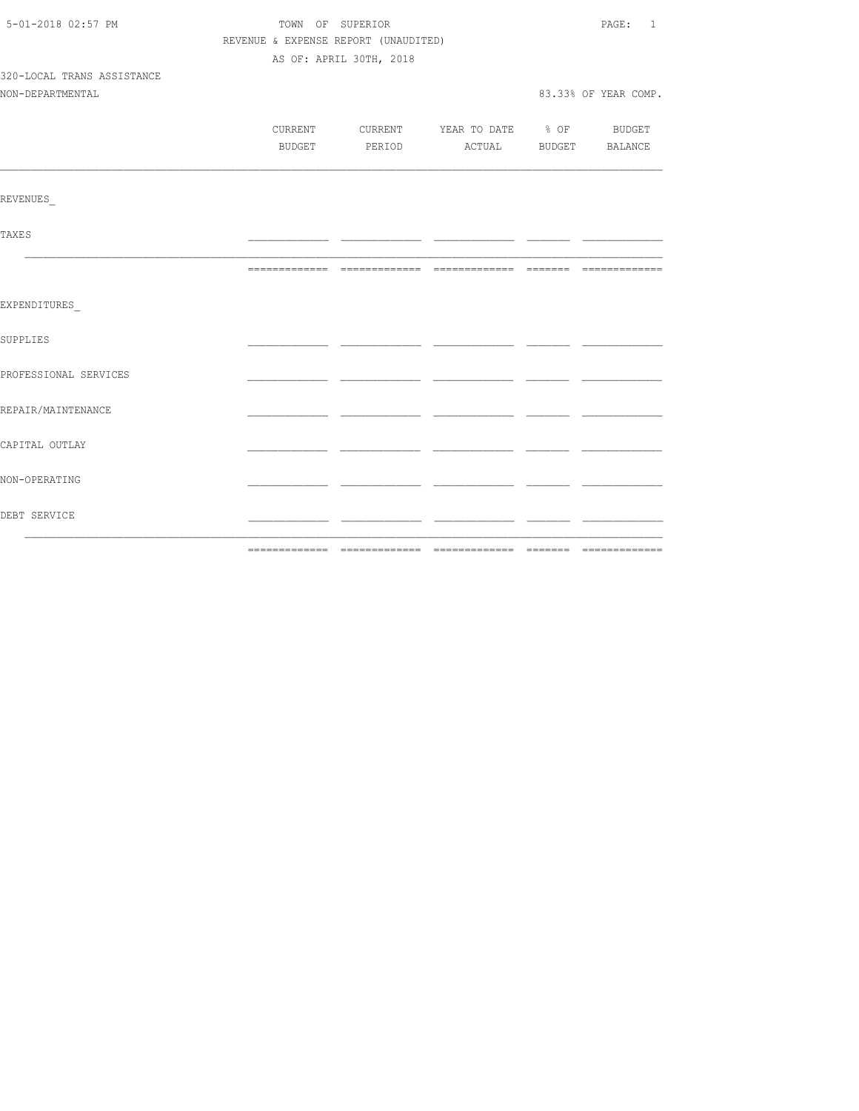| 5-01-2018 02:57 PM         | TOWN OF SUPERIOR                     | PAGE: 1                 |                                          |  |                      |
|----------------------------|--------------------------------------|-------------------------|------------------------------------------|--|----------------------|
|                            | REVENUE & EXPENSE REPORT (UNAUDITED) |                         |                                          |  |                      |
|                            |                                      | AS OF: APRIL 30TH, 2018 |                                          |  |                      |
| 320-LOCAL TRANS ASSISTANCE |                                      |                         |                                          |  |                      |
| NON-DEPARTMENTAL           |                                      |                         |                                          |  | 83.33% OF YEAR COMP. |
|                            |                                      |                         |                                          |  |                      |
|                            |                                      |                         | CURRENT CURRENT YEAR TO DATE % OF BUDGET |  |                      |
|                            | BUDGET                               |                         | PERIOD ACTUAL BUDGET BALANCE             |  |                      |
|                            |                                      |                         |                                          |  |                      |
| <b>REVENUES</b>            |                                      |                         |                                          |  |                      |
| <b>TAXES</b>               |                                      |                         |                                          |  |                      |
|                            |                                      |                         |                                          |  |                      |
| EXPENDITURES               |                                      |                         |                                          |  |                      |
| SUPPLIES                   |                                      |                         |                                          |  |                      |
| PROFESSIONAL SERVICES      |                                      |                         |                                          |  |                      |
| REPAIR/MAINTENANCE         |                                      |                         |                                          |  |                      |
| CAPITAL OUTLAY             |                                      |                         |                                          |  |                      |
| NON-OPERATING              |                                      |                         |                                          |  |                      |
| DEBT SERVICE               |                                      |                         |                                          |  |                      |
|                            | --------------                       |                         |                                          |  |                      |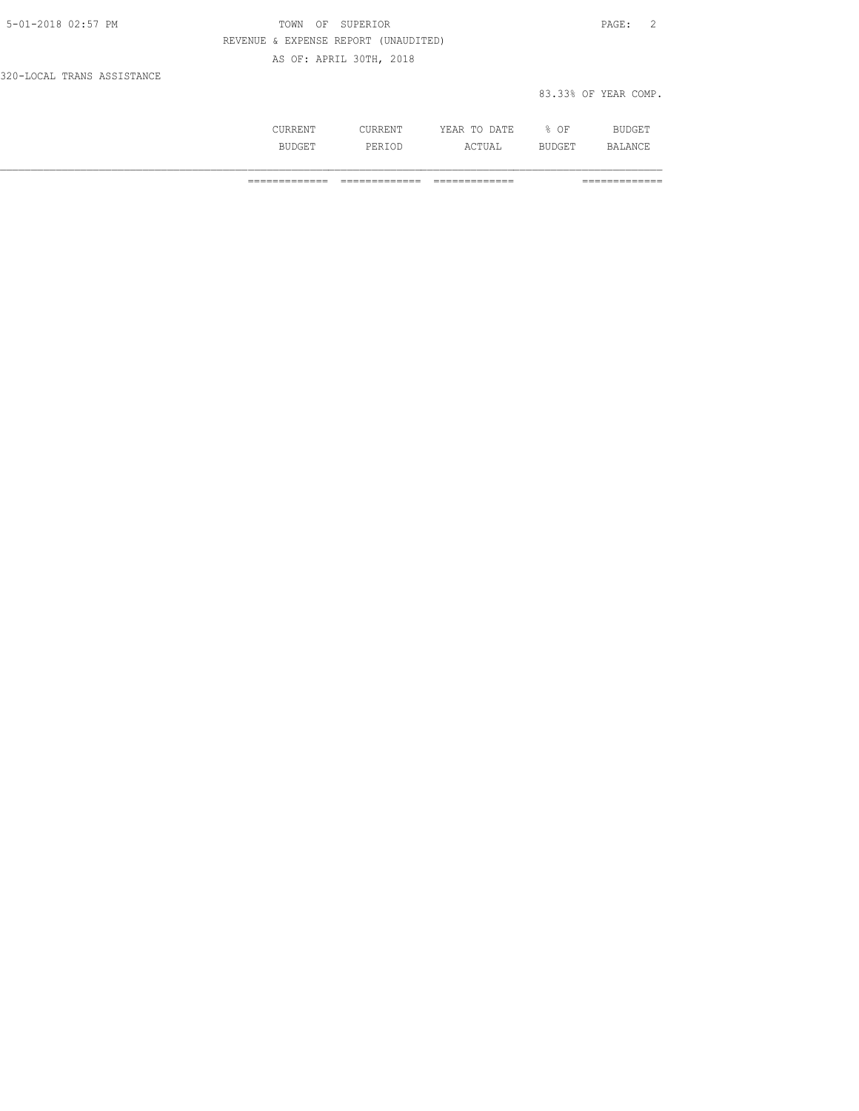| 5-01-2018 02:57 PM         | OF SUPERIOR<br>TOWN                  | PAGE: 2              |
|----------------------------|--------------------------------------|----------------------|
|                            | REVENUE & EXPENSE REPORT (UNAUDITED) |                      |
|                            | AS OF: APRIL 30TH, 2018              |                      |
| 320-LOCAL TRANS ASSISTANCE |                                      |                      |
|                            |                                      | 83.33% OF YEAR COMP. |

|   | .<br>$n - n$<br>-44<br>-----<br>----- | ΩF<br>◡ | nт   |
|---|---------------------------------------|---------|------|
| . | <br>$C$ mrt $7$<br>.                  |         | 12 A |

============= ============= ============= =============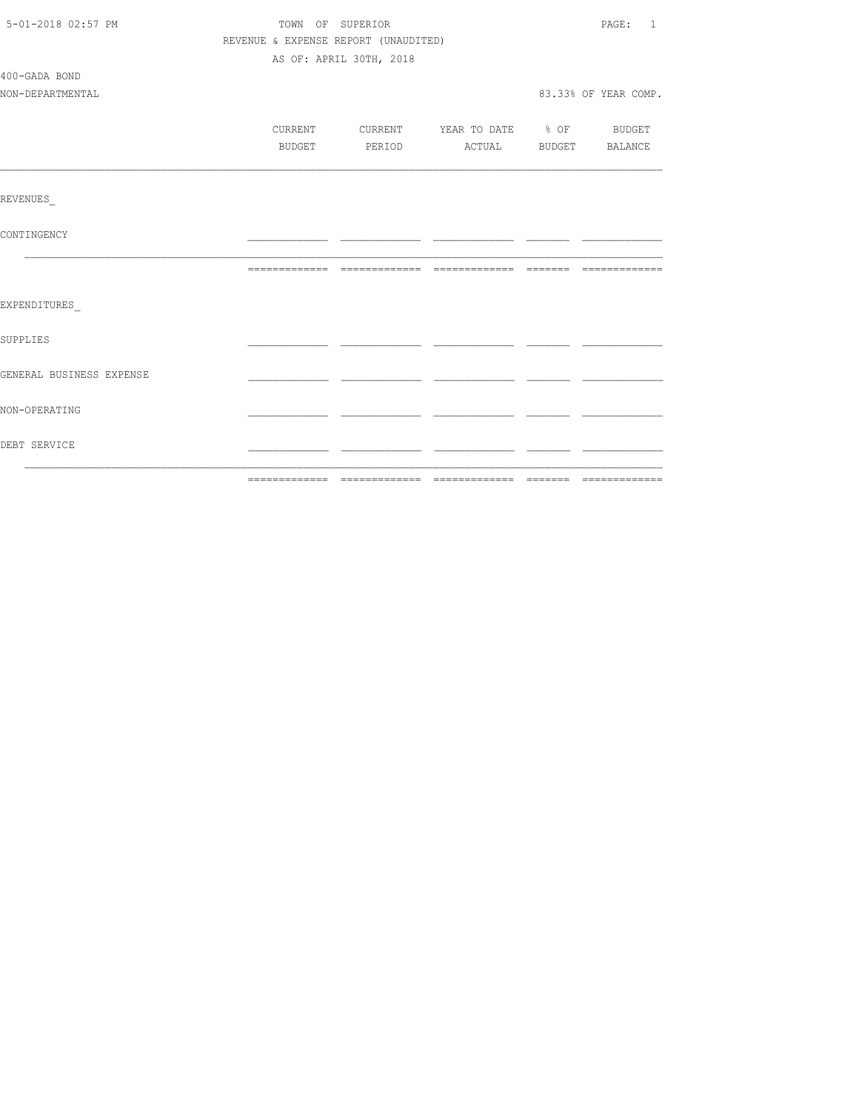| 5-01-2018 02:57 PM       | TOWN OF SUPERIOR                     | PAGE: 1                 |                          |  |                       |
|--------------------------|--------------------------------------|-------------------------|--------------------------|--|-----------------------|
|                          | REVENUE & EXPENSE REPORT (UNAUDITED) |                         |                          |  |                       |
|                          |                                      | AS OF: APRIL 30TH, 2018 |                          |  |                       |
| 400-GADA BOND            |                                      |                         |                          |  |                       |
| NON-DEPARTMENTAL         |                                      |                         |                          |  | 83.33% OF YEAR COMP.  |
|                          |                                      |                         |                          |  |                       |
|                          | CURRENT                              | CURRENT                 | YEAR TO DATE % OF BUDGET |  |                       |
|                          | BUDGET                               | PERIOD                  |                          |  | ACTUAL BUDGET BALANCE |
|                          |                                      |                         |                          |  |                       |
| REVENUES                 |                                      |                         |                          |  |                       |
| CONTINGENCY              |                                      |                         |                          |  |                       |
|                          |                                      |                         |                          |  |                       |
| EXPENDITURES             |                                      |                         |                          |  |                       |
| <b>SUPPLIES</b>          |                                      |                         |                          |  |                       |
| GENERAL BUSINESS EXPENSE |                                      |                         |                          |  |                       |
| NON-OPERATING            |                                      |                         |                          |  |                       |
| DEBT SERVICE             |                                      |                         |                          |  |                       |
|                          |                                      |                         |                          |  |                       |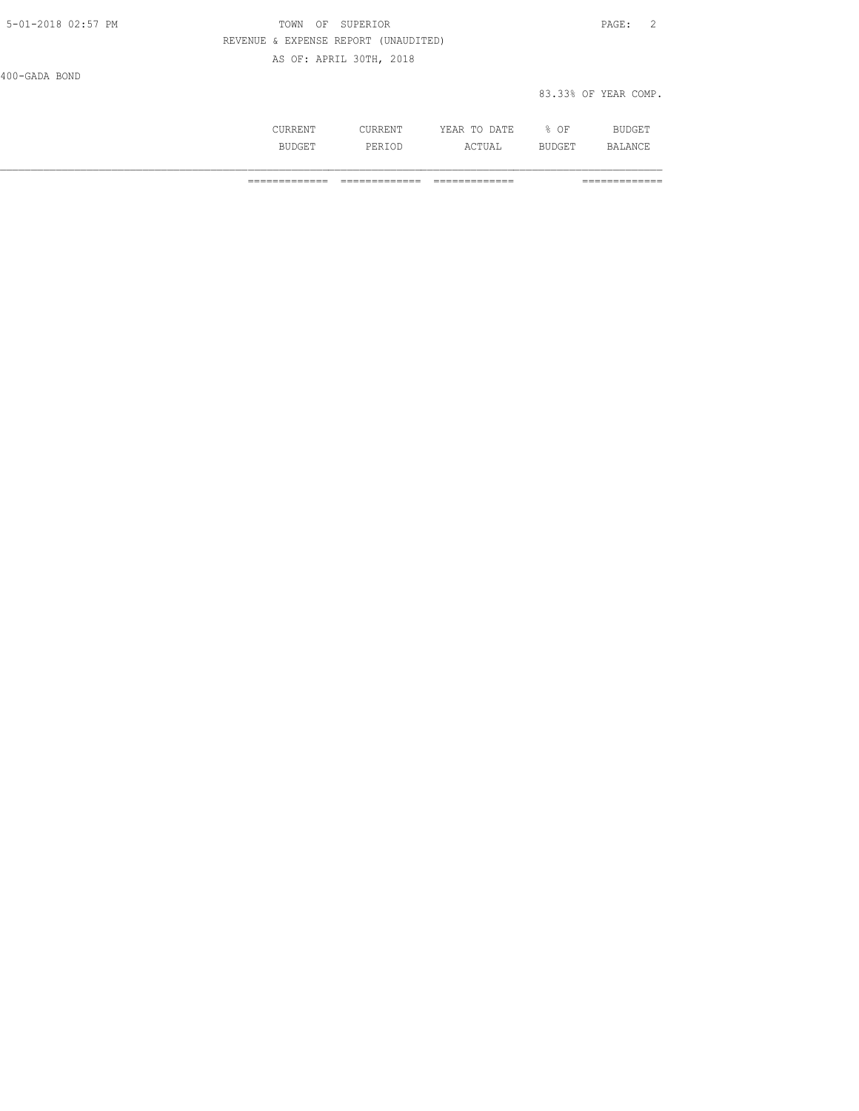| 5-01-2018 02:57 PM | TOWN OF SUPERIOR                     | 2<br>PAGE:           |
|--------------------|--------------------------------------|----------------------|
|                    | REVENUE & EXPENSE REPORT (UNAUDITED) |                      |
|                    | AS OF: APRIL 30TH, 2018              |                      |
| 400-GADA BOND      |                                      |                      |
|                    |                                      | 83.33% OF YEAR COMP. |

|     |        | π מו.<br>.<br>----<br>----- | ΟF           | ----- |
|-----|--------|-----------------------------|--------------|-------|
| --- | ∘≀⊡ د، | UAL                         | mm<br>.<br>. | D ∧   |

============= ============= ============= =============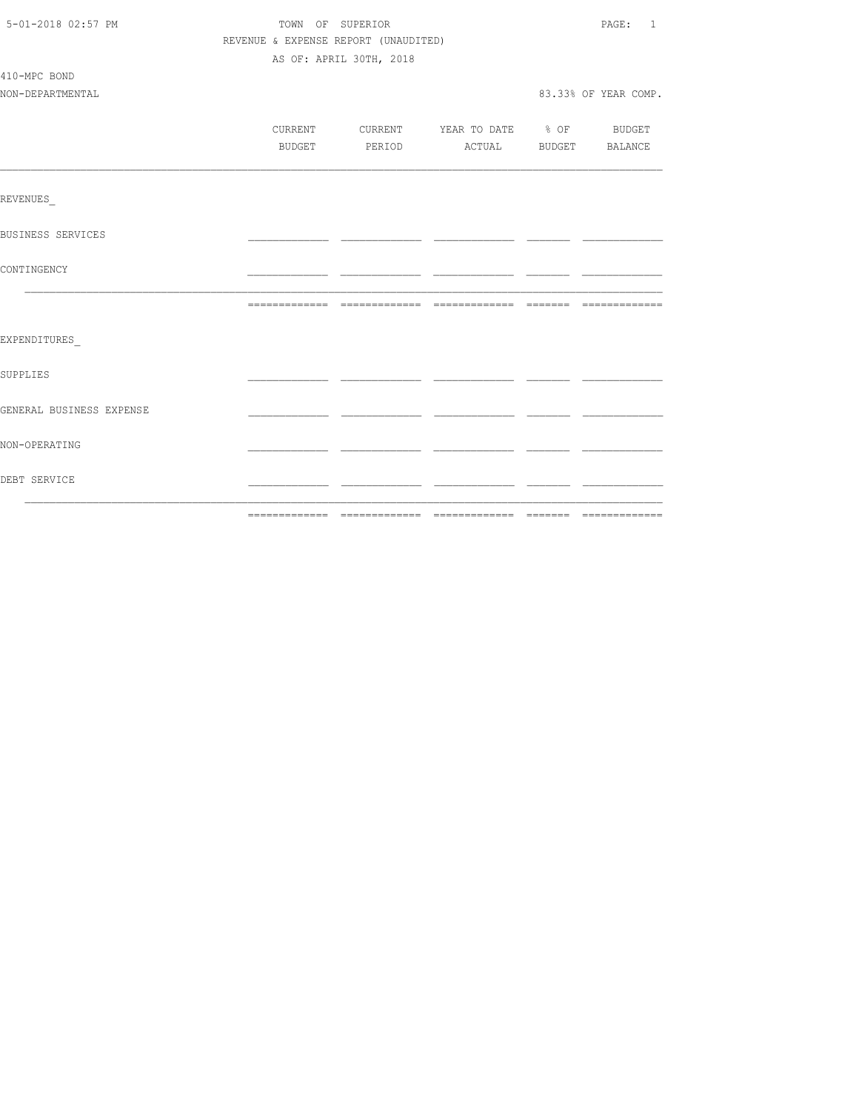| 5-01-2018 02:57 PM       | TOWN OF SUPERIOR<br>REVENUE & EXPENSE REPORT (UNAUDITED) |                         |                                          |  |                      |  |
|--------------------------|----------------------------------------------------------|-------------------------|------------------------------------------|--|----------------------|--|
|                          |                                                          |                         |                                          |  |                      |  |
|                          |                                                          | AS OF: APRIL 30TH, 2018 |                                          |  |                      |  |
| 410-MPC BOND             |                                                          |                         |                                          |  |                      |  |
| NON-DEPARTMENTAL         |                                                          |                         |                                          |  | 83.33% OF YEAR COMP. |  |
|                          |                                                          |                         |                                          |  |                      |  |
|                          |                                                          |                         | CURRENT CURRENT YEAR TO DATE % OF BUDGET |  |                      |  |
|                          |                                                          |                         | BUDGET PERIOD ACTUAL BUDGET BALANCE      |  |                      |  |
|                          |                                                          |                         |                                          |  |                      |  |
| REVENUES                 |                                                          |                         |                                          |  |                      |  |
| BUSINESS SERVICES        |                                                          |                         |                                          |  |                      |  |
| CONTINGENCY              |                                                          |                         |                                          |  |                      |  |
|                          |                                                          |                         |                                          |  |                      |  |
| EXPENDITURES             |                                                          |                         |                                          |  |                      |  |
|                          |                                                          |                         |                                          |  |                      |  |
| SUPPLIES                 |                                                          |                         |                                          |  |                      |  |
| GENERAL BUSINESS EXPENSE |                                                          |                         |                                          |  |                      |  |
| NON-OPERATING            |                                                          |                         |                                          |  |                      |  |
| DEBT SERVICE             |                                                          |                         |                                          |  |                      |  |
|                          |                                                          |                         |                                          |  |                      |  |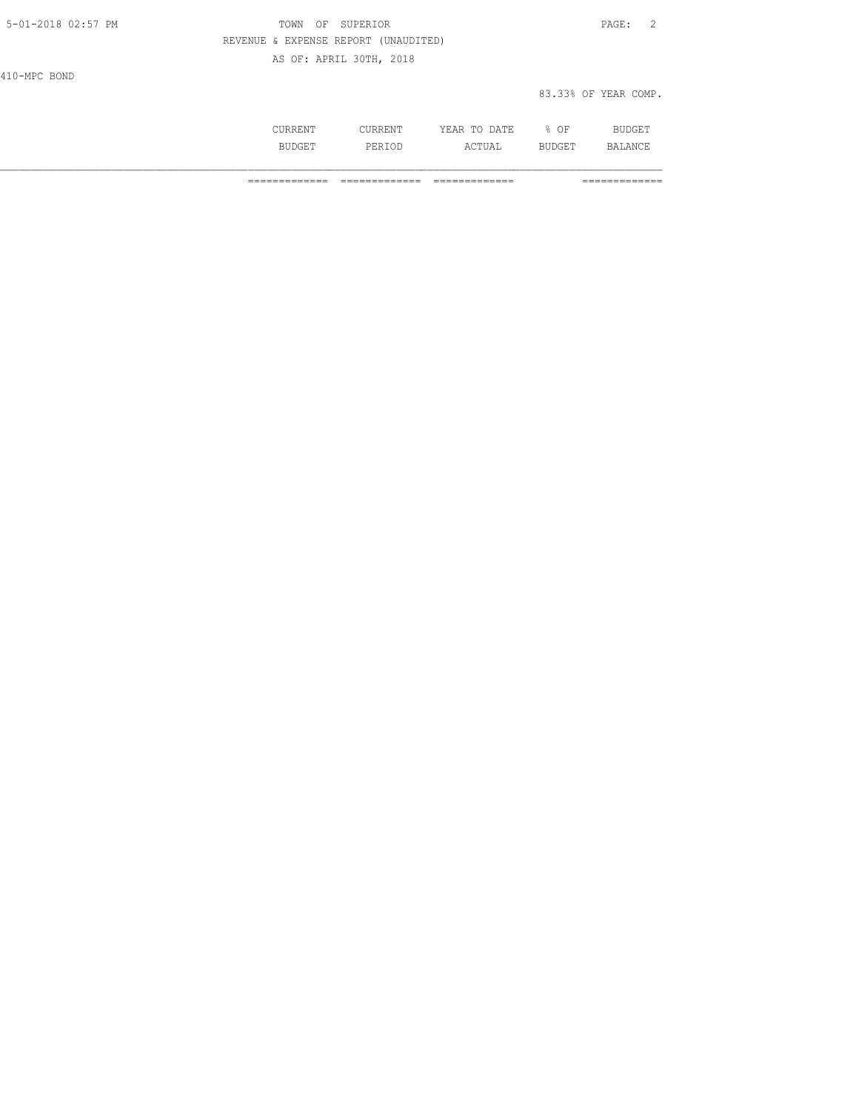| 5-01-2018 02:57 PM | SUPERIOR<br>TOWN<br>OF               | $\texttt{PAGE}$ :<br>$\overline{2}$ |
|--------------------|--------------------------------------|-------------------------------------|
|                    | REVENUE & EXPENSE REPORT (UNAUDITED) |                                     |
|                    | AS OF: APRIL 30TH, 2018              |                                     |
| 410-MPC BOND       |                                      |                                     |
|                    |                                      | 83.33% OF YEAR COMP.                |
|                    |                                      |                                     |

 CURRENT CURRENT YEAR TO DATE % OF BUDGET BUDGET PERIOD ACTUAL BUDGET BALANCE

============= ============= ============= =============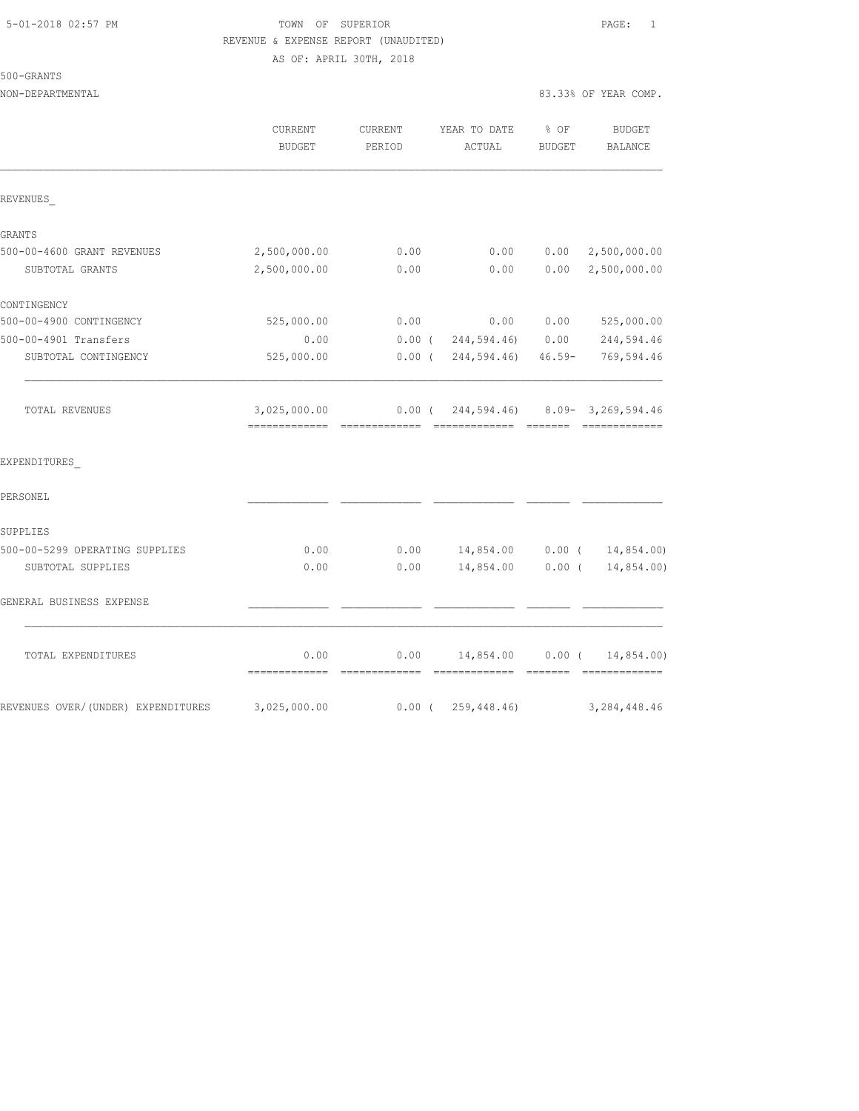# 500-GRANTS

|                                    | CURRENT<br><b>BUDGET</b>                         | CURRENT<br>PERIOD     | YEAR TO DATE<br>ACTUAL                 | $\frac{1}{2}$ OF<br><b>BUDGET</b> | <b>BUDGET</b><br>BALANCE    |
|------------------------------------|--------------------------------------------------|-----------------------|----------------------------------------|-----------------------------------|-----------------------------|
| REVENUES                           |                                                  |                       |                                        |                                   |                             |
| GRANTS                             |                                                  |                       |                                        |                                   |                             |
| 500-00-4600 GRANT REVENUES         | 2,500,000.00                                     | 0.00                  | 0.00                                   | 0.00                              | 2,500,000.00                |
| SUBTOTAL GRANTS                    | 2,500,000.00                                     | 0.00                  | 0.00                                   | 0.00                              | 2,500,000.00                |
| CONTINGENCY                        |                                                  |                       |                                        |                                   |                             |
| 500-00-4900 CONTINGENCY            | 525,000.00                                       | 0.00                  | 0.00                                   | 0.00                              | 525,000.00                  |
| 500-00-4901 Transfers              | 0.00                                             |                       | $0.00$ ( $244,594.46$ ) $0.00$         |                                   | 244,594.46                  |
| SUBTOTAL CONTINGENCY               | 525,000.00                                       |                       | $0.00$ ( $244,594.46$ ) $46.59-$       |                                   | 769,594.46                  |
| TOTAL REVENUES                     | 3,025,000.00<br>================================ |                       | $0.00$ ( 244,594.46) 8.09-3,269,594.46 |                                   | $-222222222222222$          |
| EXPENDITURES                       |                                                  |                       |                                        |                                   |                             |
| PERSONEL                           |                                                  |                       |                                        |                                   |                             |
| SUPPLIES                           |                                                  |                       |                                        |                                   |                             |
| 500-00-5299 OPERATING SUPPLIES     | 0.00                                             |                       | $0.00$ 14,854.00 0.00 ( 14,854.00)     |                                   |                             |
| SUBTOTAL SUPPLIES                  | 0.00                                             | 0.00                  | 14,854.00                              | $0.00$ (                          | 14,854.00)                  |
| GENERAL BUSINESS EXPENSE           |                                                  |                       |                                        |                                   |                             |
| TOTAL EXPENDITURES                 | 0.00<br>=============                            | 0.00<br>============= | 14,854.00<br>=============             | $0.00$ (<br>--------              | 14,854.00)<br>============= |
| REVENUES OVER/(UNDER) EXPENDITURES | 3,025,000.00                                     |                       | $0.00$ ( 259, 448.46)                  |                                   | 3, 284, 448.46              |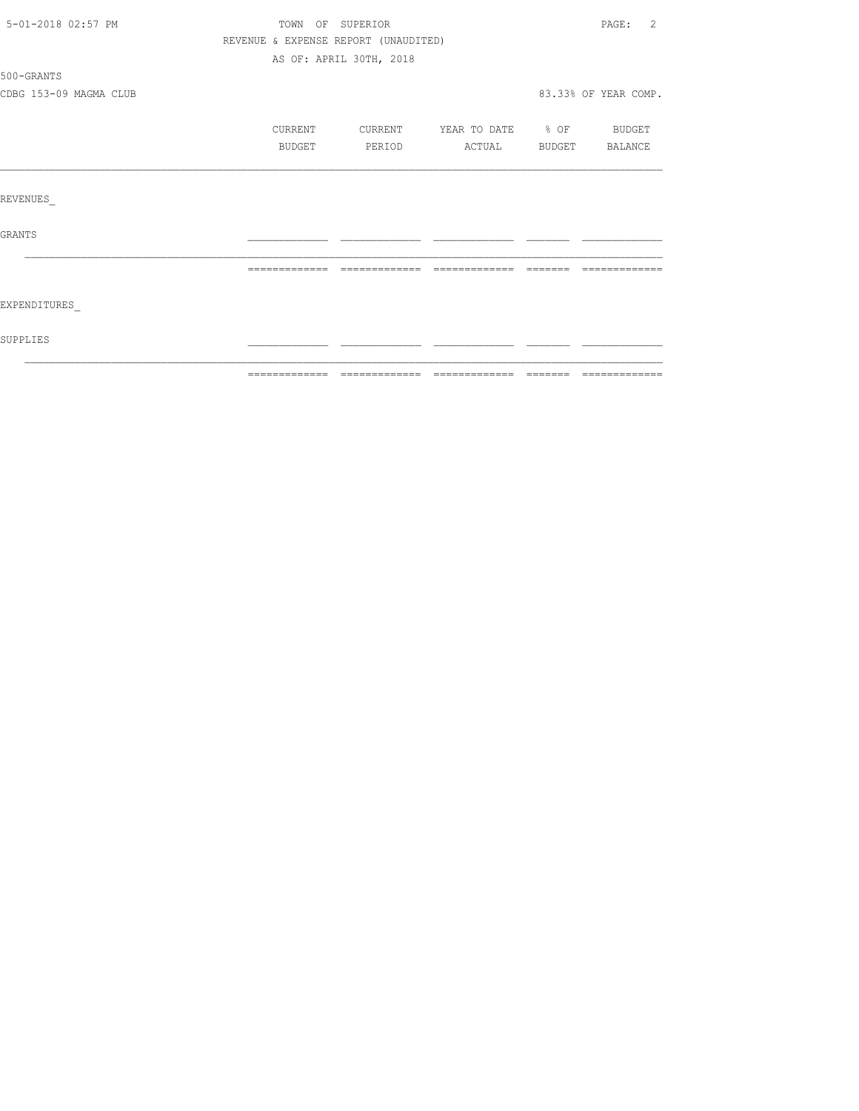| 5-01-2018 02:57 PM     |         | TOWN OF SUPERIOR                     |                          |               | PAGE: 2              |
|------------------------|---------|--------------------------------------|--------------------------|---------------|----------------------|
|                        |         | REVENUE & EXPENSE REPORT (UNAUDITED) |                          |               |                      |
|                        |         | AS OF: APRIL 30TH, 2018              |                          |               |                      |
| 500-GRANTS             |         |                                      |                          |               |                      |
| CDBG 153-09 MAGMA CLUB |         |                                      |                          |               | 83.33% OF YEAR COMP. |
|                        | CURRENT | CURRENT                              | YEAR TO DATE % OF BUDGET |               |                      |
|                        | BUDGET  | PERIOD                               | ACTUAL                   | <b>BUDGET</b> | BALANCE              |
| REVENUES               |         |                                      |                          |               |                      |
| <b>GRANTS</b>          |         |                                      |                          |               |                      |
|                        |         |                                      |                          |               |                      |
| EXPENDITURES           |         |                                      |                          |               |                      |
| SUPPLIES               |         |                                      |                          |               |                      |
|                        |         |                                      |                          |               |                      |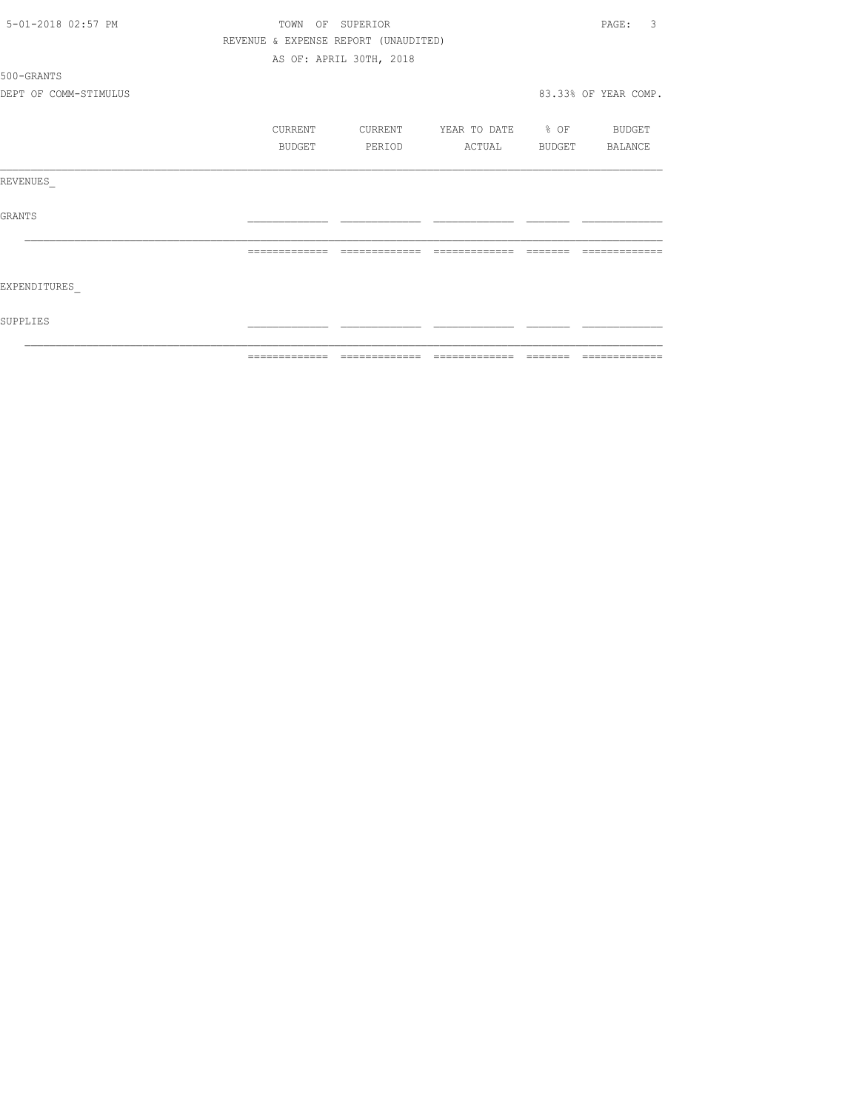|                       | =============    | $\qquad \qquad = \qquad \qquad = \qquad \qquad = \qquad$ | =============     |               | =============        |
|-----------------------|------------------|----------------------------------------------------------|-------------------|---------------|----------------------|
| SUPPLIES              |                  |                                                          |                   |               |                      |
| EXPENDITURES          |                  |                                                          |                   |               |                      |
|                       | -------------    | =============                                            | =============     |               |                      |
| GRANTS                |                  |                                                          |                   |               |                      |
| REVENUES              |                  |                                                          |                   |               |                      |
|                       | BUDGET           | PERIOD                                                   | ACTUAL            | <b>BUDGET</b> | BALANCE              |
|                       | CURRENT          | CURRENT                                                  | YEAR TO DATE % OF |               | <b>BUDGET</b>        |
| DEPT OF COMM-STIMULUS |                  |                                                          |                   |               | 83.33% OF YEAR COMP. |
| 500-GRANTS            |                  |                                                          |                   |               |                      |
|                       |                  | AS OF: APRIL 30TH, 2018                                  |                   |               |                      |
|                       |                  | REVENUE & EXPENSE REPORT (UNAUDITED)                     |                   |               |                      |
| 5-01-2018 02:57 PM    | TOWN OF SUPERIOR |                                                          |                   |               | 3<br>PAGE:           |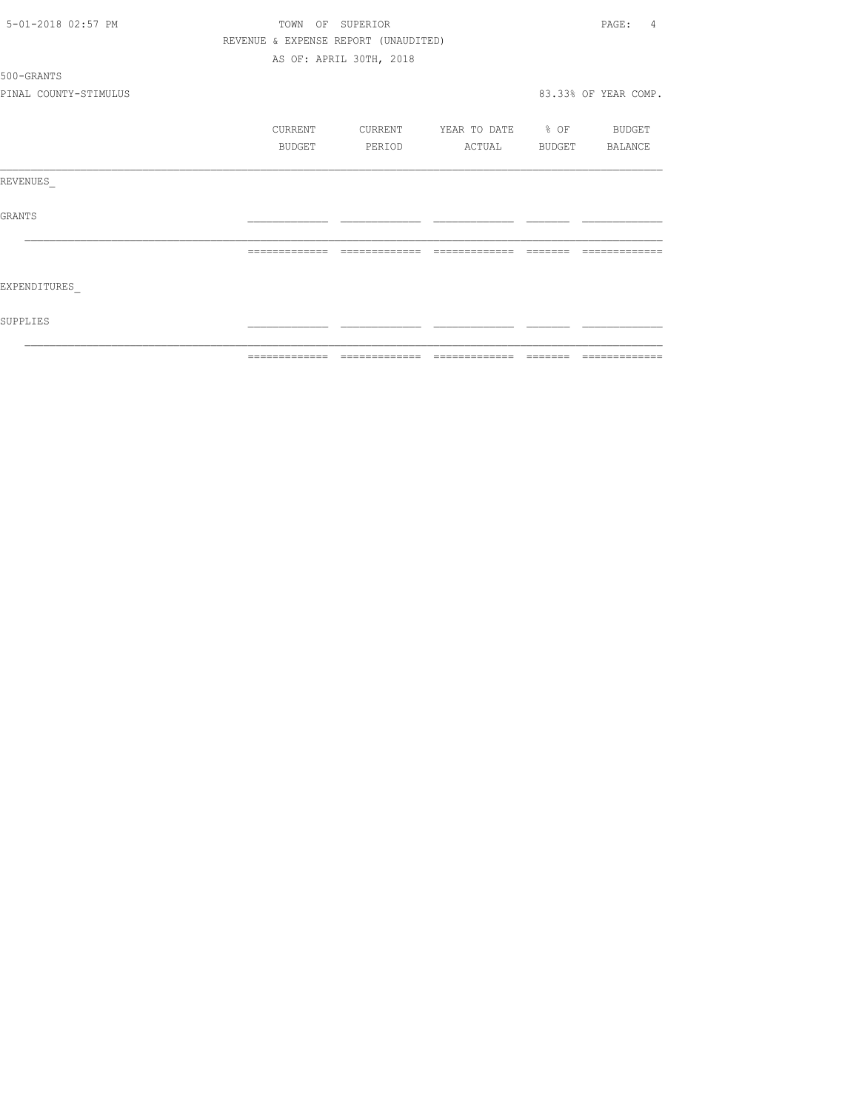|                       | ============= |                                      | =============     |               | =============           |
|-----------------------|---------------|--------------------------------------|-------------------|---------------|-------------------------|
| SUPPLIES              |               |                                      |                   |               |                         |
| EXPENDITURES          |               |                                      |                   |               |                         |
|                       | ============= | -------------                        | =============     |               |                         |
| <b>GRANTS</b>         |               |                                      |                   |               |                         |
| REVENUES              |               |                                      |                   |               |                         |
|                       | BUDGET        | PERIOD                               | ACTUAL            | <b>BUDGET</b> | BALANCE                 |
|                       | CURRENT       | CURRENT                              | YEAR TO DATE % OF |               | BUDGET                  |
| PINAL COUNTY-STIMULUS |               |                                      |                   |               | 83.33% OF YEAR COMP.    |
| 500-GRANTS            |               |                                      |                   |               |                         |
|                       |               | AS OF: APRIL 30TH, 2018              |                   |               |                         |
|                       |               | REVENUE & EXPENSE REPORT (UNAUDITED) |                   |               |                         |
| 5-01-2018 02:57 PM    | TOWN OF       | SUPERIOR                             |                   |               | PAGE:<br>$\overline{4}$ |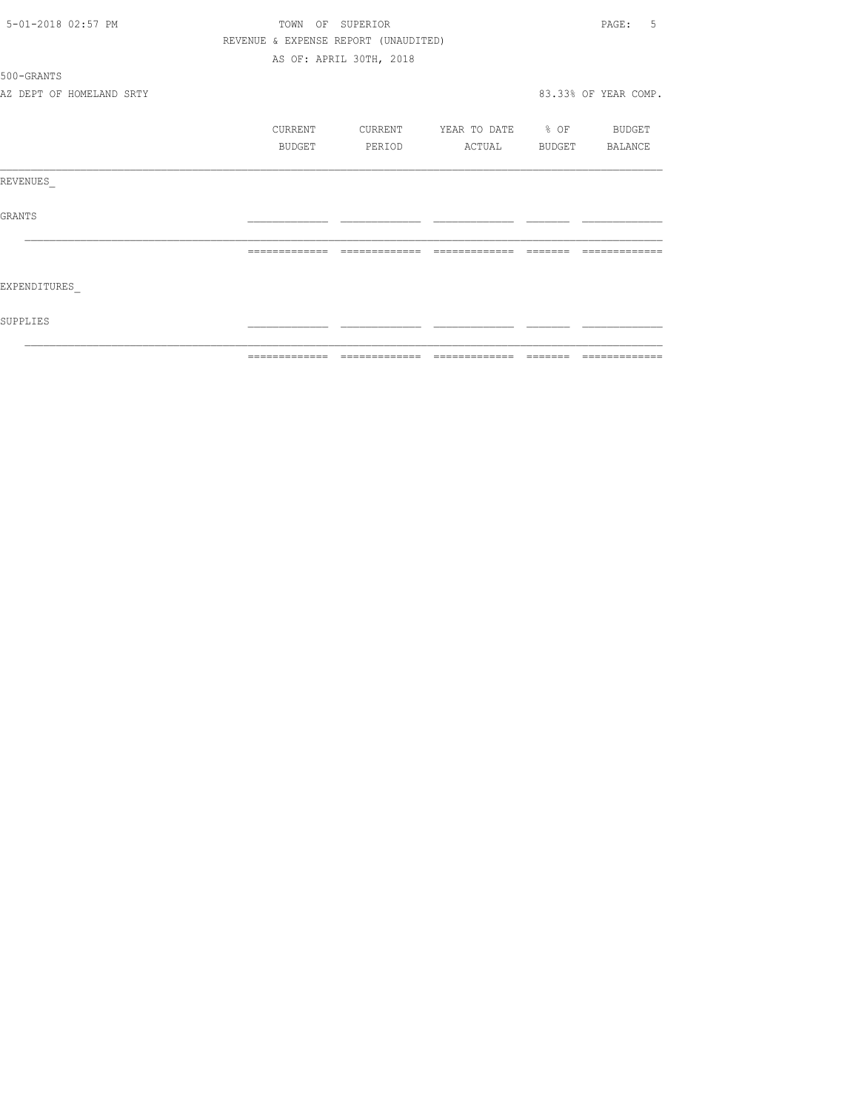| 5-01-2018 02:57 PM       | TOWN                                                                                                                                                                                                                                                                                                                                                                                                                                                          | OF SUPERIOR                          |                       |          | .5<br>PAGE:          |
|--------------------------|---------------------------------------------------------------------------------------------------------------------------------------------------------------------------------------------------------------------------------------------------------------------------------------------------------------------------------------------------------------------------------------------------------------------------------------------------------------|--------------------------------------|-----------------------|----------|----------------------|
|                          |                                                                                                                                                                                                                                                                                                                                                                                                                                                               | REVENUE & EXPENSE REPORT (UNAUDITED) |                       |          |                      |
|                          |                                                                                                                                                                                                                                                                                                                                                                                                                                                               | AS OF: APRIL 30TH, 2018              |                       |          |                      |
| 500-GRANTS               |                                                                                                                                                                                                                                                                                                                                                                                                                                                               |                                      |                       |          |                      |
| AZ DEPT OF HOMELAND SRTY |                                                                                                                                                                                                                                                                                                                                                                                                                                                               |                                      |                       |          | 83.33% OF YEAR COMP. |
|                          | CURRENT                                                                                                                                                                                                                                                                                                                                                                                                                                                       | CURRENT                              | YEAR TO DATE % OF     |          | BUDGET               |
|                          | BUDGET                                                                                                                                                                                                                                                                                                                                                                                                                                                        | PERIOD                               | ACTUAL BUDGET BALANCE |          |                      |
| REVENUES                 |                                                                                                                                                                                                                                                                                                                                                                                                                                                               |                                      |                       |          |                      |
| <b>GRANTS</b>            |                                                                                                                                                                                                                                                                                                                                                                                                                                                               |                                      |                       |          |                      |
|                          | =============                                                                                                                                                                                                                                                                                                                                                                                                                                                 | =============                        | =============         |          |                      |
| <b>EXPENDITURES</b>      |                                                                                                                                                                                                                                                                                                                                                                                                                                                               |                                      |                       |          |                      |
| SUPPLIES                 |                                                                                                                                                                                                                                                                                                                                                                                                                                                               |                                      |                       |          |                      |
|                          | $\begin{array}{c} \multicolumn{3}{c} {\textbf{2.5}} \multicolumn{3}{c} {\textbf{2.5}} \multicolumn{3}{c} {\textbf{2.5}} \multicolumn{3}{c} {\textbf{2.5}} \multicolumn{3}{c} {\textbf{2.5}} \multicolumn{3}{c} {\textbf{2.5}} \multicolumn{3}{c} {\textbf{2.5}} \multicolumn{3}{c} {\textbf{2.5}} \multicolumn{3}{c} {\textbf{2.5}} \multicolumn{3}{c} {\textbf{2.5}} \multicolumn{3}{c} {\textbf{2.5}} \multicolumn{3}{c} {\textbf{2.5}} \multicolumn{3}{c}$ | --------------                       | -------------         | -------- | --------------       |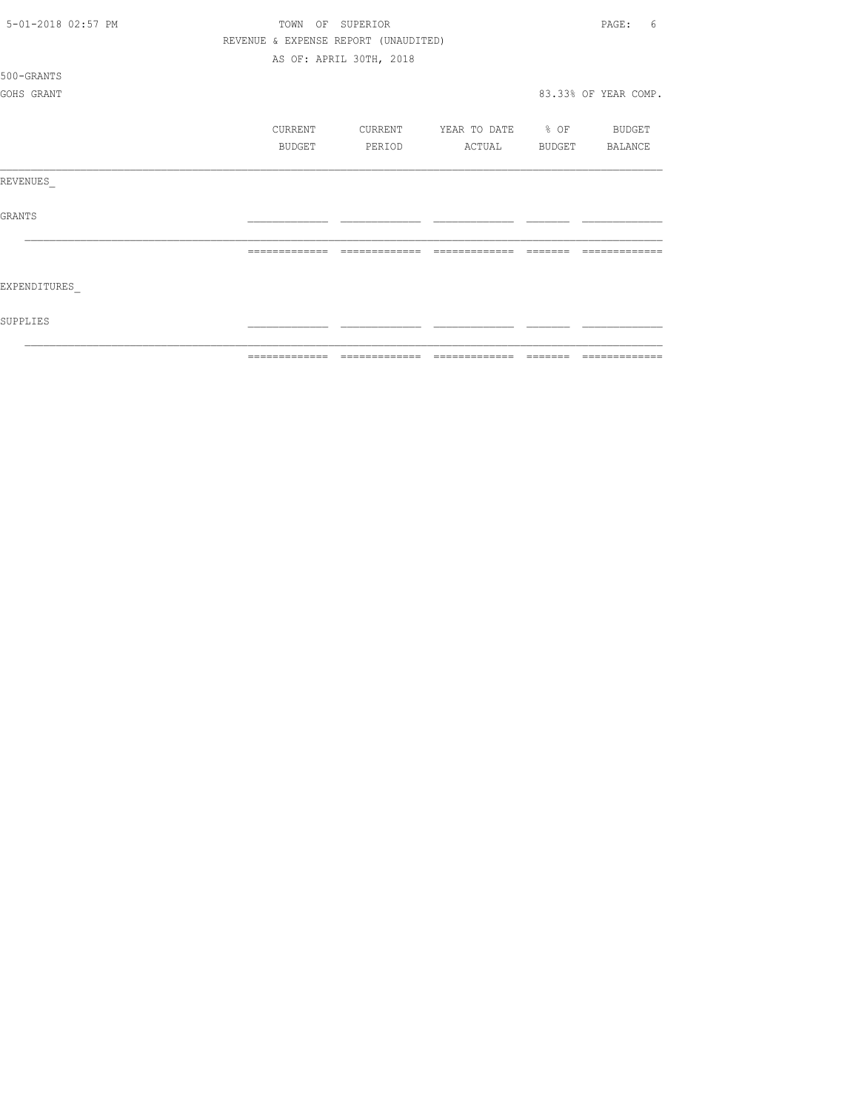| 5-01-2018 02:57 PM | TOWN<br>OF    | SUPERIOR                             |                                 |         | 6<br>PAGE:           |
|--------------------|---------------|--------------------------------------|---------------------------------|---------|----------------------|
|                    |               | REVENUE & EXPENSE REPORT (UNAUDITED) |                                 |         |                      |
|                    |               | AS OF: APRIL 30TH, 2018              |                                 |         |                      |
| 500-GRANTS         |               |                                      |                                 |         |                      |
| GOHS GRANT         |               |                                      |                                 |         | 83.33% OF YEAR COMP. |
|                    | CURRENT       | CURRENT                              | YEAR TO DATE % OF BUDGET        |         |                      |
|                    | <b>BUDGET</b> | PERIOD                               | ACTUAL                          | BUDGET  | BALANCE              |
| REVENUES           |               |                                      |                                 |         |                      |
| <b>GRANTS</b>      |               |                                      |                                 |         |                      |
|                    |               |                                      |                                 |         |                      |
| EXPENDITURES       |               |                                      |                                 |         |                      |
| SUPPLIES           |               |                                      |                                 |         |                      |
|                    | ============= |                                      | =============================== | ======= | =============        |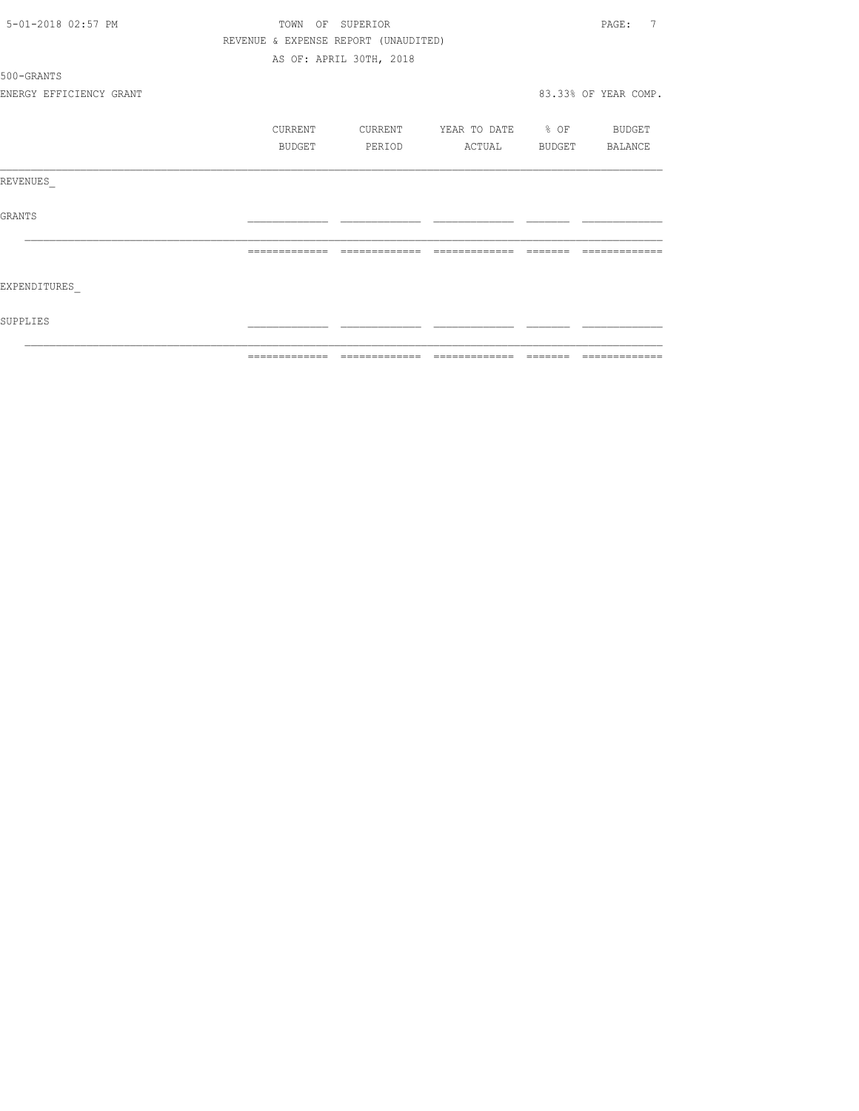| 5-01-2018 02:57 PM      | TOWN<br>OF    | SUPERIOR                                                                                                                                                                                                                                                                                                                                                                                                                                                         |                   |         | 7<br>PAGE:           |
|-------------------------|---------------|------------------------------------------------------------------------------------------------------------------------------------------------------------------------------------------------------------------------------------------------------------------------------------------------------------------------------------------------------------------------------------------------------------------------------------------------------------------|-------------------|---------|----------------------|
|                         |               | REVENUE & EXPENSE REPORT (UNAUDITED)                                                                                                                                                                                                                                                                                                                                                                                                                             |                   |         |                      |
|                         |               | AS OF: APRIL 30TH, 2018                                                                                                                                                                                                                                                                                                                                                                                                                                          |                   |         |                      |
| 500-GRANTS              |               |                                                                                                                                                                                                                                                                                                                                                                                                                                                                  |                   |         |                      |
| ENERGY EFFICIENCY GRANT |               |                                                                                                                                                                                                                                                                                                                                                                                                                                                                  |                   |         | 83.33% OF YEAR COMP. |
|                         | CURRENT       | CURRENT                                                                                                                                                                                                                                                                                                                                                                                                                                                          | YEAR TO DATE % OF |         | BUDGET               |
|                         | BUDGET        | PERIOD                                                                                                                                                                                                                                                                                                                                                                                                                                                           | ACTUAL            | BUDGET  | BALANCE              |
| REVENUES                |               |                                                                                                                                                                                                                                                                                                                                                                                                                                                                  |                   |         |                      |
| <b>GRANTS</b>           |               |                                                                                                                                                                                                                                                                                                                                                                                                                                                                  |                   |         |                      |
|                         |               |                                                                                                                                                                                                                                                                                                                                                                                                                                                                  |                   |         |                      |
| EXPENDITURES            |               |                                                                                                                                                                                                                                                                                                                                                                                                                                                                  |                   |         |                      |
| SUPPLIES                |               |                                                                                                                                                                                                                                                                                                                                                                                                                                                                  |                   |         |                      |
|                         | ============= | $\begin{array}{c} \multicolumn{2}{c} {\textbf{2.4}} & \multicolumn{2}{c} {\textbf{2.5}} & \multicolumn{2}{c} {\textbf{2.6}} \\ \multicolumn{2}{c} {\textbf{2.6}} & \multicolumn{2}{c} {\textbf{2.6}} & \multicolumn{2}{c} {\textbf{2.6}} \\ \multicolumn{2}{c} {\textbf{2.6}} & \multicolumn{2}{c} {\textbf{2.6}} & \multicolumn{2}{c} {\textbf{2.6}} \\ \multicolumn{2}{c} {\textbf{2.6}} & \multicolumn{2}{c} {\textbf{2.6}} & \multicolumn{2}{c} {\textbf{2.$ |                   | ------- | -------------        |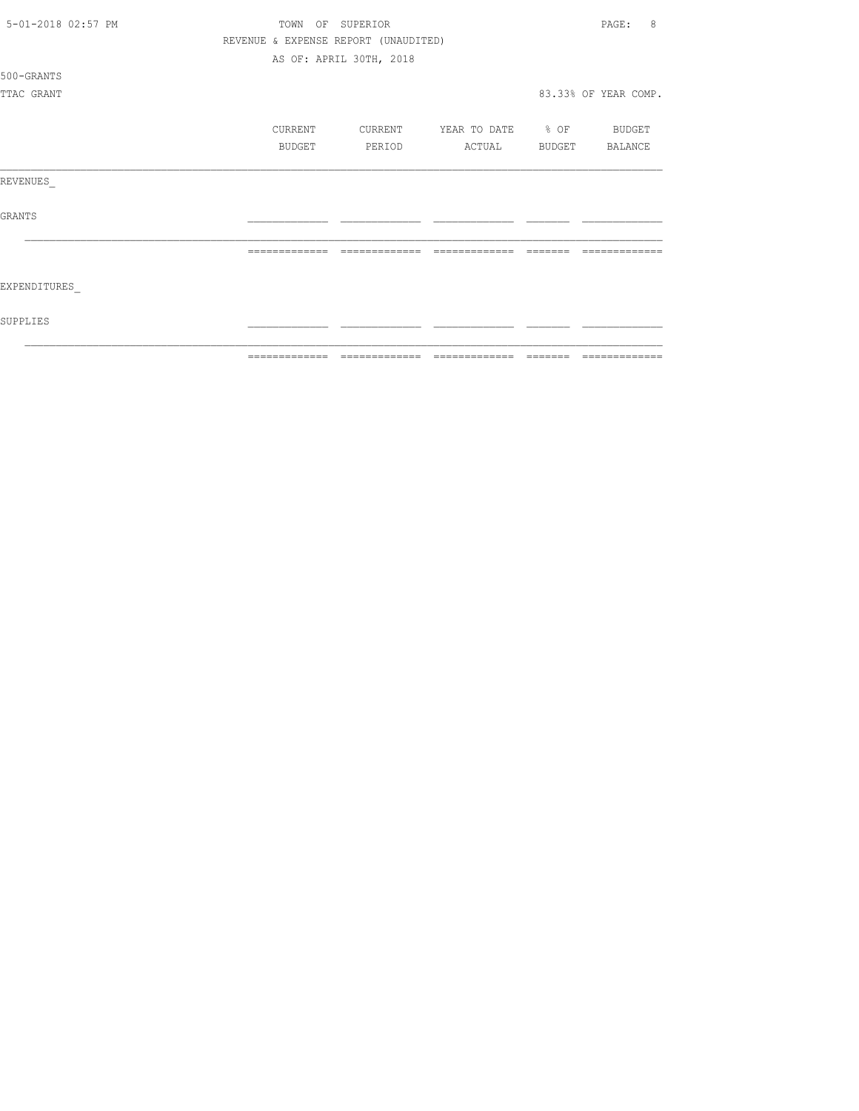| 5-01-2018 02:57 PM | TOWN    | OF SUPERIOR                          |                   |        | 8<br>PAGE:           |
|--------------------|---------|--------------------------------------|-------------------|--------|----------------------|
|                    |         | REVENUE & EXPENSE REPORT (UNAUDITED) |                   |        |                      |
|                    |         | AS OF: APRIL 30TH, 2018              |                   |        |                      |
| 500-GRANTS         |         |                                      |                   |        |                      |
| TTAC GRANT         |         |                                      |                   |        | 83.33% OF YEAR COMP. |
|                    |         |                                      |                   |        |                      |
|                    | CURRENT | CURRENT                              | YEAR TO DATE % OF |        | BUDGET               |
|                    | BUDGET  | PERIOD                               | ACTUAL            | BUDGET | BALANCE              |
| REVENUES           |         |                                      |                   |        |                      |
| <b>GRANTS</b>      |         |                                      |                   |        |                      |
|                    |         |                                      |                   |        |                      |
| EXPENDITURES       |         |                                      |                   |        |                      |
| SUPPLIES           |         |                                      |                   |        |                      |
|                    |         |                                      |                   |        | $22222222222222$     |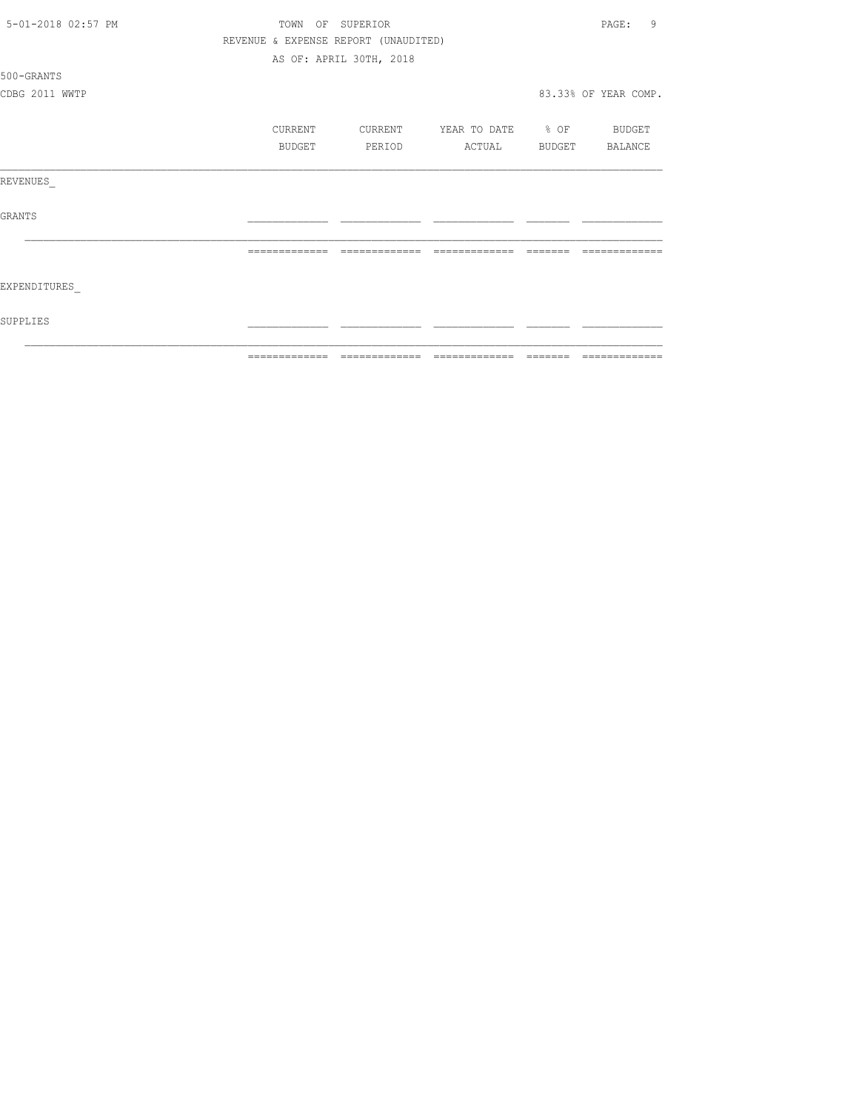| 5-01-2018 02:57 PM | TOWN OF SUPERIOR |                                      |                   |                                                                                                                                                                                                                                                                                                                                                                                                                                                                                                                          | 9<br>PAGE:           |
|--------------------|------------------|--------------------------------------|-------------------|--------------------------------------------------------------------------------------------------------------------------------------------------------------------------------------------------------------------------------------------------------------------------------------------------------------------------------------------------------------------------------------------------------------------------------------------------------------------------------------------------------------------------|----------------------|
|                    |                  | REVENUE & EXPENSE REPORT (UNAUDITED) |                   |                                                                                                                                                                                                                                                                                                                                                                                                                                                                                                                          |                      |
|                    |                  | AS OF: APRIL 30TH, 2018              |                   |                                                                                                                                                                                                                                                                                                                                                                                                                                                                                                                          |                      |
| 500-GRANTS         |                  |                                      |                   |                                                                                                                                                                                                                                                                                                                                                                                                                                                                                                                          |                      |
| CDBG 2011 WWTP     |                  |                                      |                   |                                                                                                                                                                                                                                                                                                                                                                                                                                                                                                                          | 83.33% OF YEAR COMP. |
|                    | CURRENT          | CURRENT                              | YEAR TO DATE % OF |                                                                                                                                                                                                                                                                                                                                                                                                                                                                                                                          | BUDGET               |
|                    | BUDGET           | PERIOD                               | ACTUAL            | BUDGET                                                                                                                                                                                                                                                                                                                                                                                                                                                                                                                   | BALANCE              |
| REVENUES           |                  |                                      |                   |                                                                                                                                                                                                                                                                                                                                                                                                                                                                                                                          |                      |
| GRANTS             |                  |                                      |                   |                                                                                                                                                                                                                                                                                                                                                                                                                                                                                                                          |                      |
|                    | =============    | =============                        | -------------     | $\qquad \qquad = \qquad \qquad = \qquad \qquad = \qquad \qquad = \qquad \qquad = \qquad \qquad = \qquad \qquad = \qquad \qquad = \qquad \qquad = \qquad \qquad = \qquad \qquad = \qquad \qquad = \qquad \qquad = \qquad \qquad = \qquad \qquad = \qquad \qquad = \qquad \qquad = \qquad \qquad = \qquad \qquad = \qquad \qquad = \qquad \qquad = \qquad \qquad = \qquad \qquad = \qquad \qquad = \qquad \qquad = \qquad \qquad = \qquad \qquad = \qquad \qquad = \qquad \qquad = \qquad \qquad = \qquad \qquad = \qquad$ |                      |
| EXPENDITURES       |                  |                                      |                   |                                                                                                                                                                                                                                                                                                                                                                                                                                                                                                                          |                      |
| SUPPLIES           |                  |                                      |                   |                                                                                                                                                                                                                                                                                                                                                                                                                                                                                                                          |                      |
|                    |                  |                                      |                   | --------                                                                                                                                                                                                                                                                                                                                                                                                                                                                                                                 | --------------       |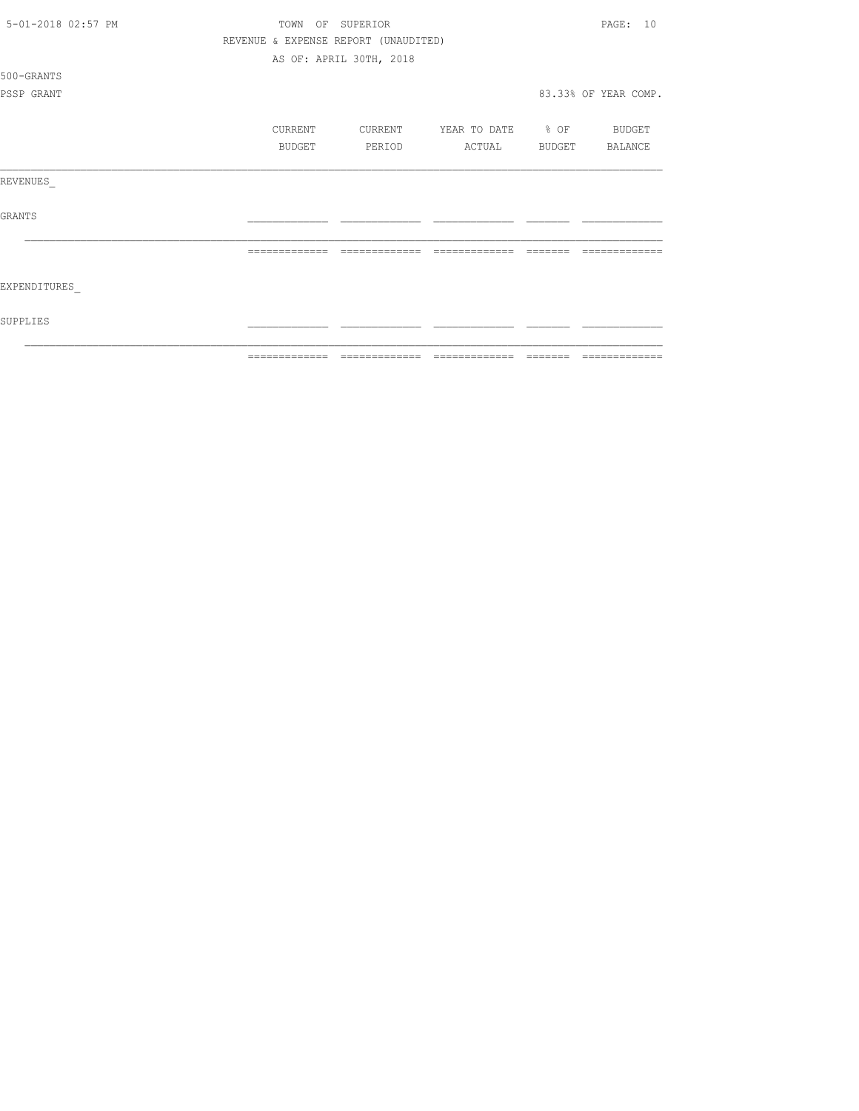| 5-01-2018 02:57 PM | TOWN |         | OF SUPERIOR                          |                   |        | PAGE: 10             |
|--------------------|------|---------|--------------------------------------|-------------------|--------|----------------------|
|                    |      |         | REVENUE & EXPENSE REPORT (UNAUDITED) |                   |        |                      |
|                    |      |         | AS OF: APRIL 30TH, 2018              |                   |        |                      |
| 500-GRANTS         |      |         |                                      |                   |        |                      |
| PSSP GRANT         |      |         |                                      |                   |        | 83.33% OF YEAR COMP. |
|                    |      | CURRENT | CURRENT                              | YEAR TO DATE % OF |        | BUDGET               |
|                    |      | BUDGET  | PERIOD                               | ACTUAL            | BUDGET | BALANCE              |
| REVENUES           |      |         |                                      |                   |        |                      |
| <b>GRANTS</b>      |      |         |                                      |                   |        |                      |
|                    |      |         |                                      |                   |        |                      |
| EXPENDITURES       |      |         |                                      |                   |        |                      |
| SUPPLIES           |      |         |                                      |                   |        |                      |
|                    |      |         |                                      |                   |        |                      |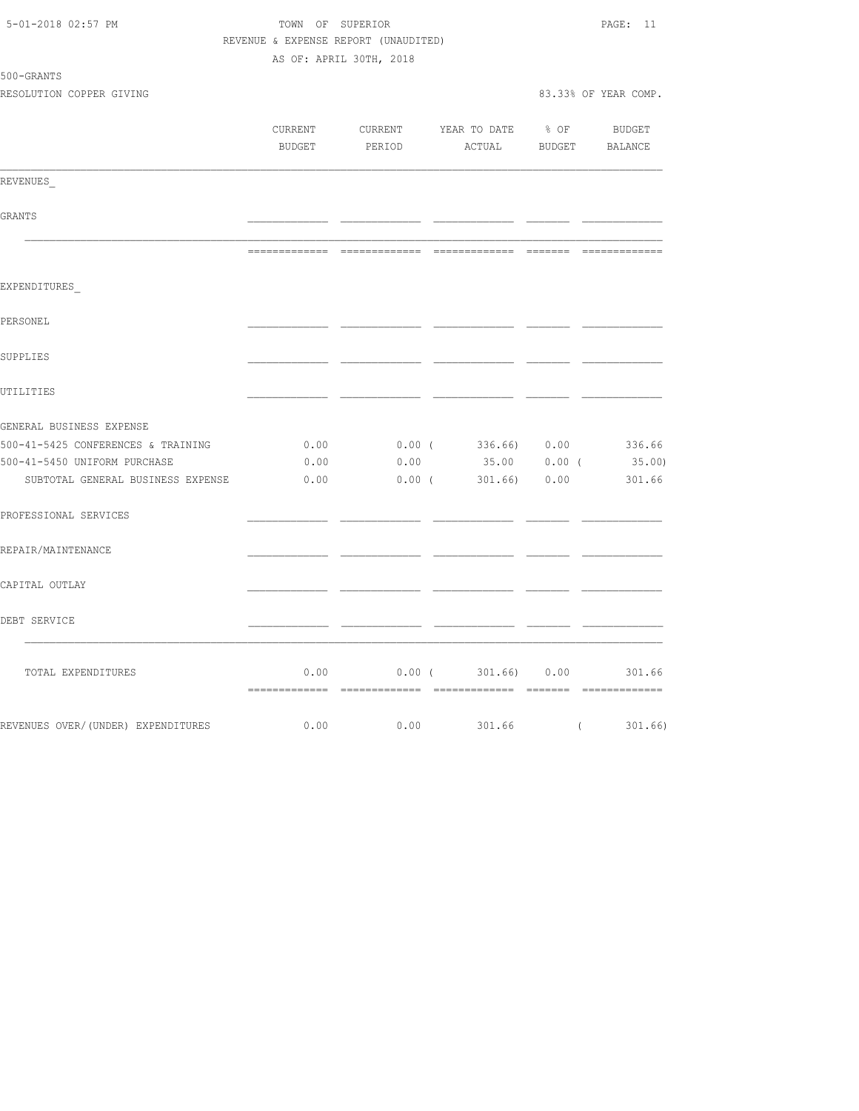| 5-01-2018 02:57 PM                 | TOWN OF SUPERIOR<br>REVENUE & EXPENSE REPORT (UNAUDITED) |          |                         |          | PAGE: 11             |
|------------------------------------|----------------------------------------------------------|----------|-------------------------|----------|----------------------|
|                                    | AS OF: APRIL 30TH, 2018                                  |          |                         |          |                      |
| 500-GRANTS                         |                                                          |          |                         |          |                      |
| RESOLUTION COPPER GIVING           |                                                          |          |                         |          | 83.33% OF YEAR COMP. |
|                                    | CURRENT                                                  |          | CURRENT YEAR TO DATE    | $8$ OF   | BUDGET               |
|                                    | BUDGET                                                   | PERIOD   | ACTUAL BUDGET           |          | BALANCE              |
| REVENUES                           |                                                          |          |                         |          |                      |
| GRANTS                             |                                                          |          |                         |          |                      |
|                                    |                                                          |          |                         |          |                      |
| EXPENDITURES                       |                                                          |          |                         |          |                      |
| PERSONEL                           |                                                          |          |                         |          |                      |
| SUPPLIES                           |                                                          |          |                         |          |                      |
| UTILITIES                          |                                                          |          |                         |          |                      |
| GENERAL BUSINESS EXPENSE           |                                                          |          |                         |          |                      |
| 500-41-5425 CONFERENCES & TRAINING | 0.00                                                     |          | $0.00$ ( 336.66) $0.00$ |          | 336.66               |
| 500-41-5450 UNIFORM PURCHASE       | 0.00                                                     | 0.00     | 35.00                   | $0.00$ ( | 35.00)               |
| SUBTOTAL GENERAL BUSINESS EXPENSE  | 0.00                                                     | $0.00$ ( | 301.66)                 | 0.00     | 301.66               |
| PROFESSIONAL SERVICES              |                                                          |          |                         |          |                      |
| REPAIR/MAINTENANCE                 |                                                          |          |                         |          |                      |
| CAPITAL OUTLAY                     |                                                          |          |                         |          |                      |
| DEBT SERVICE                       |                                                          |          |                         |          |                      |
| TOTAL EXPENDITURES                 | 0.00                                                     |          | $0.00$ ( 301.66) 0.00   |          | 301.66               |
| REVENUES OVER/(UNDER) EXPENDITURES | 0.00                                                     | 0.00     | 301.66 (301.66)         |          |                      |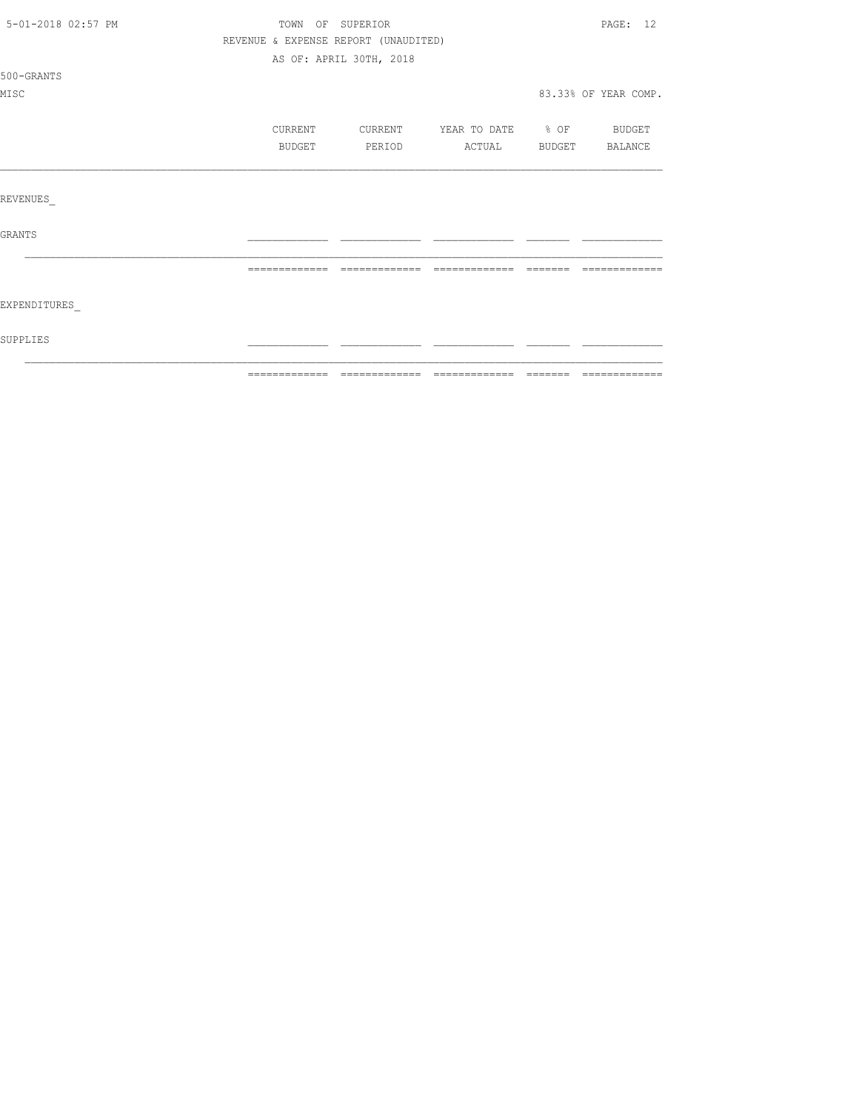| SUPPLIES           |         |                                      |                                  |                                                                                                                                                                                                                                                                                                                                                                                                                                                                                        |
|--------------------|---------|--------------------------------------|----------------------------------|----------------------------------------------------------------------------------------------------------------------------------------------------------------------------------------------------------------------------------------------------------------------------------------------------------------------------------------------------------------------------------------------------------------------------------------------------------------------------------------|
| EXPENDITURES       |         |                                      |                                  |                                                                                                                                                                                                                                                                                                                                                                                                                                                                                        |
|                    |         |                                      |                                  | $\begin{array}{cccccccccc} \multicolumn{2}{c}{} & \multicolumn{2}{c}{} & \multicolumn{2}{c}{} & \multicolumn{2}{c}{} & \multicolumn{2}{c}{} & \multicolumn{2}{c}{} & \multicolumn{2}{c}{} & \multicolumn{2}{c}{} & \multicolumn{2}{c}{} & \multicolumn{2}{c}{} & \multicolumn{2}{c}{} & \multicolumn{2}{c}{} & \multicolumn{2}{c}{} & \multicolumn{2}{c}{} & \multicolumn{2}{c}{} & \multicolumn{2}{c}{} & \multicolumn{2}{c}{} & \multicolumn{2}{c}{} & \multicolumn{2}{c}{} & \mult$ |
| GRANTS             |         |                                      |                                  |                                                                                                                                                                                                                                                                                                                                                                                                                                                                                        |
| REVENUES           |         |                                      |                                  |                                                                                                                                                                                                                                                                                                                                                                                                                                                                                        |
|                    |         |                                      |                                  |                                                                                                                                                                                                                                                                                                                                                                                                                                                                                        |
|                    | BUDGET  | PERIOD                               | ACTUAL BUDGET BALANCE            |                                                                                                                                                                                                                                                                                                                                                                                                                                                                                        |
|                    | CURRENT |                                      | CURRENT YEAR TO DATE % OF BUDGET |                                                                                                                                                                                                                                                                                                                                                                                                                                                                                        |
| MISC               |         |                                      |                                  | 83.33% OF YEAR COMP.                                                                                                                                                                                                                                                                                                                                                                                                                                                                   |
| 500-GRANTS         |         |                                      |                                  |                                                                                                                                                                                                                                                                                                                                                                                                                                                                                        |
|                    |         | AS OF: APRIL 30TH, 2018              |                                  |                                                                                                                                                                                                                                                                                                                                                                                                                                                                                        |
|                    |         | REVENUE & EXPENSE REPORT (UNAUDITED) |                                  |                                                                                                                                                                                                                                                                                                                                                                                                                                                                                        |
| 5-01-2018 02:57 PM |         | TOWN OF SUPERIOR                     |                                  | PAGE: 12                                                                                                                                                                                                                                                                                                                                                                                                                                                                               |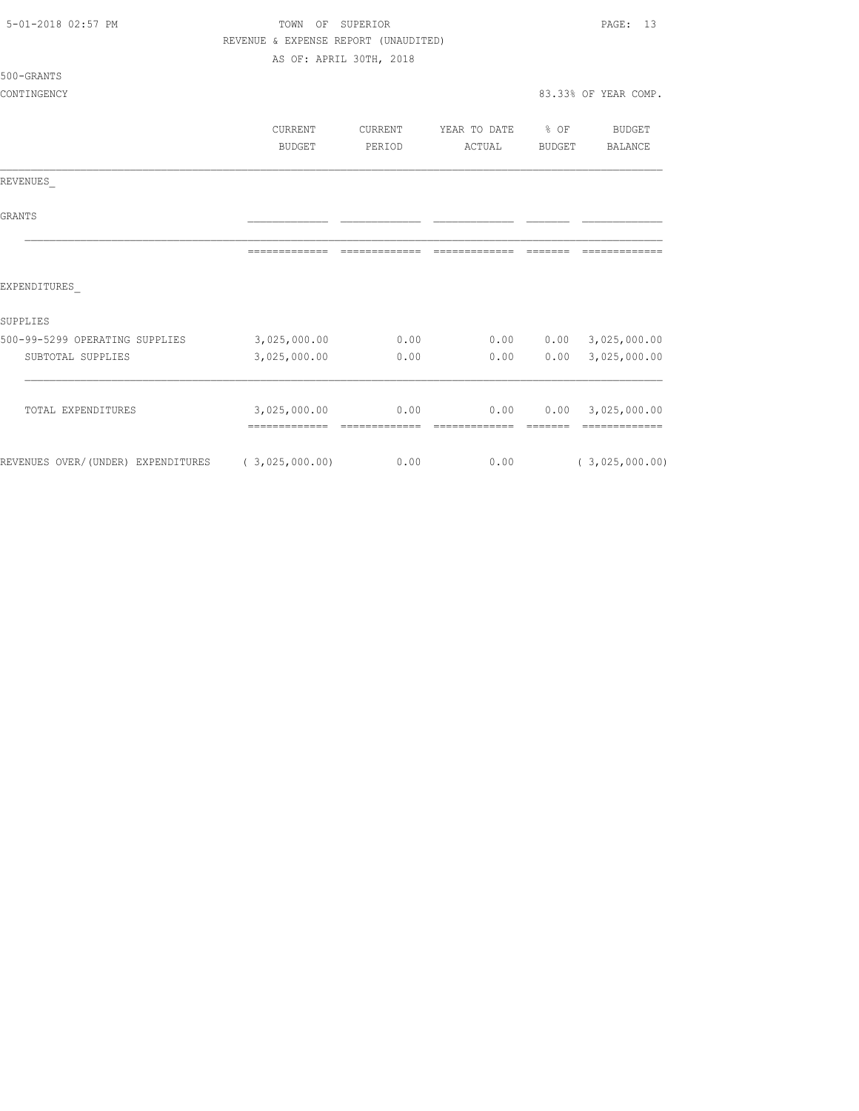| 5-01-2018 02:57 PM                                | TOWN OF<br>SUPERIOR                  |                         |               |                 | PAGE:<br>13                        |  |
|---------------------------------------------------|--------------------------------------|-------------------------|---------------|-----------------|------------------------------------|--|
|                                                   | REVENUE & EXPENSE REPORT (UNAUDITED) |                         |               |                 |                                    |  |
|                                                   |                                      | AS OF: APRIL 30TH, 2018 |               |                 |                                    |  |
| 500-GRANTS                                        |                                      |                         |               |                 |                                    |  |
| CONTINGENCY                                       |                                      |                         |               |                 | 83.33% OF YEAR COMP.               |  |
|                                                   |                                      |                         |               |                 |                                    |  |
|                                                   | CURRENT                              | CURRENT                 | YEAR TO DATE  | $\div$ OF       | BUDGET                             |  |
|                                                   | BUDGET                               | PERIOD                  | ACTUAL        | BUDGET          | BALANCE                            |  |
| REVENUES                                          |                                      |                         |               |                 |                                    |  |
| <b>GRANTS</b>                                     |                                      |                         |               |                 |                                    |  |
|                                                   |                                      |                         | ============= | --------        |                                    |  |
| EXPENDITURES                                      |                                      |                         |               |                 |                                    |  |
| SUPPLIES                                          |                                      |                         |               |                 |                                    |  |
| 500-99-5299 OPERATING SUPPLIES                    | 3,025,000.00                         | 0.00                    | 0.00          |                 | $0.00$ 3,025,000.00                |  |
| SUBTOTAL SUPPLIES                                 | 3,025,000.00                         | 0.00                    | 0.00          | 0.00            | 3,025,000.00                       |  |
|                                                   |                                      |                         |               |                 |                                    |  |
| TOTAL EXPENDITURES                                | 3,025,000.00                         | 0.00                    | 0.00          | <b>CONSIDER</b> | 0.00 3,025,000.00<br>============= |  |
| REVENUES OVER/(UNDER) EXPENDITURES (3,025,000.00) |                                      | 0.00                    | 0.00          |                 | (3,025,000.00)                     |  |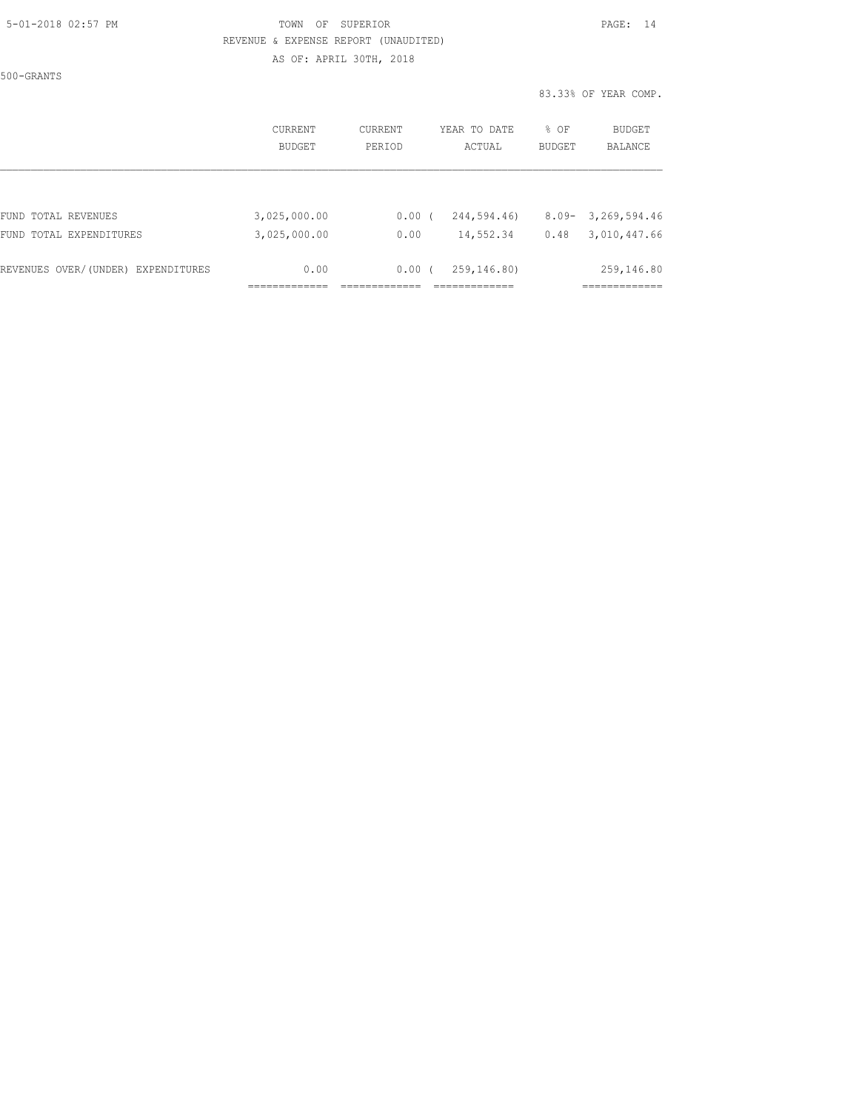500-GRANTS

|                                    | CURRENT<br>BUDGET | CURRENT<br>PERIOD | YEAR TO DATE<br>ACTUAL | % OF<br><b>BUDGET</b> | BUDGET<br><b>BALANCE</b> |
|------------------------------------|-------------------|-------------------|------------------------|-----------------------|--------------------------|
|                                    |                   |                   |                        |                       |                          |
| FUND TOTAL REVENUES                | 3,025,000.00      | 0.00(             | 244,594.46)            | $8.09 -$              | 3,269,594.46             |
| FUND TOTAL EXPENDITURES            | 3,025,000.00      | 0.00              | 14,552.34              | 0.48                  | 3,010,447.66             |
| REVENUES OVER/(UNDER) EXPENDITURES | 0.00              | 0.00(             | 259,146.80)            |                       | 259,146.80               |
|                                    |                   |                   |                        |                       |                          |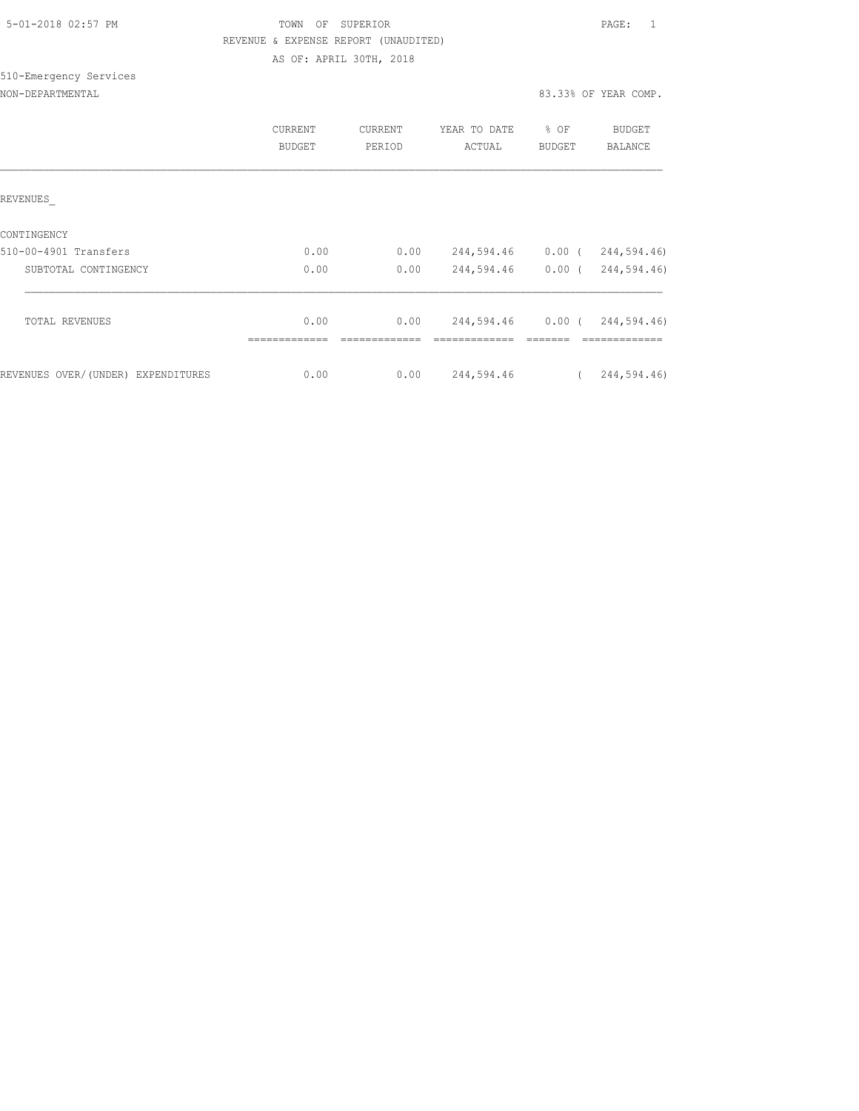|  | 5-01-2018 02:57 PM |  |
|--|--------------------|--|

# TOWN OF SUPERIOR **Example 2018** PAGE: 1 REVENUE & EXPENSE REPORT (UNAUDITED) AS OF: APRIL 30TH, 2018

# 510-Emergency Services

| NON-DEPARTMENTAL |  |
|------------------|--|
|                  |  |

|                                    | <b>CURRENT</b><br><b>BUDGET</b> | <b>CURRENT</b><br>PERIOD | YEAR TO DATE<br>ACTUAL | % OF<br><b>BUDGET</b> | <b>BUDGET</b><br>BALANCE |
|------------------------------------|---------------------------------|--------------------------|------------------------|-----------------------|--------------------------|
| REVENUES                           |                                 |                          |                        |                       |                          |
| CONTINGENCY                        |                                 |                          |                        |                       |                          |
| 510-00-4901 Transfers              | 0.00                            | 0.00                     | 244,594.46             | $0.00$ (              | 244,594.46)              |
| SUBTOTAL CONTINGENCY               | 0.00                            | 0.00                     | 244,594.46             | 0.00(                 | 244,594.46)              |
| TOTAL REVENUES                     | 0.00                            | 0.00                     | 244,594.46             |                       | 0.00(244,594.46)         |
|                                    | --------------                  |                          |                        |                       | --------------           |
| REVENUES OVER/(UNDER) EXPENDITURES | 0.00                            | 0.00                     | 244,594.46             |                       | 244,594.46)              |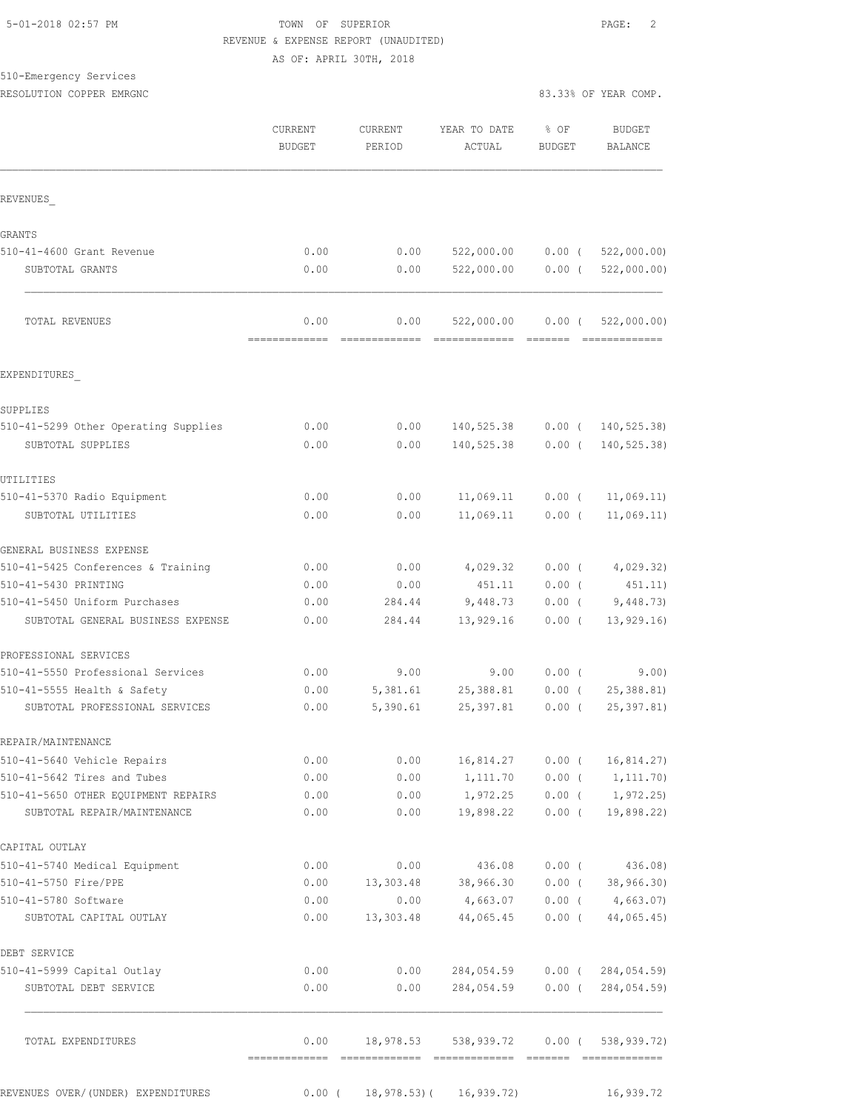#### 510-Emergency Services RESOLUTION COPPER EMRGNC **EXECUTE A SERVIT EXECUTE A** 83.33% OF YEAR COMP.

| KESOLUIION COFFEK EMKGNC |  |  |
|--------------------------|--|--|
|                          |  |  |

|                                                       | <b>CURRENT</b><br><b>BUDGET</b> | CURRENT<br>PERIOD | YEAR TO DATE<br>ACTUAL  | % OF<br><b>BUDGET</b> | <b>BUDGET</b><br><b>BALANCE</b> |
|-------------------------------------------------------|---------------------------------|-------------------|-------------------------|-----------------------|---------------------------------|
| REVENUES                                              |                                 |                   |                         |                       |                                 |
| <b>GRANTS</b>                                         |                                 |                   |                         |                       |                                 |
| 510-41-4600 Grant Revenue                             | 0.00                            | 0.00              | 522,000.00              | $0.00$ (              | 522,000.00)                     |
| SUBTOTAL GRANTS                                       | 0.00                            | 0.00              | 522,000.00              | $0.00$ (              | 522,000.00)                     |
| TOTAL REVENUES                                        | 0.00                            | 0.00              | 522,000.00              | $0.00$ (              | 522,000.00)                     |
| EXPENDITURES                                          |                                 |                   |                         |                       |                                 |
| SUPPLIES                                              |                                 |                   |                         |                       |                                 |
| 510-41-5299 Other Operating Supplies                  | 0.00                            | 0.00              | 140,525.38              |                       | $0.00$ ( 140, 525.38)           |
| SUBTOTAL SUPPLIES                                     | 0.00                            | 0.00              | 140,525.38              | $0.00$ (              | 140, 525.38)                    |
| UTILITIES                                             |                                 |                   |                         |                       |                                 |
| 510-41-5370 Radio Equipment                           | 0.00                            | 0.00              | 11,069.11               | $0.00$ (              | 11,069.11)                      |
| SUBTOTAL UTILITIES                                    | 0.00                            | 0.00              | 11,069.11               | $0.00$ (              | 11,069.11)                      |
| GENERAL BUSINESS EXPENSE                              |                                 |                   |                         |                       |                                 |
| 510-41-5425 Conferences & Training                    | 0.00                            | 0.00              | 4,029.32                | $0.00$ (              | 4,029.32)                       |
| 510-41-5430 PRINTING                                  | 0.00                            | 0.00              | 451.11                  | 0.00(                 | 451.11)                         |
| 510-41-5450 Uniform Purchases                         | 0.00                            | 284.44            | 9,448.73                | $0.00$ (              | 9,448.73)                       |
| SUBTOTAL GENERAL BUSINESS EXPENSE                     | 0.00                            | 284.44            | 13,929.16               | $0.00$ (              | 13, 929.16                      |
| PROFESSIONAL SERVICES                                 |                                 |                   |                         |                       |                                 |
| 510-41-5550 Professional Services                     | 0.00                            | 9.00              | 9.00                    | $0.00$ (              | 9.00)                           |
| 510-41-5555 Health & Safety                           | 0.00                            | 5,381.61          | 25,388.81               | $0.00$ (              | 25, 388.81                      |
| SUBTOTAL PROFESSIONAL SERVICES                        | 0.00                            | 5,390.61          | 25, 397.81              | $0.00$ (              | 25, 397.81)                     |
| REPAIR/MAINTENANCE                                    |                                 |                   |                         |                       |                                 |
| 510-41-5640 Vehicle Repairs                           | 0.00                            | 0.00              | 16,814.27               | $0.00$ (              | 16, 814.27                      |
| 510-41-5642 Tires and Tubes                           | 0.00                            | 0.00              | 1,111.70                | $0.00$ (              | 1, 111.70)                      |
| 510-41-5650 OTHER EQUIPMENT REPAIRS                   | 0.00                            | 0.00              | 1,972.25                | $0.00$ (              | 1,972.25)                       |
| SUBTOTAL REPAIR/MAINTENANCE                           | 0.00                            | 0.00              | 19,898.22               | $0.00$ (              | 19,898.22)                      |
| CAPITAL OUTLAY                                        |                                 |                   |                         |                       |                                 |
| 510-41-5740 Medical Equipment<br>510-41-5750 Fire/PPE | 0.00<br>0.00                    | 0.00<br>13,303.48 | 436.08<br>38,966.30     | $0.00$ (<br>$0.00$ (  | 436.08)                         |
| 510-41-5780 Software                                  | 0.00                            | 0.00              | 4,663.07                | $0.00$ (              | 38,966.30)<br>4,663.07)         |
| SUBTOTAL CAPITAL OUTLAY                               | 0.00                            | 13,303.48         | 44,065.45               | $0.00$ (              | 44,065.45)                      |
| DEBT SERVICE                                          |                                 |                   |                         |                       |                                 |
| 510-41-5999 Capital Outlay                            | 0.00                            | 0.00              | 284,054.59              |                       | $0.00$ ( $284,054.59$ )         |
| SUBTOTAL DEBT SERVICE                                 | 0.00                            | 0.00              | 284,054.59              | $0.00$ (              | 284,054.59)                     |
| TOTAL EXPENDITURES                                    | 0.00                            | 18,978.53         | 538,939.72              | $0.00$ (              | 538,939.72)                     |
| REVENUES OVER/(UNDER) EXPENDITURES                    | $0.00$ (                        |                   | 18,978.53) ( 16,939.72) |                       | 16,939.72                       |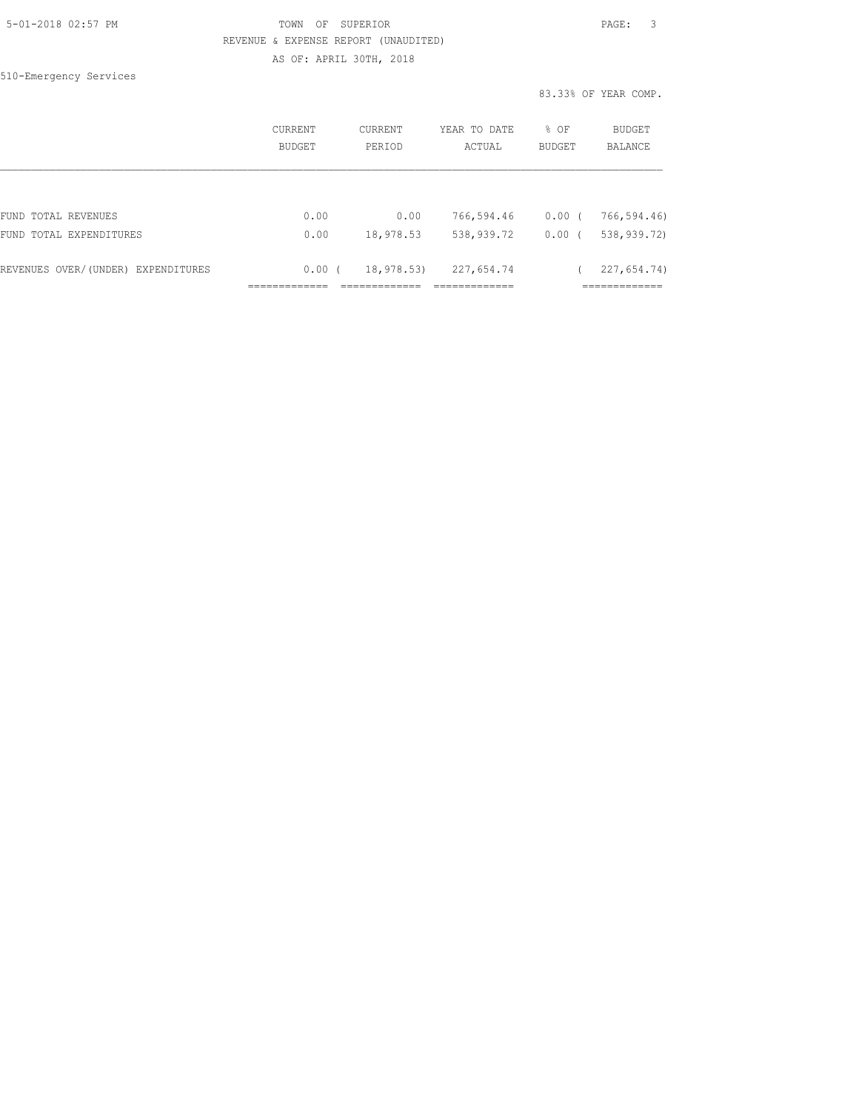510-Emergency Services

|                                    | CURRENT<br>BUDGET | CURRENT<br>PERIOD | YEAR TO DATE<br>ACTUAL | % OF<br><b>BUDGET</b> | BUDGET<br>BALANCE |
|------------------------------------|-------------------|-------------------|------------------------|-----------------------|-------------------|
| FUND TOTAL REVENUES                | 0.00              | 0.00              | 766,594.46             | $0.00$ (              | 766,594.46)       |
| FUND TOTAL EXPENDITURES            | 0.00              | 18,978.53         | 538,939.72             | $0.00$ (              | 538,939.72)       |
| REVENUES OVER/(UNDER) EXPENDITURES | 0.00(             | 18,978.53)        | 227,654.74             |                       | 227,654.74)       |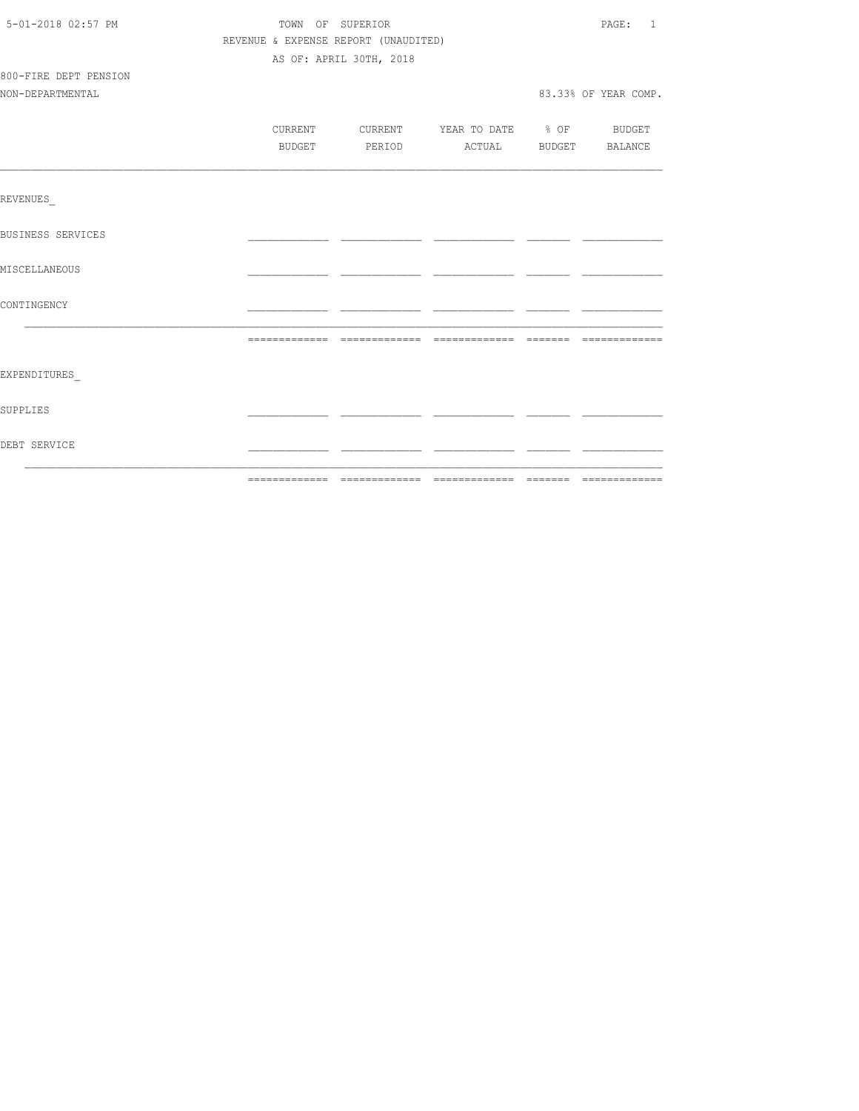| 5-01-2018 02:57 PM       | TOWN OF SUPERIOR |                                      |                                  | PAGE: 1              |
|--------------------------|------------------|--------------------------------------|----------------------------------|----------------------|
|                          |                  | REVENUE & EXPENSE REPORT (UNAUDITED) |                                  |                      |
|                          |                  | AS OF: APRIL 30TH, 2018              |                                  |                      |
| 800-FIRE DEPT PENSION    |                  |                                      |                                  |                      |
| NON-DEPARTMENTAL         |                  |                                      |                                  | 83.33% OF YEAR COMP. |
|                          |                  |                                      |                                  |                      |
|                          | CURRENT          |                                      | CURRENT YEAR TO DATE % OF BUDGET |                      |
|                          | BUDGET           |                                      | PERIOD ACTUAL BUDGET BALANCE     |                      |
|                          |                  |                                      |                                  |                      |
| REVENUES                 |                  |                                      |                                  |                      |
|                          |                  |                                      |                                  |                      |
| <b>BUSINESS SERVICES</b> |                  |                                      |                                  |                      |
|                          |                  |                                      |                                  |                      |
| MISCELLANEOUS            |                  |                                      |                                  |                      |
| CONTINGENCY              |                  |                                      |                                  |                      |
|                          |                  |                                      |                                  |                      |
|                          |                  |                                      |                                  |                      |
| EXPENDITURES             |                  |                                      |                                  |                      |
|                          |                  |                                      |                                  |                      |
| SUPPLIES                 |                  |                                      |                                  |                      |
| DEBT SERVICE             |                  |                                      |                                  |                      |
|                          |                  |                                      |                                  |                      |
|                          |                  |                                      |                                  |                      |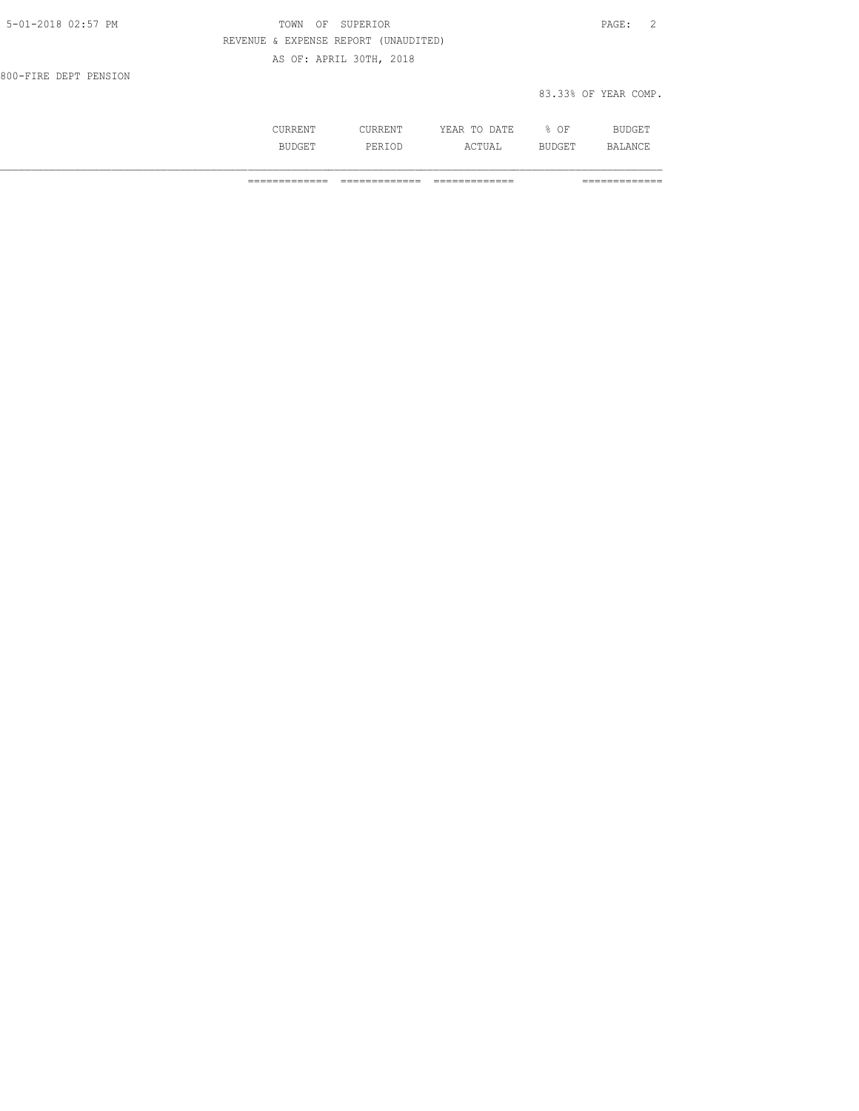| 5-01-2018 02:57 PM    | TOWN OF SUPERIOR                     | PAGE: 2              |
|-----------------------|--------------------------------------|----------------------|
|                       | REVENUE & EXPENSE REPORT (UNAUDITED) |                      |
|                       | AS OF: APRIL 30TH, 2018              |                      |
| 800-FIRE DEPT PENSION |                                      |                      |
|                       |                                      | 83.33% OF YEAR COMP. |
|                       |                                      |                      |

|     | .                   | הדוחיה<br>----<br>----- | ΟF<br>-<br>- | --   |
|-----|---------------------|-------------------------|--------------|------|
| --- | اما د .<br>ᆂ ᆜᆦᄾᆂᄝᄽ | ----<br>---             | .<br>-       | A NI |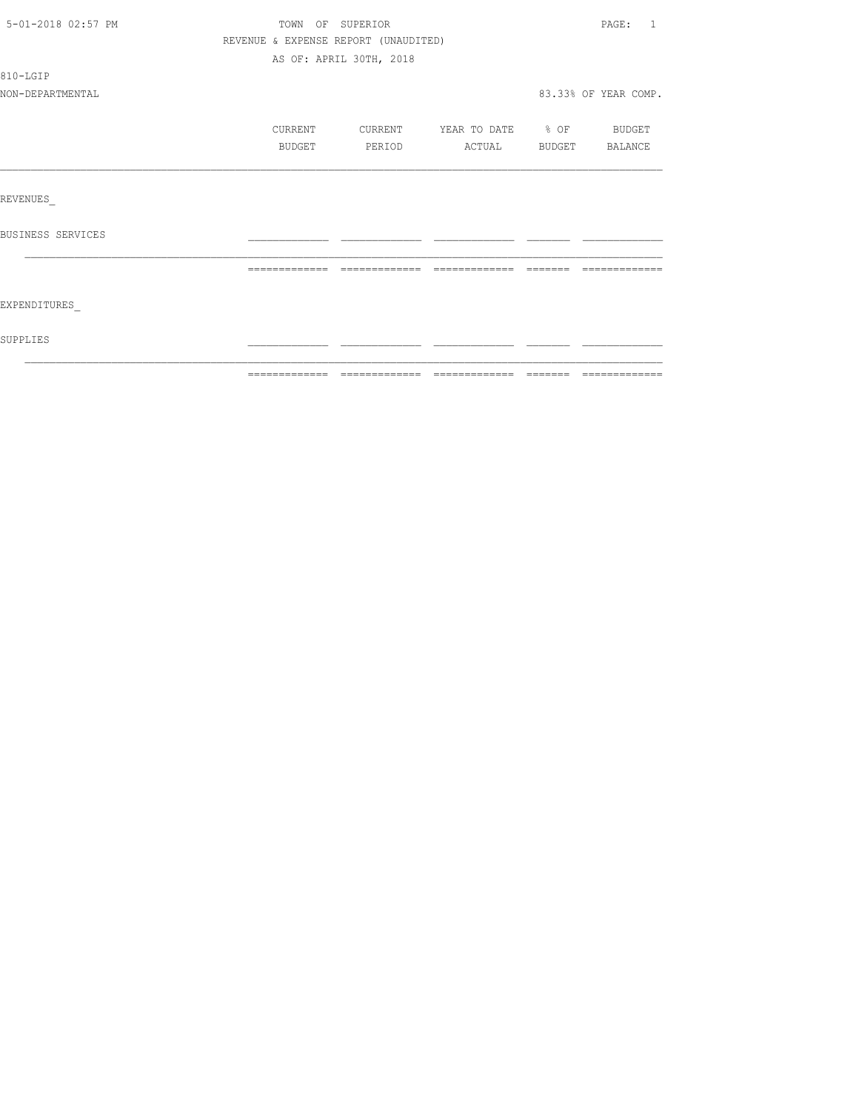| 5-01-2018 02:57 PM |                                      | TOWN OF SUPERIOR        |                          | PAGE: 1              |
|--------------------|--------------------------------------|-------------------------|--------------------------|----------------------|
|                    | REVENUE & EXPENSE REPORT (UNAUDITED) |                         |                          |                      |
|                    |                                      | AS OF: APRIL 30TH, 2018 |                          |                      |
| 810-LGIP           |                                      |                         |                          |                      |
| NON-DEPARTMENTAL   |                                      |                         |                          | 83.33% OF YEAR COMP. |
|                    | CURRENT                              | CURRENT                 | YEAR TO DATE % OF BUDGET |                      |
|                    | BUDGET                               | PERIOD                  | ACTUAL                   | BUDGET BALANCE       |
|                    |                                      |                         |                          |                      |
| REVENUES           |                                      |                         |                          |                      |
| BUSINESS SERVICES  |                                      |                         |                          |                      |
|                    |                                      |                         |                          |                      |
| EXPENDITURES       |                                      |                         |                          |                      |
| SUPPLIES           |                                      |                         |                          |                      |
|                    |                                      |                         |                          |                      |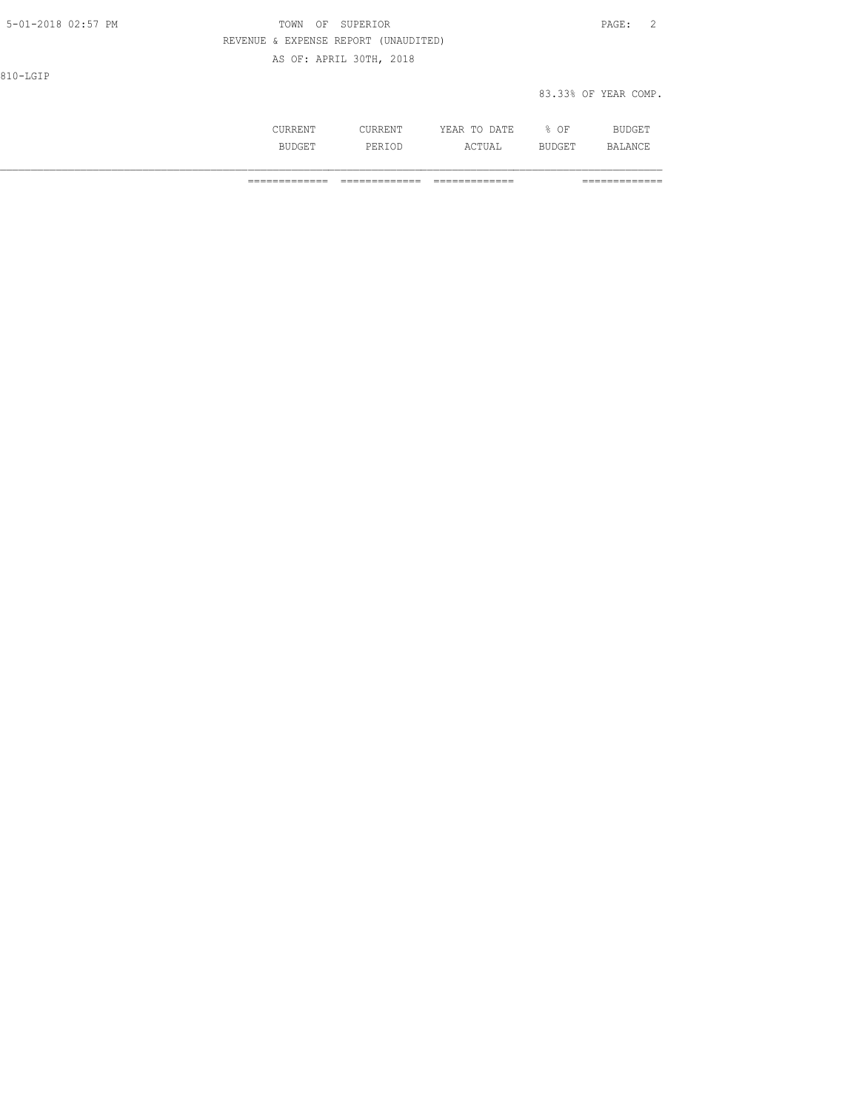| 5-01-2018 02:57 PM | TOWN<br>OF                           | SUPERIOR                |              |        | $\overline{2}$<br>PAGE: |
|--------------------|--------------------------------------|-------------------------|--------------|--------|-------------------------|
|                    | REVENUE & EXPENSE REPORT (UNAUDITED) |                         |              |        |                         |
|                    |                                      | AS OF: APRIL 30TH, 2018 |              |        |                         |
| 810-LGIP           |                                      |                         |              |        |                         |
|                    |                                      |                         |              |        | 83.33% OF YEAR COMP.    |
|                    |                                      |                         |              |        |                         |
|                    | CURRENT                              | CURRENT                 | YEAR TO DATE | $8$ OF | <b>BUDGET</b>           |

BUDGET PERIOD ACTUAL BUDGET BALANCE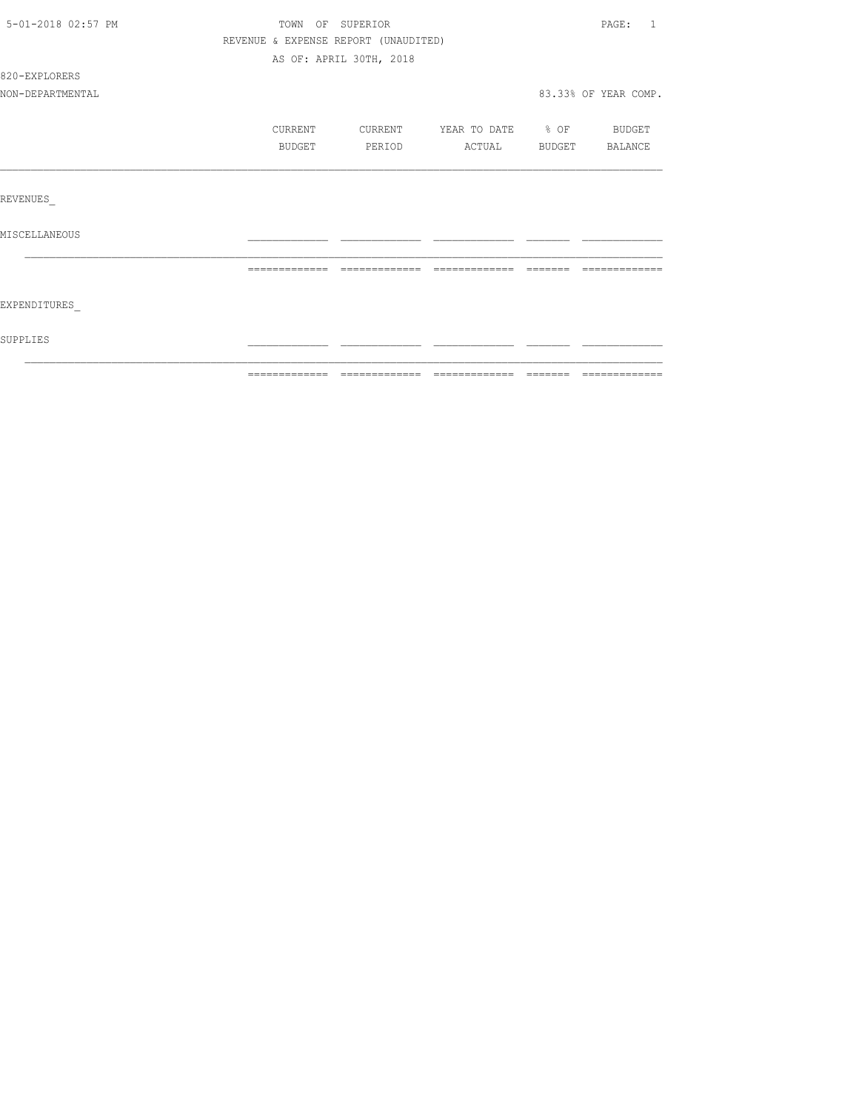| 5-01-2018 02:57 PM | TOWN OF SUPERIOR                     |                         |                          | PAGE: 1              |
|--------------------|--------------------------------------|-------------------------|--------------------------|----------------------|
|                    | REVENUE & EXPENSE REPORT (UNAUDITED) |                         |                          |                      |
|                    |                                      | AS OF: APRIL 30TH, 2018 |                          |                      |
| 820-EXPLORERS      |                                      |                         |                          |                      |
| NON-DEPARTMENTAL   |                                      |                         |                          | 83.33% OF YEAR COMP. |
|                    | CURRENT                              | CURRENT                 | YEAR TO DATE % OF BUDGET |                      |
|                    | BUDGET                               | PERIOD                  | ACTUAL                   | BUDGET BALANCE       |
|                    |                                      |                         |                          |                      |
| REVENUES           |                                      |                         |                          |                      |
| MISCELLANEOUS      |                                      |                         |                          |                      |
|                    |                                      |                         |                          |                      |
| EXPENDITURES       |                                      |                         |                          |                      |
| SUPPLIES           |                                      |                         |                          |                      |
|                    |                                      |                         |                          |                      |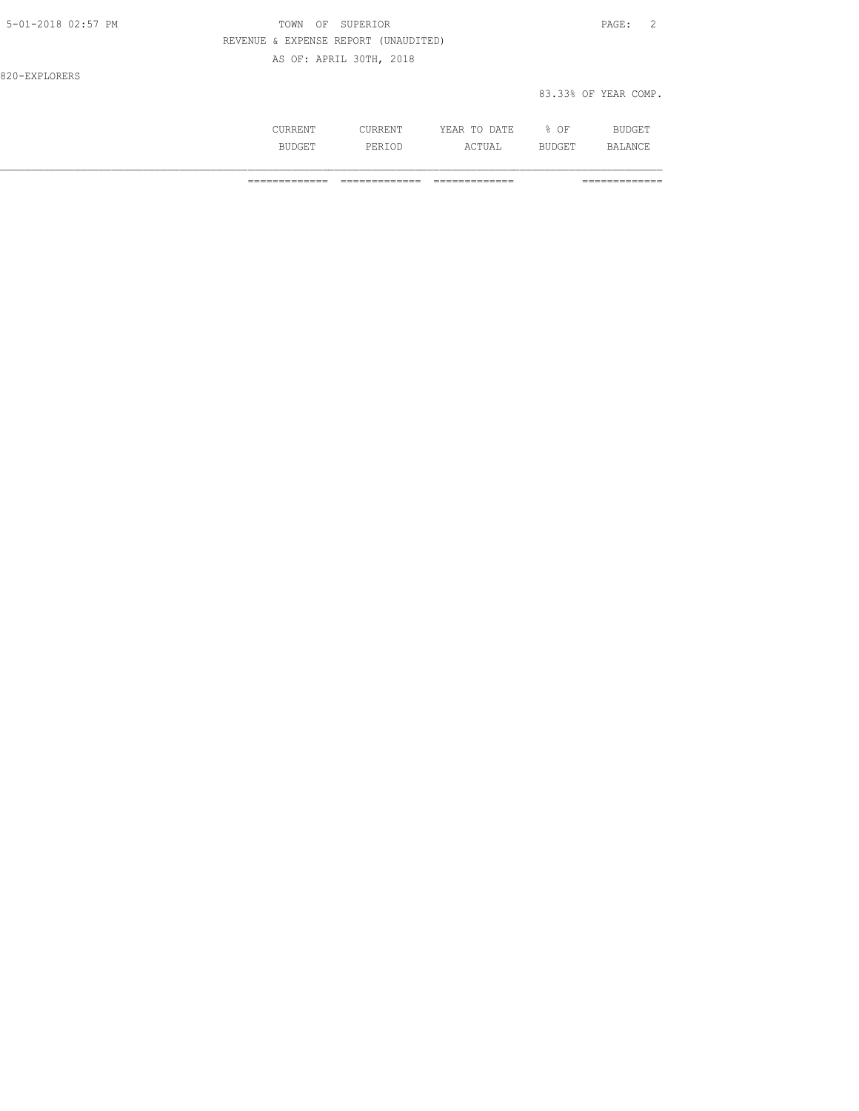| 5-01-2018 02:57 PM | TOWN OF SUPERIOR                     |                      | PAGE: 2 |  |
|--------------------|--------------------------------------|----------------------|---------|--|
|                    | REVENUE & EXPENSE REPORT (UNAUDITED) |                      |         |  |
|                    | AS OF: APRIL 30TH, 2018              |                      |         |  |
| 820-EXPLORERS      |                                      |                      |         |  |
|                    |                                      | 83.33% OF YEAR COMP. |         |  |

| ---   | .<br>$\frac{1}{2} \left( \frac{1}{2} \right) \left( \frac{1}{2} \right) \left( \frac{1}{2} \right) \left( \frac{1}{2} \right) \left( \frac{1}{2} \right) \left( \frac{1}{2} \right) \left( \frac{1}{2} \right) \left( \frac{1}{2} \right) \left( \frac{1}{2} \right) \left( \frac{1}{2} \right) \left( \frac{1}{2} \right) \left( \frac{1}{2} \right) \left( \frac{1}{2} \right) \left( \frac{1}{2} \right) \left( \frac{1}{2} \right) \left( \frac{1}{2} \right) \left( \frac$ | ግልጥπ.<br>سا .<br>$\sim$<br>-----<br>--<br>__ | ΟF<br>∽.<br>$\sim$ |  |
|-------|---------------------------------------------------------------------------------------------------------------------------------------------------------------------------------------------------------------------------------------------------------------------------------------------------------------------------------------------------------------------------------------------------------------------------------------------------------------------------------|----------------------------------------------|--------------------|--|
| 1.311 | ÞП.<br>.                                                                                                                                                                                                                                                                                                                                                                                                                                                                        | $ \sim$ $ -$<br>$\cdots$<br>----             | ۔ سد               |  |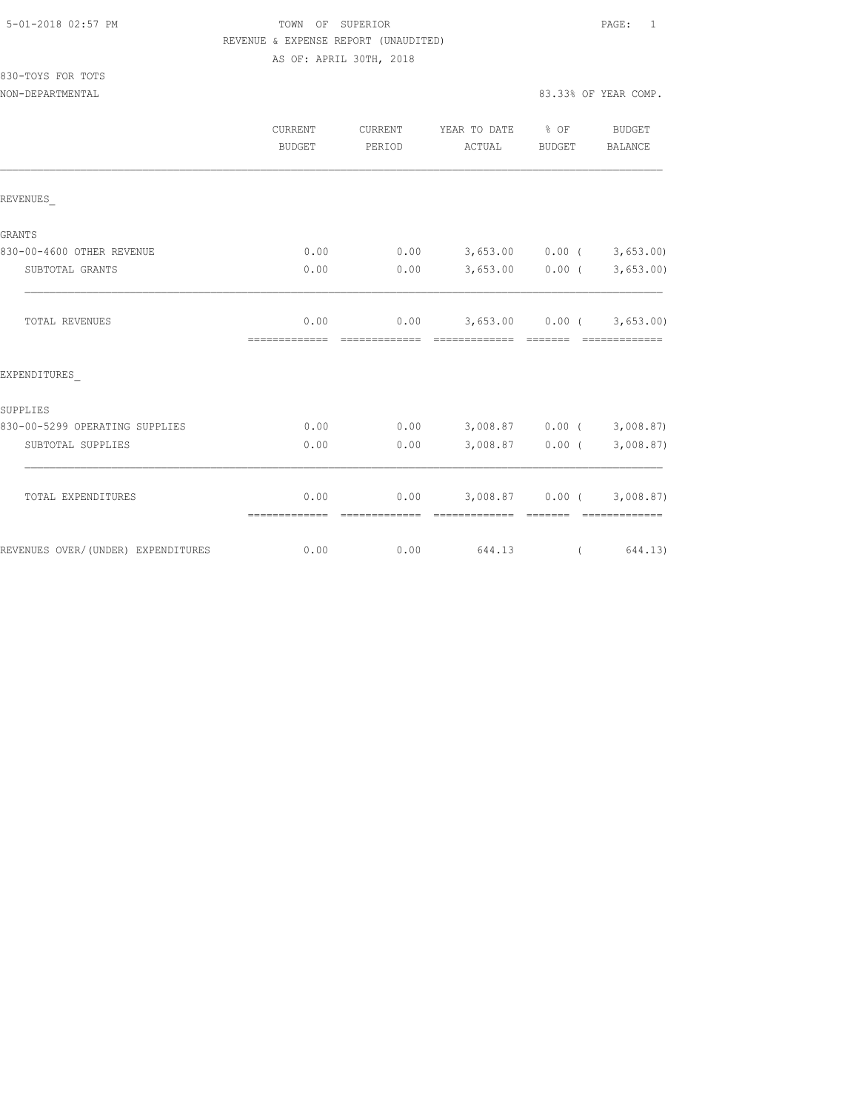## TOWN OF SUPERIOR **Example 2018** PAGE: 1 REVENUE & EXPENSE REPORT (UNAUDITED) AS OF: APRIL 30TH, 2018

## 830-TOYS FOR TOTS NON-DEPARTMENTAL 83.33% OF YEAR COMP.

|                                    | CURRENT<br>BUDGET     | <b>CURRENT</b><br>PERIOD | YEAR TO DATE<br>ACTUAL   | $8$ OF<br>BUDGET                                                                                                                                                                                                                                                                                                                                                                                                                                                                                          | BUDGET<br>BALANCE          |
|------------------------------------|-----------------------|--------------------------|--------------------------|-----------------------------------------------------------------------------------------------------------------------------------------------------------------------------------------------------------------------------------------------------------------------------------------------------------------------------------------------------------------------------------------------------------------------------------------------------------------------------------------------------------|----------------------------|
| REVENUES                           |                       |                          |                          |                                                                                                                                                                                                                                                                                                                                                                                                                                                                                                           |                            |
| <b>GRANTS</b>                      |                       |                          |                          |                                                                                                                                                                                                                                                                                                                                                                                                                                                                                                           |                            |
| 830-00-4600 OTHER REVENUE          | 0.00                  | 0.00                     |                          | $3,653.00$ 0.00 (                                                                                                                                                                                                                                                                                                                                                                                                                                                                                         | 3,653.00                   |
| SUBTOTAL GRANTS                    | 0.00                  | 0.00                     |                          | $3,653.00$ 0.00 (                                                                                                                                                                                                                                                                                                                                                                                                                                                                                         | 3,653.00                   |
| TOTAL REVENUES                     | 0.00<br>============= | 0.00                     | 3,653.00 0.00 (3,653.00) |                                                                                                                                                                                                                                                                                                                                                                                                                                                                                                           |                            |
| EXPENDITURES                       |                       |                          |                          |                                                                                                                                                                                                                                                                                                                                                                                                                                                                                                           |                            |
| SUPPLIES                           |                       |                          |                          |                                                                                                                                                                                                                                                                                                                                                                                                                                                                                                           |                            |
| 830-00-5299 OPERATING SUPPLIES     | 0.00                  | 0.00                     | $3,008.87$ 0.00 (        |                                                                                                                                                                                                                                                                                                                                                                                                                                                                                                           | 3,008.87                   |
| SUBTOTAL SUPPLIES                  | 0.00                  | 0.00                     | $3,008.87$ 0.00 (        |                                                                                                                                                                                                                                                                                                                                                                                                                                                                                                           | 3,008.87)                  |
| TOTAL EXPENDITURES                 | 0.00<br>============= | 0.00<br>--------------   | --------------           | 3,008.87 0.00 (<br>$\begin{array}{cccccccccc} \multicolumn{2}{c}{} & \multicolumn{2}{c}{} & \multicolumn{2}{c}{} & \multicolumn{2}{c}{} & \multicolumn{2}{c}{} & \multicolumn{2}{c}{} & \multicolumn{2}{c}{} & \multicolumn{2}{c}{} & \multicolumn{2}{c}{} & \multicolumn{2}{c}{} & \multicolumn{2}{c}{} & \multicolumn{2}{c}{} & \multicolumn{2}{c}{} & \multicolumn{2}{c}{} & \multicolumn{2}{c}{} & \multicolumn{2}{c}{} & \multicolumn{2}{c}{} & \multicolumn{2}{c}{} & \multicolumn{2}{c}{} & \mult$ | 3,008.87<br>-------------- |
| REVENUES OVER/(UNDER) EXPENDITURES | 0.00                  | 0.00                     | 644.13                   | $\left($                                                                                                                                                                                                                                                                                                                                                                                                                                                                                                  | 644.13)                    |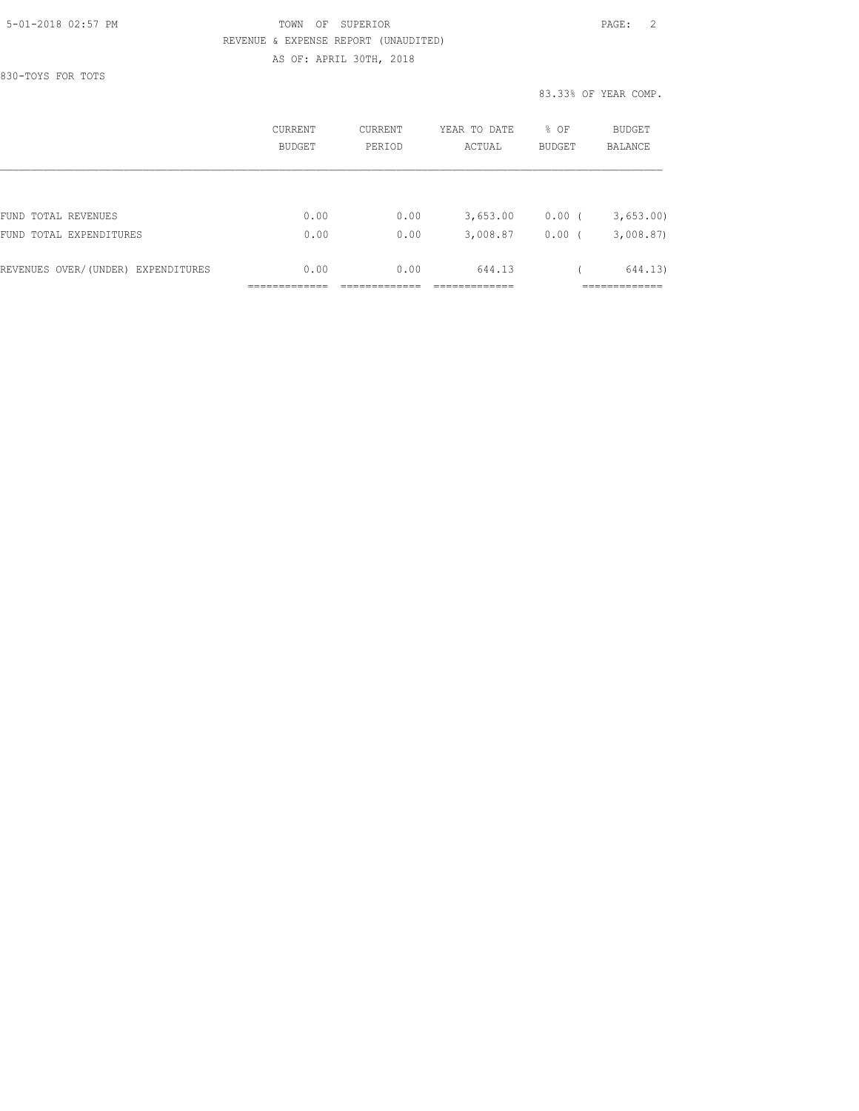## 5-01-2018 02:57 PM TOWN OF SUPERIOR PAGE: 2 REVENUE & EXPENSE REPORT (UNAUDITED) AS OF: APRIL 30TH, 2018

830-TOYS FOR TOTS

83.33% OF YEAR COMP.

|                                    | CURRENT<br><b>BUDGET</b> | <b>CURRENT</b><br>PERIOD | YEAR TO DATE<br>ACTUAL | % OF<br><b>BUDGET</b> | BUDGET<br>BALANCE |
|------------------------------------|--------------------------|--------------------------|------------------------|-----------------------|-------------------|
|                                    |                          |                          |                        |                       |                   |
| FUND TOTAL REVENUES                | 0.00                     | 0.00                     | 3,653.00               | 0.00                  | 3,653.00          |
| FUND TOTAL EXPENDITURES            | 0.00                     | 0.00                     | 3,008.87               | 0.00                  | 3,008.87          |
| REVENUES OVER/(UNDER) EXPENDITURES | 0.00                     | 0.00                     | 644.13                 |                       | 644.13)           |
|                                    |                          |                          |                        |                       |                   |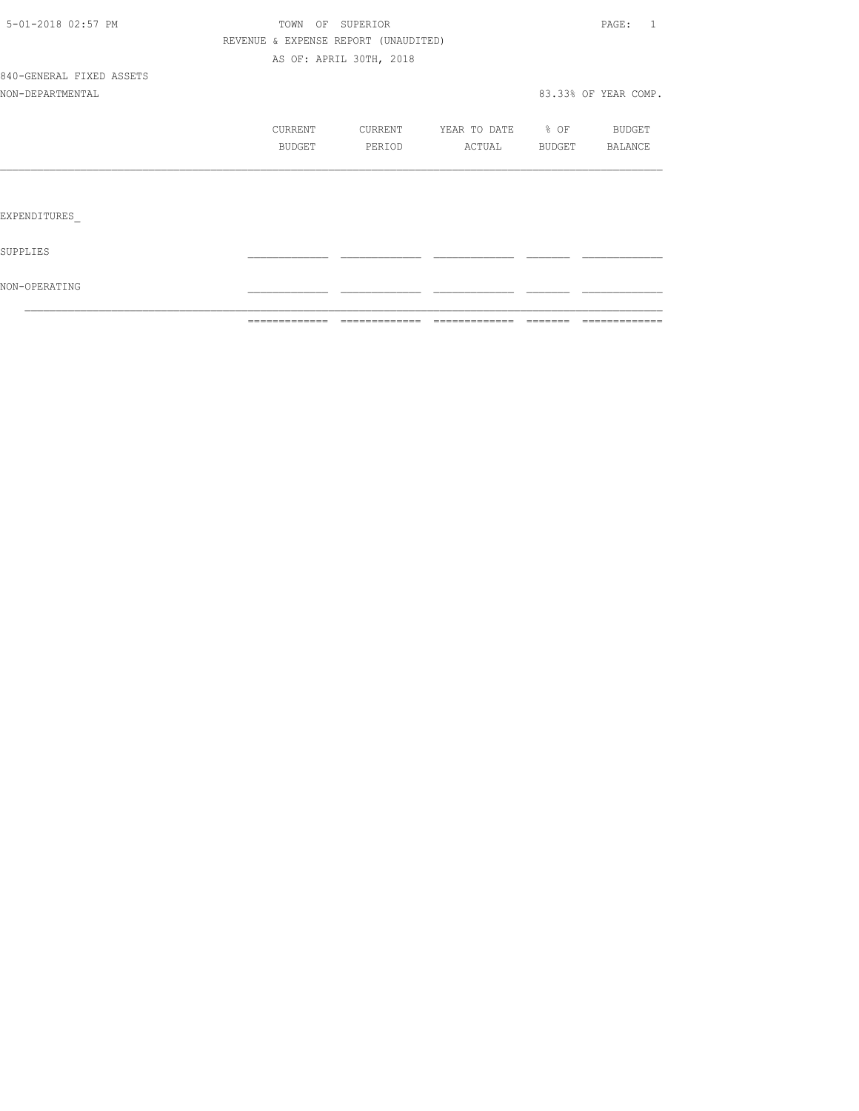|                          | =============                        | =============           | =============         | -------- | =============        |
|--------------------------|--------------------------------------|-------------------------|-----------------------|----------|----------------------|
| NON-OPERATING            |                                      |                         |                       |          |                      |
| SUPPLIES                 |                                      |                         |                       |          |                      |
| EXPENDITURES             |                                      |                         |                       |          |                      |
|                          |                                      |                         |                       |          |                      |
|                          | BUDGET                               | PERIOD                  | ACTUAL BUDGET BALANCE |          |                      |
|                          | CURRENT                              | CURRENT                 | YEAR TO DATE % OF     |          | BUDGET               |
| NON-DEPARTMENTAL         |                                      |                         |                       |          | 83.33% OF YEAR COMP. |
| 840-GENERAL FIXED ASSETS |                                      |                         |                       |          |                      |
|                          |                                      | AS OF: APRIL 30TH, 2018 |                       |          |                      |
|                          | REVENUE & EXPENSE REPORT (UNAUDITED) |                         |                       |          |                      |
| 5-01-2018 02:57 PM       | TOWN OF SUPERIOR                     |                         |                       |          | PAGE: 1              |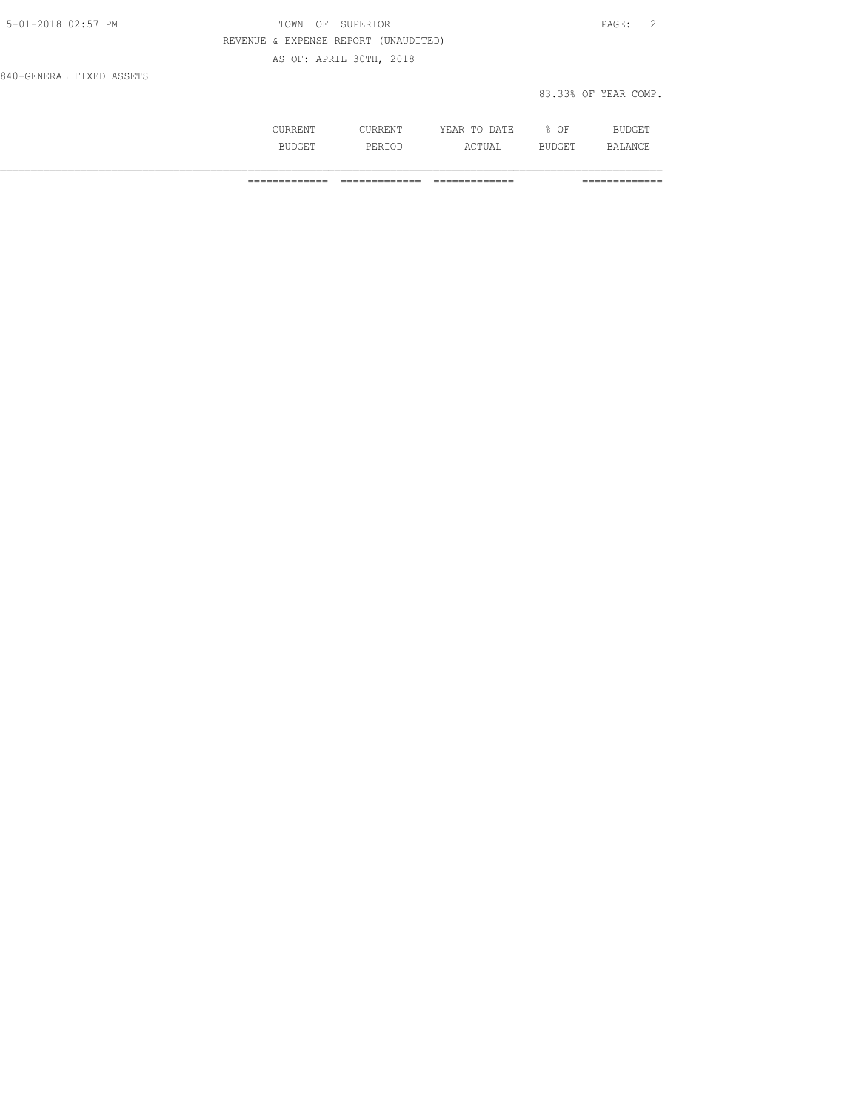| 5-01-2018 02:57 PM       | TOWN OF SUPERIOR                     | PAGE: 2              |
|--------------------------|--------------------------------------|----------------------|
|                          | REVENUE & EXPENSE REPORT (UNAUDITED) |                      |
|                          | AS OF: APRIL 30TH, 2018              |                      |
| 840-GENERAL FIXED ASSETS |                                      |                      |
|                          |                                      | 83.33% OF YEAR COMP. |

| . | . | <b>A FTIT</b><br>$\cdots$<br>----<br>.<br>-- | OF<br>◡ |                |
|---|---|----------------------------------------------|---------|----------------|
|   |   | ¬ ⊓ ∟<br><u>.</u>                            |         | $\mathbb{R}^n$ |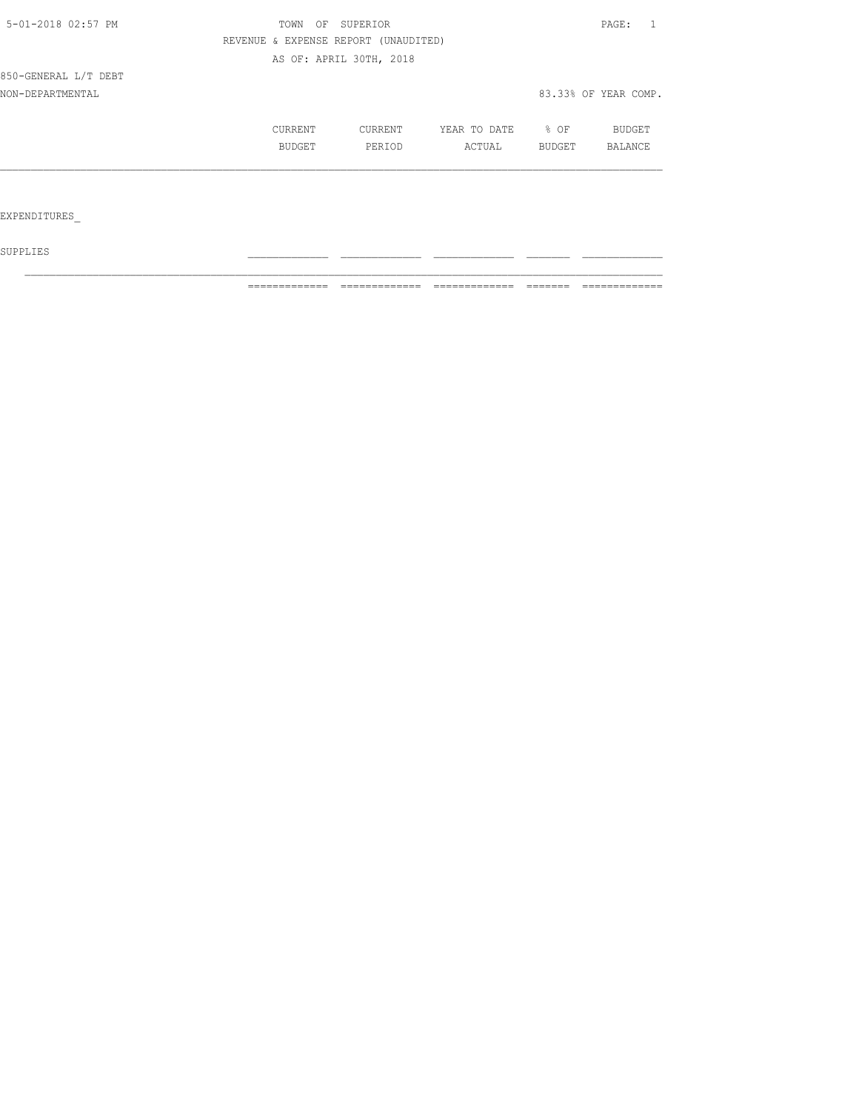| 5-01-2018 02:57 PM   | TOWN<br>OF | SUPERIOR                             |              |        | PAGE:                |
|----------------------|------------|--------------------------------------|--------------|--------|----------------------|
|                      |            | REVENUE & EXPENSE REPORT (UNAUDITED) |              |        |                      |
|                      |            | AS OF: APRIL 30TH, 2018              |              |        |                      |
| 850-GENERAL L/T DEBT |            |                                      |              |        |                      |
| NON-DEPARTMENTAL     |            |                                      |              |        | 83.33% OF YEAR COMP. |
|                      | CURRENT    | CURRENT                              | YEAR TO DATE | % OF   | BUDGET               |
|                      | BUDGET     | PERIOD                               | ACTUAL       | BUDGET | BALANCE              |
|                      |            |                                      |              |        |                      |
|                      |            |                                      |              |        |                      |
| EXPENDITURES         |            |                                      |              |        |                      |

 ${\tt SUPPLIES}$